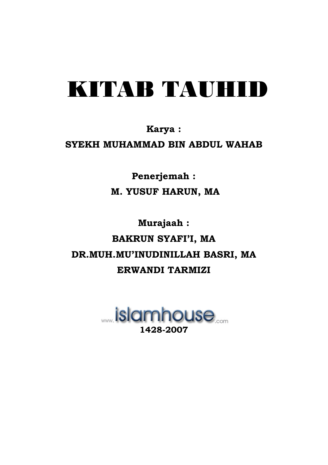# KITAR TAUHID

### Karya: SYEKH MUHAMMAD BIN ABDUL WAHAB

Penerjemah: M. YUSUF HARUN, MA

Murajaah: **BAKRUN SYAFI'I, MA** DR.MUH.MU'INUDINILLAH BASRI, MA ERWANDI TARMIZI

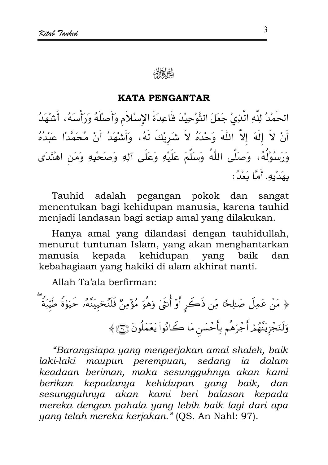#### **KATA PENGANTAR**

الحَمْدُ لِلَّهِ الَّذِيْ جَعَلَ التَّوْحِيْدَ قَاعِدَةَ الإِسْلاَمِ وَأَصلْلَهُ وَرَأْسَهُ، أَشْهَدُ أَنْ لاَ إِلَهَ إِلاَّ اللَّهَ وَحْدَهُ لاَ شَرِيْكَ لَهُ، وَأَشْهَدُ أَنْ مُحَمَّدًا عَبْدُهُ وَرَسُوْلُهُ، وَصَلَّى اللَّهُ وَسَلَّمَ عَلَيْهِ وَعَلَى آلِهِ وَصَحْبِهِ وَمَن اهْتَدَى بِهَدْبِهِ. أَمَّا بَعْدُ:

Tauhid adalah pegangan pokok dan sangat menentukan bagi kehidupan manusia, karena tauhid menjadi landasan bagi setiap amal yang dilakukan.

Hanya amal yang dilandasi dengan tauhidullah, menurut tuntunan Islam, yang akan menghantarkan manusia kepada kehidupan yang baik dan kebahagiaan yang hakiki di alam akhirat nanti.

Allah Ta'ala berfirman:

﴿ مَنْ عَمِلَ صَلِحًا مِّن ذَكَرٍ أَوْ أُنتَىٰ وَهُوَ مُؤْمِنٌ فَلَنُحْيِيَنَّهُۥ حَيَوٰةً طَيّبَةً وَلَنَجْزِيَنَّهُمْ أَجْرَهُم بِأَحْسَنِ مَا كَانُواْ يَعْمَلُونَ ۞﴾

"Barangsiapa yang mengerjakan amal shaleh, baik laki-laki maupun perempuan, sedang ia dalam keadaan beriman, maka sesungguhnya akan kami berikan kepadanya kehidupan yang baik, dan sesungguhnya akan kami beri balasan kepada mereka dengan pahala yang lebih baik lagi dari apa yang telah mereka kerjakan." (QS. An Nahl: 97).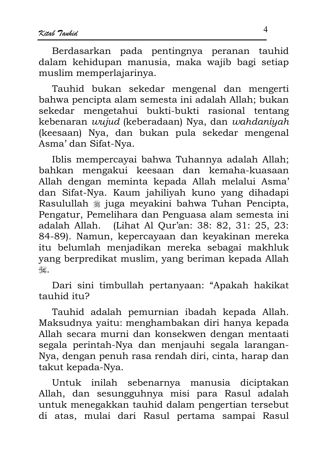Berdasarkan pada pentingnya peranan tauhid dalam kehidupan manusia, maka wajib bagi setiap muslim memperlajarinya.

Tauhid bukan sekedar mengenal dan mengerti bahwa pencipta alam semesta ini adalah Allah; bukan sekedar mengetahui bukti-bukti rasional tentang kebenaran wujud (keberadaan) Nya, dan wahdaniyah (keesaan) Nya, dan bukan pula sekedar mengenal Asma' dan Sifat-Nya.

Iblis mempercayai bahwa Tuhannya adalah Allah; bahkan mengakui keesaan dan kemaha-kuasaan Allah dengan meminta kepada Allah melalui Asma' dan Sifat-Nya. Kaum jahiliyah kuno yang dihadapi Rasulullah ﷺ juga meyakini bahwa Tuhan Pencipta, Pengatur, Pemelihara dan Penguasa alam semesta ini adalah Allah. (Lihat Al Our'an: 38: 82, 31: 25, 23: 84-89). Namun, kepercayaan dan keyakinan mereka itu belumlah menjadikan mereka sebagai makhluk yang berpredikat muslim, yang beriman kepada Allah  $\begin{picture}(20,20) \put(0,0){\vector(0,1){30}} \put(15,0){\vector(0,1){30}} \put(15,0){\vector(0,1){30}} \put(15,0){\vector(0,1){30}} \put(15,0){\vector(0,1){30}} \put(15,0){\vector(0,1){30}} \put(15,0){\vector(0,1){30}} \put(15,0){\vector(0,1){30}} \put(15,0){\vector(0,1){30}} \put(15,0){\vector(0,1){30}} \put(15,0){\vector(0,1){30}} \put(15,0){\vector(0$ 

Dari sini timbullah pertanyaan: "Apakah hakikat Strti biditat

Tauhid adalah pemurnian ibadah kepada Allah. Maksudnya yaitu: menghambakan diri hanya kepada Allah secara murni dan konsekwen dengan mentaati segala perintah-Nya dan menjauhi segala larangan-Nya, dengan penuh rasa rendah diri, cinta, harap dan takut kepada-Nya.

Untuk inilah sebenarnya manusia diciptakan Allah, dan sesungguhnya misi para Rasul adalah untuk menegakkan tauhid dalam pengertian tersebut di atas, mulai dari Rasul pertama sampai Rasul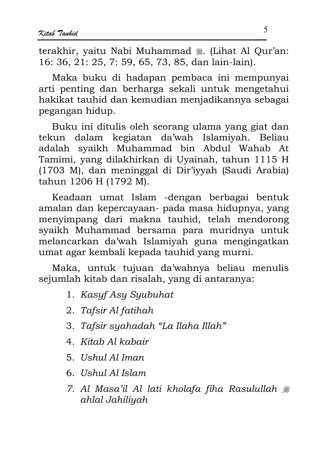terakhir, vaitu Nabi Muhammad . (Lihat Al Our'an: 16: 36, 21: 25, 7: 59, 65, 73, 85, dan lain-lain).

Maka buku di hadapan pembaca ini mempunyai arti penting dan berharga sekali untuk mengetahui hakikat tauhid dan kemudian menjadikannya sebagai pegangan hidup.

Buku ini ditulis oleh seorang ulama yang giat dan tekun dalam kegiatan da'wah Islamiyah. Beliau adalah syaikh Muhammad bin Abdul Wahab At Tamimi, yang dilakhirkan di Uyainah, tahun 1115 H (1703 M), dan meninggal di Dir'iyyah (Saudi Arabia) tahun 1206 H (1792 M).

Keadaan umat Islam -dengan berbagai bentuk amalan dan kepercayaan- pada masa hidupnya, yang menyimpang dari makna tauhid, telah mendorong syaikh Muhammad bersama para muridnya untuk melancarkan da'wah Islamiyah guna mengingatkan umat agar kembali kepada tauhid yang murni.

Maka, untuk tujuan da'wahnya beliau menulis sejumlah kitab dan risalah, yang di antaranya:

- 1. Kasyf Asy Syubuhat
- 2. Tafsir Al fatihah
- 3. Tafsir syahadah "La Ilaha Illah"
- 4. Kitab Al kabair
- 5. Ushul Al Iman
- 6. Ushul Al Islam
- 7. Al Masa'il Al lati kholafa fiha Rasulullah # ahlal Jahiliyah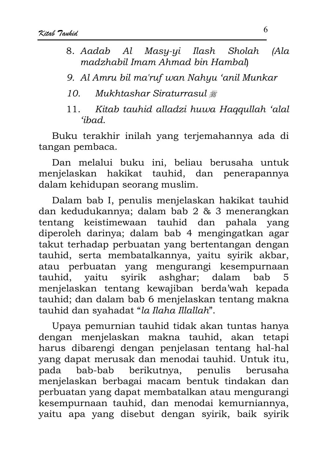- 8. Aadab Al Masu-ui Ilash **Sholah**  $Ala$ madzhabil Imam Ahmad bin Hamball
- 9. Al Amru bil ma'ruf wan Nahyu 'anil Munkar
- Mukhtashar Siraturrasul #  $10<sup>1</sup>$
- Kitab tauhid alladzi huwa Haggullah 'alal  $11.$ 'ihad.

Buku terakhir inilah yang terjemahannya ada di tangan pembaca.

Dan melalui buku ini, beliau berusaha untuk menjelaskan hakikat tauhid, dan penerapannya dalam kehidupan seorang muslim.

Dalam bab I, penulis menjelaskan hakikat tauhid dan kedudukannya; dalam bab 2 & 3 menerangkan tentang keistimewaan tauhid dan pahala yang diperoleh darinya; dalam bab 4 mengingatkan agar takut terhadap perbuatan yang bertentangan dengan tauhid, serta membatalkannya, yaitu syirik akbar, atau perbuatan yang mengurangi kesempurnaan tauhid, yaitu syirik ashghar; dalam bab 5. menjelaskan tentang kewajiban berda'wah kepada tauhid; dan dalam bab 6 menjelaskan tentang makna tauhid dan syahadat "la Ilaha Illallah".

Upaya pemurnian tauhid tidak akan tuntas hanya dengan menjelaskan makna tauhid, akan tetapi harus dibarengi dengan penjelasan tentang hal-hal vang dapat merusak dan menodai tauhid. Untuk itu, berikutnya, penulis pada bab-bab berusaha menjelaskan berbagai macam bentuk tindakan dan perbuatan yang dapat membatalkan atau mengurangi kesempurnaan tauhid, dan menodai kemurniannya, vaitu apa vang disebut dengan svirik, baik svirik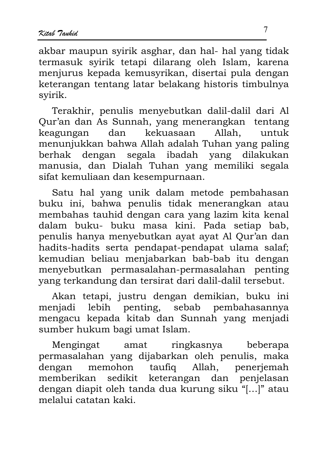akbar maupun syirik asghar, dan hal- hal yang tidak termasuk syirik tetapi dilarang oleh Islam, karena menjurus kepada kemusyrikan, disertai pula dengan keterangan tentang latar belakang historis timbulnya svirik.

Terakhir, penulis menyebutkan dalil-dalil dari Al Qur'an dan As Sunnah, yang menerangkan tentang keagungan dan kekuasaan Allah. untuk menunjukkan bahwa Allah adalah Tuhan yang paling berhak dengan segala ibadah yang dilakukan manusia, dan Dialah Tuhan yang memiliki segala sifat kemuliaan dan kesempurnaan.

Satu hal yang unik dalam metode pembahasan buku ini, bahwa penulis tidak menerangkan atau membahas tauhid dengan cara yang lazim kita kenal dalam buku- buku masa kini. Pada setiap bab, penulis hanya menyebutkan ayat ayat Al Qur'an dan hadits-hadits serta pendapat-pendapat ulama salaf; kemudian beliau menjabarkan bab-bab itu dengan menyebutkan permasalahan-permasalahan penting yang terkandung dan tersirat dari dalil-dalil tersebut.

Akan tetapi, justru dengan demikian, buku ini lebih penting, sebab pembahasannya menjadi mengacu kepada kitab dan Sunnah yang menjadi sumber hukum bagi umat Islam.

Mengingat ringkasnya beberapa amat permasalahan yang dijabarkan oleh penulis, maka dengan memohon taufiq Allah, penerjemah memberikan sedikit keterangan dan penjelasan dengan diapit oleh tanda dua kurung siku "[...]" atau melalui catatan kaki.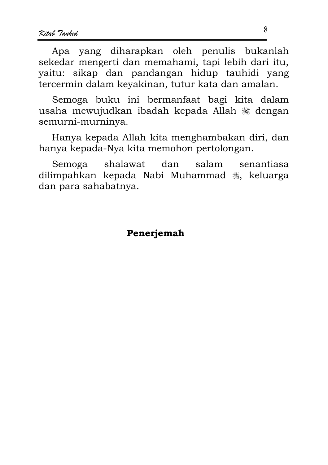Apa yang diharapkan oleh penulis bukanlah sekedar mengerti dan memahami, tapi lebih dari itu, yaitu: sikap dan pandangan hidup tauhidi yang tercermin dalam keyakinan, tutur kata dan amalan.

Semoga buku ini bermanfaat bagi kita dalam usaha mewujudkan ibadah kepada Allah « dengan semurni-murninya.

Hanya kepada Allah kita menghambakan diri, dan hanya kepada-Nya kita memohon pertolongan.

senantiasa Semoga shalawat dan salam dilimpahkan kepada Nabi Muhammad , keluarga dan para sahabatnya.

#### Penerjemah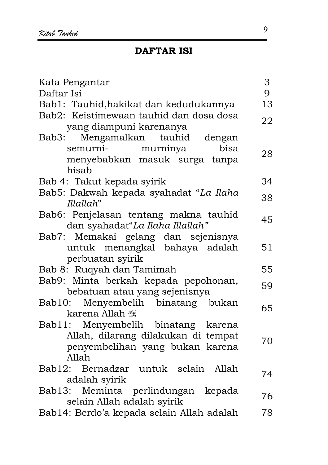| 9<br>Daftar Isi<br>Bab1: Tauhid,hakikat dan kedudukannya<br>13<br>Bab2: Keistimewaan tauhid dan dosa dosa<br>22<br>yang diampuni karenanya<br>Bab3: Mengamalkan tauhid dengan<br>semurni- murninya<br>bisa<br>28<br>menyebabkan masuk surga tanpa<br>hisab<br>34<br>Bab 4: Takut kepada syirik<br>Bab5: Dakwah kepada syahadat "La Ilaha<br>38<br>Illallah"<br>Bab6: Penjelasan tentang makna tauhid<br>45<br>dan syahadat"La Ilaha Illallah"<br>Bab7: Memakai gelang dan sejenisnya<br>untuk menangkal bahaya adalah<br>51<br>perbuatan syirik<br>Bab 8: Ruqyah dan Tamimah<br>55<br>Bab9: Minta berkah kepada pepohonan,<br>59 |
|----------------------------------------------------------------------------------------------------------------------------------------------------------------------------------------------------------------------------------------------------------------------------------------------------------------------------------------------------------------------------------------------------------------------------------------------------------------------------------------------------------------------------------------------------------------------------------------------------------------------------------|
|                                                                                                                                                                                                                                                                                                                                                                                                                                                                                                                                                                                                                                  |
|                                                                                                                                                                                                                                                                                                                                                                                                                                                                                                                                                                                                                                  |
|                                                                                                                                                                                                                                                                                                                                                                                                                                                                                                                                                                                                                                  |
|                                                                                                                                                                                                                                                                                                                                                                                                                                                                                                                                                                                                                                  |
|                                                                                                                                                                                                                                                                                                                                                                                                                                                                                                                                                                                                                                  |
|                                                                                                                                                                                                                                                                                                                                                                                                                                                                                                                                                                                                                                  |
|                                                                                                                                                                                                                                                                                                                                                                                                                                                                                                                                                                                                                                  |
|                                                                                                                                                                                                                                                                                                                                                                                                                                                                                                                                                                                                                                  |
|                                                                                                                                                                                                                                                                                                                                                                                                                                                                                                                                                                                                                                  |
|                                                                                                                                                                                                                                                                                                                                                                                                                                                                                                                                                                                                                                  |
|                                                                                                                                                                                                                                                                                                                                                                                                                                                                                                                                                                                                                                  |
|                                                                                                                                                                                                                                                                                                                                                                                                                                                                                                                                                                                                                                  |
|                                                                                                                                                                                                                                                                                                                                                                                                                                                                                                                                                                                                                                  |
|                                                                                                                                                                                                                                                                                                                                                                                                                                                                                                                                                                                                                                  |
|                                                                                                                                                                                                                                                                                                                                                                                                                                                                                                                                                                                                                                  |
|                                                                                                                                                                                                                                                                                                                                                                                                                                                                                                                                                                                                                                  |
|                                                                                                                                                                                                                                                                                                                                                                                                                                                                                                                                                                                                                                  |
| bebatuan atau yang sejenisnya                                                                                                                                                                                                                                                                                                                                                                                                                                                                                                                                                                                                    |
| Bab10: Menyembelih binatang bukan                                                                                                                                                                                                                                                                                                                                                                                                                                                                                                                                                                                                |
| 65<br>karena Allah                                                                                                                                                                                                                                                                                                                                                                                                                                                                                                                                                                                                               |
| Bab11: Menyembelih binatang karena                                                                                                                                                                                                                                                                                                                                                                                                                                                                                                                                                                                               |
| Allah, dilarang dilakukan di tempat                                                                                                                                                                                                                                                                                                                                                                                                                                                                                                                                                                                              |
| 70<br>penyembelihan yang bukan karena                                                                                                                                                                                                                                                                                                                                                                                                                                                                                                                                                                                            |
| Allah                                                                                                                                                                                                                                                                                                                                                                                                                                                                                                                                                                                                                            |
| Bab12: Bernadzar untuk selain Allah                                                                                                                                                                                                                                                                                                                                                                                                                                                                                                                                                                                              |
| 74<br>adalah syirik                                                                                                                                                                                                                                                                                                                                                                                                                                                                                                                                                                                                              |
| Bab13: Meminta perlindungan kepada                                                                                                                                                                                                                                                                                                                                                                                                                                                                                                                                                                                               |
| 76<br>selain Allah adalah syirik                                                                                                                                                                                                                                                                                                                                                                                                                                                                                                                                                                                                 |
| Bab14: Berdo'a kepada selain Allah adalah<br>78                                                                                                                                                                                                                                                                                                                                                                                                                                                                                                                                                                                  |

9 L.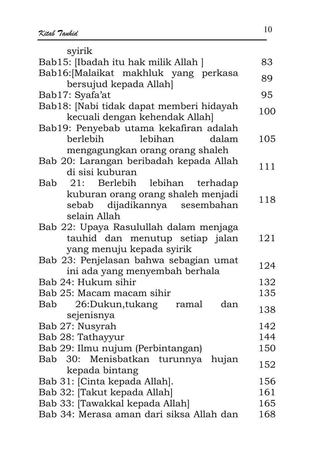svirik Bab15: [Ibadah itu hak milik Allah ] 83 Bab16:[Malaikat makhluk yang perkasa perkasa makintak yang perkasa 89.<br>bersujud kepada Allah Bab17: Syafa'at 95 Bab18: [Nabi tidak dapat memberi hidayah . <sub>[</sub>Nabi tidak dapat incinocri mdayan | 100<br>kecuali dengan kehendak Allah] | 100 Bab19: Penyebab utama kekafiran adalah berlebih le lebihan dalam mengagungkan orang orang shaleh 105 Bab 20: Larangan beribadah kepada Allah o: Editingan berbadan Repada main 111<br>di sisi kuburan Bab 21: Berlebih le lebihan terhadap kuburan orang orang shaleh menjadi sebab dijadikannya sesembahan selain Allah 118 Bab 22: Upaya Rasulullah dalam menjaga tauhid dan menutup setiap jalan yang menuju kepada syirik 121 Bab 23: Penjelasan bahwa sebagian umat 5. Tenjelasan banwa sebagian dinai (ke-124)<br>ini ada yang menyembah berhala  $\mathsf{B}$ ah  $24:$  Hukum sihir  $\qquad \qquad$  132 Bab 25: Macam macam sihir  $135$ Bab 26:Dukun,tukang ramal dan 20. Dukun, tukang ramai dan 138<br>sejenisnya Bab 27: Nusyrah 142 %0/- 133 %0", \$ 12; Bab 30: Menisbatkan turunnya hujan 50. membatkan turumnya nujan 152<br>kepada-bintang %.1@C B 129 Bab 32: [Takut kepada Allah] 161 %..@-& B 192 Bab 34: Merasa aman dari siksa Allah dan 168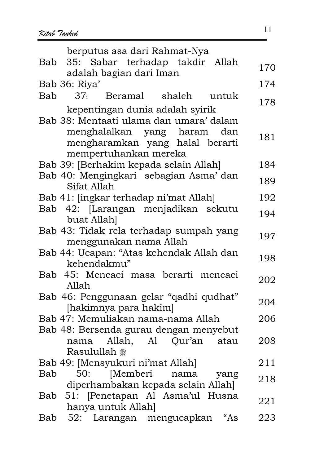| berputus asa dari Rahmat-Nya                                                    |     |
|---------------------------------------------------------------------------------|-----|
| 35: Sabar terhadap takdir Allah<br>Bab<br>adalah bagian dari Iman               | 170 |
| Bab 36: Riya'                                                                   | 174 |
| 37. Beramal shaleh<br>Bab<br>untuk                                              |     |
| kepentingan dunia adalah syirik                                                 | 178 |
| Bab 38: Mentaati ulama dan umara' dalam                                         |     |
| menghalalkan yang haram<br>dan                                                  | 181 |
| mengharamkan yang halal berarti                                                 |     |
| mempertuhankan mereka                                                           |     |
| Bab 39: [Berhakim kepada selain Allah]<br>Bab 40: Mengingkari sebagian Asma'dan | 184 |
| Sifat Allah                                                                     | 189 |
| Bab 41: [ingkar terhadap ni'mat Allah]                                          | 192 |
| Bab 42: [Larangan menjadikan sekutu                                             | 194 |
| buat Allah]                                                                     |     |
| Bab 43: Tidak rela terhadap sumpah yang                                         | 197 |
| menggunakan nama Allah<br>Bab 44: Ucapan: "Atas kehendak Allah dan              |     |
| kehendakmu"                                                                     | 198 |
| Bab 45: Mencaci masa berarti mencaci                                            |     |
| Allah                                                                           | 202 |
| Bab 46: Penggunaan gelar "qadhi qudhat"                                         | 204 |
| [hakimnya para hakim]                                                           |     |
| Bab 47: Memuliakan nama-nama Allah                                              | 206 |
| Bab 48: Bersenda gurau dengan menyebut<br>Allah, Al Qur'an<br>nama<br>atau      | 208 |
| Rasulullah <sub>ﷺ</sub>                                                         |     |
| Bab 49: [Mensyukuri ni'mat Allah]                                               | 211 |
| 50: [Memberi nama<br>Bab<br>yang                                                | 218 |
| diperhambakan kepada selain Allah]                                              |     |
| Bab 51: [Penetapan Al Asma'ul Husna                                             | 221 |
| hanya untuk Allah]<br>"As                                                       | 223 |
| Bab 52: Larangan mengucapkan                                                    |     |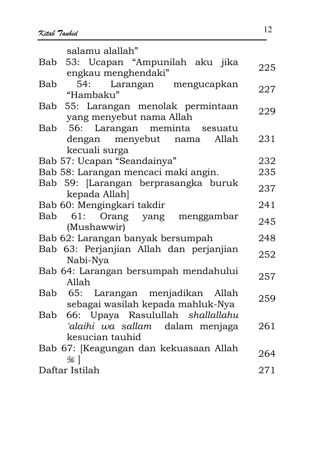| salamu alallah"                                       |     |
|-------------------------------------------------------|-----|
| Bab 53: Ucapan "Ampunilah aku jika                    |     |
| engkau menghendaki"                                   | 225 |
| 54: Larangan mengucapkan<br>Bab                       |     |
| "Hambaku"                                             | 227 |
| Bab 55: Larangan menolak permintaan                   | 229 |
| yang menyebut nama Allah                              |     |
| Bab 56: Larangan meminta sesuatu                      |     |
| dengan menyebut nama Allah                            | 231 |
| kecuali surga                                         |     |
| Bab 57: Ucapan "Seandainya"                           | 232 |
| Bab 58: Larangan mencaci maki angin.                  | 235 |
| Bab 59: [Larangan berprasangka buruk<br>kepada Allah] | 237 |
| Bab 60: Mengingkari takdir                            | 241 |
| Bab 61: Orang yang menggambar                         |     |
| (Mushawwir)                                           | 245 |
| Bab 62: Larangan banyak bersumpah                     | 248 |
| Bab 63: Perjanjian Allah dan perjanjian               |     |
| Nabi-Nya                                              | 252 |
| Bab 64: Larangan bersumpah mendahului                 | 257 |
| Allah                                                 |     |
| Bab 65: Larangan menjadikan Allah                     | 259 |
| sebagai wasilah kepada mahluk-Nya                     |     |
| Bab 66: Upaya Rasulullah shallallahu                  |     |
| 'alaihi wa sallam dalam menjaga                       | 261 |
| kesucian tauhid                                       |     |
| Bab 67: [Keagungan dan kekuasaan Allah                | 264 |
| أَ كَيْتَبَاكَ                                        |     |
| Daftar Istilah                                        | 271 |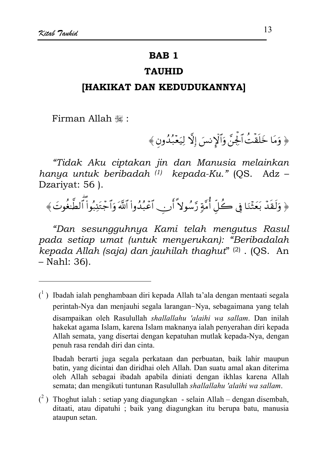#### **BAB1**

#### **TAUHID**

#### [HAKIKAT DAN KEDUDUKANNYA]

Firman Allah ,:

﴿ وَمَا خَلَقْتُ ٱلْجِنَّ وَٱلْإِنسَ إِلَّا لِيَعۡبُدُون ﴾

"Tidak Aku ciptakan jin dan Manusia melainkan hanya untuk beribadah (1) kepada-Ku." (QS. Adz -Dzariyat: 56).

﴿ وَلَقَدۡ بَعَثۡنَا فِي كُلِّ أُمَّةٍ رَّسُولاً أَن لَّعۡبُدُوا۟ ٱللَّهَ وَٱجۡتَنِبُوا۟ ٱلطَّغُوتَ﴾

"Dan sesungguhnya Kami telah mengutus Rasul pada setiap umat (untuk menyerukan): "Beribadalah kepada Allah (saja) dan jauhilah thaghut" (2) . (QS. An  $-$  Nahl: 36).

Ibadah berarti juga segala perkataan dan perbuatan, baik lahir maupun batin, yang dicintai dan diridhai oleh Allah. Dan suatu amal akan diterima oleh Allah sebagai ibadah apabila diniati dengan ikhlas karena Allah semata; dan mengikuti tuntunan Rasulullah shallallahu 'alaihi wa sallam.

 $\binom{1}{1}$  Ibadah ialah penghambaan diri kepada Allah ta'ala dengan mentaati segala perintah-Nya dan menjauhi segala larangan-Nya, sebagaimana yang telah disampaikan oleh Rasulullah shallallahu 'alaihi wa sallam. Dan inilah hakekat agama Islam, karena Islam maknanya ialah penyerahan diri kepada Allah semata, yang disertai dengan kepatuhan mutlak kepada-Nya, dengan penuh rasa rendah diri dan cinta.

 $\binom{2}{1}$  Thoghut ialah : setiap yang diagungkan - selain Allah – dengan disembah, ditaati, atau dipatuhi ; baik yang diagungkan itu berupa batu, manusia ataupun setan.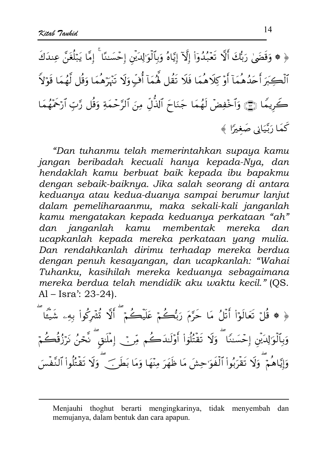﴿ ۞ وَقَضَىٰ رَبُّكَ أَلَّا تَعۡبُدُوٓاْ إِلَّآ إِيَّاهُ وَبِٱلۡوَٰالِدَيۡنَ إِحۡسَننَا ۚ إِمَّا يَبۡلُغَنَّ عِندَكَ ٱلۡكِبَرَ أَحَدُهُمۡمَآ أَوۡ كِلَاهُمَا فَلَا تَقُل هَٰمَآ أُفِّ وَلَا تَبۡرَهُمَا وَقُل لَّهُمَا قَوۡلاً كَرِيمًا ۞ وَٱخْفِضْ لَهُمَا جَنَاحَ ٱلذُّلِّ مِنَ ٱلرَّحْمَةِ وَقُل رَّبِّ ٱرْحَمَّهُمَا كَعَا رَتَّيَانِي صَغِيرًا ﴾

"Dan tuhanmu telah memerintahkan supaya kamu jangan beribadah kecuali hanya kepada-Nya, dan hendaklah kamu berbuat baik kepada ibu bapakmu dengan sebaik-baiknya. Jika salah seorang di antara keduanya atau kedua-duanya sampai berumur lanjut dalam pemeliharaanmu, maka sekali-kali janganlah kamu mengatakan kepada keduanya perkataan "ah" dan janganlah kamu membentak mereka  $d$ an ucapkanlah kepada mereka perkataan yang mulia. Dan rendahkanlah dirimu terhadap mereka berdua dengan penuh kesayangan, dan ucapkanlah: "Wahai Tuhanku, kasihilah mereka keduanya sebagaimana mereka berdua telah mendidik aku waktu kecil." (OS.  $Al - Isra'$ : 23-24).

﴿ ۞ قُلْ تَعَالَوۡاْ أَنَّلُ مَا حَرَّمَ رَبُّكُمۡ عَلَيۡكُمۡ ۖ أَلَّا ثُشۡرِكُواْ بِهِۦ شَيْئَا ۖ وَبِٱلۡوَٰٓاِلِدَیۡنَ إِحۡسَنِنَا ۗ وَلَا تَقۡتُلُوۡاْ أَوۡلَـٰدَكُم مِّرۡ ۡ إِمۡلَـٰقٍ ۖ نَّحۡنُ نَرۡزُقُكُمۡ وَإِيَّاهُمْ ۖ وَلَا تَقْرَبُواْ ٱلْفَوَٰحِشَ مَا ظَهَرَ مِنْهَا وَمَا بَطَرَ ﴾ ۖ وَلَا تَقْتُلُواْ ٱلنَّفْسَ

Menjauhi thoghut berarti mengingkarinya, tidak menyembah dan memujanya, dalam bentuk dan cara apapun.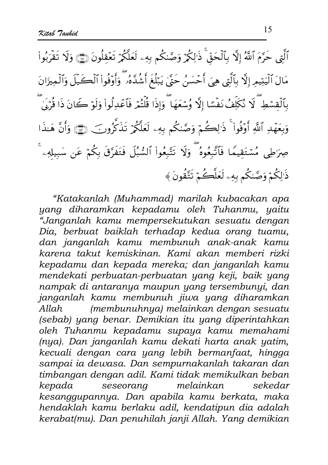ٱلَّتِي حَرَّمَ ٱللَّهُ إِلَّا بِٱلۡحَقِّ ۚ ذَٰلِكُمۡ وَصَّدٰكُم بِهِۦ لَعَلَّكُمۡ تَعۡقِلُونَ ۞ وَلَا تَقۡرَبُواْ مَالَ ٱلْيَتِيمِ إِلَّا بِٱلَّتِي هِيَ أَحۡسَنُ حَتَّىٰ يَبۡلُغَ أَشُٰدَّهُۥ ۖ وَأُوۡفُواْ ٱلۡكَـٰيَلَ وَٱلۡمِيزَانَ بِٱلۡقِسۡطِ ۖ لَا نُكَلِّفُ نَفۡسًا إِلَّا وُسۡعَهَا ۖ وَإِذَا قُلۡتُمۡ فَٱعۡدِلُواْ وَلَوۡ كَانَ ذَا قُرۡبَىٰ وَبِعَهْدِ ٱللَّهِ أَوْفُواْ ۚ ذَٰ لِصَٰمۡ وَصَّنكُم بِهِۦ لَعَلَّكُمۡ تَذَكَّرُونَ ۚ ۞ وَأَنَّ هَـٰذَا صِرَطِي مُسْتَقِيمًا فَٱتَّبِعُوهُ ۖ وَلَا تَتَّبِعُواْ ٱلسُّبُلَ فَتَفَرَّقَ بِكُمْ عَن سَبِيلَهِۦ ۚ ذَالِكُمْ وَصَّنكُم بِهِۦ لَعَلَّكُمْ تَتَّقُونَ﴾

"Katakanlah (Muhammad) marilah kubacakan apa yang diharamkan kepadamu oleh Tuhanmu, yaitu "Janganlah kamu mempersekutukan sesuatu dengan Dia, berbuat baiklah terhadap kedua orang tuamu, dan janganlah kamu membunuh anak-anak kamu karena takut kemiskinan. Kami akan memberi rizki kepadamu dan kepada mereka; dan janganlah kamu mendekati perbuatan-perbuatan yang keji, baik yang nampak di antaranya maupun yang tersembunyi, dan janganlah kamu membunuh jiwa yang diharamkan (membunuhnya) melainkan dengan sesuatu  $Allah$ (sebab) yang benar. Demikian itu yang diperintahkan oleh Tuhanmu kepadamu supaya kamu memahami (nya). Dan janganlah kamu dekati harta anak yatim, kecuali dengan cara yang lebih bermanfaat, hingga sampai ia dewasa. Dan sempurnakanlah takaran dan timbangan dengan adil. Kami tidak memikulkan beban kepada seseorang melainkan sekedar kesanggupannya. Dan apabila kamu berkata, maka hendaklah kamu berlaku adil, kendatipun dia adalah kerabat(mu). Dan penuhilah janji Allah. Yang demikian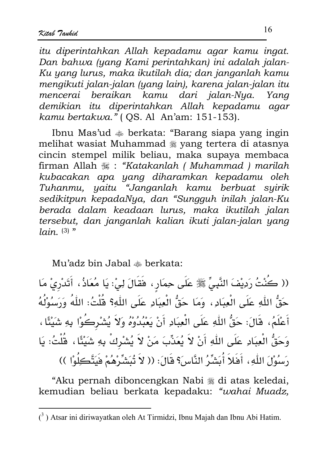itu diperintahkan Allah kepadamu agar kamu ingat. Dan bahwa (yang Kami perintahkan) ini adalah jalan-Ku yang lurus, maka ikutilah dia; dan janganlah kamu mengikuti jalan-jalan (yang lain), karena jalan-jalan itu mencerai beraikan kamu dari jalan-Nya. Yana demikian itu diperintahkan Allah kepadamu agar kamu bertakwa." ( QS. Al An'am: 151-153).

Ibnu Mas'ud  $\triangleq$  berkata: "Barang siapa yang ingin melihat wasiat Muhammad \* yang tertera di atasnya cincin stempel milik beliau, maka supaya membaca firman Allah : "Katakanlah ( Muhammad ) marilah kubacakan apa yang diharamkan kepadamu oleh Tuhanmu, yaitu "Janganlah kamu berbuat syirik sedikitpun kepadaNya, dan "Sungguh inilah jalan-Ku berada dalam keadaan lurus, maka ikutilah jalan tersebut, dan janganlah kalian ikuti jalan-jalan yang  $lain_{\cdot}$  (3) "

Mu'adz bin Jabal  $\triangleq$  berkata:

(( كُنْتُ رَدِيْفَ النَّبِيِّ ﷺ عَلَى حِمَارٍ ، فَقَالَ لِيْ: يَا مُعَاذُ ، أَتَدْرِيْ مَا حَقُّ اللّهِ عَلَى الْعِبَادِ ، وَمَا حَقُّ الْعِبَادِ عَلَى اللّهِ؟ قُلْتُ: اللّهُ وَرَسُوْلُهُ أَعْلَمُ، قَالَ: حَقُّ اللّهِ عَلَى الْعِبَادِ أَنْ يَعْبُدُوهُ وَلاَ يُشْرِكُوْا بِهِ شَيْئًا ، وَحَقُّ الْعِبَادِ عَلَى اللّهِ أَنْ لاَ يُعَذِّبَ مَنْ لاَ يُشْرِكْ بِهِ شَيْئًا، قُلْتُ: يَا رَسُوْلَ اللّٰهِ ، أَفَلاَ أُبَشِّرُ النَّاسَ؟ قَالَ: (( لاَ تُبَشِّرْهُمْ فَيَتَّكِلُوْا ))

"Aku pernah diboncengkan Nabi « di atas keledai, kemudian beliau berkata kepadaku: "wahai Muadz,

 $(3)$  Atsar ini diriwayatkan oleh At Tirmidzi, Ibnu Majah dan Ibnu Abi Hatim.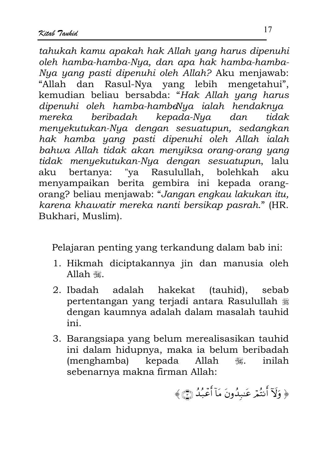tahukah kamu apakah hak Allah yang harus dipenuhi oleh hamba-hamba-Nya, dan apa hak hamba-hamba-Nya yang pasti dipenuhi oleh Allah? Aku menjawab: "Allah dan Rasul-Nya yang lebih mengetahui", kemudian beliau bersabda: "Hak Allah yang harus dipenuhi oleh hamba-hambaNya ialah hendaknya beribadah kepada-Nya dan mereka tidak menyekutukan-Nya dengan sesuatupun, sedangkan hak hamba yang pasti dipenuhi oleh Allah ialah bahwa Allah tidak akan menyiksa orang-orang yang tidak menyekutukan-Nya dengan sesuatupun, lalu "ya Rasulullah, bolehkah aku bertanya: aku menyampaikan berita gembira ini kepada orangorang? beliau menjawab: "Jangan engkau lakukan itu, karena khawatir mereka nanti bersikap pasrah." (HR. Bukhari, Muslim).

Pelajaran penting yang terkandung dalam bab ini:

- 1. Hikmah diciptakannya jin dan manusia oleh Allah ...
- $2.$  Ibadah adalah hakekat (tauhid), sebab pertentangan yang terjadi antara Rasulullah # dengan kaumnya adalah dalam masalah tauhid ini.
- 3. Barangsiapa yang belum merealisasikan tauhid ini dalam hidupnya, maka ia belum beribadah (menghamba) kepada Allah inilah  $\mathbb{R}$ sebenarnya makna firman Allah:

﴿ وَلَآ أَنتُمْ عَبِدُونَ مَآ أَعۡبُدُ ۞﴾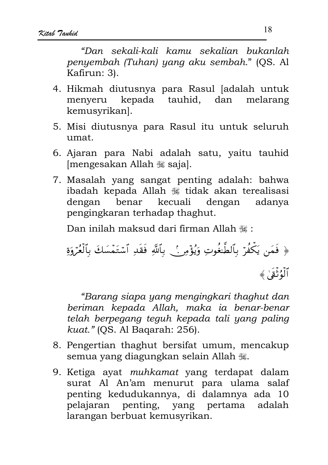"Dan sekali-kali kamu sekalian bukanlah penyembah (Tuhan) yang aku sembah." (QS. Al Kafirun: 3).

- 4. Hikmah diutusnya para Rasul [adalah untuk menyeru kepada tauhid, dan melarang kemusvrikanl.
- 5. Misi diutusnya para Rasul itu untuk seluruh  $11<sub>mat</sub>$
- 6. Ajaran para Nabi adalah satu, yaitu tauhid [mengesakan Allah , saja].
- 7. Masalah yang sangat penting adalah: bahwa ibadah kepada Allah « tidak akan terealisasi dengan benar kecuali dengan adanya pengingkaran terhadap thaghut.

Dan inilah maksud dari firman Allah \;

﴿ فَمَن يَكۡفُرۡ بِٱلطَّغُوتِ وَيُؤۡمِرِ ۚ. بِٱللَّهِ فَقَدِ ٱسۡتَمۡسَكَ بِٱلۡعُرۡوَةِ ٱلۡوُثۡقَىٰ ﴾

"Barang siapa yang mengingkari thaghut dan beriman kepada Allah, maka ia benar-benar telah berpegang teguh kepada tali yang paling kuat." (OS. Al Bagarah: 256).

- 8. Pengertian thaghut bersifat umum, mencakup semua yang diagungkan selain Allah  $\ddot{\mathcal{L}}$ .
- 9. Ketiga ayat muhkamat yang terdapat dalam surat Al An'am menurut para ulama salaf penting kedudukannya, di dalamnya ada 10 pelajaran penting, yang pertama adalah larangan berbuat kemusyrikan.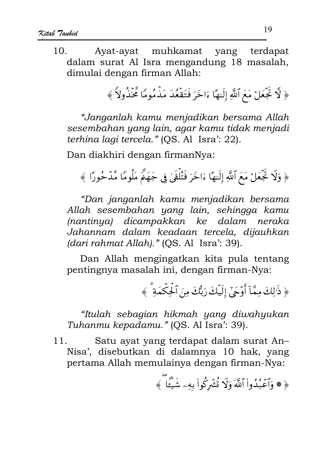Ayat-ayat muhkamat  $10^{-7}$ vang terdapat dalam surat Al Isra mengandung 18 masalah, dimulai dengan firman Allah:

﴿ لَّا تَجۡعَلۡ مَعَ ٱللَّهِ إِلَيۡهَا ءَاخَرَ فَتَقۡعَٰٓدَ مَذۡمُومًا تَحۡنَٰٓدُولاً ﴾

"Janganlah kamu menjadikan bersama Allah sesembahan yang lain, agar kamu tidak menjadi terhina lagi tercela." (OS. Al Isra': 22).

Dan diakhiri dengan firmanNya:

﴿ وَلَا تَجۡعَلۡ مَعَ ٱللَّهِ إِلَيهٗا ءَاخَرَ فَتُلۡقَىٰ فِي جَهَٰمَّ مَلُومًا مَّدۡ حُورًا ﴾

"Dan janganlah kamu menjadikan bersama Allah sesembahan yang lain, sehingga kamu (nantinya) dicampakkan ke dalam neraka Jahannam dalam keadaan tercela, dijauhkan (dari rahmat Allah)." (QS. Al Isra': 39).

Dan Allah mengingatkan kita pula tentang pentingnya masalah ini, dengan firman-Nya:

﴿ ذَٰ ٰلِكَ مِمَّآ أَوۡحَىٰٓ إِلَيۡكَ رَبُّكَ مِنَ ٱلۡجِكۡمَةَ ۚ ﴾

"Itulah sebagian hikmah yang diwahyukan Tuhanmu kepadamu." (QS. Al Isra': 39).

Satu ayat yang terdapat dalam surat An- $11<sub>1</sub>$ Nisa', disebutkan di dalamnya 10 hak, yang pertama Allah memulainya dengan firman-Nya:

﴿ ﴾ وَٱعۡبُدُواْ ٱللَّهَ وَلَا تُشۡرِكُواْ بِهِۦ شَيۡئًا ﴾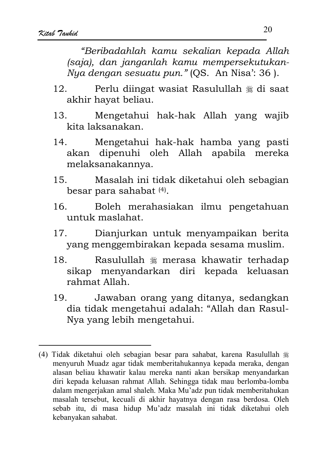"Beribadahlah kamu sekalian kepada Allah (saja), dan janganlah kamu mempersekutukan-Nya dengan sesuatu pun." (QS. An Nisa': 36).

- Perlu diingat wasiat Rasulullah \* di saat  $12<sub>1</sub>$ akhir hayat beliau.
- Mengetahui hak-hak Allah yang wajib  $1.3$ kita laksanakan.
- $14.$ Mengetahui hak-hak hamba yang pasti akan dipenuhi oleh Allah apabila mereka melaksanakannya.
- $15 -$ Masalah ini tidak diketahui oleh sebagian besar para sahabat<sup>(4)</sup>.
- Boleh merahasiakan ilmu pengetahuan  $16.$ untuk maslahat.
- $17.$ Dianjurkan untuk menyampaikan berita yang menggembirakan kepada sesama muslim.
- 18 Rasulullah \* merasa khawatir terhadap sikap menyandarkan diri kepada keluasan rahmat Allah.
- Jawaban orang yang ditanya, sedangkan 19. dia tidak mengetahui adalah: "Allah dan Rasul-Nya yang lebih mengetahui.

<sup>(4)</sup> Tidak diketahui oleh sebagian besar para sahabat, karena Rasulullah # menyuruh Muadz agar tidak memberitahukannya kepada meraka, dengan alasan beliau khawatir kalau mereka nanti akan bersikap menyandarkan diri kepada keluasan rahmat Allah. Sehingga tidak mau berlomba-lomba dalam mengerjakan amal shaleh. Maka Mu'adz pun tidak memberitahukan masalah tersebut, kecuali di akhir hayatnya dengan rasa berdosa. Oleh sebab itu, di masa hidup Mu'adz masalah ini tidak diketahui oleh kebanyakan sahabat.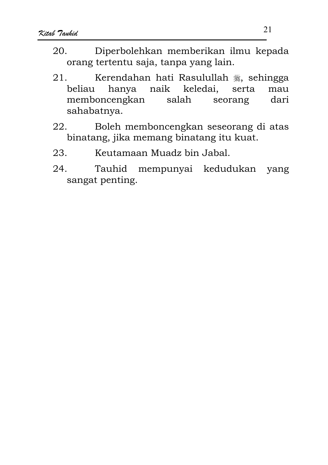- Diperbolehkan memberikan ilmu kepada  $20^{\circ}$ orang tertentu saja, tanpa yang lain.
- Kerendahan hati Rasulullah , sehingga  $21.$ naik keledai, hanya beliau serta mau memboncengkan salah dari seorang sahabatnya.
- Boleh memboncengkan seseorang di atas 22. binatang, jika memang binatang itu kuat.
- 23. Keutamaan Muadz bin Jabal.
- 24. Tauhid mempunyai kedudukan yang sangat penting.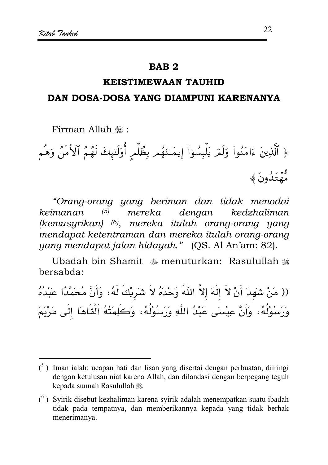#### **RAR2**

## **KEISTIMEWAAN TAIJHID**

#### DAN DOSA-DOSA YANG DIAMPUNI KARENANYA

Firman Allah .

﴿ ٱلَّذِينَ ءَامَنُواْ وَلَمَّ يَلْبِسُوٓاْ إِيمَـٰنَهُم بِظُلِّم أُوْلَتِهِكَ لَهُمُ ٱلْأَمَنُ وَهُم و۔<br>مُهتَدُونَ ﴾

"Orang-orang yang beriman dan tidak menodai dengan kedzhaliman keimanan  $(5)$ mereka (kemusyrikan) (6), mereka itulah orang-orang yang mendapat ketentraman dan mereka itulah orang-orang yang mendapat jalan hidayah." (QS. Al An'am: 82).

Ubadah bin Shamit  $\ast$  menuturkan: Rasulullah  $\ast$ bersabda:

(( مَنْ شَهِدَ أَنْ لاَ إِلَهَ إلاَّ اللَّهَ وَحْدَهُ لاَ شَرِيْكَ لَهُ، وَأَنَّ مُحَمَّدًا عَبْدُهُ وَرَسُوْلُهُ، وَأَنَّ عِيْسَى عَبْدُ اللّهِ وَرَسُوْلُهُ، وَكَلِمَتُهُ أَلْقَاهَا إِلَى مَرْيَمَ

 $\binom{5}{1}$  Iman ialah: ucapan hati dan lisan yang disertai dengan perbuatan, diiringi dengan ketulusan niat karena Allah, dan dilandasi dengan berpegang teguh kepada sunnah Rasulullah 灘.

 $(6)$  Syirik disebut kezhaliman karena syirik adalah menempatkan suatu ibadah tidak pada tempatnya, dan memberikannya kepada yang tidak berhak menerimanya.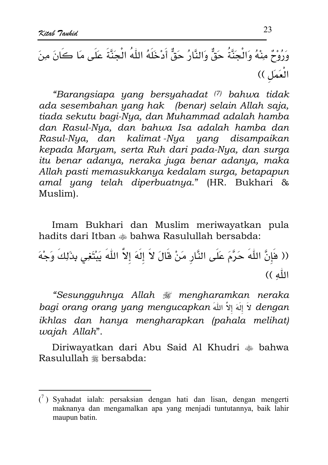"Barangsiapa yang bersyahadat (7) bahwa tidak ada sesembahan yang hak (benar) selain Allah saja, tiada sekutu bagi-Nya, dan Muhammad adalah hamba dan Rasul-Nya, dan bahwa Isa adalah hamba dan Rasul-Nya, dan kalimat-Nya yang disampaikan kepada Maryam, serta Ruh dari pada-Nya, dan surga itu benar adanya, neraka juga benar adanya, maka Allah pasti memasukkanya kedalam surga, betapapun amal yang telah diperbuatnya." (HR. Bukhari & Muslim).

Imam Bukhari dan Muslim meriwayatkan pula hadits dari Itban  $\triangleq$  bahwa Rasulullah bersabda:

(( هَٰإِنَّ اللّٰهَ حَرَّمَ عَلَى النَّارِ مَنْ قَالَ لاَ إِلَهَ إلاَّ اللّٰهَ يَبْتَغِي بِذَلِكَ وَجْهَ الله ))

"Sesungguhnya Allah # mengharamkan neraka bagi orang orang yang mengucapkan لَا إِلَهَ إِلاَّ اللهُ alengan ikhlas dan hanya mengharapkan (pahala melihat) wajah Allah".

Diriwayatkan dari Abu Said Al Khudri  $\triangleq$  bahwa Rasulullah \* bersabda:

 $\binom{7}{1}$  Syahadat ialah: persaksian dengan hati dan lisan, dengan mengerti maknanya dan mengamalkan apa yang menjadi tuntutannya, baik lahir maupun batin.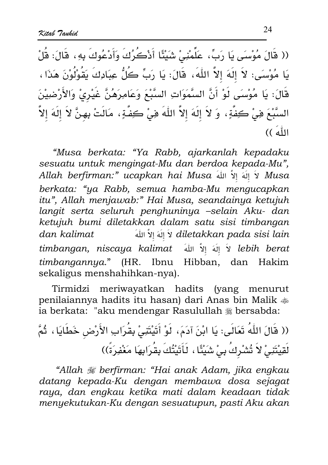(( قَالَ مُوْسِىَ يَا رَبِّ، عَلِّمْنِيْ شَيْئًا أَدْكُرُكَ وَأَدْعُوكَ بِهِ، قَالَ: قُلْ يَا مُوْسَى: لاَ إلَهَ إلاَّ اللَّهَ، قَالَ: يَا رَبِّ كُلُّ عِبَادِكَ يَقُوْلُوْنَ هَذَا، قَالَ: يَا مُوْسَى لَوْ أَنَّ السَّمَوَاتِ السَّبْعَ وَعَامِرَهُنَّ غَيْرِيْ وَالأَرْضِيْنَ السَّبْعَ فِي ْكِفَّةٍ، وَ لاَ إِلَهَ إلاَّ اللَّهَ فِي ْكِفَّةٍ، مَالَتْ بِهِنَّ لاَ إِلَهَ إلاَّ اللَّهَ ))

"Musa berkata: "Ya Rabb, ajarkanlah kepadaku sesuatu untuk mengingat-Mu dan berdoa kepada-Mu", Allah berfirman:" ucapkan hai Musa لَا إِلَهَ إِلاَّ اللهَ Allah berfirman:" ucapkan hai Musa berkata: "ya Rabb, semua hamba-Mu mengucapkan itu", Allah menjawab:" Hai Musa, seandainya ketujuh langit serta seluruh penghuninya -selain Aku- dan ketujuh bumi diletakkan dalam satu sisi timbangan ُ اِللَّهَ اللَّهُ diletakkan pada sisi lain dan kalimat lebih berat لاَ إِلَهَ إِلاَّ اللَّهَ timbangan, niscaya kalimat timbangannya." (HR. Ibnu Hibban, dan Hakim sekaligus menshahihkan-nya).

meriwayatkan hadits (yang menurut Tirmidzi penilaiannya hadits itu hasan) dari Anas bin Malik  $\ddot{\ast}$ ia berkata: "aku mendengar Rasulullah \* bersabda:

(( قَالَ اللّٰهُ تَعَالَى: يَا ابْنَ آدَمَ، لَوْ أَتَيْتَنِىْ بِقُرَابِ الأَرْضِ خَطَايَا ، ثُمَّ لَقِيْتَنِيْ لاَ تُشْرِكُ بِيْ شَيْئًا ، لَأَثَيْتُكَ بِقُرَابِهَا مَغْفِرَةً))

"Allah # berfirman: "Hai anak Adam, jika engkau datang kepada-Ku dengan membawa dosa sejagat raya, dan engkau ketika mati dalam keadaan tidak menyekutukan-Ku dengan sesuatupun, pasti Aku akan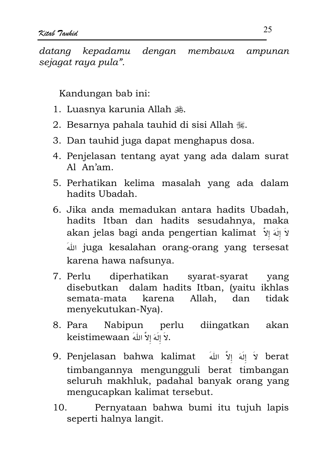datana kepadamu dengan membawa ampunan sejagat raya pula".

Kandungan bab ini:

- 1. Luasnya karunia Allah 巉.
- 2. Besarnya pahala tauhid di sisi Allah ...
- 3. Dan tauhid juga dapat menghapus dosa.
- 4. Penjelasan tentang avat yang ada dalam surat Al An'am.
- 5. Perhatikan kelima masalah yang ada dalam hadits Ubadah.
- 6. Jika anda memadukan antara hadits Ubadah, hadits Itban dan hadits sesudahnya, maka akan jelas bagi anda pengertian kalimat y لَا إِلَهَ إِلاَّ juga kesalahan orang-orang yang tersesat karena hawa nafsunya.
- diperhatikan 7. Perlu syarat-syarat yang disebutkan dalam hadits Itban, (vaitu ikhlas semata-mata karena Allah, dan tidak menyekutukan-Nya).
- 8. Para Nabipun perlu diingatkan akan keistimewaan أَلَا إِلَهَ إِلاَّ اللهُ
- 9. Penjelasan bahwa kalimat لَا إِللهَ إِلاّ اللهَ 9. timbangannya mengungguli berat timbangan seluruh makhluk, padahal banyak orang yang mengucapkan kalimat tersebut.
- Pernyataan bahwa bumi itu tujuh lapis  $10<sub>1</sub>$ seperti halnya langit.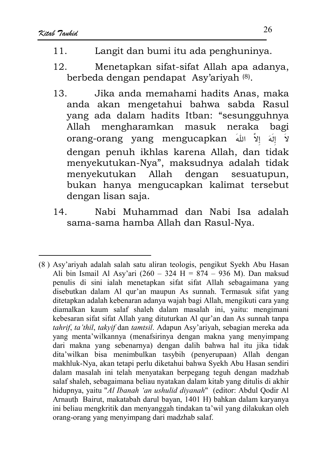- Langit dan bumi itu ada penghuninya.  $11$
- Menetapkan sifat-sifat Allah apa adanya,  $12<sub>1</sub>$ berbeda dengan pendapat Asy'ariyah (8).
- Jika anda memahami hadits Anas, maka 13. anda akan mengetahui bahwa sabda Rasul vang ada dalam hadits Itban: "sesungguhnya  $Allah$ mengharamkan neraka masuk bagi orang-orang yang mengucapkan إلاّ اللهَ الَهَ  $\mathbf{\hat{y}}$ dengan penuh ikhlas karena Allah, dan tidak menyekutukan-Nya", maksudnya adalah tidak menyekutukan Allah dengan sesuatupun. bukan hanya mengucapkan kalimat tersebut dengan lisan saja.
- $14$ Nabi Muhammad dan Nabi Isa adalah sama-sama hamba Allah dan Rasul-Nya.

<sup>(8)</sup> Asy'ariyah adalah salah satu aliran teologis, pengikut Syekh Abu Hasan Ali bin Ismail Al Asy'ari  $(260 - 324)$  H = 874 - 936 M). Dan maksud penulis di sini ialah menetapkan sifat sifat Allah sebagaimana yang disebutkan dalam Al qur'an maupun As sunnah. Termasuk sifat yang ditetapkan adalah kebenaran adanya wajah bagi Allah, mengikuti cara yang diamalkan kaum salaf shaleh dalam masalah ini, yaitu: mengimani kebesaran sifat sifat Allah yang dituturkan Al gur'an dan As sunnah tanpa tahrif, ta'thil, takyif dan tamtsil. Adapun Asy'ariyah, sebagian mereka ada yang menta' wilkannya (menafsirinya dengan makna yang menyimpang dari makna yang sebenarnya) dengan dalih bahwa hal itu jika tidak dita'wilkan bisa menimbulkan tasybih (penyerupaan) Allah dengan makhluk-Nya, akan tetapi perlu diketahui bahwa Syekh Abu Hasan sendiri dalam masalah ini telah menyatakan berpegang teguh dengan madzhab salaf shaleh, sebagaimana beliau nyatakan dalam kitab yang ditulis di akhir hidupnya, yaitu "Al Ibanah 'an ushulid diyanah" (editor: Abdul Qodir Al Arnauth Bairut, makatabah darul bayan, 1401 H) bahkan dalam karyanya ini beliau mengkritik dan menyanggah tindakan ta'wil yang dilakukan oleh orang-orang yang menyimpang dari madzhab salaf.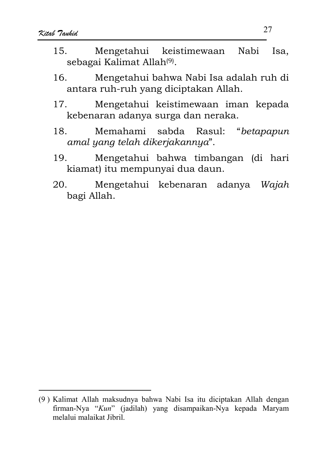- $15<sub>1</sub>$ Mengetahui keistimewaan Nabi Isa. sebagai Kalimat Allah<sup>(9)</sup>.
- Mengetahui bahwa Nabi Isa adalah ruh di  $16.$ antara ruh-ruh yang diciptakan Allah.
- $17.$ Mengetahui keistimewaan iman kepada kebenaran adanya surga dan neraka.
- Memahami sabda Rasul: "betapapun  $18<sub>1</sub>$ amal yang telah dikerjakannya".
- Mengetahui bahwa timbangan (di hari  $19<sub>1</sub>$ kiamat) itu mempunyai dua daun.
- 20. Mengetahui kebenaran adanya Wajah bagi Allah.

<sup>(9)</sup> Kalimat Allah maksudnya bahwa Nabi Isa itu diciptakan Allah dengan firman-Nya "Kun" (jadilah) yang disampaikan-Nya kepada Maryam melalui malaikat Jibril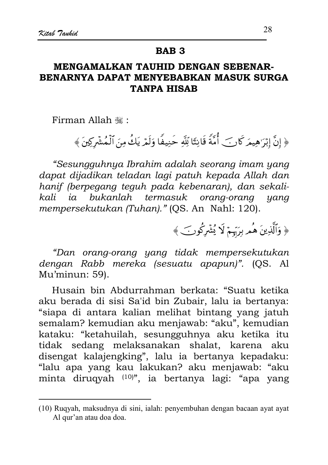#### **RAR 3**

#### MENGAMALKAN TAUHID DENGAN SEBENAR-BENARNYA DAPAT MENYEBABKAN MASUK SURGA **TANPA HISAB**

Firman Allah .

﴿ إِنَّ إِبْرَاهِيمَرَ كَانِ ۖ أُمَّةً قَانِتًا لِّلَّهِ حَنِيفًا وَلَمْهِ يَكُ مِنَ ٱلْمُشْرِكِينَ ﴾

"Sesungguhnya Ibrahim adalah seorang imam yang dapat dijadikan teladan lagi patuh kepada Allah dan hanif (berpegang teguh pada kebenaran), dan sekalibukanlah termasuk orang-orang kali ia yang mempersekutukan (Tuhan)." (OS. An Nahl: 120).

﴿ وَٱلَّذِينَ هُمْ بِرَبِّهِمْ لَا يُشْرِكُونَ ﴾

"Dan orang-orang yang tidak mempersekutukan dengan Rabb mereka (sesuatu apapun)". (OS. Al Mu'minun: 59).

Husain bin Abdurrahman berkata: "Suatu ketika aku berada di sisi Sa'id bin Zubair, lalu ia bertanya: "siapa di antara kalian melihat bintang yang jatuh semalam? kemudian aku menjawab: "aku", kemudian kataku: "ketahuilah, sesungguhnya aku ketika itu tidak sedang melaksanakan shalat, karena aku disengat kalajengking", lalu ia bertanya kepadaku: "lalu apa yang kau lakukan? aku menjawab: "aku minta diruqyah (10)", ia bertanya lagi: "apa yang

<sup>(10)</sup> Ruqyah, maksudnya di sini, ialah: penyembuhan dengan bacaan ayat ayat Al qur'an atau doa doa.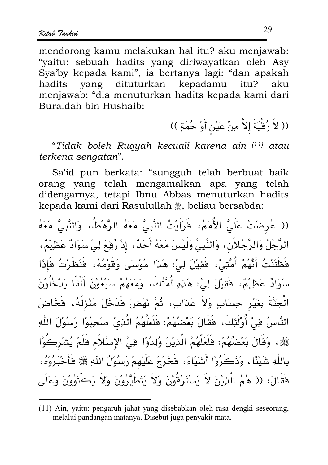mendorong kamu melakukan hal itu? aku menjawab: "yaitu: sebuah hadits yang diriwayatkan oleh Asy Sva'by kepada kami", ia bertanya lagi: "dan apakah yang dituturkan kepadamu hadits itu? aku menjawab: "dia menuturkan hadits kepada kami dari Buraidah hin Hushaih<sup>.</sup>

(( لاَ رُقْيَةَ إلاَّ مِنْ عَيْنِ أَوْ حُمَةٍ ))

"Tidak boleh Rugyah kecuali karena ain <sup>(11)</sup> atau terkena sengatan".

Sa'id pun berkata: "sungguh telah berbuat baik orang yang telah mengamalkan apa yang telah didengarnya, tetapi Ibnu Abbas menuturkan hadits kepada kami dari Rasulullah , beliau bersabda:

(( عُرِضَتْ عَلَىَّ الأُمَمُ، فَرَأَيْتُ النَّبِيَّ مَعَهُ الرَّهْطُ، وَالنَّبِيَّ مَعَهُ الرَّجُلُ وَالرَّجُلاَنِ، وَالنَّبِيَّ وَلَيْسَ مَعَهُ أَحَدٌ، إذْ رُفِعَ لِيْ سَوَادٌ عَظِيْمٌ، فَظَنَنْتُ أَنَّهُمْ أُمَّتِيْ، فَقِيلَ لِيْ: هَذَا مُوْسَى وَقَوْمُهُ، فَنَظَرْتُ فَإِذَا سَوَادٌ عَظِيْمٌ، فَقِيْلَ لِيْ: هَذِهِ أُمَّتُكَ، وَمَعَهُمْ سَبْعُوْنَ أَلْفًا يَدْخُلُوْنَ الْجَنَّةَ بِغَيْرِ حِسَابٍ وَلاَ عَذَابٍ، ثُمَّ نَهَضَ فَدَخَلَ مَنْزِلَهُ، فَخَاضَ النَّاسُ فِيْ أُوْلَٰئِكَ، فَقَالَ بَعْضُهُمْ: فَلَعَلَّهُمُ الَّذِىٰ صَحِبُوْا رَسُوْلَ اللّٰهِ ﷺ، وَقَالَ بَعْضُهُمْ: فَلَعَلَّهُمْ الَّذِيْنَ وُلِدُوْا فِيْ الإِسْلاَمِ فَلَمْ يُشْرِكُوْا بِاللَّهِ شَيْئًا ، وَذَكَرُوْا أَشْيَاءَ، فَخَرَجَ عَلَيْهِمْ رَسُوْلُ اللَّهِ ﷺ فَأَخْبَرُوْهُ، فَقَالَ: (( هُمُ الَّذِيْنَ لاَ يَسْتَرْقُوْنَ وَلاَ يَتَطَيَّرُوْنَ وَلاَ يَكْتُوُوْنَ وَعَلَى

<sup>(11)</sup> Ain, yaitu: pengaruh jahat yang disebabkan oleh rasa dengki seseorang, melalui pandangan matanya. Disebut juga penyakit mata.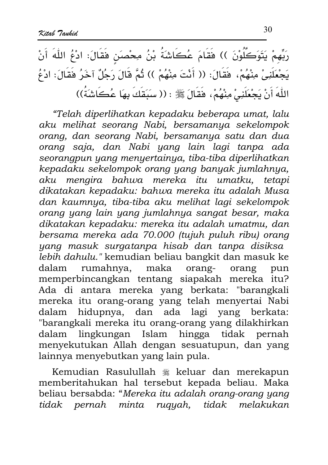يَتَوَكَّلُوْنَ )) فَقَامَ عُكَاشَةُ بْنُ مِحْصَنٍ فَقَالَ: ادْعُ اللَّهَ أَنْ يَجْعَلَنِيْ مِنْهُمْ، فَقَالَ: (( أَنْتَ مِنْهُمْ )) ثُمَّ قَالَ رَجُلٌ آخَرُ فَقَالَ: ادْعُ اللّهَ أَنْ يَجْعَلَنِيْ مِنْهُمْ، فَقَالَ ﷺ : (( سَبَقَكَ بِهَا عُكَاشَةً))

"Telah diperlihatkan kepadaku beberapa umat, lalu aku melihat seorang Nabi, bersamanya sekelompok orang, dan seorang Nabi, bersamanya satu dan dua orang saja, dan Nabi yang lain lagi tanpa ada seorangpun yang menyertainya, tiba-tiba diperlihatkan kepadaku sekelompok orang yang banyak jumlahnya, aku mengira bahwa mereka itu umatku, tetapi dikatakan kepadaku: bahwa mereka itu adalah Musa dan kaumnya, tiba-tiba aku melihat lagi sekelompok orang yang lain yang jumlahnya sangat besar, maka dikatakan kepadaku: mereka itu adalah umatmu, dan bersama mereka ada 70.000 (tujuh puluh ribu) orang yang masuk surgatanpa hisab dan tanpa disiksa lebih dahulu." kemudian beliau bangkit dan masuk ke rumahnya, maka dalam orangorang pun memperbincangkan tentang siapakah mereka itu? Ada di antara mereka yang berkata: "barangkali mereka itu orang-orang yang telah menyertai Nabi dalam hidupnya, dan ada lagi yang berkata: "barangkali mereka itu orang-orang yang dilakhirkan dalam lingkungan Islam hingga tidak pernah menyekutukan Allah dengan sesuatupun, dan yang lainnya menyebutkan yang lain pula.

Kemudian Rasulullah \* keluar dan merekapun memberitahukan hal tersebut kepada beliau. Maka beliau bersabda: "Mereka itu adalah orang-orang yang tidak pernah minta rugyah, tidak melakukan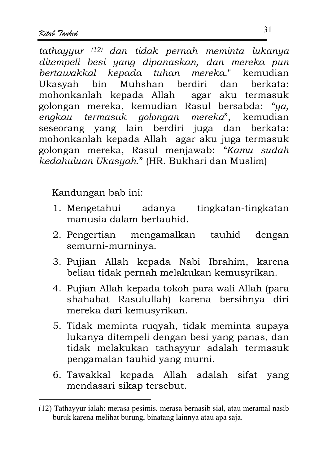tathayyur <sup>(12)</sup> dan tidak pernah meminta lukanya ditempeli besi yang dipanaskan, dan mereka pun bertawakkal kepada tuhan mereka." kemudian Ukasyah bin Muhshan berdiri dan herkata: agar aku termasuk mohonkanlah kepada Allah golongan mereka, kemudian Rasul bersabda: "ya, engkau termasuk golongan mereka", kemudian seseorang vang lain berdiri juga dan berkata: mohonkanlah kepada Allah agar aku juga termasuk golongan mereka, Rasul menjawab: "Kamu sudah kedahuluan Ukasyah." (HR. Bukhari dan Muslim)

Kandungan bab ini:

- 1. Mengetahui adanya tingkatan-tingkatan manusia dalam bertauhid.
- 2. Pengertian mengamalkan tauhid dengan semurni-murninya.
- 3. Pujian Allah kepada Nabi Ibrahim, karena beliau tidak pernah melakukan kemusyrikan.
- 4. Pujian Allah kepada tokoh para wali Allah (para shahabat Rasulullah) karena bersihnya diri mereka dari kemusyrikan.
- 5. Tidak meminta rugyah, tidak meminta supaya lukanya ditempeli dengan besi yang panas, dan tidak melakukan tathayyur adalah termasuk pengamalan tauhid yang murni.
- 6. Tawakkal kepada Allah adalah sifat yang mendasari sikap tersebut.

<sup>(12)</sup> Tathayyur ialah: merasa pesimis, merasa bernasib sial, atau meramal nasib buruk karena melihat burung, binatang lainnya atau apa saja.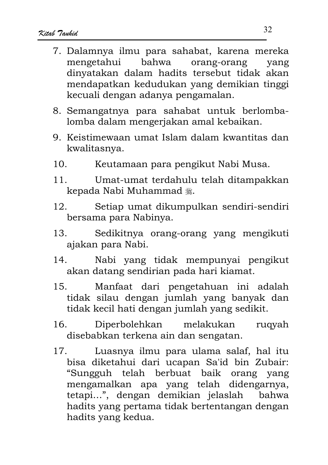- 7. Dalamnya ilmu para sahabat, karena mereka mengetahui bahwa orang-orang yang dinyatakan dalam hadits tersebut tidak akan mendapatkan kedudukan yang demikian tinggi kecuali dengan adanya pengamalan.
- 8. Semangatnya para sahabat untuk berlombalomba dalam mengerjakan amal kebaikan.
- 9. Keistimewaan umat Islam dalam kwantitas dan kwalitasnya.
- $10.$ Keutamaan para pengikut Nabi Musa.
- $11$ Umat-umat terdahulu telah ditampakkan kepada Nabi Muhammad .
- Setiap umat dikumpulkan sendiri-sendiri  $12<sub>1</sub>$ bersama para Nabinya.
- Sedikitnya orang-orang yang mengikuti  $13.$ ajakan para Nabi.
- Nabi yang tidak mempunyai pengikut  $14<sub>1</sub>$ akan datang sendirian pada hari kiamat.
- $15.$ Manfaat dari pengetahuan ini adalah tidak silau dengan jumlah yang banyak dan tidak kecil hati dengan jumlah yang sedikit.
- $16<sub>1</sub>$ Diperbolehkan melakukan rugyah disebabkan terkena ain dan sengatan.
- Luasnya ilmu para ulama salaf, hal itu  $17.$ bisa diketahui dari ucapan Sa'id bin Zubair: "Sungguh telah berbuat baik orang yang mengamalkan apa yang telah didengarnya, tetapi...", dengan demikian jelaslah bahwa hadits yang pertama tidak bertentangan dengan hadits yang kedua.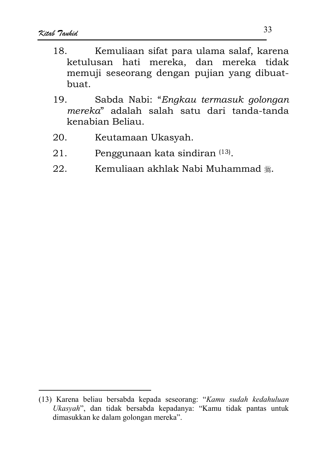- Kemuliaan sifat para ulama salaf, karena 18 ketulusan hati mereka, dan mereka tidak memuji seseorang dengan pujian yang dibuatbuat.
- 19. Sabda Nabi: "Engkau termasuk golongan mereka" adalah salah satu dari tanda-tanda kenabian Beliau.
- $20.$ Keutamaan Ukasyah.
- $21.$ Penggunaan kata sindiran (13).
- Kemuliaan akhlak Nabi Muhammad . 22.

<sup>(13)</sup> Karena beliau bersabda kepada seseorang: "Kamu sudah kedahuluan Ukasyah", dan tidak bersabda kepadanya: "Kamu tidak pantas untuk dimasukkan ke dalam golongan mereka".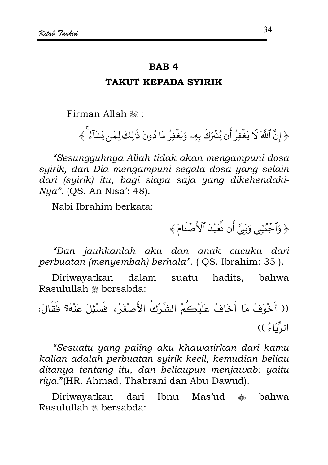#### **RAR4**

#### **TAKUT KEPADA SYIRIK**

Firman Allah ,

﴿ إِنَّ ٱللَّهَ لَا يَغْفِرُ أَن يُشْرَكَ بِهِۦ وَيَغْفِرُ مَا دُونَ ذَٰلِكَ لِمَن يَشَآءُ ۚ ﴾

"Sesungguhnya Allah tidak akan mengampuni dosa syirik, dan Dia mengampuni segala dosa yang selain dari (syirik) itu, bagi siapa saja yang dikehendaki-*Nua"*. (OS. An Nisa': 48).

Nabi Ibrahim berkata:

﴿ وَٱجۡنُبۡنِي وَبَنِيَّ أَن نَّعۡبُدَ ٱلۡأَصۡنَامَ ﴾

"Dan jauhkanlah aku dan anak cucuku dari perbuatan (menyembah) berhala". (QS. Ibrahim: 35).

Diriwayatkan dalam suatu hadits, bahwa Rasulullah \* bersabda:

(( أَخْوَفُ مَا أَخَافُ عَلَيْكُمْ الشِّرْكُ الأَصْغَرُ، فَسُبَّلَ عَنْهُ؟ فَقَالَ: الدِّيَاءُ ))

"Sesuatu yang paling aku khawatirkan dari kamu kalian adalah perbuatan syirik kecil, kemudian beliau ditanya tentang itu, dan beliaupun menjawab: yaitu riya."(HR. Ahmad, Thabrani dan Abu Dawud).

Diriwayatkan dari Ibnu Mas'ud ● bahwa Rasulullah \* bersabda: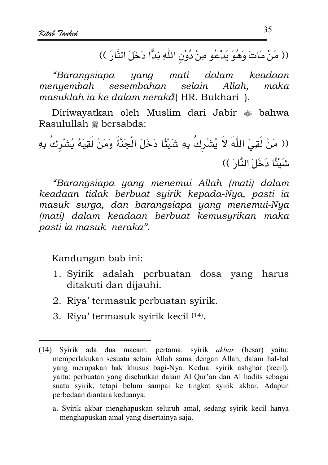(( مَنْ مَاتَ وَهُوَ يَدْعُو مِنْ دُوْنِ اللَّهِ نِدًّا دَخَلَ النَّارَ ))

mati dalam "Barangsiapa yang keadaan menyembah sesembahan selain Allah. maka masuklah ia ke dalam nerakå (HR. Bukhari).

Diriwayatkan oleh Muslim dari Jabir  $\triangleq$  bahwa Rasulullah \* bersabda:

(( مَنْ لَقِيَ اللَّهَ لاَ يُشْرِكُ بِهِ شَيْئًا دَخَلَ الْجَنَّةَ وَمَنْ لَقِيَهُ يُشْرِكُ بِهِ شَنْئًا دَخَلَ النَّارَ ))

"Barangsiapa yang menemui Allah (mati) dalam keadaan tidak berbuat syirik kepada-Nya, pasti ia masuk surga, dan barangsiapa yang menemui-Nya (mati) dalam keadaan berbuat kemusurikan maka pasti ia masuk neraka".

Kandungan bab ini:

- 1. Syirik adalah perbuatan dosa yang harus ditakuti dan dijauhi.
- 2. Riya' termasuk perbuatan syirik.
- 3. Riya' termasuk syirik kecil <sup>(14)</sup>.

a. Syirik akbar menghapuskan seluruh amal, sedang syirik kecil hanya menghapuskan amal yang disertainya saja.

<sup>(14)</sup> Syirik ada dua macam: pertama: syirik akbar (besar) yaitu: memperlakukan sesuatu selain Allah sama dengan Allah, dalam hal-hal yang merupakan hak khusus bagi-Nya. Kedua: syirik ashghar (kecil), yaitu: perbuatan yang disebutkan dalam Al Qur'an dan Al hadits sebagai suatu syirik, tetapi belum sampai ke tingkat syirik akbar. Adapun perbedaan diantara keduanya: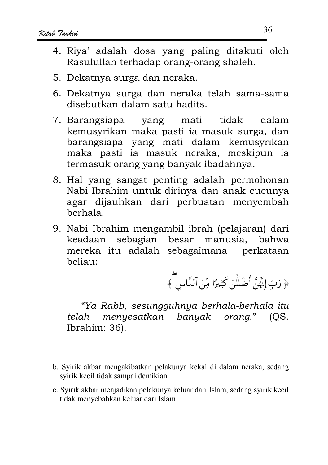- 4. Riya' adalah dosa yang paling ditakuti oleh Rasulullah terhadap orang-orang shaleh.
- 5. Dekatnya surga dan neraka.
- 6. Dekatnya surga dan neraka telah sama-sama disebutkan dalam satu hadits.
- 7. Barangsiapa yang mati tidak dalam kemusyrikan maka pasti ia masuk surga, dan barangsiapa yang mati dalam kemusyrikan maka pasti ia masuk neraka, meskipun ia termasuk orang yang banyak ibadahnya.
- 8. Hal vang sangat penting adalah permohonan Nabi Ibrahim untuk dirinya dan anak cucunya agar dijauhkan dari perbuatan menyembah berhala.
- 9. Nabi Ibrahim mengambil ibrah (pelajaran) dari keadaan sebagian besar manusia, bahwa mereka itu adalah sebagaimana perkataan heliau:

﴿ رَبِّ إِنَّهُنَّ أَضۡلَلۡنَ كَثِيرًا مِّنَ ٱلنَّاس ۖ ﴾

"Ya Rabb, sesungguhnya berhala-berhala itu menyesatkan banyak orang." telah  $OS.$ Ibrahim: 36).

b. Syirik akbar mengakibatkan pelakunya kekal di dalam neraka, sedang svirik kecil tidak sampai demikian.

c. Syirik akbar menjadikan pelakunya keluar dari Islam, sedang syirik kecil tidak menyebabkan keluar dari Islam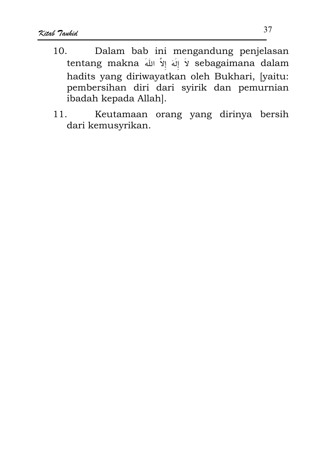- Dalam bab ini mengandung penjelasan  $10.$ tentang makna لاَ إِلَهَ إِلاَّ اللهَ sebagaimana dalam hadits yang diriwayatkan oleh Bukhari, [yaitu: pembersihan diri dari syirik dan pemurnian ibadah kepada Allah].
- Keutamaan orang yang dirinya bersih  $11$ dari kemusyrikan.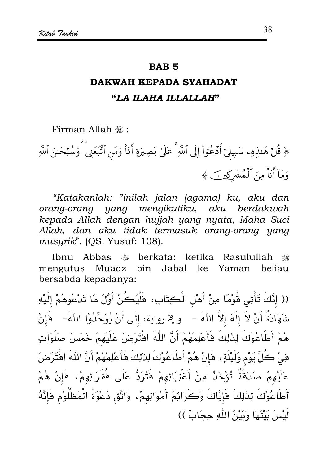#### **RAR5**

# DAKWAH KEPADA SYAHADAT "LA ILAHA ILLALLAH"

Firman Allah ,:

﴿ قُلْ هَـٰذِهِۦ سَبِيلَىٓ أَدۡعُوٓا۟ إِلَى ٱللَّهِ ۚ عَلَىٰ بَصِيرَةٍ أَنَاْ وَمَن ٱتَّبَعَنِى ۗ وَسُبۡحَـٰنَ ٱللَّهِ وَمَآ أَنَاْ مِنَ ٱلۡمُشۡرِكِينَ ﴾

"Katakanlah: "inilah jalan (agama) ku, aku dan orang-orang yang mengikutiku, aku berdakwah kepada Allah dengan hujjah yang nyata, Maha Suci Allah, dan aku tidak termasuk orang-orang yang musyrik". (QS. Yusuf: 108).

Ibnu Abbas  $\ast$  berkata: ketika Rasulullah ٦ mengutus Muadz bin Jabal ke Yaman beliau bersabda kepadanya:

(( إِنَّكَ تَأْتِى قَوْمًا مِنْ أَهْلِ الْكِتَابِ، فَلْيَكُنْ أَوَّلَ مَا تَدْعُوهُمْ إِلَيْهِ شَهَادَةُ أَنْ لاَ إلَهَ إلاَّ اللّٰهَ – وقي رواية: إلَى أَنْ يُوَحِّدُوْا اللّٰهَ- فَإنْ هُمْ أَطَاعُوْكَ لِذَلِكَ فَأَعْلِمْهُمْ أَنَّ اللَّهَ افْتَرَضَ عَلَيْهِمْ خَمْسَ صلَوَاتٍ هِيْ كُلِّ يَوْمٍ وَلَيْلَةٍ ، هَإِنْ هُمْ أَطَاعُوْكَ لِذَلِكَ فَأَعْلِمْهُمْ أَنَّ اللَّهَ افْتَرَضَ عَلَيْهِمْ صَدَقَةً تُؤْخَذُ مِنْ أَغْنِيَائِهِمْ فَتُرَدُّ عَلَى فُقَرَائِهِمْ، فَإِنْ هُمْ أَطَاعُوْكَ لِذَلِكَ فَإِيَّاكَ وَكَرَائِمَ أَمْوَالِهِمْ، وَاتَّق دَعْوَةَ الْمَطْلُوْمِ فَإِنَّهُ لَنْسٍ َ يَنْتَهَا وَيَيْنَ اللَّهِ حِجَابٌ ))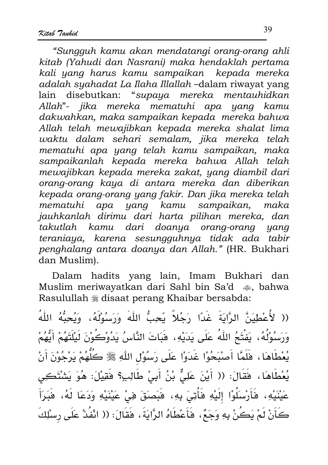"Sungguh kamu akan mendatangi orang-orang ahli kitab (Yahudi dan Nasrani) maka hendaklah pertama kali yang harus kamu sampaikan kepada mereka adalah syahadat La Ilaha Illallah -dalam riwayat yang lain disebutkan: "supaya mereka mentauhidkan Allah"- jika mereka mematuhi apa yang kamu dakwahkan, maka sampaikan kepada mereka bahwa Allah telah mewajibkan kepada mereka shalat lima waktu dalam sehari semalam, jika mereka telah mematuhi apa yang telah kamu sampaikan, maka sampaikanlah kepada mereka bahwa Allah telah mewajibkan kepada mereka zakat, yang diambil dari orang-orang kaya di antara mereka dan diberikan kepada orang-orang yang fakir. Dan jika mereka telah mematuhi apa yang kamu sampaikan, maka jauhkanlah dirimu dari harta pilihan mereka, dan takutlah kamu dari doanya orang-orang yang teraniaya, karena sesungguhnya tidak ada tabir penghalang antara doanya dan Allah." (HR. Bukhari dan Muslim).

Dalam hadits yang lain, Imam Bukhari dan Muslim meriwayatkan dari Sahl bin Sa'd  $\clubsuit$ , bahwa Rasulullah  $*$  disaat perang Khaibar bersabda:

(( لأُعْطِيَنَّ الرَّايَةَ غَدًا رَجُلاً يَحِبُّ اللَّهَ وَرَسُوْلَهُ، وَيُحِبُّهُ اللَّهُ وَرَسُوْلُهُ، يَفْتَحُ اللّهُ عَلَى يَدَيْهِ، هَبَاتَ النَّاسُ يَدُوْكُوْنَ لَيْلَتَهُمْ أَيُّهُمْ يُعْطَاهَا، فَلَمَّا أَصْبَحُوْا غَدَوْا عَلَى رَسُوْلِ اللّهِ ﷺ كَلُّهُمْ يَرْجُوْنَ أَنْ يُعْطَاهَا، فَقَالَ: (( أَيْنَ عَلِيٌّ بْنُ أَبِيْ طَالِبٍ؟ فَقِيْلَ: هُوَ يَشْتَكِي عَيْنَيْهِ، فَأَرْسَلُوْا إِلَيْهِ فَأُتِيَ بِهِ، فَبَصَقَ فِي عَيْنَيْهِ وَدَعَا لَهُ، فَبَرَأَ كَأَنْ لَمْ يَكُنْ بِهِ وَجَعٌ، فَأَعْطَاهُ الرَّايَةَ، فَقَالَ: (( انْفُدْ عَلَى رسْلِكَ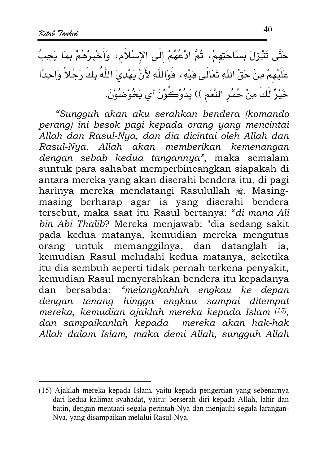حَتَّى تَنْزِرْلَ بِسَاحَتِهِمْ، ثُمَّ ادْعُهُمْ إِلَى الإِسْلاَمِ، وَأَخْبِرْهُمْ بِمَا يَجِبُ عَلَيْهِمْ مِنْ حَقٍّ اللَّهِ تَعَالَى هِيْهِ، فَوَاللَّهِ لأَنْ يَهْدِيَ اللَّهُ بِكَ رَجُلاً وَاحِدًا خَيْرٌ لَكَ مِنْ حُمُرِ النَّعَمِ )) يَدُوْكَوْنَ أي يَخُوْضُوْنَ.

"Sungguh akan aku serahkan bendera (komando perang) ini besok pagi kepada orang yang mencintai Allah dan Rasul-Nya, dan dia dicintai oleh Allah dan Rasul-Nya, Allah akan memberikan kemenangan dengan sebab kedua tangannya", maka semalam suntuk para sahabat memperbincangkan siapakah di antara mereka yang akan diserahi bendera itu, di pagi harinya mereka mendatangi Rasulullah , Masingmasing berharap agar ia yang diserahi bendera tersebut, maka saat itu Rasul bertanya: "di mana Ali bin Abi Thalib? Mereka menjawab: "dia sedang sakit pada kedua matanya, kemudian mereka mengutus orang untuk memanggilnya, dan datanglah ia. kemudian Rasul meludahi kedua matanya, seketika itu dia sembuh seperti tidak pernah terkena penyakit, kemudian Rasul menyerahkan bendera itu kepadanya dan bersabda: "melangkahlah engkau ke depan dengan tenang hingga engkau sampai ditempat mereka, kemudian ajaklah mereka kepada Islam (15), dan sampaikanlah kepada mereka akan hak-hak Allah dalam Islam, maka demi Allah, sungguh Allah

<sup>(15)</sup> Ajaklah mereka kepada Islam, yaitu kepada pengertian yang sebenarnya dari kedua kalimat syahadat, yaitu: berserah diri kepada Allah, lahir dan batin, dengan mentaati segala perintah-Nya dan menjauhi segala larangan-Nya, yang disampaikan melalui Rasul-Nya.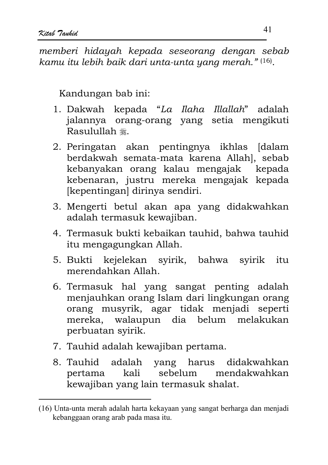memberi hidayah kepada seseorana dengan sebab kamu itu lebih baik dari unta-unta yang merah." (16).

Kandungan bab ini:

- 1. Dakwah kepada "La Ilaha Illallah" adalah jalannya orang-orang yang setia mengikuti Rasulullah <sub>概。</sub>
- 2. Peringatan akan pentingnya ikhlas [dalam berdakwah semata-mata karena Allah], sebab kebanyakan orang kalau mengajak kepada kebenaran, justru mereka mengajak kepada [kepentingan] dirinya sendiri.
- 3. Mengerti betul akan apa yang didakwahkan adalah termasuk kewajiban.
- 4. Termasuk bukti kebaikan tauhid, bahwa tauhid itu mengagungkan Allah.
- 5. Bukti kejelekan syirik, bahwa syirik itu merendahkan Allah
- 6. Termasuk hal yang sangat penting adalah menjauhkan orang Islam dari lingkungan orang orang musyrik, agar tidak menjadi seperti mereka, walaupun dia belum melakukan perbuatan syirik.
- 7. Tauhid adalah kewajiban pertama.
- 8. Tauhid adalah yang harus didakwahkan kali sebelum mendakwahkan pertama kewajiban yang lain termasuk shalat.

<sup>(16)</sup> Unta-unta merah adalah harta kekayaan yang sangat berharga dan menjadi kebanggaan orang arab pada masa itu.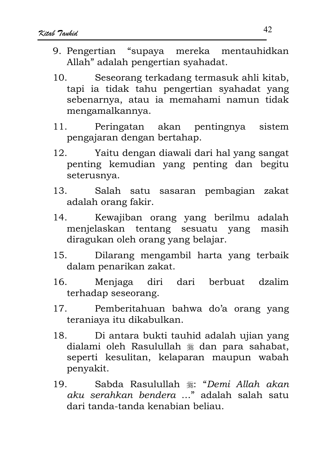- 9. Pengertian "supaya mereka mentauhidkan Allah" adalah pengertian syahadat.
- Seseorang terkadang termasuk ahli kitab,  $10<sub>1</sub>$ tapi ia tidak tahu pengertian syahadat yang sebenarnya, atau ia memahami namun tidak mengamalkannya.
- $11<sub>1</sub>$ Peringatan akan pentingnya sistem pengajaran dengan bertahap.
- Yaitu dengan diawali dari hal yang sangat  $12<sup>12</sup>$ penting kemudian yang penting dan begitu seterusnya.
- $13<sub>1</sub>$ Salah satu sasaran pembagian zakat adalah orang fakir.
- Kewajiban orang yang berilmu adalah  $14.$ menjelaskan tentang sesuatu yang masih diragukan oleh orang yang belajar.
- Dilarang mengambil harta yang terbaik  $15.$ dalam penarikan zakat.
- Menjaga diri dari berbuat dzalim 16. terhadap seseorang.
- $17$ Pemberitahuan bahwa do'a orang yang teraniava itu dikabulkan.
- Di antara bukti tauhid adalah ujian yang 18. dialami oleh Rasulullah \* dan para sahabat, seperti kesulitan, kelaparan maupun wabah penyakit.
- $19$ Sabda Rasulullah .: "Demi Allah akan aku serahkan bendera ..." adalah salah satu dari tanda-tanda kenabian beliau.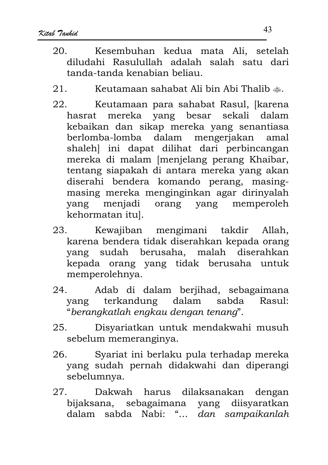- Kesembuhan kedua mata Ali, setelah  $20$ diludahi Rasulullah adalah salah satu dari tanda-tanda kenabian beliau
- Keutamaan sahabat Ali bin Abi Thalib ...  $21.$
- 22. Keutamaan para sahabat Rasul, [karena hasrat mereka vang besar sekali dalam kebaikan dan sikap mereka yang senantiasa berlomba-lomba dalam mengerjakan amal shaleh] ini dapat dilihat dari perbincangan mereka di malam [menjelang perang Khaibar, tentang siapakah di antara mereka yang akan diserahi bendera komando perang, masingmasing mereka menginginkan agar dirinyalah yang menjadi orang yang memperoleh kehormatan itul.
- Kewajiban mengimani takdir Allah,  $23.$ karena bendera tidak diserahkan kepada orang yang sudah berusaha, malah diserahkan kepada orang yang tidak berusaha untuk memperolehnya.
- Adab di dalam berjihad, sebagaimana  $24$ terkandung dalam sabda  $Rasul:$ vang "berangkatlah engkau dengan tenang".
- 25. Disyariatkan untuk mendakwahi musuh sebelum memeranginya.
- $26.$ Syariat ini berlaku pula terhadap mereka yang sudah pernah didakwahi dan diperangi sebelumnya.
- Dakwah harus dilaksanakan dengan 27. bijaksana, sebagaimana yang diisyaratkan dalam sabda Nabi: "... dan sampaikanlah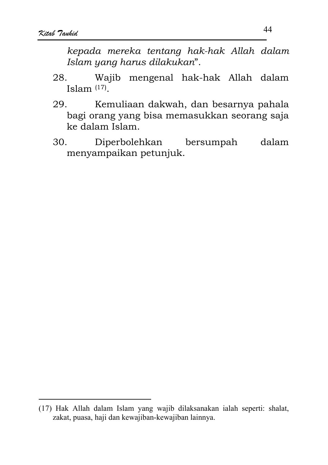kepada mereka tentang hak-hak Allah dalam Islam yang harus dilakukan".

- Wajib mengenal hak-hak Allah dalam 28. Islam  $(17)$
- Kemuliaan dakwah, dan besarnya pahala 29. bagi orang yang bisa memasukkan seorang saja ke dalam Islam.
- 30. Diperbolehkan bersumpah dalam menyampaikan petunjuk.

<sup>(17)</sup> Hak Allah dalam Islam yang wajib dilaksanakan ialah seperti: shalat, zakat, puasa, haji dan kewajiban-kewajiban lainnya.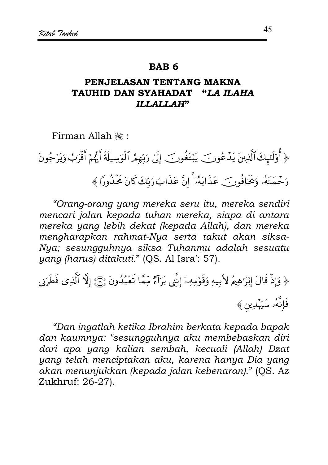#### **RAR6**

#### PENJELASAN TENTANG MAKNA TAUHID DAN SYAHADAT "LA ILAHA **ILLALLAH''**

Firman Allah .:

﴿ أُوْلَتِهِكَ ٱلَّذِينَ يَدۡعُونَ ۖ يَبۡتَغُونَ ۖ إِلَىٰ رَبِّهِمُ ٱلۡوَسِيلَةَ أَيُّهُمۡ أَقۡرَبُ وَيَرۡجُونَ رَحْمَتَهُۥ وَيَخَافُونَ عَذَابَهُۥ ۚ إِنَّ عَذَابَ رَبِّكَ كَانَ مَحْذُورًا ﴾

"Orang-orang yang mereka seru itu, mereka sendiri mencari jalan kepada tuhan mereka, siapa di antara mereka yang lebih dekat (kepada Allah), dan mereka mengharapkan rahmat-Nya serta takut akan siksa-Nya; sesungguhnya siksa Tuhanmu adalah sesuatu yang (harus) ditakuti." (QS. Al Isra': 57).

﴿ وَإِذْ قَالَ إِبْرَٰهِمُ لِأَبِيهِ وَقَوْمِهِۦٓ إِنَّنِي بَرَآءٌ مِّمَّا تَعۡبُدُونَ (٢) إِلَّا ٱلَّذِي فَطَرَني فَإِنَّهُۥ سَيَهْدِين ﴾

"Dan ingatlah ketika Ibrahim berkata kepada bapak dan kaumnya: "sesungguhnya aku membebaskan diri dari apa yang kalian sembah, kecuali (Allah) Dzat yang telah menciptakan aku, karena hanya Dia yang akan menunjukkan (kepada jalan kebenaran)." (OS. Az Zukhruf: 26-27).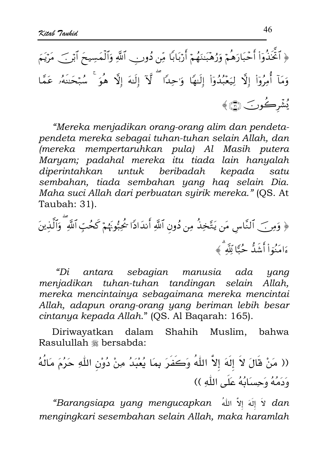﴿ ٱتَّخَذُوٓاْ أَحۡبَارَهُمۡ وَرُهۡبَـٰنَهُمۡ أَرۡبَابَا مِّن دُونِنِ ٱللَّهِ وَٱلۡمَسِيحَ ٱبۡنَ ۖ مَرۡيَمَ وَمَآ أُمِرُوٓا۟ إِلَّآ لِيَعۡبُدُوٓا۟ إِلَيۡهَا ۖ وَٰحِدَا ۖ لَّآ إِلَٰهَ إِلَّا ۖ هُوَ ۚ شُبۡحَنَهُۥ عَمَّا يُشْرِكُونَ ١

"Mereka menjadikan orang-orang alim dan pendetapendeta mereka sebagai tuhan-tuhan selain Allah, dan (mereka mempertaruhkan pula) Al Masih putera Maryam; padahal mereka itu tiada lain hanyalah diperintahkan untuk beribadah kepada satu sembahan, tiada sembahan yang hag selain Dia. Maha suci Allah dari perbuatan syirik mereka." (OS. At Taubah: 31).

"Di antara sebagian manusia ada yang menjadikan tuhan-tuhan tandingan selain Allah. mereka mencintainya sebagaimana mereka mencintai Allah, adapun orang-orang yang beriman lebih besar cintanya kepada Allah." (QS. Al Bagarah: 165).

Muslim, bahwa Diriwayatkan dalam Shahih Rasulullah \* bersabda:

"Barangsiapa yang mengucapkan لَا إِلَٰهَ إِلاَّ اللهُ Barangsiapa yang mengucapkan mengingkari sesembahan selain Allah, maka haramlah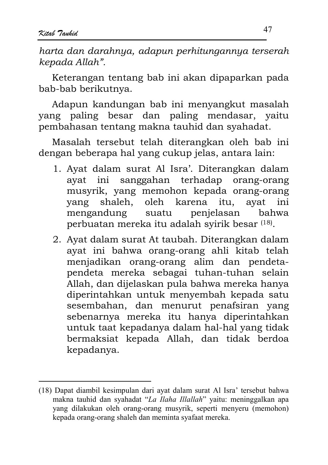harta dan darahnya, adapun perhitungannya terserah kepada Allah".

Keterangan tentang bab ini akan dipaparkan pada bab-bab berikutnya.

Adapun kandungan bab ini menyangkut masalah vang paling besar dan paling mendasar, vaitu pembahasan tentang makna tauhid dan syahadat.

Masalah tersebut telah diterangkan oleh bab ini dengan beberapa hal yang cukup jelas, antara lain:

- 1. Ayat dalam surat Al Isra'. Diterangkan dalam ayat ini sanggahan terhadap orang-orang musyrik, yang memohon kepada orang-orang shaleh, oleh karena vang itu. avat ini mengandung penjelasan suatu **bahwa** perbuatan mereka itu adalah syirik besar (18).
- 2. Ayat dalam surat At taubah. Diterangkan dalam ayat ini bahwa orang-orang ahli kitab telah menjadikan orang-orang alim dan pendetapendeta mereka sebagai tuhan-tuhan selain Allah, dan dijelaskan pula bahwa mereka hanya diperintahkan untuk menyembah kepada satu sesembahan, dan menurut penafsiran yang sebenarnya mereka itu hanya diperintahkan untuk taat kepadanya dalam hal-hal yang tidak bermaksiat kepada Allah, dan tidak berdoa kepadanya.

<sup>(18)</sup> Dapat diambil kesimpulan dari ayat dalam surat Al Isra' tersebut bahwa makna tauhid dan syahadat "La Ilaha Illallah" yaitu: meninggalkan apa yang dilakukan oleh orang-orang musyrik, seperti menyeru (memohon) kepada orang-orang shaleh dan meminta syafaat mereka.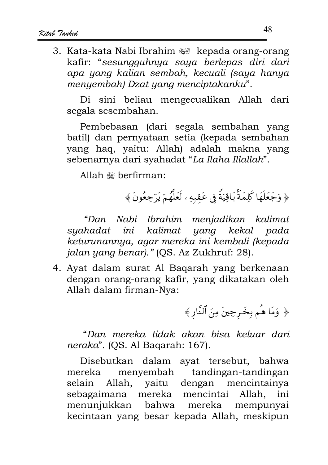3. Kata-kata Nabi Ibrahim ang kepada orang-orang kafir: "sesungguhnya saya berlepas diri dari apa yang kalian sembah, kecuali (saya hanya menyembah) Dzat yang menciptakanku".

Di sini beliau mengecualikan Allah dari segala sesembahan.

Pembebasan (dari segala sembahan yang batil) dan pernyataan setia (kepada sembahan yang haq, yaitu: Allah) adalah makna yang sebenarnya dari syahadat "La Ilaha Illallah".

Allah « berfirman:

﴿ وَجَعَلَهَا كَلِمَةً بَاقِيَةً فِي عَقِبِهِۦ لَعَلَّهُمْ يَرْجِعُونَ ﴾

"Dan Nabi Ibrahim menjadikan kalimat syahadat ini kalimat yang kekal pada keturunannya, agar mereka ini kembali (kepada jalan yang benar)." (QS. Az Zukhruf: 28).

4. Ayat dalam surat Al Bagarah yang berkenaan dengan orang-orang kafir, yang dikatakan oleh Allah dalam firman-Nya:

﴿ وَمَا هُم بِخَرِجِينَ مِنَ ٱلنَّارِ﴾

"Dan mereka tidak akan bisa keluar dari neraka". (QS. Al Bagarah: 167).

Disebutkan dalam ayat tersebut, bahwa mereka menyembah tandingan-tandingan selain Allah, yaitu dengan mencintainya sebagaimana mereka mencintai Allah, ini menunjukkan bahwa mereka mempunyai kecintaan yang besar kepada Allah, meskipun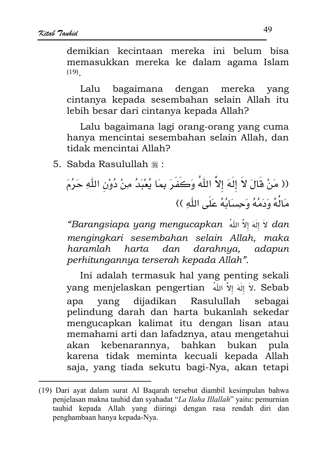demikian kecintaan mereka ini belum bisa memasukkan mereka ke dalam agama Islam  $(19)$ 

bagaimana dengan Lalu mereka yang cintanya kepada sesembahan selain Allah itu lebih besar dari cintanya kepada Allah?

Lalu bagaimana lagi orang-orang yang cuma hanya mencintai sesembahan selain Allah, dan tidak mencintai Allah?

5. Sabda Rasulullah \*:

(( مَنْ قَالَ لاَ إِلَهَ إِلاَّ اللّهُ وَكَفَرَ بِمَا يُعْبَدُ مِنْ دُوْنِ اللّهِ حَرُمَ مَالُهُ وَدَمُهُ وَجِسَانُهُ عَلَى اللَّهِ ))

"Barangsiapa yang mengucapkan لَا إِلَهَ إِلاَّ اللهُ Barangsiapa yang mengucapkan mengingkari sesembahan selain Allah, maka haramlah harta dan darahnya, adapun perhitungannya terserah kepada Allah".

Ini adalah termasuk hal yang penting sekali yang menjelaskan pengertian أَلَا اللهُ اللهُ yang menjelaskan pengertian dijadikan Rasulullah vang sebagai apa pelindung darah dan harta bukanlah sekedar mengucapkan kalimat itu dengan lisan atau memahami arti dan lafadznya, atau mengetahui akan kebenarannya, bahkan bukan pula karena tidak meminta kecuali kepada Allah saja, yang tiada sekutu bagi-Nya, akan tetapi

<sup>(19)</sup> Dari ayat dalam surat Al Bagarah tersebut diambil kesimpulan bahwa penjelasan makna tauhid dan syahadat "La Ilaha Illallah" yaitu: pemurnian tauhid kepada Allah yang diiringi dengan rasa rendah diri dan penghambaan hanya kepada-Nya.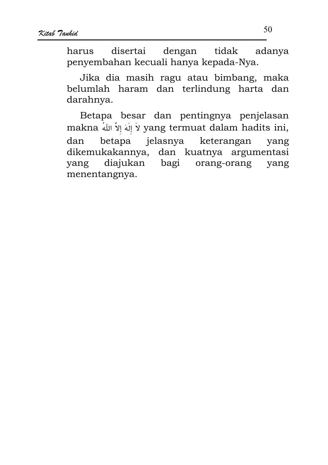harus disertai dengan tidak adanya penyembahan kecuali hanya kepada-Nya.

Jika dia masih ragu atau bimbang, maka belumlah haram dan terlindung harta dan darahnya.

Betapa besar dan pentingnya penjelasan makna لاَ إِلَهَ إِلاَّ اللهُ makna لاَ إِلاَّ اللهُ yang termuat dalam hadits ini, dan betapa jelasnya keterangan yang dikemukakannya, dan kuatnya argumentasi diajukan bagi orang-orang yang yang menentangnya.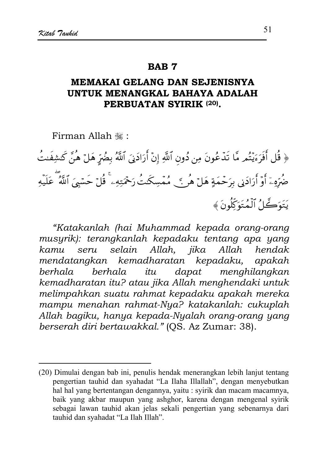#### **RAR7**

## **MEMAKAI GELANG DAN SEJENISNYA** UNTUK MENANGKAL BAHAYA ADALAH PERBUATAN SYIRIK (20).

Firman Allah .:

﴿ قُل أَفَرَءَيْتُم مَّا تَدۡعُونَ مِن دُون ٱللَّهِ إِنۡ أَرَادَنِىَ ٱللَّهُ بِضُرٍّ هَلۡ هُنَّ كَشِفَتُ ضُرِّهِۦٓ أَوۡ أَرَادَنِي بِرَحۡمَةٍ هَلۡ هُرۡ ﴾ ﴾ مُمۡسِكَتُ رَحۡمَتِهِۦ ۚ قُلۡ حَسۡبِيَ ٱللَّهُ عَلَيۡهِ يَتَوَكَّلُ ٱلۡمُتَوَكِّلُونَ ﴾

"Katakanlah (hai Muhammad kepada orang-orang musyrik): terangkanlah kepadaku tentang apa yang selain Allah, jika Allah kamu seru hendak mendatangkan kemadharatan kepadaku, apakah *herhala berhala* itu. dapat menghilangkan kemadharatan itu? atau jika Allah menghendaki untuk melimpahkan suatu rahmat kepadaku apakah mereka mampu menahan rahmat-Nya? katakanlah: cukuplah Allah bagiku, hanya kepada-Nyalah orang-orang yang berserah diri bertawakkal." (OS. Az Zumar: 38).

<sup>(20)</sup> Dimulai dengan bab ini, penulis hendak menerangkan lebih lanjut tentang pengertian tauhid dan syahadat "La Ilaha Illallah", dengan menyebutkan hal hal yang bertentangan dengannya, yaitu : syirik dan macam macamnya, baik yang akbar maupun yang ashghor, karena dengan mengenal syirik sebagai lawan tauhid akan jelas sekali pengertian yang sebenarnya dari tauhid dan syahadat "La Ilah Illah".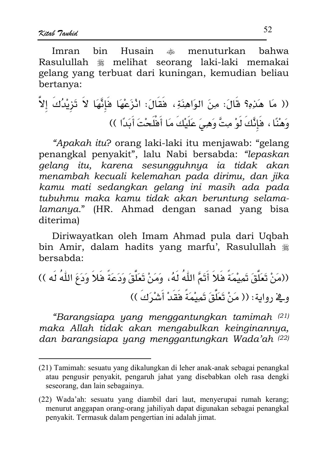hin Husain Imran .\*\* menuturkan hahwa Rasulullah t melihat seorang laki-laki memakai gelang vang terbuat dari kuningan, kemudian beliau bertanya:

(( مَا هَدَهِ؟ قَالَ: مِنَ الوَاهِنَةِ، فَقَالَ: انْزَعْهَا فَإِنَّهَا لاَ تَرْيْدُكَ إلاَّ وَهْنًا ، فَإِنَّكَ لَوْ مِتَّ وَهِيَ عَلَيْكَ مَا أَفْلَحْتَ أَبَدًا ))

"Apakah itu? orang laki-laki itu menjawab: "gelang penangkal penyakit", lalu Nabi bersabda: "lepaskan gelang itu, karena sesungguhnya ia tidak akan menambah kecuali kelemahan pada dirimu, dan jika kamu mati sedangkan gelang ini masih ada pada tubuhmu maka kamu tidak akan beruntung selamalamanya." (HR. Ahmad dengan sanad yang bisa diterima)

Diriwayatkan oleh Imam Ahmad pula dari Uqbah bin Amir, dalam hadits yang marfu', Rasulullah # bersabda:

((مَنْ تَعَلَّقَ تَمِيْمَةً فَلاَ أَتَمَّ اللّهُ لَهُ، وَمَنْ تَعَلَّقَ وَدَعَةً فَلاَ وَدَعَ اللّهُ لَه )) وِيخِ رواية: (( مَنْ تَعَلَّقَ تَمِيْمَةً فَقَدْ أَشْرَكَ ))

"Barangsiapa yang menggantungkan tamimah (21) maka Allah tidak akan mengabulkan keinginannya, dan barangsiapa yang menggantungkan Wada'ah (22)

<sup>(21)</sup> Tamimah: sesuatu yang dikalungkan di leher anak-anak sebagai penangkal atau pengusir penyakit, pengaruh jahat yang disebabkan oleh rasa dengki seseorang, dan lain sebagainya.

<sup>(22)</sup> Wada'ah: sesuatu yang diambil dari laut, menyerupai rumah kerang; menurut anggapan orang-orang jahiliyah dapat digunakan sebagai penangkal penyakit. Termasuk dalam pengertian ini adalah jimat.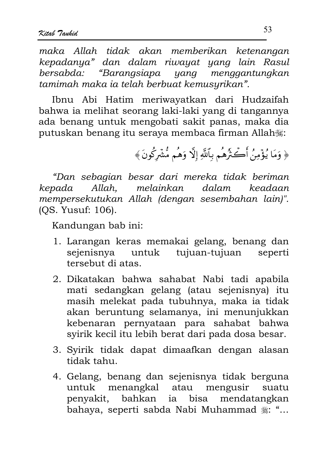maka Allah tidak akan memberikan ketenangan kepadanya" dan dalam riwayat yang lain Rasul bersabda: "Barangsiapa yang menggantungkan tamimah maka ia telah berbuat kemusyrikan".

Ibnu Abi Hatim meriwayatkan dari Hudzaifah bahwa ia melihat seorang laki-laki yang di tangannya ada benang untuk mengobati sakit panas, maka dia putuskan benang itu seraya membaca firman Allah

﴿ وَمَا يُؤْمِنُ أَكۡـَٰٓرُهُم بِٱللَّهِ إِلَّا وَهُم مُّشۡرَكُونَ ﴾

"Dan sebagian besar dari mereka tidak beriman kepada Allah. melainkan dalam keadaan mempersekutukan Allah (dengan sesembahan lain)". (OS. Yusuf: 106).

Kandungan bab ini:

- 1. Larangan keras memakai gelang, benang dan sejenisnya untuk tujuan-tujuan seperti tersebut di atas
- 2. Dikatakan bahwa sahabat Nabi tadi apabila mati sedangkan gelang (atau sejenisnya) itu masih melekat pada tubuhnya, maka ia tidak akan beruntung selamanya, ini menunjukkan kebenaran pernyataan para sahabat bahwa syirik kecil itu lebih berat dari pada dosa besar.
- 3. Syirik tidak dapat dimaafkan dengan alasan tidak tahu.
- 4. Gelang, benang dan sejenisnya tidak berguna untuk menangkal atau mengusir suatu penyakit, bahkan ia bisa mendatangkan bahaya, seperti sabda Nabi Muhammad ... "...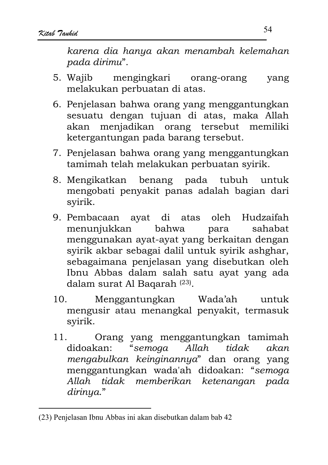karena dia hanya akan menambah kelemahan pada dirimu".

- 5. Wajib mengingkari orang-orang vang melakukan perbuatan di atas.
- 6. Penjelasan bahwa orang yang menggantungkan sesuatu dengan tujuan di atas, maka Allah akan menjadikan orang tersebut memiliki ketergantungan pada barang tersebut.
- 7. Penjelasan bahwa orang yang menggantungkan tamimah telah melakukan perbuatan syirik.
- 8. Mengikatkan benang pada tubuh untuk mengobati penyakit panas adalah bagian dari svirik.
- 9. Pembacaan ayat di atas oleh Hudzaifah menunjukkan bahwa sahabat para menggunakan ayat-ayat yang berkaitan dengan svirik akbar sebagai dalil untuk svirik ashghar, sebagaimana penjelasan yang disebutkan oleh Ibnu Abbas dalam salah satu ayat yang ada dalam surat Al Bagarah<sup>(23)</sup>.
- $10^{-7}$ Menggantungkan Wada'ah untuk mengusir atau menangkal penyakit, termasuk svirik.
- Orang yang menggantungkan tamimah  $11.$ "semoga didoakan:  $Allah$ tidak akan mengabulkan keinginannya" dan orang yang menggantungkan wada'ah didoakan: "semoga Allah tidak memberikan ketenangan pada dirinya."

<sup>(23)</sup> Penjelasan Ibnu Abbas ini akan disebutkan dalam bab 42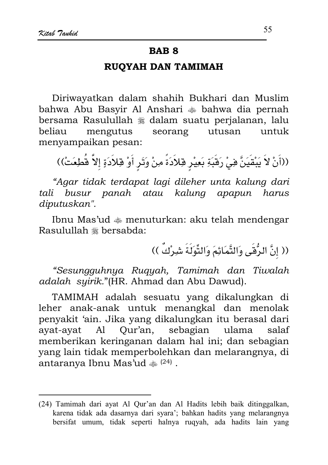### **BAR 8**

### RUOYAH DAN TAMIMAH

Diriwayatkan dalam shahih Bukhari dan Muslim bahwa Abu Basyir Al Anshari  $\triangleq$  bahwa dia pernah bersama Rasulullah \* dalam suatu perialanan, lalu beliau mengutus seorang utusan untuk menyampaikan pesan:

((أَنْ لاَ يَبْقَيَنَّ فِيْ رَقَبَةِ بَعِيْرِ قِلاَدَةً مِنْ وَتَرِ أَوْ قِلاَدَةٍ إلاَّ قُطِعَتْ))

"Agar tidak terdapat lagi dileher unta kalung dari tali busur panah atau kalung apapun harus diputuskan".

Ibnu Mas'ud  $\triangleq$  menuturkan: aku telah mendengar Rasulullah \* bersabda:

(( إنَّ الرُّقَى وَالتَّمَائِمَ وَالتَّوَلَةَ شِرْكٌ ))

"Sesungguhnya Ruqyah, Tamimah dan Tiwalah adalah syirik."(HR. Ahmad dan Abu Dawud).

TAMIMAH adalah sesuatu yang dikalungkan di leher anak-anak untuk menangkal dan menolak penyakit 'ain. Jika yang dikalungkan itu berasal dari ayat-ayat Al Qur'an, sebagian ulama salaf memberikan keringanan dalam hal ini; dan sebagian yang lain tidak memperbolehkan dan melarangnya, di antaranya Ibnu Mas'ud  $\approx$  (24).

<sup>(24)</sup> Tamimah dari ayat Al Qur'an dan Al Hadits lebih baik ditinggalkan, karena tidak ada dasarnya dari syara'; bahkan hadits yang melarangnya bersifat umum, tidak seperti halnya ruqyah, ada hadits lain yang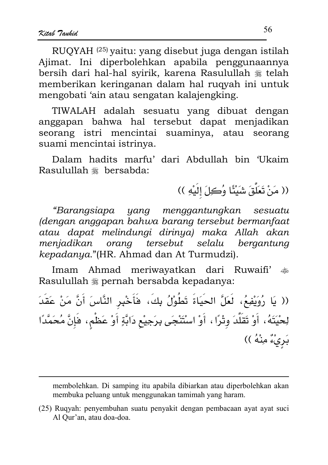RUOYAH<sup>(25)</sup> yaitu: yang disebut juga dengan istilah Ajimat. Ini diperbolehkan apabila penggunaannya bersih dari hal-hal svirik, karena Rasulullah \* telah memberikan keringanan dalam hal ruqyah ini untuk mengobati 'ain atau sengatan kalajengking.

TIWALAH adalah sesuatu yang dibuat dengan anggapan bahwa hal tersebut dapat menjadikan seorang istri mencintai suaminya, atau seorang suami mencintai istrinya.

Dalam hadits marfu' dari Abdullah bin 'Ukaim Rasulullah ﷺ bersabda:

(( مَنْ تَعَلَّقَ شَيْئًا وُكِلَ إِلَيْهِ ))

"Barangsiapa yang menggantungkan sesuatu (dengan anggapan bahwa barang tersebut bermanfaat atau dapat melindungi dirinya) maka Allah akan menjadikan orang tersebut selalu bergantung kepadanya."(HR. Ahmad dan At Turmudzi).

Imam Ahmad meriwayatkan dari Ruwaifi'  $*$ Rasulullah \* pernah bersabda kepadanya:

(( يَا رُوَيْفِعُ، لَعَلَّ الحَيَاةَ تَطُوْلُ بِكَ، فَأَخْبِرِ النَّاسَ أَنَّ مَنْ عَقَدَ لِحْيَتَهُ، أَوْ تَقَلَّدَ وثْرًا، أَوْ اسْتَنْجَى بِرَجِيْعِ دَابَّةٍ أَوْ عَظْمٍ، فَإِنَّ مُحَمَّدًا بَرِيْءٌ مِنْهُ ))

membolehkan. Di samping itu apabila dibiarkan atau diperbolehkan akan membuka peluang untuk menggunakan tamimah yang haram.

<sup>(25)</sup> Ruqyah: penyembuhan suatu penyakit dengan pembacaan ayat ayat suci Al Qur'an, atau doa-doa.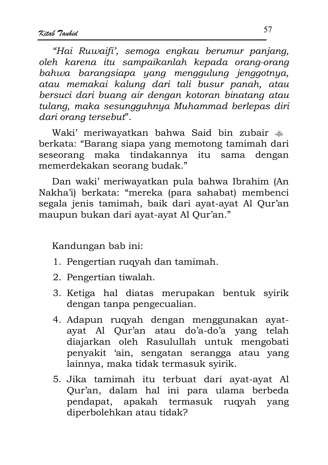"Hai Ruwaifi', semoga engkau berumur panjang, oleh karena itu sampaikanlah kepada orang-orang bahwa barangsiapa yang menggulung jenggotnya, atau memakai kalung dari tali busur panah, atau bersuci dari buang air dengan kotoran binatang atau tulang, maka sesungguhnya Muhammad berlepas diri dari orang tersebut".

Waki' meriwayatkan bahwa Said bin zubair  $\clubsuit$ berkata: "Barang siapa yang memotong tamimah dari seseorang maka tindakannya itu sama dengan memerdekakan seorang budak."

Dan waki' meriwayatkan pula bahwa Ibrahim (An Nakha'i) berkata: "mereka (para sahabat) membenci segala jenis tamimah, baik dari ayat-ayat Al Qur'an maupun bukan dari ayat-ayat Al Qur'an."

Kandungan bab ini:

- 1. Pengertian rugyah dan tamimah.
- 2. Pengertian tiwalah.
- 3. Ketiga hal diatas merupakan bentuk syirik dengan tanpa pengecualian.
- 4. Adapun ruqyah dengan menggunakan ayatayat Al Qur'an atau do'a-do'a yang telah diajarkan oleh Rasulullah untuk mengobati penyakit 'ain, sengatan serangga atau yang lainnya, maka tidak termasuk svirik.
- 5. Jika tamimah itu terbuat dari ayat-ayat Al Qur'an, dalam hal ini para ulama berbeda pendapat, apakah termasuk rugyah yang diperbolehkan atau tidak?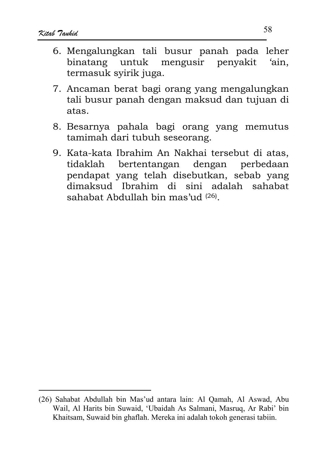- 6. Mengalungkan tali busur panah pada leher binatang untuk mengusir penyakit 'ain, termasuk svirik juga.
- 7. Ancaman berat bagi orang yang mengalungkan tali busur panah dengan maksud dan tujuan di atas
- 8. Besarnya pahala bagi orang yang memutus tamimah dari tubuh seseorang.
- 9. Kata-kata Ibrahim An Nakhai tersebut di atas, bertentangan dengan perbedaan tidaklah pendapat yang telah disebutkan, sebab yang dimaksud Ibrahim di sini adalah sahabat sahabat Abdullah bin mas'ud (26).

<sup>(26)</sup> Sahabat Abdullah bin Mas'ud antara lain: Al Qamah, Al Aswad, Abu Wail, Al Harits bin Suwaid, 'Ubaidah As Salmani, Masruq, Ar Rabi' bin Khaitsam, Suwaid bin ghaflah. Mereka ini adalah tokoh generasi tabiin.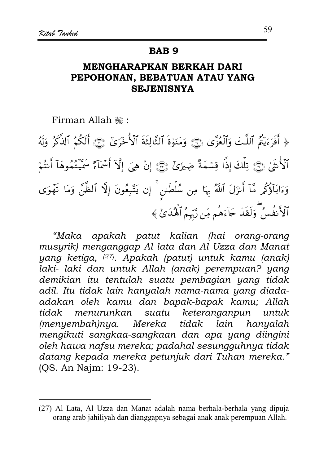#### **BAB9**

## **MENGHARAPKAN BERKAH DARI** PEPOHONAN, BEBATUAN ATAU YANG **SEJENISNYA**

Firman Allah .

﴿ أَفَرَءَيْتُمُ ٱللَّتَ وَٱلۡغُزَّىٰ ۞ وَمَنَوٰةَ ٱلثَّالِثَةَ ٱلۡأُخۡرَىٰٓ ۞ أَلَكُمُ ٱلذَّكَرُ وَلَهُ ٱلۡأُنۡقَىٰ ۞ تِلۡكَ إِذَا قِسۡمَةٌ ضِيزَىٰٓ ۞ إِنۡ هِيَ إِلَّآ أَسۡمَآءٌ سَمِّيۡتُمُوهَآ أَنتُمۡ وَءَابَآؤُكُمِ مَّآ أَنزَلَ ٱللَّهُ بِهَا مِن سُلۡطَنن ۚ إِن يَتَّبِعُونَ إِلَّا ٱلظَّنَّ وَمَا تَهۡوَى ٱلۡأَنفُسُ ۚ وَلَقَدۡ جَآءَهُم مِّن رَّبۡمُ ٱلۡهُٰدَىٰٓ ﴾

"Maka apakah patut kalian (hai orang-orang musyrik) menganggap Al lata dan Al Uzza dan Manat yang ketiga, <sup>(27)</sup>. Apakah (patut) untuk kamu (anak) laki- laki dan untuk Allah (anak) perempuan? yang demikian itu tentulah suatu pembagian yang tidak adil. Itu tidak lain hanyalah nama-nama yang diadaadakan oleh kamu dan bapak-bapak kamu; Allah keteranganpun tidak menurunkan suatu untuk Mereka tidak  $(menyembah)nya.$ hanyalah lain mengikuti sangkaa-sangkaan dan apa yang diingini oleh hawa nafsu mereka; padahal sesungguhnya tidak datang kepada mereka petunjuk dari Tuhan mereka." (OS. An Najm: 19-23).

<sup>(27)</sup> Al Lata, Al Uzza dan Manat adalah nama berhala-berhala yang dipuja orang arab jahiliyah dan dianggapnya sebagai anak anak perempuan Allah.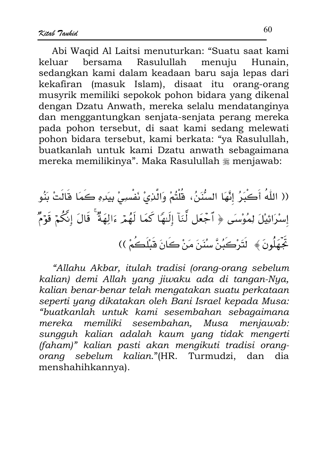Abi Waqid Al Laitsi menuturkan: "Suatu saat kami keluar bersama Rasulullah menuju Hunain. sedangkan kami dalam keadaan baru saja lepas dari kekafiran (masuk Islam), disaat itu orang-orang musyrik memiliki sepokok pohon bidara yang dikenal dengan Dzatu Anwath, mereka selalu mendatanginya dan menggantungkan senjata-senjata perang mereka pada pohon tersebut, di saat kami sedang melewati pohon bidara tersebut, kami berkata: "ya Rasulullah, buatkanlah untuk kami Dzatu anwath sebagaimana mereka memilikinya". Maka Rasulullah \* menjawab:

(( اللّهُ أَكْبَرُ إِنَّهَا السُّنَنُ، قُلْتُمْ وَالَّذِيْ نَفْسِيْ بِيَدِهِ كَمَا قَالَتْ بَنُو إِسْرَائِيْلَ لِمُوْسَى ﴿ ٱجْعَل لَّنَآ إِلَيْهَا كَمَا لَهُمۡ ءَالِهَةٌ ۚ قَالَ إِنَّكُمۡ قَوۡمٌ خِّهَلُونَ ﴾ لَتَرْكَبُنَّ سُنَنَ مَنْ كَانَ قَبْلَكُمْ ))

"Allahu Akbar, itulah tradisi (orang-orang sebelum kalian) demi Allah yang jiwaku ada di tangan-Nya, kalian benar-benar telah mengatakan suatu perkataan seperti yang dikatakan oleh Bani Israel kepada Musa: "buatkanlah untuk kami sesembahan sebagaimana menjawab: mereka memiliki sesembahan. Musa sungguh kalian adalah kaum yang tidak mengerti (faham)" kalian pasti akan mengikuti tradisi orangorang sebelum kalian."(HR. Turmudzi, dan dia menshahihkannya).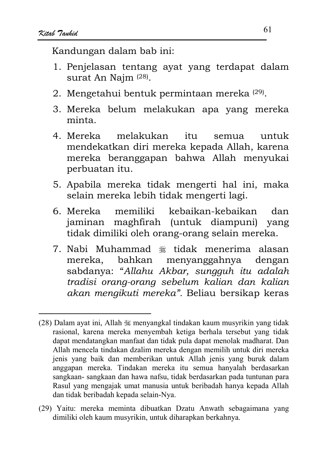Kandungan dalam bab ini:

- 1. Penjelasan tentang ayat yang terdapat dalam surat An Najm (28).
- 2. Mengetahui bentuk permintaan mereka (29).
- 3. Mereka belum melakukan apa yang mereka minta
- melakukan  $itii$ 4. Mereka semua untuk mendekatkan diri mereka kepada Allah, karena mereka beranggapan bahwa Allah menyukai perbuatan itu.
- 5. Apabila mereka tidak mengerti hal ini, maka selain mereka lebih tidak mengerti lagi.
- 6. Mereka memiliki kebaikan-kebaikan dan jaminan maghfirah (untuk diampuni) yang tidak dimiliki oleh orang-orang selain mereka.
- 7. Nabi Muhammad \* tidak menerima alasan mereka, bahkan menyanggahnya dengan sabdanya: "Allahu Akbar, sungguh itu adalah tradisi orang-orang sebelum kalian dan kalian akan mengikuti mereka". Beliau bersikap keras

(29) Yaitu: mereka meminta dibuatkan Dzatu Anwath sebagaimana yang dimiliki oleh kaum musyrikin, untuk diharapkan berkahnya.

<sup>(28)</sup> Dalam ayat ini, Allah  $\frac{360}{1000}$  menyangkal tindakan kaum musyrikin yang tidak rasional, karena mereka menyembah ketiga berhala tersebut yang tidak dapat mendatangkan manfaat dan tidak pula dapat menolak madharat. Dan Allah mencela tindakan dzalim mereka dengan memilih untuk diri mereka jenis yang baik dan memberikan untuk Allah jenis yang buruk dalam anggapan mereka. Tindakan mereka itu semua hanyalah berdasarkan sangkaan-sangkaan dan hawa nafsu, tidak berdasarkan pada tuntunan para Rasul yang mengajak umat manusia untuk beribadah hanya kepada Allah dan tidak beribadah kepada selain-Nya.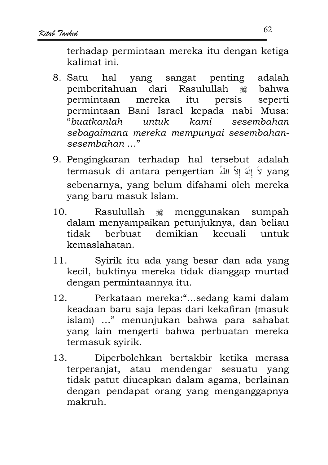terhadap permintaan mereka itu dengan ketiga kalimat ini

- 8. Satu hal yang sangat penting adalah dari Rasulullah pemberitahuan **※ bahwa** mereka persis seperti permintaan itu permintaan Bani Israel kepada nabi Musa: "buatkanlah  $untuk$ kami sesembahan sebagaimana mereka mempunyai sesembahan $s$ esembahan  $\ldots$ "
- 9. Pengingkaran terhadap hal tersebut adalah termasuk di antara pengertian لاَ إِلَهَ إِلاَّ اللّهُ termasuk di antara pengertian sebenarnya, yang belum difahami oleh mereka vang baru masuk Islam.
- $10^{-7}$ Rasulullah menggunakan 灘 sumpah dalam menyampaikan petunjuknya, dan beliau berbuat demikian kecuali untuk tidak kemaslahatan.
- $11.$ Syirik itu ada yang besar dan ada yang kecil, buktinya mereka tidak dianggap murtad dengan permintaannya itu.
- Perkataan mereka:"...sedang kami dalam 12. keadaan baru saja lepas dari kekafiran (masuk islam) ..." menunjukan bahwa para sahabat yang lain mengerti bahwa perbuatan mereka termasuk syirik.
- Diperbolehkan bertakbir ketika merasa  $13.$ terperanjat, atau mendengar sesuatu yang tidak patut diucapkan dalam agama, berlainan dengan pendapat orang yang menganggapnya makruh.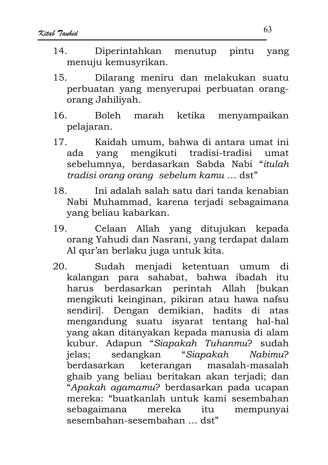- Diperintahkan menutup pintu  $14$ vang menuju kemusyrikan.
- Dilarang meniru dan melakukan suatu  $15<sub>1</sub>$ perbuatan yang menyerupai perbuatan orangorang Jahiliyah.
- marah ketika  $16<sup>1</sup>$ **Boleh** menyampaikan pelajaran.
- $17<sub>1</sub>$ Kaidah umum, bahwa di antara umat ini ada yang mengikuti tradisi-tradisi umat sebelumnya, berdasarkan Sabda Nabi "itulah tradisi orang orang sebelum kamu ... dst"
- $18<sup>1</sup>$ Ini adalah salah satu dari tanda kenabian Nabi Muhammad, karena terjadi sebagaimana yang beliau kabarkan.
- 19. Celaan Allah yang ditujukan kepada orang Yahudi dan Nasrani, yang terdapat dalam Al qur'an berlaku juga untuk kita.
- Sudah menjadi ketentuan umum  $20<sub>1</sub>$ di kalangan para sahabat, bahwa ibadah itu harus berdasarkan perintah Allah [bukan mengikuti keinginan, pikiran atau hawa nafsu sendiril. Dengan demikian, hadits di atas mengandung suatu isyarat tentang hal-hal yang akan ditanyakan kepada manusia di alam kubur. Adapun "Siapakah Tuhanmu? sudah sedangkan "Siapakah Nabimu? jelas: berdasarkan keterangan masalah-masalah ghaib yang beliau beritakan akan terjadi; dan "Apakah agamamu? berdasarkan pada ucapan mereka: "buatkanlah untuk kami sesembahan sebagaimana mereka itu mempunyai sesembahan-sesembahan ... dst"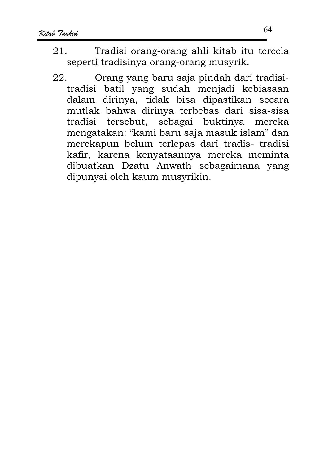- Tradisi orang-orang ahli kitab itu tercela  $21$ seperti tradisinya orang-orang musyrik.
- Orang yang baru saja pindah dari tradisi-22. tradisi batil yang sudah menjadi kebiasaan dalam dirinya, tidak bisa dipastikan secara mutlak bahwa dirinya terbebas dari sisa-sisa tradisi tersebut, sebagai buktinya mereka mengatakan: "kami baru saja masuk islam" dan merekapun belum terlepas dari tradis- tradisi kafir, karena kenyataannya mereka meminta dibuatkan Dzatu Anwath sebagaimana yang dipunyai oleh kaum musyrikin.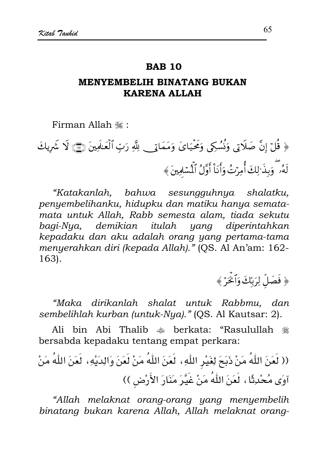#### **RAR 10**

### **MENYEMBELIH BINATANG BUKAN KARENA ALLAH**

Firman Allah .

﴿ قُلْ إِنَّ صَلَاتِي وَنُسُكِي وَمَحْيَايَ وَمَمَاتِي لِلَّهِ رَبِّ ٱلْعَلَمِينَ (٤٣) لَا شَرِيكَ لَهُۥ ۖ وَبِذَٰ ٰلِكَ أُمِرۡتُ وَأَنَاْ أَوَّلُ ٱلۡمَّامِينَ ﴾

"Katakanlah, bahwa sesungguhnya shalatku, penyembelihanku, hidupku dan matiku hanya sematamata untuk Allah, Rabb semesta alam, tiada sekutu bagi-Nya, demikian itulah yang diperintahkan kepadaku dan aku adalah orang yang pertama-tama menyerahkan diri (kepada Allah)." (QS. Al An'am: 162-163).

﴿ فَصَلِّ لِرَبِّكَ وَٱخْرَ ﴾

"Maka dirikanlah shalat untuk Rabbmu, dan sembelihlah kurban (untuk-Nya)." (QS. Al Kautsar: 2).

Ali bin Abi Thalib  $\clubsuit$  berkata: "Rasulullah  $\divideontimes$ bersabda kepadaku tentang empat perkara:

"Allah melaknat orang-orang yang menyembelih binatang bukan karena Allah, Allah melaknat orang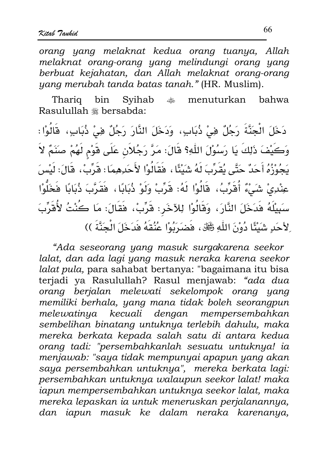orang yang melaknat kedua orang tuanya, Allah melaknat orang-orang yang melindungi orang yang berbuat kejahatan, dan Allah melaknat orang-orang yang merubah tanda batas tanah." (HR. Muslim).

Syihab Thariq bin رىلەر.<br>مەنبە menuturkan bahwa Rasulullah \* bersabda:

دَخَلَ الْجَنَّةَ رَجُلٌ فِي ذُبَابٍ، وَدَخَلَ النَّارَ رَجُلٌ فِي ذُبَابٍ، قَالُوْا : وَكَيْفَ ذَلِكَ يَا رَسُوْلَ اللَّهِ؟ قَالَ: مَرَّ رَجُلاَنِ عَلَى قَوْمِ لَهُمْ صَنَمٌ لاَ يَجُوْزُهُ أَحَدٌ حَتَّى يُقَرِّبَ لَهُ شَيْئًا ، فَقَالُوْا لأَحَدِهِمَا : قَرِّبْ، قَالَ: لَيْسَ عِنْدِيْ شَيْءٌ أُقَرِّبُ، قَالُوْا لَهُ: قَرِّبْ وَلَوْ ذُبَابًا، فَقَرَّبَ ذُبَابًا فَخَلُّوْا سَبِيْلَهُ فَدَخَلَ النَّارَ، وَقَالُوْا لِلآخَرِ: قَرِّبْ، فَقَالَ: مَا كُنْتُ لأُقَرِّبَ ِ لِأَحَدٍ شَيْئًا دُوْنَ اللَّهِ ﷺ، فَضَرَبُوْا عُنُقَهُ فَدَخَلَ الْجَنَّةَ ))

"Ada seseorang yang masuk surgakarena seekor lalat, dan ada lagi yang masuk neraka karena seekor lalat pula, para sahabat bertanya: "bagaimana itu bisa terjadi ya Rasulullah? Rasul menjawab: "ada dua orang berjalan melewati sekelompok orang yang memiliki berhala, yang mana tidak boleh seorangpun melewatinya kecuali dengan mempersembahkan sembelihan binatang untuknya terlebih dahulu, maka mereka berkata kepada salah satu di antara kedua orang tadi: "persembahkanlah sesuatu untuknya! ia menjawab: "saya tidak mempunyai apapun yang akan saya persembahkan untuknya", mereka berkata lagi: persembahkan untuknya walaupun seekor lalat! maka iapun mempersembahkan untuknya seekor lalat, maka mereka lepaskan ia untuk meneruskan perjalanannya, dan iapun masuk ke dalam neraka karenanya,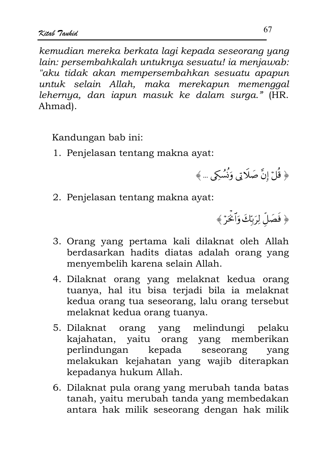kemudian mereka berkata lagi kepada seseorang yang lain: persembahkalah untuknya sesuatu! ia menjawab: "aku tidak akan mempersembahkan sesuatu apapun untuk selain Allah, maka merekapun memenggal lehernya, dan iapun masuk ke dalam surga." (HR. Ahmad).

Kandungan bab ini:

1. Penjelasan tentang makna ayat:

﴿ قُلْ إِنَّ صَلَاتِي وَنُسُكِي … ﴾

2. Penjelasan tentang makna ayat:

﴿ فَصَلِّ لِرَبِّكَ وَٱخْرَ ﴾

- 3. Orang yang pertama kali dilaknat oleh Allah berdasarkan hadits diatas adalah orang yang menyembelih karena selain Allah.
- 4. Dilaknat orang yang melaknat kedua orang tuanya, hal itu bisa terjadi bila ia melaknat kedua orang tua seseorang, lalu orang tersebut melaknat kedua orang tuanya.
- 5. Dilaknat orang yang melindungi pelaku kajahatan, yaitu orang yang memberikan perlindungan kepada seseorang yang melakukan kejahatan yang wajib diterapkan kepadanya hukum Allah.
- 6. Dilaknat pula orang yang merubah tanda batas tanah, yaitu merubah tanda yang membedakan antara hak milik seseorang dengan hak milik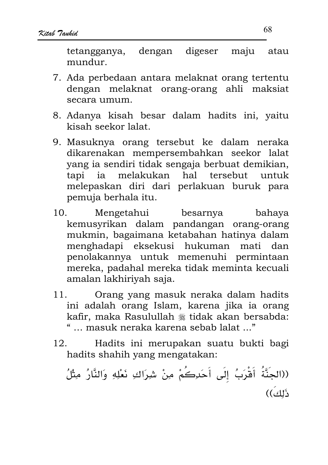tetangganya, dengan digeser maju atau mundur.

- 7. Ada perbedaan antara melaknat orang tertentu dengan melaknat orang-orang ahli maksiat secara umum.
- 8. Adanya kisah besar dalam hadits ini, vaitu kisah seekor lalat.
- 9. Masuknya orang tersebut ke dalam neraka dikarenakan mempersembahkan seekor lalat yang ia sendiri tidak sengaja berbuat demikian, melakukan hal tapi ia tersebut untuk melepaskan diri dari perlakuan buruk para pemuja berhala itu.
- $10.$ Mengetahui besarnya bahaya kemusyrikan dalam pandangan orang-orang mukmin, bagaimana ketabahan hatinya dalam menghadapi eksekusi hukuman mati dan penolakannya untuk memenuhi permintaan mereka, padahal mereka tidak meminta kecuali amalan lakhiriyah saja.
- Orang yang masuk neraka dalam hadits  $11<sub>1</sub>$ ini adalah orang Islam, karena jika ia orang kafir, maka Rasulullah \* tidak akan bersabda: "... masuk neraka karena sebab lalat ..."
- Hadits ini merupakan suatu bukti bagi 12. hadits shahih yang mengatakan:

((الجنَّةُ أَقْرَبُ إلَى أَحَدِكُمْ مِنْ شِرَاكِ نَعْلِهِ وَالنَّارُ مِثْلُ ذَلِكَ))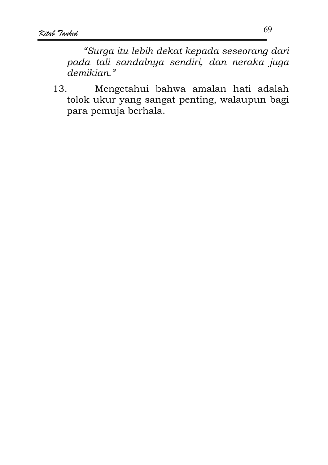"Surga itu lebih dekat kepada seseorang dari pada tali sandalnya sendiri, dan neraka juga demikian."

13. Mengetahui bahwa amalan hati adalah tolok ukur yang sangat penting, walaupun bagi para pemuja berhala.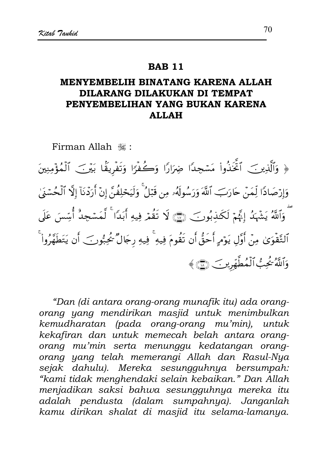#### **RAR 11**

## MENYEMBELIH BINATANG KARENA ALLAH DILARANG DILAKUKAN DI TEMPAT PENYEMBELIHAN YANG BUKAN KARENA **ALLAH**

Firman Allah ...

﴿ وَٱلَّذِينَ ٱخَّذُواْ مَسْجِدًا ضِرَارًا وَكُفْرًا وَتَفْرِيقًا بَيْنَ ٱلْمُؤْمِنِينَ وَإِرْصَادًا لِّمَنْ حَارَبَ ٱللَّهَ وَرَسُولَهُۥ مِن قَبْلُ ۚ وَلَيَحْلِفُنَّ إِنْ أَرَدْنَآ إِلَّا ٱلْحُسْنَىٰ ثَّ وَٱللَّهُ يَشْهَدُ إِنَّهُمْ لَكَنذبُونَ ۞ لَا تَقُمَّرَ فِيهِ أَبَدًا ۚ لَّمَسْجِدٌ أُسِّسَ عَلَى ٱلتَّقْوَىٰ مِنْ أَوَّلِ يَوْمٍ أَحَقُّ أَن تَقُومَ فِيهِ ۚ فِيهِ رِجَالٌ يُحُبُّونَ ۖ أَن يَتَطَهَّرُواْ ۚ وَٱللَّهُ يُحِبُّ ٱلۡمُطَّهِّرِينَ ﴾

"Dan (di antara orang-orang munafik itu) ada orangorang yang mendirikan masjid untuk menimbulkan kemudharatan (pada orang-orang mu'min), untuk kekafiran dan untuk memecah belah antara orangorang mu'min serta menunggu kedatangan orangorang yang telah memerangi Allah dan Rasul-Nya sejak dahulu). Mereka sesungguhnya bersumpah: "kami tidak menghendaki selain kebaikan." Dan Allah menjadikan saksi bahwa sesungguhnya mereka itu adalah pendusta (dalam sumpahnya). Janganlah kamu dirikan shalat di masjid itu selama-lamanya.

70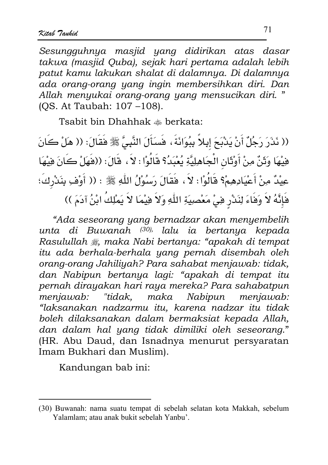Sesungguhnya masjid yang didirikan atas dasar takwa (masjid Quba), sejak hari pertama adalah lebih patut kamu lakukan shalat di dalamnya. Di dalamnya ada orang-orang yang ingin membersihkan diri. Dan Allah menyukai orang-orang yang mensucikan diri." (OS. At Taubah: 107-108).

Tsabit bin Dhahhak  $\triangle$  berkata:

(( نَذَرَ رَجُلٌ أَنْ يَذْبَحَ إِبِلاً بِبُوَانَةَ ، فَسَأَلَ النَّبِيَّ ﷺ فَقَالَ: (( هَلْ كَانَ فِيْهَا وَثَنَّ مِنْ أَوْثَانِ الْجَاهِلِيَّةِ يُغْبَدُ؟ قَالُوْا : لاَ ، قَالَ: ((فَهَلْ كَانَ فِيْهَا عِيْدٌ مِنْ أَعْيَادِهِمْ؟ قَالُوْا : لاَ ، فَقَالَ رَسُوْلُ اللَّهِ ﷺ : (( أَوْفِ بِنَدْرِكَ؛ فَإِنَّهُ لاَ وَفَاءَ لِنَدْرٍ فِي مَعْصِيَةِ اللَّهِ وَلاَ فِيْمَا لاَ يَمْلِكُ ابْنُ آدَمَ ))

"Ada seseorang yang bernadzar akan menyembelih unta di Buwanah <sup>(30),</sup> lalu ia bertanya kepada Rasulullah , maka Nabi bertanya: "apakah di tempat itu ada berhala-berhala yang pernah disembah oleh orang-orang Jahiliyah? Para sahabat menjawab: tidak, dan Nabipun bertanya lagi: "apakah di tempat itu pernah dirayakan hari raya mereka? Para sahabatpun "tidak, maka Nabipun menjawab: meniawab: "laksanakan nadzarmu itu, karena nadzar itu tidak boleh dilaksanakan dalam bermaksiat kepada Allah, dan dalam hal yang tidak dimiliki oleh seseorang." (HR. Abu Daud, dan Isnadnya menurut persyaratan Imam Bukhari dan Muslim).

Kandungan bab ini:

<sup>(30)</sup> Buwanah: nama suatu tempat di sebelah selatan kota Makkah, sebelum Yalamlam; atau anak bukit sebelah Yanbu'.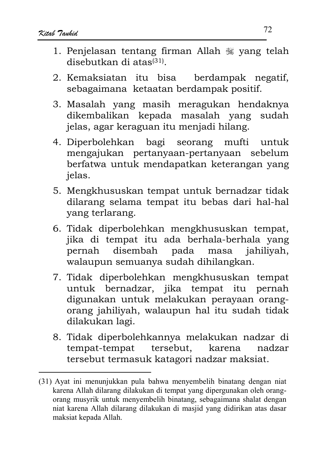- 1. Penjelasan tentang firman Allah  $\frac{100}{200}$  vang telah  $dischutkan$  di atas $(31)$
- 2. Kemaksiatan itu bisa berdampak negatif, sebagaimana ketaatan berdampak positif.
- 3. Masalah yang masih meragukan hendaknya dikembalikan kepada masalah yang sudah jelas, agar keraguan itu menjadi hilang.
- 4. Diperbolehkan bagi seorang mufti untuk mengajukan pertanyaan-pertanyaan sebelum berfatwa untuk mendapatkan keterangan yang ielas.
- 5. Mengkhususkan tempat untuk bernadzar tidak dilarang selama tempat itu bebas dari hal-hal yang terlarang.
- 6. Tidak diperbolehkan mengkhususkan tempat, jika di tempat itu ada berhala-berhala yang disembah pada masa pernah jahiliyah, walaupun semuanya sudah dihilangkan.
- 7. Tidak diperbolehkan mengkhususkan tempat untuk bernadzar, jika tempat itu pernah digunakan untuk melakukan perayaan orangorang jahiliyah, walaupun hal itu sudah tidak dilakukan lagi.
- 8. Tidak diperbolehkannya melakukan nadzar di tersebut, tempat-tempat karena nadzar tersebut termasuk katagori nadzar maksiat.

<sup>(31)</sup> Ayat ini menunjukkan pula bahwa menyembelih binatang dengan niat karena Allah dilarang dilakukan di tempat yang dipergunakan oleh orangorang musyrik untuk menyembelih binatang, sebagaimana shalat dengan niat karena Allah dilarang dilakukan di masjid yang didirikan atas dasar maksiat kepada Allah.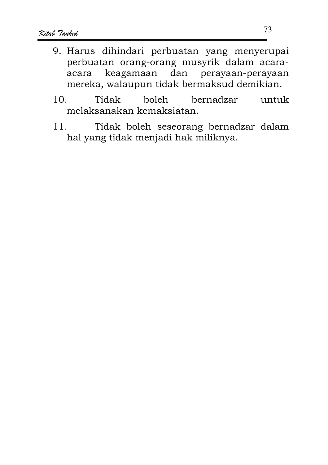- 9. Harus dihindari perbuatan yang menyerupai perbuatan orang-orang musyrik dalam acarakeagamaan dan perayaan-perayaan acara mereka, walaupun tidak bermaksud demikian.
- 10. Tidak boleh bernadzar untuk melaksanakan kemaksiatan
- $11.$ Tidak boleh seseorang bernadzar dalam hal yang tidak menjadi hak miliknya.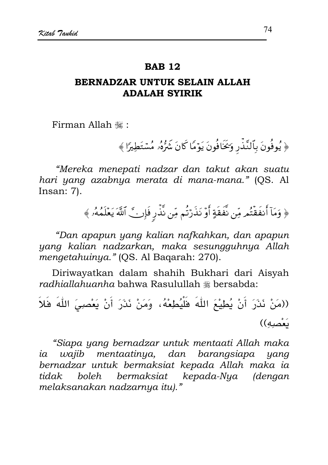### **RAR 12**

# BERNADZAR UNTUK SELAIN ALLAH **ADALAH SYIRIK**

Firman Allah ...

﴿ يُوفُونَ بِٱلنَّذِّرِ وَكَافُونَ يَوْمًا كَانَ شَرُّهُۥ مُسْتَطِيرًا ﴾

"Mereka menepati nadzar dan takut akan suatu hari yang azabnya merata di mana-mana." (QS. Al Insan:  $7$ ).

﴿ وَمَآ أَنفَقْتُم مِّن نَّفَقَةٍ أَوۡ نَذَرۡتُم مِّن نَّذۡرِ فَإِن ۗ ٱللَّهَ يَعۡلَمُهُۥ ﴾

"Dan apapun yang kalian nafkahkan, dan apapun yang kalian nadzarkan, maka sesungguhnya Allah mengetahuinya." (QS. Al Baqarah: 270).

Diriwayatkan dalam shahih Bukhari dari Aisyah radhiallahuanha bahwa Rasulullah \* bersabda:

((مَنْ نَذَرَ أَنْ يُطِيْعَ اللَّهَ فَلْيُطِعْهُ، وَمَنْ نَذَرَ أَنْ يَعْصِيَ اللَّهَ فَلاَ يَعْصِبُهِ))

"Siapa yang bernadzar untuk mentaati Allah maka ia wajib mentaatinya, dan barangsiapa yang bernadzar untuk bermaksiat kepada Allah maka ia boleh bermaksiat kepada-Nya (dengan tidak melaksanakan nadzarnya itu)."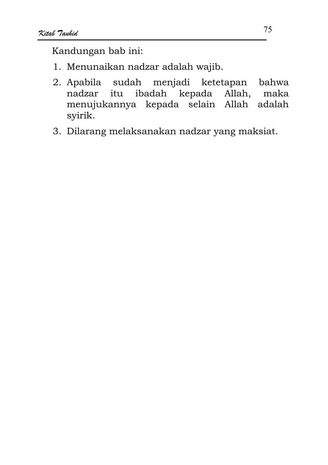Kandungan bab ini:

- 1. Menunaikan nadzar adalah wajib.
- 2. Apabila sudah menjadi ketetapan bahwa nadzar itu ibadah kepada Allah, maka menujukannya kepada selain Allah adalah svirik.
- 3. Dilarang melaksanakan nadzar yang maksiat.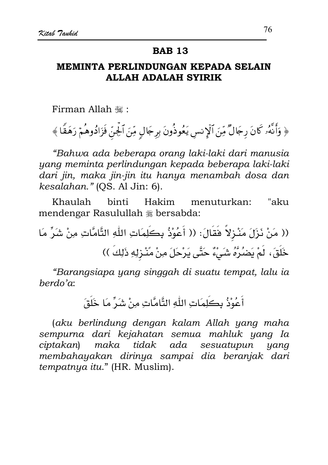### **BAB 13**

# MEMINTA PERLINDUNGAN KEPADA SELAIN **ALLAH ADALAH SYIRIK**

Firman Allah ,:

﴿ وَأَنَّهُۥ كَانَ رِجَالٌ مِّنَ ٱلۡإِنس يَعُوذُونَ بِرِجَالِ مِّنَ ٱلۡجِنِّ فَزَادُوهُمۡ رَهَقَا ﴾

"Bahwa ada beberapa orang laki-laki dari manusia yang meminta perlindungan kepada beberapa laki-laki dari jin, maka jin-jin itu hanya menambah dosa dan kesalahan." (QS. Al Jin: 6).

Khaulah hinti Hakim menuturkan: "aku mendengar Rasulullah # bersabda:

"Barangsiapa yang singgah di suatu tempat, lalu ia  $berdo'a$ :

أَعُوْذُ بِكَلِمَاتِ اللّٰهِ التَّامَّاتِ مِنْ شَرٍّ مَا خَلَقَ

(aku berlindung dengan kalam Allah yang maha sempurna dari kejahatan semua mahluk yang Ia tidak ada sesuatupun ciptakan) maka yang membahayakan dirinya sampai dia beranjak dari tempatnya itu." (HR. Muslim).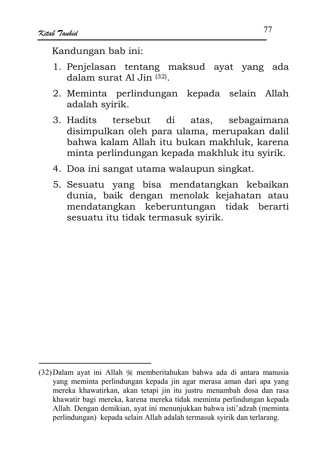Kandungan bab ini:

- 1. Penjelasan tentang maksud ayat yang ada dalam surat Al Jin  $(32)$
- 2. Meminta perlindungan kepada selain Allah adalah syirik.
- 3. Hadits tersebut di atas. sebagaimana disimpulkan oleh para ulama, merupakan dalil bahwa kalam Allah itu bukan makhluk, karena minta perlindungan kepada makhluk itu syirik.
- 4. Doa ini sangat utama walaupun singkat.
- 5. Sesuatu yang bisa mendatangkan kebaikan dunia, baik dengan menolak kejahatan atau mendatangkan keberuntungan tidak berarti sesuatu itu tidak termasuk syirik.

<sup>(32)</sup> Dalam ayat ini Allah  $\mathcal{H}$  memberitahukan bahwa ada di antara manusia yang meminta perlindungan kepada jin agar merasa aman dari apa yang mereka khawatirkan, akan tetapi jin itu justru menambah dosa dan rasa khawatir bagi mereka, karena mereka tidak meminta perlindungan kepada Allah. Dengan demikian, ayat ini menunjukkan bahwa isti'adzah (meminta perlindungan) kepada selain Allah adalah termasuk syirik dan terlarang.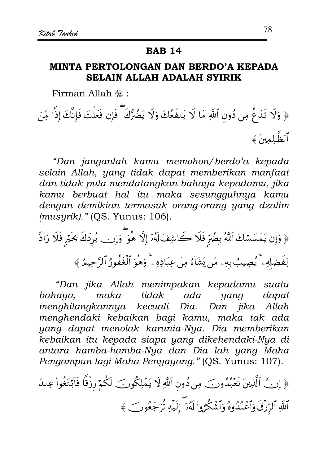### **BAB 14**

# MINTA PERTOLONGAN DAN BERDO'A KEPADA **SELAIN ALLAH ADALAH SYIRIK**

Firman Allah , "

﴿ وَلَا تَدۡعُ مِن دُونِ ٱللَّهِ مَا لَا يَنفَعُكَ وَلَا يَضُرُّكَ ۖ فَإِن فَعَلۡتَ فَإِنَّكَ إِذًا مِّنَ ٱلظَّلمهنَ ﴾

"Dan janganlah kamu memohon/berdo'a kepada selain Allah, yang tidak dapat memberikan manfaat dan tidak pula mendatangkan bahaya kepadamu, jika kamu berbuat hal itu maka sesungguhnya kamu dengan demikian termasuk orang-orang yang dzalim (musyrik)." (QS. Yunus: 106).

﴿ وَإِن يَمْسَسْكَ ٱللَّهُ بِضُرٍّ فَلَا كَاشِفَ لَهُۥٓ إِلَّا هُوَ ۗ وَإِن يُرِدۡكَ نِحَيۡرٍ فَلَا رَآدَّ لِفَضَّلِهِۦ ۚ يُصِيبُ بِهِۦ مَن يَشَآءُ مِنۡ عِبَادِهِۦ ۚ وَهُوَ ٱلۡغُفُورُ ٱلرَّحِيمُ ﴾

"Dan jika Allah menimpakan kepadamu suatu maka tidak ada bahaua. yang dapat menghilangkannya kecuali Dia. Dan jika Allah menghendaki kebaikan bagi kamu, maka tak ada yang dapat menolak karunia-Nya. Dia memberikan kebaikan itu kepada siapa yang dikehendaki-Nya di antara hamba-hamba-Nya dan Dia lah yang Maha Pengampun lagi Maha Penyayang." (QS. Yunus: 107).

﴿ إِنَّ ٱلَّذِينَ تَعۡبُدُونَ ۖ مِن دُونِ ٱللَّهِ لَا يَمۡلِكُونَ لَكُمۡ رِزۡقًا فَٱبۡتَغُواْ عِندَ ٱللَّهِ ٱلرّزْقَ وَٱعۡبُدُوهُ وَٱشۡكُرُوا۟ لَهُۥٓ ۗ إِلَيۡهِ تُرۡجَعُونَ ﴾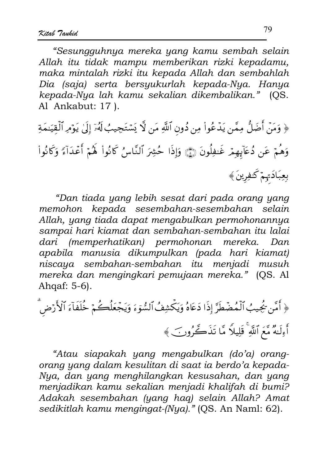"Sesungguhnya mereka yang kamu sembah selain Allah itu tidak mampu memberikan rizki kepadamu, maka mintalah rizki itu kepada Allah dan sembahlah Dia (saja) serta bersyukurlah kepada-Nya. Hanya kepada-Nya lah kamu sekalian dikembalikan." (QS. Al Ankabut: 17).

﴿ وَمَنْ أَضَلُّ مِمَّن يَدۡعُواْ مِن دُونِ ٱللَّهِ مَن لَا يَسۡتَجِيبُ لَهُۥٓ إِلَىٰ يَوۡمِرُ ٱلۡقِيَـٰمَةِ وَهُمْ عَن دُعَآبِهِمْ غَـٰفِلُونَ ۞ وَإِذَا حُشِرَ ٱلنَّاسُ كَانُواْ لَهُمْ أَعْدَآءَ وَكَانُواْ بِعِبَادَتِهِمْ كَثِفِرِينَ ﴾

"Dan tiada yang lebih sesat dari pada orang yang memohon kepada sesembahan-sesembahan selain Allah, yang tiada dapat mengabulkan permohonannya sampai hari kiamat dan sembahan-sembahan itu lalai dari (memperhatikan) permohonan mereka. Dan apabila manusia dikumpulkan (pada hari kiamat) niscaya sembahan-sembahan itu menjadi musuh mereka dan mengingkari pemujaan mereka." (QS. Al Ahgaf: 5-6).

﴿ أَمَّن لَجُيبُ ٱلْمُضْطَرَّ إِذَا دَعَاهُ وَيَكْشِفُ ٱلسُّوَءَ وَيَجْعَلُكُمْ خُلَفَآءَ ٱلْأَرْضَ أَوِلَـٰهُ مَّعَ ٱللَّهِ ۚ قَلِيلاً مَّا تَذَكَّرُونَ ﴾

"Atau siapakah yang mengabulkan (do'a) orangorang yang dalam kesulitan di saat ia berdo'a kepada-Nya, dan yang menghilangkan kesusahan, dan yang menjadikan kamu sekalian menjadi khalifah di bumi? Adakah sesembahan (yang haq) selain Allah? Amat sedikitlah kamu mengingat-(Nya)." (QS. An Naml: 62).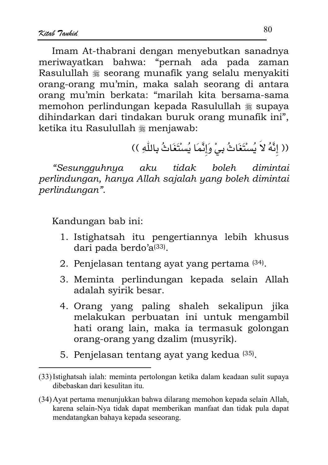Imam At-thabrani dengan menyebutkan sanadnya meriwayatkan bahwa: "pernah ada pada zaman Rasulullah \* seorang munafik yang selalu menyakiti orang-orang mu'min, maka salah seorang di antara orang mu'min berkata: "marilah kita bersama-sama memohon perlindungan kepada Rasulullah \* supaya dihindarkan dari tindakan buruk orang munafik ini", ketika itu Rasulullah \* menjawab:

(( إِنَّهُ لاَ يُسْتَغَاثُ بِيْ وَإِنَّمَا يُسْتَغَاثُ بِاللَّهِ ))

"Sesungguhnya aku tidak boleh dimintai perlindungan, hanya Allah sajalah yang boleh dimintai perlindungan".

Kandungan bab ini:

- 1. Istighatsah itu pengertiannya lebih khusus dari pada berdo'a(33).
- 2. Penjelasan tentang ayat yang pertama (34).
- 3. Meminta perlindungan kepada selain Allah adalah syirik besar.
- 4. Orang yang paling shaleh sekalipun jika melakukan perbuatan ini untuk mengambil hati orang lain, maka ia termasuk golongan orang-orang yang dzalim (musyrik).
- 5. Penjelasan tentang ayat yang kedua (35).

<sup>(33)</sup> Istighatsah ialah: meminta pertolongan ketika dalam keadaan sulit supaya dibebaskan dari kesulitan itu.

<sup>(34)</sup> Ayat pertama menunjukkan bahwa dilarang memohon kepada selain Allah, karena selain-Nya tidak dapat memberikan manfaat dan tidak pula dapat mendatangkan bahaya kepada seseorang.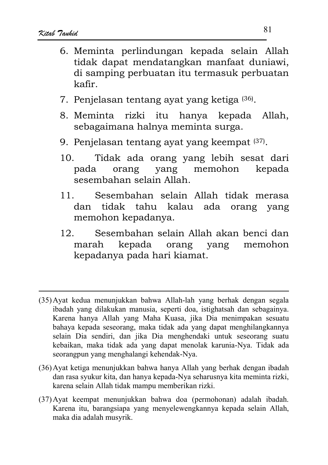- 6. Meminta perlindungan kepada selain Allah tidak dapat mendatangkan manfaat duniawi, di samping perbuatan itu termasuk perbuatan kafir.
- 7. Penjelasan tentang ayat yang ketiga (36).
- rizki itu hanya kepada Allah. 8. Meminta sebagaimana halnya meminta surga.
- 9. Penjelasan tentang ayat yang keempat (37).
- Tidak ada orang yang lebih sesat dari 10. yang pada orang memohon kepada sesembahan selain Allah.
- $11<sub>1</sub>$ Sesembahan selain Allah tidak merasa tidak tahu kalau ada orang yang dan memohon kepadanya.
- $12<sub>1</sub>$ Sesembahan selain Allah akan benci dan kepada orang marah yang memohon kepadanya pada hari kiamat.

- (36) Ayat ketiga menunjukkan bahwa hanya Allah yang berhak dengan ibadah dan rasa syukur kita, dan hanya kepada-Nya seharusnya kita meminta rizki, karena selain Allah tidak mampu memberikan rizki.
- (37) Ayat keempat menunjukkan bahwa doa (permohonan) adalah ibadah. Karena itu, barangsiapa yang menyelewengkannya kepada selain Allah, maka dia adalah musyrik.

<sup>(35)</sup> Ayat kedua menunjukkan bahwa Allah-lah yang berhak dengan segala ibadah yang dilakukan manusia, seperti doa, istighatsah dan sebagainya. Karena hanya Allah yang Maha Kuasa, jika Dia menimpakan sesuatu bahaya kepada seseorang, maka tidak ada yang dapat menghilangkannya selain Dia sendiri, dan jika Dia menghendaki untuk seseorang suatu kebaikan, maka tidak ada yang dapat menolak karunia-Nya. Tidak ada seorangpun yang menghalangi kehendak-Nya.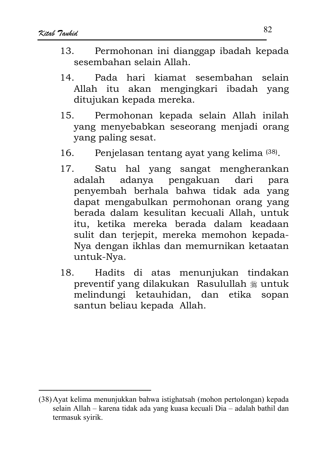- $13<sup>7</sup>$ Permohonan ini dianggap ibadah kepada sesembahan selain Allah
- $14$ Pada hari kiamat sesembahan selain Allah itu akan mengingkari ibadah yang ditujukan kepada mereka.
- Permohonan kepada selain Allah inilah  $15<sub>1</sub>$ vang menyebabkan seseorang menjadi orang yang paling sesat.
- Penjelasan tentang ayat yang kelima (38). 16
- Satu hal yang sangat mengherankan  $17.$ dari adanya pengakuan adalah para penyembah berhala bahwa tidak ada yang dapat mengabulkan permohonan orang yang berada dalam kesulitan kecuali Allah, untuk itu, ketika mereka berada dalam keadaan sulit dan terjepit, mereka memohon kepada-Nya dengan ikhlas dan memurnikan ketaatan untuk-Nya.
- $18.$ Hadits di atas menunjukan tindakan preventif yang dilakukan Rasulullah \* untuk melindungi ketauhidan, dan etika sopan santun beliau kepada Allah.

<sup>(38)</sup> Ayat kelima menunjukkan bahwa istighatsah (mohon pertolongan) kepada selain Allah - karena tidak ada yang kuasa kecuali Dia - adalah bathil dan termasuk syirik.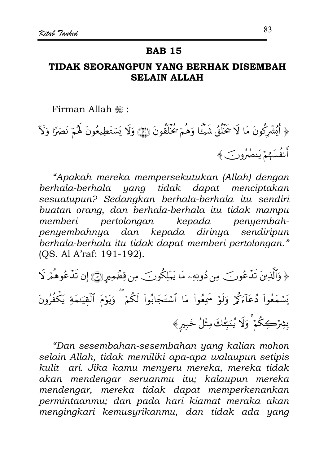## **BAB 15**

# TIDAK SEORANGPUN YANG BERHAK DISEMBAH **SELAIN ALLAH**

Firman Allah ,:

﴿ أَيُشْرَكُونَ مَا لَا تَخَلُّقُ شَيْئًا وَهُمْ تُخَلَّقُونَ (٢٦) وَلَا يَسْتَطِيعُونَ لَهُمْ نَصْرًا وَلَآ أَنفُسَهُمْ يَنصُرُونَ ﴾

"Apakah mereka mempersekutukan (Allah) dengan berhala-berhala yang tidak dapat menciptakan sesuatupun? Sedangkan berhala-berhala itu sendiri buatan orang, dan berhala-berhala itu tidak mampu pertolongan kepada penyembahmemberi penyembahnya dan kepada dirinya sendiripun berhala-berhala itu tidak dapat memberi pertolongan." (OS. Al A'raf: 191-192).

﴿ وَٱلَّذِينَ تَدۡعُونَ ۖ مِن دُونِهِۦ مَا يَمۡلِكُونَ ۖ مِن قِطۡمِيرٍ ﴾ إِن تَدۡعُوهُمۡ لَا يَسْمَعُواْ دُعَآءَكُمْ وَلَوۡ سَمِعُواْ مَا ٱسۡتَجَابُواْ لَكُمۡ ۖ وَيَوۡمَ ٱلۡقِيَـٰمَةِ يَكۡفُرُونَ بِشِرۡكِكُمۡۚ وَلَا يُنَبِّئُكَ مِثۡلُ خَبِيرٍ﴾

"Dan sesembahan-sesembahan yang kalian mohon selain Allah, tidak memiliki apa-apa walaupun setipis kulit ari. Jika kamu menyeru mereka, mereka tidak akan mendengar seruanmu itu; kalaupun mereka mendengar, mereka tidak dapat memperkenankan permintaanmu; dan pada hari kiamat meraka akan mengingkari kemusyrikanmu, dan tidak ada yang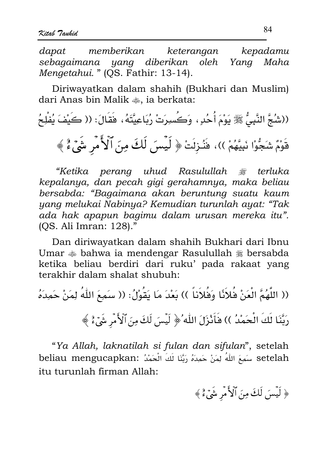dapat memberikan kepadamu keterangan sebagaimana yang diberikan oleh Yang Maha Mengetahui. " (QS. Fathir: 13-14).

Diriwayatkan dalam shahih (Bukhari dan Muslim) dari Anas bin Malik ... ia berkata:

((شُجَّ النَّبِيُّ ﷺ يَوْمَ أُحُدٍ ، وَكُسِرَتْ رُبَاعِيَّتَهُ ، فَقَالَ: (( كَيْفَ يُفْلِحُ قَوْمٌ شَجُّوْا نَبِيَّهُمْ ))، فَنُزِلَتْ ﴿ لَيِّسَ لَكَ مِنَ ٱلْأَمْرِ شَيِّءٌ ﴾

"Ketika perang uhud Rasulullah ﷺ terluka kepalanya, dan pecah gigi gerahamnya, maka beliau bersabda: "Bagaimana akan beruntung suatu kaum yang melukai Nabinya? Kemudian turunlah ayat: "Tak ada hak apapun bagimu dalam urusan mereka itu". (OS. Ali Imran: 128)."

Dan diriwayatkan dalam shahih Bukhari dari Ibnu Umar  $\triangleq$  bahwa ia mendengar Rasulullah  $\triangleq$  bersabda ketika beliau berdiri dari ruku' pada rakaat yang terakhir dalam shalat shubuh:

(( اللَّهُمَّ الْعَنْ فُلاَنًا وَفُلاَناً )) بَعْدَ مَا يَقُوْلُ: (( سَمِعَ اللَّهُ لِمَنْ حَمِدَهُ رَبَّنَا لَكَ الْحَمْدُ )) فَأَنْزَلَ اللَّهُ ﴿ لَيْسَ لَكَ مِنَ ٱلْأَمْرِ شَيْءٌ ﴾

"Ya Allah, laknatilah si fulan dan sifulan", setelah setelah سَمِعَ اللَّهُ لِمَنْ حَمِدَهُ رَبَّنَا لَكَ الْحَمْدُ :beliau mengucapkan itu turunlah firman Allah:

﴿ لَيْسَ لَكَ مِنَ ٱلْأَمْرِ شَيْءٌ ﴾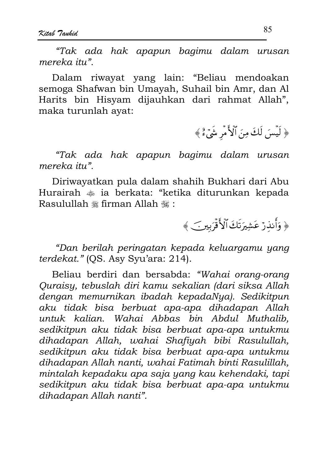"Tak ada hak apapun bagimu dalam urusan mereka itu".

Dalam riwayat yang lain: "Beliau mendoakan semoga Shafwan bin Umayah, Suhail bin Amr, dan Al Harits bin Hisyam dijauhkan dari rahmat Allah", maka turunlah avat:

﴿ لَيْسَ لَكَ مِنَ ٱلْأَمْرِ شَيْءٌ ﴾

"Tak ada hak apapun bagimu dalam urusan mereka itu".

Diriwayatkan pula dalam shahih Bukhari dari Abu Hurairah  $\triangleq$  ia berkata: "ketika diturunkan kepada Rasulullah # firman Allah #:

﴿ وَأَنذَرْ عَشِيرَتَكَ ٱلْأَفْرَبِينَ ﴾

"Dan berilah peringatan kepada keluargamu yang terdekat." (OS. Asy Syu'ara: 214).

Beliau berdiri dan bersabda: "Wahai orang-orang Quraisy, tebuslah diri kamu sekalian (dari siksa Allah dengan memurnikan ibadah kepadaNya). Sedikitpun aku tidak bisa berbuat apa-apa dihadapan Allah untuk kalian. Wahai Abbas bin Abdul Muthalib, sedikitpun aku tidak bisa berbuat apa-apa untukmu dihadapan Allah, wahai Shafiyah bibi Rasulullah, sedikitpun aku tidak bisa berbuat apa-apa untukmu dihadapan Allah nanti, wahai Fatimah binti Rasulillah, mintalah kepadaku apa saja yang kau kehendaki, tapi sedikitpun aku tidak bisa berbuat apa-apa untukmu dihadapan Allah nanti".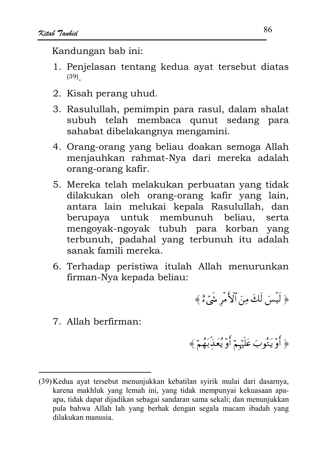Kandungan bab ini:

- 1. Penjelasan tentang kedua ayat tersebut diatas  $(39)$
- 2. Kisah perang uhud.
- 3. Rasulullah, pemimpin para rasul, dalam shalat subuh telah membaca qunut sedang para sahabat dibelakangnya mengamini.
- 4. Orang-orang yang beliau doakan semoga Allah menjauhkan rahmat-Nya dari mereka adalah orang-orang kafir.
- 5. Mereka telah melakukan perbuatan yang tidak dilakukan oleh orang-orang kafir yang lain, antara lain melukai kepala Rasulullah, dan berupaya untuk membunuh beliau, serta mengoyak-ngoyak tubuh para korban yang terbunuh, padahal yang terbunuh itu adalah sanak famili mereka.
- 6. Terhadap peristiwa itulah Allah menurunkan firman-Nya kepada beliau:
- 7. Allah berfirman:

﴿ أَوۡ يَتُوبَ عَلَيۡهِمۡ أَوۡ يُعَدِّبَهُمۡ ﴾

﴿ لَيْسَ لَكَ مِنَ ٱلْأَمْرِ شَيْءٌ ﴾

<sup>(39)</sup> Kedua ayat tersebut menunjukkan kebatilan syirik mulai dari dasarnya, karena makhluk yang lemah ini, yang tidak mempunyai kekuasaan apaapa, tidak dapat dijadikan sebagai sandaran sama sekali; dan menunjukkan pula bahwa Allah lah yang berhak dengan segala macam ibadah yang dilakukan manusia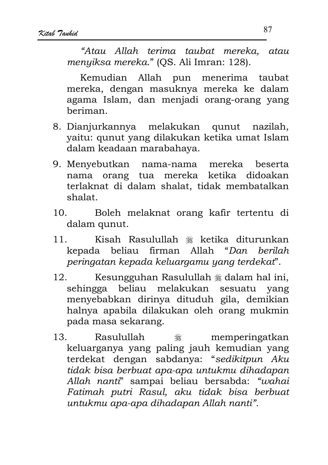"Atau Allah terima taubat mereka, atau menyiksa mereka." (QS. Ali Imran: 128).

Kemudian Allah pun menerima taubat mereka, dengan masuknya mereka ke dalam agama Islam, dan menjadi orang-orang yang heriman

- 8. Dianjurkannya melakukan qunut nazilah. yaitu: qunut yang dilakukan ketika umat Islam dalam keadaan marabahaya.
- 9. Menyebutkan nama-nama mereka **beserta** nama orang tua mereka ketika didoakan terlaknat di dalam shalat, tidak membatalkan shalat.
- $10^{-7}$ Boleh melaknat orang kafir tertentu di dalam qunut.
- Kisah Rasulullah \* ketika diturunkan  $11$ kepada beliau firman Allah "Dan herilah peringatan kepada keluargamu yang terdekat".
- 12. Kesungguhan Rasulullah \* dalam hal ini, sehingga beliau melakukan sesuatu vang menyebabkan dirinya dituduh gila, demikian halnya apabila dilakukan oleh orang mukmin pada masa sekarang.
- $13.$ Rasulullah memperingatkan ٦ keluarganya yang paling jauh kemudian yang terdekat dengan sabdanya: "sedikitpun Aku tidak bisa berbuat apa-apa untukmu dihadapan Allah nanti" sampai beliau bersabda: "wahai Fatimah putri Rasul, aku tidak bisa berbuat untukmu apa-apa dihadapan Allah nanti".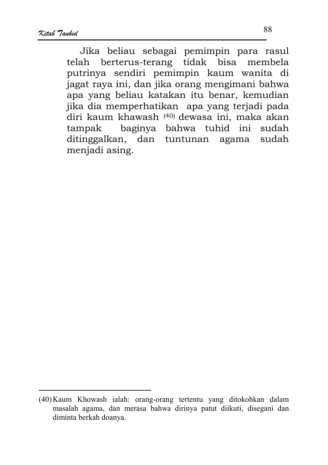Jika beliau sebagai pemimpin para rasul telah berterus-terang tidak bisa membela putrinya sendiri pemimpin kaum wanita di jagat raya ini, dan jika orang mengimani bahwa apa yang beliau katakan itu benar, kemudian jika dia memperhatikan apa yang terjadi pada diri kaum khawash (40) dewasa ini, maka akan baginya bahwa tuhid ini tampak sudah ditinggalkan, dan tuntunan agama sudah menjadi asing.

<sup>(40)</sup> Kaum Khowash ialah: orang-orang tertentu yang ditokohkan dalam masalah agama, dan merasa bahwa dirinya patut diikuti, disegani dan diminta berkah doanya.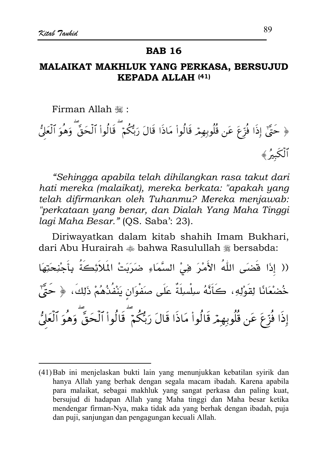#### **RAR 16**

# MALAIKAT MAKHLUK YANG PERKASA, BERSUJUD KEPADA ALLAH (41)

Firman Allah ,:

﴿ حَتَّىٰٓ إِذَا فُزِّعَ عَن قُلُوبِهِمۡ قَالُوا۟ مَاذَا قَالَ رَبُّكُمۡ ۖ قَالُوا۟ ٱلۡحَقَّ ۖ وَهُوَ ٱلۡعَلُّ أَلْكُمْ ﴾

"Sehingga apabila telah dihilangkan rasa takut dari hati mereka (malaikat), mereka berkata: "apakah yang telah difirmankan oleh Tuhanmu? Mereka menjawab: "perkataan yang benar, dan Dialah Yang Maha Tinggi lagi Maha Besar." (QS. Saba': 23).

Diriwayatkan dalam kitab shahih Imam Bukhari, dari Abu Hurairah  $\triangleq$  bahwa Rasulullah  $\triangleq$  bersabda:

(( إِذَا قَضَى اللَّهُ الأَمْرَ فِيْ السَّمَاءِ ضَرَبَتْ المَلاَئِكَةُ بِأَجْنِحَتِهَا خُضْعَانًا لِقَوْلِهِ، كَأَنَّهُ سِلْسِلَةٌ عَلَى صَفْوَانِ يَنْفُذُهُمْ ذَلِكَ، ﴿ حَتَّىٰ إِذَا فُرِّعَ عَن قُلُوبِهِمْ قَالُواْ مَاذَا قَالَ رَبُّكُمْ ۖ قَالُواْ ٱلْحَقَّ وَهُوَ ٱلْعَلُّ

<sup>(41)</sup> Bab ini menjelaskan bukti lain yang menunjukkan kebatilan syirik dan hanya Allah yang berhak dengan segala macam ibadah. Karena apabila para malaikat, sebagai makhluk yang sangat perkasa dan paling kuat, bersujud di hadapan Allah yang Maha tinggi dan Maha besar ketika mendengar firman-Nya, maka tidak ada yang berhak dengan ibadah, puja dan puji, sanjungan dan pengagungan kecuali Allah.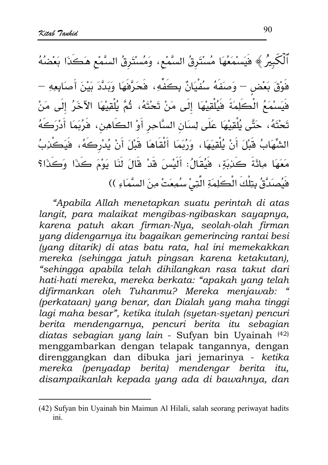ٱلۡكَبِيرُ ﴾ فَيَسْمَعُهَا مُسْتَرِقُ السَّمْعِ، وَمُسْتَرِقُ السَّمْعِ هَكَذَا بَعْضُهُ فَوْقَ بَعْض – وَصَفَهُ سُفْيَانٌ بِكَفِّهِ، فَحَرَّفَهَا وَبَدَّدَ بَيْنَ أَصَابِعِهِ – فَيَسْمَعُ الْكَلِمَةَ فَيُلْقِيْهَا إِلَى مَنْ تَحْتَهُ، ثُمَّ يُلْقِيْهَا الآخَرُ إِلَى مَنْ تَحْتَهُ، حَتَّى يُلْقِيْهَا عَلَى لِسَانِ السَّاحِرِ أَوْ الكَاهِنِ، فَرُبَمَا أَدْرَكَهُ الشِّهَابُ قَبْلَ أَنْ يُلْقِيَهَا ، وَرُبَمَا أَلْقَاهَا قَبْلَ أَنْ يُدْرِكَهُ، فَيَكْذِبُ مَعَهَا مِائَةَ كَذِبَةٍ، فَيُقَالُ: أَلَيْسَ قَدْ قَالَ لَنَا يَوْمَ كَذَا وَكَذَا؟ هَيُصِدَةً بِتِلْكَ الْكَلِمَةِ الَّتِيْ سُمِعَتْ مِنَ السَّمَاءِ ))

"Apabila Allah menetapkan suatu perintah di atas langit, para malaikat mengibas-ngibaskan sayapnya, karena patuh akan firman-Nya, seolah-olah firman yang didengarnya itu bagaikan gemerincing rantai besi (yang ditarik) di atas batu rata, hal ini memekakkan mereka (sehingga jatuh pingsan karena ketakutan), "sehingga apabila telah dihilangkan rasa takut dari hati-hati mereka, mereka berkata: "apakah yang telah difirmankan oleh Tuhanmu? Mereka menjawab: (perkataan) yang benar, dan Dialah yang maha tinggi lagi maha besar", ketika itulah (syetan-syetan) pencuri berita mendengarnya, pencuri berita itu sebagian diatas sebagian yang lain - Sufyan bin Uyainah (42) menggambarkan dengan telapak tangannya, dengan direnggangkan dan dibuka jari jemarinya - ketika mereka (penyadap berita) mendengar berita itu. disampaikanlah kepada yang ada di bawahnya, dan

<sup>(42)</sup> Sufyan bin Uyainah bin Maimun Al Hilali, salah seorang periwayat hadits ini.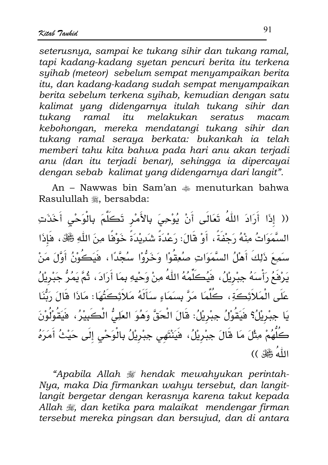seterusnya, sampai ke tukang sihir dan tukang ramal. tapi kadang-kadang syetan pencuri berita itu terkena suihab (meteor) sebelum sempat menyampaikan berita itu, dan kadang-kadang sudah sempat menyampaikan berita sebelum terkena syihab, kemudian dengan satu kalimat yang didengarnya itulah tukang sihir dan tukana ramal itu melakukan seratus macam kebohongan, mereka mendatangi tukang sihir dan tukang ramal seraya berkata: bukankah ia telah memberi tahu kita bahwa pada hari anu akan terjadi anu (dan itu terjadi benar), sehingga ia dipercayai dengan sebab kalimat yang didengarnya dari langit".

An – Nawwas bin Sam'an  $\ast$  menuturkan bahwa Rasulullah , bersabda:

(( إِذَا أَرَادَ اللَّهُ تَعَالَى أَنْ يُوْحِيَ بِالأَمْرِ تَكَلَّمَ بِالْوَحْيِ أَخَذَتِ السَّمَوَاتُ مِنْهُ رَجْفَةً ، أَوْ قَالَ: رَعْدَةً شَدِيْدَةً خَوْفًا مِنَ اللَّهِ ﷺ، فَإِذَا سَمِعَ ذَلِكَ أَهْلُ السَّمَوَاتِ صُعِقُوْا وَخَرُّوْا سُجَّدًا ، فَيَكُونُ أَوَّلَ مَنْ يَرْفَعُ رَأْسَهُ جِبْرِيْلُ، فَيُكَلِّمُهُ اللَّهُ مِنْ وَحْيِهِ بِمَا أَرَادَ، ثُمَّ يَمُرُّ جَبْرِيْلُ عَلَى الْمَلاَئِكَةِ، كُلَّمَا مَرَّ بِسَمَاءٍ سَأَلَهُ مَلاَئِكَتُهَا: مَاذَا قَالَ رَبُّنَا يَا جِبْرِيْلُ؟ فَيَقُوْلُ جِبْرِيْلُ: قَالَ الْحَقَّ وَهُوَ العَلِيُّ الْكَبِيْرُ، فَيَقُوْلُوْنَ كَلُّهُمْ مِثْلَ مَا قَالَ جِبْرِيْلُ، فَيَنْتَهى جِبْرِيْلُ بِالْوَحْىِ إِلَى حَيْثُ أَمَرَهُ اللّٰهُ عَجَّلٌ ))

"Apabila Allah # hendak mewahyukan perintah-Nya, maka Dia firmankan wahyu tersebut, dan langitlangit bergetar dengan kerasnya karena takut kepada Allah , dan ketika para malaikat mendengar firman tersebut mereka pingsan dan bersujud, dan di antara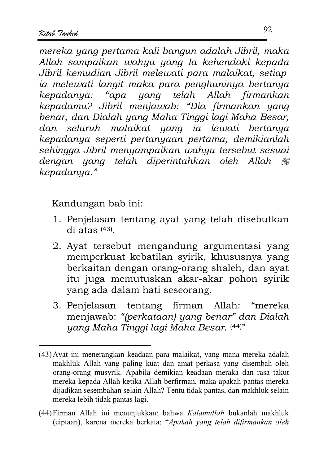mereka yang pertama kali bangun adalah Jibril, maka Allah sampaikan wahyu yang Ia kehendaki kepada Jibril kemudian Jibril melewati para malaikat, setiap ia melewati langit maka para penghuninya bertanya kepadanya: "apa yang telah Allah firmankan kepadamu? Jibril menjawab: "Dia firmankan yang benar, dan Dialah yang Maha Tinggi lagi Maha Besar, dan seluruh malaikat yang ia lewati bertanya kepadanya seperti pertanyaan pertama, demikianlah sehingga Jibril menyampaikan wahyu tersebut sesuai dengan yang telah diperintahkan oleh Allah # kepadanya."

Kandungan bab ini:

- 1. Penjelasan tentang ayat yang telah disebutkan  $di$  atas  $(43)$ .
- 2. Ayat tersebut mengandung argumentasi yang memperkuat kebatilan svirik, khususnya yang berkaitan dengan orang-orang shaleh, dan ayat itu juga memutuskan akar-akar pohon syirik yang ada dalam hati seseorang.
- 3. Penjelasan tentang firman Allah: "mereka menjawab: "(perkataan) yang benar" dan Dialah yang Maha Tinggi lagi Maha Besar. (44)"

<sup>(43)</sup> Ayat ini menerangkan keadaan para malaikat, yang mana mereka adalah makhluk Allah yang paling kuat dan amat perkasa yang disembah oleh orang-orang musyrik. Apabila demikian keadaan meraka dan rasa takut mereka kepada Allah ketika Allah berfirman, maka apakah pantas mereka dijadikan sesembahan selain Allah? Tentu tidak pantas, dan makhluk selain mereka lebih tidak pantas lagi.

<sup>(44)</sup> Firman Allah ini menunjukkan: bahwa Kalamullah bukanlah makhluk (ciptaan), karena mereka berkata: "Apakah yang telah difirmankan oleh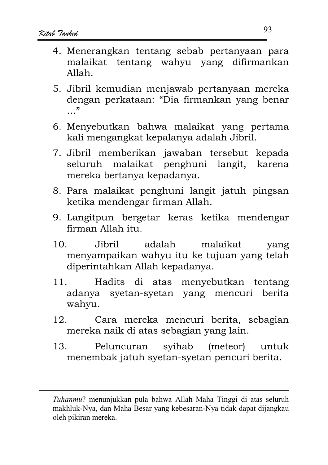- 4. Menerangkan tentang sebab pertanyaan para malaikat tentang wahyu yang difirmankan  $Allah$
- 5. Jibril kemudian menjawab pertanyaan mereka dengan perkataan: "Dia firmankan yang benar  $\overline{\phantom{a}}$
- 6. Menyebutkan bahwa malaikat yang pertama kali mengangkat kepalanya adalah Jibril.
- 7. Jibril memberikan jawaban tersebut kepada seluruh malaikat penghuni langit, karena mereka bertanya kepadanya.
- 8. Para malaikat penghuni langit jatuh pingsan ketika mendengar firman Allah.
- 9. Langitpun bergetar keras ketika mendengar firman Allah itu.
- . Iihril adalah  $10^{-7}$ malaikat vang menyampaikan wahyu itu ke tujuan yang telah diperintahkan Allah kepadanya.
- Hadits di atas menyebutkan tentang 11. syetan-syetan yang mencuri berita adanva wahvu.
- $12<sub>1</sub>$ Cara mereka mencuri berita, sebagian mereka naik di atas sebagian yang lain.
- $13.$ syihab (meteor) untuk Peluncuran menembak jatuh syetan-syetan pencuri berita.

Tuhanmu? menunjukkan pula bahwa Allah Maha Tinggi di atas seluruh makhluk-Nya, dan Maha Besar yang kebesaran-Nya tidak dapat dijangkau oleh pikiran mereka.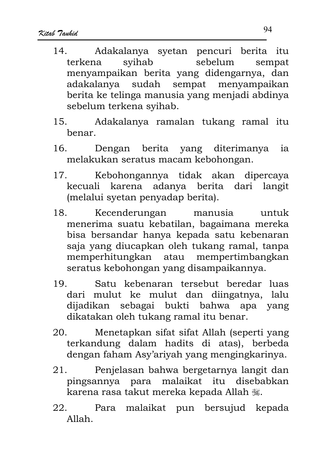- Adakalanya syetan pencuri berita itu  $14$ svihab sebelum terkena sempat menyampaikan berita yang didengarnya, dan adakalanya sudah sempat menyampaikan berita ke telinga manusia yang menjadi abdinya sebelum terkena svihab.
- Adakalanya ramalan tukang ramal itu  $15.$ benar.
- Dengan berita yang diterimanya  $16.$ ia melakukan seratus macam kebohongan.
- Kebohongannya tidak akan dipercaya  $17<sub>1</sub>$ kecuali karena adanya berita dari langit (melalui svetan penyadap berita).
- 18. Kecenderungan manusia untuk menerima suatu kebatilan, bagaimana mereka bisa bersandar hanya kepada satu kebenaran saja yang diucapkan oleh tukang ramal, tanpa memperhitungkan atau mempertimbangkan seratus kebohongan yang disampaikannya.
- Satu kebenaran tersebut beredar luas 19 dari mulut ke mulut dan diingatnya, lalu dijadikan sebagai bukti bahwa apa yang dikatakan oleh tukang ramal itu benar.
- Menetapkan sifat sifat Allah (seperti yang 20. terkandung dalam hadits di atas), berbeda dengan faham Asy'ariyah yang mengingkarinya.
- $21$ Penjelasan bahwa bergetarnya langit dan pingsannya para malaikat itu disebabkan karena rasa takut mereka kepada Allah ,
- 22. Para malaikat pun bersujud kepada  $Allah$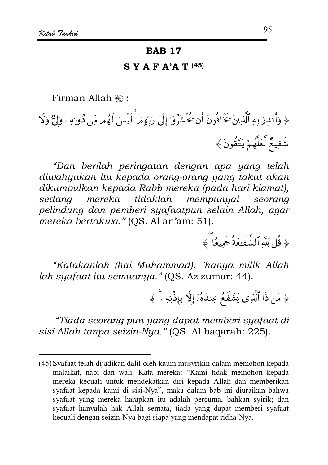### **BAB 17**

#### $S Y A F A'A T (45)$

Firman Allah :

﴿ وَأَنذِرْ بِهِ ٱلَّذِينَ كَخَافُونَ أَن تُحُشِّرُوٓاْ إِلَىٰ رَبِّهِمۡ لَيۡسَ لَهُم مِّن دُونِهِۦ وَلِيٌّ وَلَا شَفِيعٌ لَّعَلَّهُمْ يَتَّقُونَ ﴾

"Dan berilah peringatan dengan apa yang telah diwahyukan itu kepada orang-orang yang takut akan dikumpulkan kepada Rabb mereka (pada hari kiamat), sedana mereka tidaklah mempunyai seorang pelindung dan pemberi syafaatpun selain Allah, agar mereka bertakwa." (QS. Al an'am: 51).

﴿ قُل لِّلَّهَ ٱلشَّفَنِعَةُ جَمِيعًا ۖ ﴾

"Katakanlah (hai Muhammad): "hanya milik Allah lah syafaat itu semuanya." (QS. Az zumar: 44).

﴿ مَن ذَا ٱلَّذِي يَشَّفَعُ عِندَهُۥٓ إِلَّا بِإِذْنِهِۦ ۚ ﴾

"Tiada seorang pun yang dapat memberi syafaat di sisi Allah tanpa seizin-Nya." (QS. Al bagarah: 225).

<sup>(45)</sup> Syafaat telah dijadikan dalil oleh kaum musyrikin dalam memohon kepada malaikat, nabi dan wali. Kata mereka: "Kami tidak memohon kepada mereka kecuali untuk mendekatkan diri kepada Allah dan memberikan syafaat kepada kami di sisi-Nya", maka dalam bab ini diuraikan bahwa syafaat yang mereka harapkan itu adalah percuma, bahkan syirik; dan syafaat hanyalah hak Allah semata, tiada yang dapat memberi syafaat kecuali dengan seizin-Nya bagi siapa yang mendapat ridha-Nya.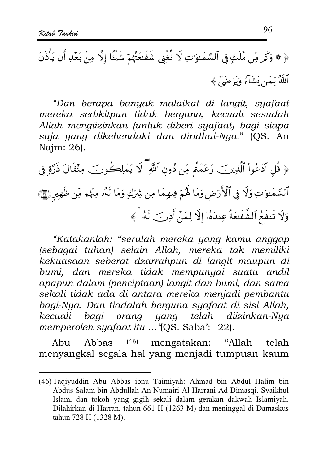"Dan berapa banyak malaikat di langit, syafaat mereka sedikitpun tidak berguna, kecuali sesudah Allah mengiizinkan (untuk diberi syafaat) bagi siapa saja yang dikehendaki dan diridhai-Nya." (OS. An Najm: 26).

﴿ قُلِ ٱدۡعُواْ ٱلَّذِينَ زَعَمۡتُم مِّن دُون ٱللَّهِ ۖ لَا يَمۡلِكُونَ ۖ مِثۡقَالَ ذَرَّةِ فِى ٱلسَّمَـٰوَاتِ وَلَا فِي ٱلْأَرْضِ وَمَا لَهُمْ فِيهِمَا مِن شِرْكِ وَمَا لَهُۥ مِنْهُم مِّن ظَهِيرِ ۞ وَلَا تَنفَعُ ٱلشَّفَعَةُ عِندَهُۥَ إِلَّا لِمَنْ أَذِنَ ۖ لَهُۥ ۚ ﴾

"Katakanlah: "serulah mereka yang kamu anggap (sebagai tuhan) selain Allah, mereka tak memiliki kekuasaan seberat dzarrahpun di langit maupun di bumi, dan mereka tidak mempunyai suatu andil apapun dalam (penciptaan) langit dan bumi, dan sama sekali tidak ada di antara mereka menjadi pembantu bagi-Nya. Dan tiadalah berguna syafaat di sisi Allah, bagi orang yang telah diizinkan-Nya kecuali memperoleh syafaat itu ... "[OS. Saba': 22].

Abbas  $(46)$ mengatakan: "Allah Abu telah menyangkal segala hal yang menjadi tumpuan kaum

<sup>(46)</sup> Taqiyuddin Abu Abbas ibnu Taimiyah: Ahmad bin Abdul Halim bin Abdus Salam bin Abdullah An Numairi Al Harrani Ad Dimasqi. Syaikhul Islam, dan tokoh yang gigih sekali dalam gerakan dakwah Islamiyah. Dilahirkan di Harran, tahun 661 H (1263 M) dan meninggal di Damaskus tahun 728 H (1328 M).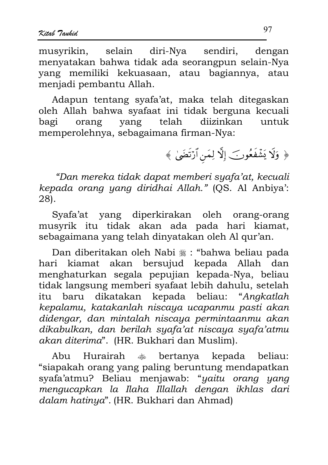musvrikin. selain diri-Nya sendiri. dengan menyatakan bahwa tidak ada seorangpun selain-Nya yang memiliki kekuasaan, atau bagiannya, atau menjadi pembantu Allah.

Adapun tentang syafa'at, maka telah ditegaskan oleh Allah bahwa syafaat ini tidak berguna kecuali vang telah diizinkan bagi orang untuk memperolehnya, sebagaimana firman-Nya:

﴿ وَلَا يَشْفَعُونَ إِلَّا لِمَن ٱرْتَضَىٰ ﴾

"Dan mereka tidak dapat memberi suafa'at, kecuali kepada orang yang diridhai Allah." (OS. Al Anbiya': 28).

Syafa'at yang diperkirakan oleh orang-orang musyrik itu tidak akan ada pada hari kiamat, sebagaimana yang telah dinyatakan oleh Al qur'an.

Dan diberitakan oleh Nabi , "bahwa beliau pada hari kiamat akan bersujud kepada Allah dan menghaturkan segala pepujian kepada-Nya, beliau tidak langsung memberi syafaat lebih dahulu, setelah itu baru dikatakan kepada beliau: "Angkatlah kepalamu, katakanlah niscaya ucapanmu pasti akan didengar, dan mintalah niscaya permintaanmu akan dikabulkan, dan berilah syafa'at niscaya syafa'atmu akan diterima". (HR. Bukhari dan Muslim).

Abu Hurairah روالي.<br>منطق bertanya kepada beliau: "siapakah orang yang paling beruntung mendapatkan svafa'atmu? Beliau menjawab: "yaitu orang yang mengucapkan la Ilaha Illallah dengan ikhlas dari dalam hatinya". (HR. Bukhari dan Ahmad)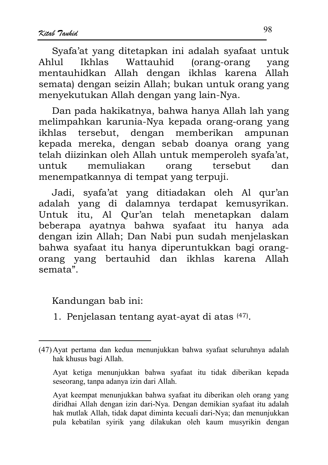Svafa'at vang ditetapkan ini adalah svafaat untuk  $Ah111$ Ikhlas Wattauhid (orang-orang vang mentauhidkan Allah dengan ikhlas karena Allah semata) dengan seizin Allah; bukan untuk orang yang menyekutukan Allah dengan yang lain-Nya.

Dan pada hakikatnya, bahwa hanya Allah lah yang melimpahkan karunia-Nya kepada orang-orang yang tersebut. dengan memberikan ampunan ikhlas kepada mereka, dengan sebab doanya orang yang telah diizinkan oleh Allah untuk memperoleh syafa'at, memuliakan tersebut untuk orang dan menempatkannya di tempat yang terpuji.

Jadi, syafa'at yang ditiadakan oleh Al qur'an adalah yang di dalamnya terdapat kemusyrikan. Untuk itu, Al Qur'an telah menetapkan dalam beberapa ayatnya bahwa syafaat itu hanya ada dengan izin Allah; Dan Nabi pun sudah menjelaskan bahwa syafaat itu hanya diperuntukkan bagi orangorang yang bertauhid dan ikhlas karena Allah semata".

Kandungan bab ini:

1. Penjelasan tentang ayat-ayat di atas (47).

98

<sup>(47)</sup> Ayat pertama dan kedua menunjukkan bahwa syafaat seluruhnya adalah hak khusus bagi Allah.

Ayat ketiga menunjukkan bahwa syafaat itu tidak diberikan kepada seseorang, tanpa adanya izin dari Allah.

Ayat keempat menunjukkan bahwa syafaat itu diberikan oleh orang yang diridhai Allah dengan izin dari-Nya. Dengan demikian syafaat itu adalah hak mutlak Allah, tidak dapat diminta kecuali dari-Nya; dan menunjukkan pula kebatilan syirik yang dilakukan oleh kaum musyrikin dengan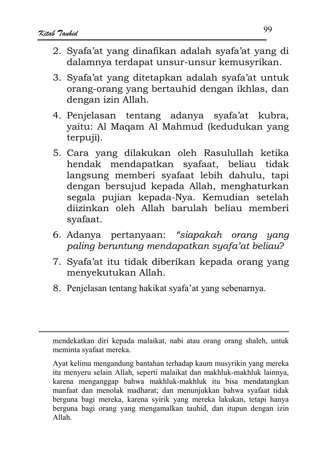- 2. Svafa'at vang dinafikan adalah svafa'at vang di dalamnya terdapat unsur-unsur kemusyrikan.
- 3. Svafa'at vang ditetapkan adalah svafa'at untuk orang-orang yang bertauhid dengan ikhlas, dan dengan izin Allah.
- 4. Penielasan tentang adanya syafa'at kubra. vaitu: Al Magam Al Mahmud (kedudukan yang terpuji).
- 5. Cara yang dilakukan oleh Rasulullah ketika hendak mendapatkan syafaat, beliau tidak langsung memberi syafaat lebih dahulu, tapi dengan bersujud kepada Allah, menghaturkan segala pujian kepada-Nya. Kemudian setelah diizinkan oleh Allah barulah beliau memberi syafaat.
- 6. Adanya pertanyaan: "siapakah orang yang paling beruntung mendapatkan syafa'at beliau?
- 7. Syafa'at itu tidak diberikan kepada orang yang menyekutukan Allah.
- 8. Penjelasan tentang hakikat syafa'at yang sebenarnya.

mendekatkan diri kepada malaikat, nabi atau orang orang shaleh, untuk meminta syafaat mereka.

Ayat kelima mengandung bantahan terhadap kaum musyrikin yang mereka itu menyeru selain Allah, seperti malaikat dan makhluk-makhluk lainnya, karena menganggap bahwa makhluk-makhluk itu bisa mendatangkan manfaat dan menolak madharat; dan menunjukkan bahwa syafaat tidak berguna bagi mereka, karena syirik yang mereka lakukan, tetapi hanya berguna bagi orang yang mengamalkan tauhid, dan itupun dengan izin  $Allah$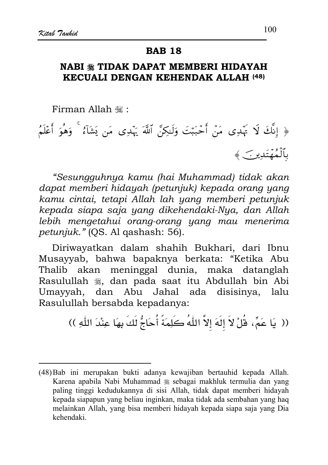## **BAB 18**

# NABI \* TIDAK DAPAT MEMBERI HIDAYAH **KECUALI DENGAN KEHENDAK ALLAH (48)**

Firman Allah ,:

﴿ إِنَّكَ لَا يَهۡدِى مَنۡ أَحۡبَبۡتَ وَلَـٰكِنَّ ٱللَّهَ يَهۡدِى مَن يَشَآءُ ۚ وَهُوَ أَعۡلَمُ بِٱلۡمُهۡتَدِينَ ﴾

"Sesungguhnya kamu (hai Muhammad) tidak akan dapat memberi hidayah (petunjuk) kepada orang yang kamu cintai, tetapi Allah lah yang memberi petunjuk kepada siapa saja yang dikehendaki-Nya, dan Allah lebih mengetahui orang-orang yang mau menerima petunjuk." (QS. Al qashash: 56).

Diriwayatkan dalam shahih Bukhari, dari Ibnu Musayyab, bahwa bapaknya berkata: "Ketika Abu meninggal dunia, maka datanglah Thalib akan Rasulullah , dan pada saat itu Abdullah bin Abi Umayyah, dan Abu Jahal ada disisinya, lalu Rasulullah bersabda kepadanya:

(( يَا عَمِّ، قُلْ لاَ إِلَهَ إلاَّ اللهُ كَلِمَةً أُحَاجُّ لَكَ بِهَا عِنْدَ اللّهِ ))

<sup>(48)</sup> Bab ini merupakan bukti adanya kewajiban bertauhid kepada Allah. Karena apabila Nabi Muhammad # sebagai makhluk termulia dan yang paling tinggi kedudukannya di sisi Allah, tidak dapat memberi hidayah kepada siapapun yang beliau inginkan, maka tidak ada sembahan yang haq melainkan Allah, yang bisa memberi hidayah kepada siapa saja yang Dia kehendaki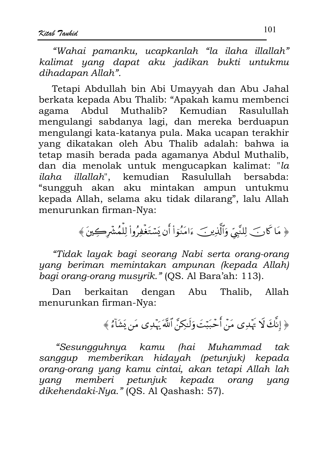"Wahai pamanku, ucapkanlah "la ilaha illallah" kalimat yang dapat aku jadikan bukti untukmu dihadapan Allah".

Tetapi Abdullah bin Abi Umayyah dan Abu Jahal berkata kepada Abu Thalib: "Apakah kamu membenci Abdul Muthalib? Kemudian Rasulullah agama mengulangi sabdanya lagi, dan mereka berduapun mengulangi kata-katanya pula. Maka ucapan terakhir yang dikatakan oleh Abu Thalib adalah: bahwa ia tetap masih berada pada agamanya Abdul Muthalib, dan dia menolak untuk mengucapkan kalimat: "la *illallah*", kemudian Rasulullah ilaha bersabda: "sungguh akan aku mintakan ampun untukmu kepada Allah, selama aku tidak dilarang", lalu Allah menurunkan firman-Nya:

﴿ مَا كَانَ لِلنَّبِيِّ وَٱلَّذِينَ ءَامَنُوٓاْ أَن يَسۡتَغۡفِرُوا۟ لِلۡمُشۡرِكِينَ ﴾

"Tidak layak bagi seorang Nabi serta orang-orang yang beriman memintakan ampunan (kepada Allah) bagi orang-orang musyrik." (QS. Al Bara'ah: 113).

berkaitan dengan Abu Thalib, Allah Dan menurunkan firman-Nya:

﴿ إِنَّكَ لَا يَهۡدِى مَنۡ أَحۡبَبۡتَ وَلَـٰكِنَّ ٱللَّهَ يَهۡدِى مَن يَشَآءُ ﴾

"Sesungguhnya kamu (hai Muhammad tak. sanggup memberikan hidayah (petunjuk) kepada orang-orang yang kamu cintai, akan tetapi Allah lah memberi petunjuk kepada orang yang yang dikehendaki-Nya." (QS. Al Qashash: 57).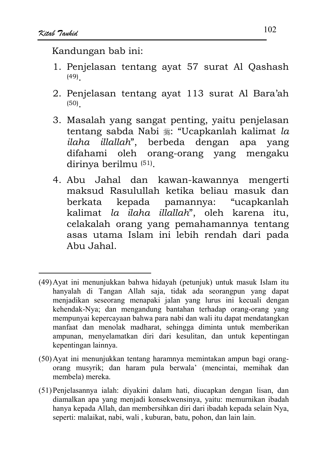Kandungan bab ini:

- 1. Penjelasan tentang ayat 57 surat Al Qashash  $(49)$
- 2. Penjelasan tentang ayat 113 surat Al Bara'ah  $(50)$
- 3. Masalah yang sangat penting, yaitu penjelasan tentang sabda Nabi . "Ucapkanlah kalimat la ilaha illallah", berbeda dengan apa yang difahami oleh orang-orang yang mengaku dirinya berilmu (51).
- 4. Abu Jahal dan kawan-kawannya mengerti maksud Rasulullah ketika beliau masuk dan "ucapkanlah kepada pamannya: berkata kalimat la ilaha illallah", oleh karena itu, celakalah orang yang pemahamannya tentang asas utama Islam ini lebih rendah dari pada Abu Jahal

- (50) Ayat ini menunjukkan tentang haramnya memintakan ampun bagi orangorang musyrik; dan haram pula berwala' (mencintai, memihak dan membela) mereka.
- (51) Penjelasannya ialah: diyakini dalam hati, diucapkan dengan lisan, dan diamalkan apa yang menjadi konsekwensinya, yaitu: memurnikan ibadah hanya kepada Allah, dan membersihkan diri dari ibadah kepada selain Nya, seperti: malaikat, nabi, wali, kuburan, batu, pohon, dan lain lain.

<sup>(49)</sup> Ayat ini menunjukkan bahwa hidayah (petunjuk) untuk masuk Islam itu hanyalah di Tangan Allah saja, tidak ada seorangpun yang dapat menjadikan seseorang menapaki jalan yang lurus ini kecuali dengan kehendak-Nya; dan mengandung bantahan terhadap orang-orang yang mempunyai kepercayaan bahwa para nabi dan wali itu dapat mendatangkan manfaat dan menolak madharat, sehingga diminta untuk memberikan ampunan, menyelamatkan diri dari kesulitan, dan untuk kepentingan kepentingan lainnya.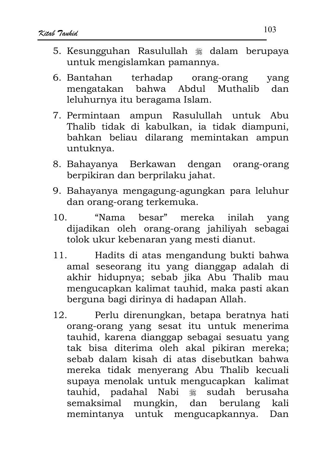- 5. Kesungguhan Rasulullah \* dalam berupaya untuk mengislamkan pamannya.
- 6. Bantahan terhadap orang-orang yang mengatakan bahwa Abdul Muthalib dan leluhurnya itu beragama Islam.
- 7. Permintaan ampun Rasulullah untuk Abu Thalib tidak di kabulkan, ia tidak diampuni, bahkan beliau dilarang memintakan ampun untuknya.
- 8. Bahayanya Berkawan dengan orang-orang berpikiran dan berprilaku jahat.
- 9. Bahayanya mengagung-agungkan para leluhur dan orang-orang terkemuka.
- "Nama besar" mereka inilah  $10^{-7}$ yang dijadikan oleh orang-orang jahiliyah sebagai tolok ukur kebenaran yang mesti dianut.
- Hadits di atas mengandung bukti bahwa  $11<sub>1</sub>$ amal seseorang itu yang dianggap adalah di akhir hidupnya; sebab jika Abu Thalib mau mengucapkan kalimat tauhid, maka pasti akan berguna bagi dirinya di hadapan Allah.
- Perlu direnungkan, betapa beratnya hati  $12<sub>1</sub>$ orang-orang yang sesat itu untuk menerima tauhid, karena dianggap sebagai sesuatu yang tak bisa diterima oleh akal pikiran mereka; sebab dalam kisah di atas disebutkan bahwa mereka tidak menyerang Abu Thalib kecuali supaya menolak untuk mengucapkan kalimat tauhid, padahal Nabi # sudah berusaha semaksimal mungkin, dan berulang kali memintanya untuk mengucapkannya. Dan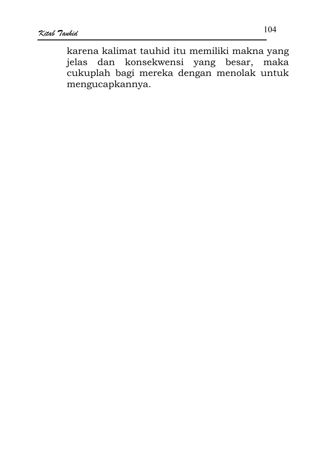karena kalimat tauhid itu memiliki makna yang jelas dan konsekwensi yang besar, maka cukuplah bagi mereka dengan menolak untuk mengucapkannya.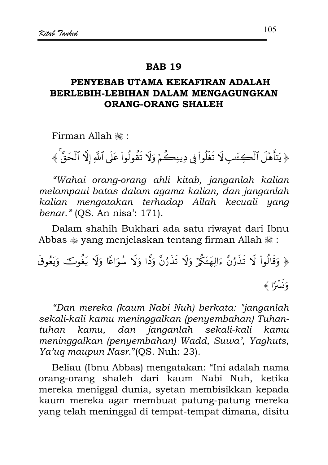### **RAR 19**

# PENYEBAB UTAMA KEKAFIRAN ADALAH BERLEBIH-LEBIHAN DALAM MENGAGUNGKAN **ORANG-ORANG SHALEH**

Firman Allah .:

﴿ يَتَأْهَلَ ٱلْكِتَنبِ لَا تَغْلُواْ فِي دِينِكُمْ وَلَا تَقُولُواْ عَلَى ٱللَّهِ إِلَّا ٱلْحَقَّ ﴾

"Wahai orang-orang ahli kitab, janganlah kalian melampaui batas dalam agama kalian, dan janganlah kalian mengatakan terhadap Allah kecuali yang benar." (OS. An nisa': 171).

Dalam shahih Bukhari ada satu riwayat dari Ibnu Abbas  $\triangle$  yang menjelaskan tentang firman Allah  $\cong$ :

﴿ وَقَالُواْ لَا تَذَرُنَّ ءَالِهَتَكُمْ وَلَا تَذَرُنَّ وَدًّا وَلَا سُوَاعًا وَلَا يَغُوتَ وَيَعُوقَ وَذَمَدَاً ﴾

"Dan mereka (kaum Nabi Nuh) berkata: "janganlah sekali-kali kamu meninggalkan (penyembahan) Tuhantuhan kamu, dan janganlah sekali-kali kamu meninggalkan (penyembahan) Wadd, Suwa', Yaghuts, Ya'uq maupun Nasr."(OS. Nuh: 23).

Beliau (Ibnu Abbas) mengatakan: "Ini adalah nama orang-orang shaleh dari kaum Nabi Nuh, ketika mereka meniggal dunia, syetan membisikkan kepada kaum mereka agar membuat patung-patung mereka yang telah meninggal di tempat-tempat dimana, disitu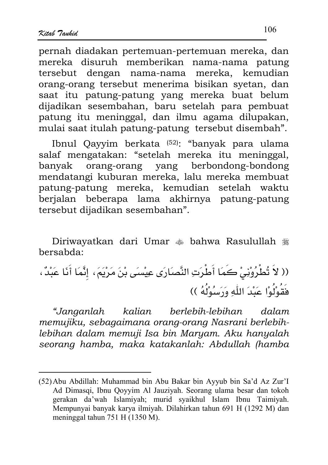pernah diadakan pertemuan-pertemuan mereka, dan mereka disuruh memberikan nama-nama patung tersebut dengan nama-nama mereka, kemudian orang-orang tersebut menerima bisikan syetan, dan saat itu patung-patung yang mereka buat belum dijadikan sesembahan, baru setelah para pembuat patung itu meninggal, dan ilmu agama dilupakan, mulai saat itulah patung-patung tersebut disembah".

Ibnul Qayyim berkata (52): "banyak para ulama salaf mengatakan: "setelah mereka itu meninggal, orang-orang yang berbondong-bondong banyak mendatangi kuburan mereka, lalu mereka membuat patung-patung mereka, kemudian setelah waktu berjalan beberapa lama akhirnya patung-patung tersebut dijadikan sesembahan".

Diriwayatkan dari Umar  $\triangleq$  bahwa Rasulullah  $\triangleq$ bersabda:

"Janganlah kalian berlebih-lebihan dalam memujiku, sebagaimana orang-orang Nasrani berlebihlebihan dalam memuji Isa bin Maryam. Aku hanyalah seorang hamba, maka katakanlah: Abdullah (hamba

<sup>(52)</sup> Abu Abdillah: Muhammad bin Abu Bakar bin Ayyub bin Sa'd Az Zur'l Ad Dimasqi, Ibnu Qoyyim Al Jauziyah. Seorang ulama besar dan tokoh gerakan da'wah Islamiyah; murid syaikhul Islam Ibnu Taimiyah. Mempunyai banyak karya ilmiyah. Dilahirkan tahun 691 H (1292 M) dan meninggal tahun 751 H  $(1350 M)$ .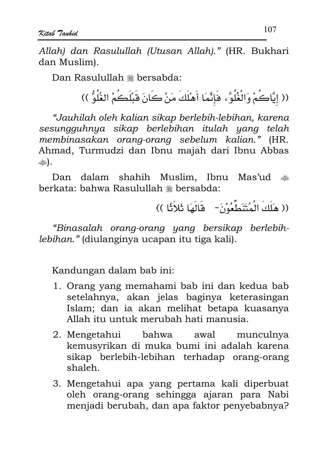Allah) dan Rasulullah (Utusan Allah)." (HR. Bukhari dan Muslim).

Dan Rasulullah \* bersabda:

(( إِيَّاكُمْ وَالْغُلُوَّ، فَإِنَّمَا أَهْلَكَ مَنْ كَانَ قَبْلَكُمْ الغُلُوُّ ))

"Jauhilah oleh kalian sikap berlebih-lebihan, karena sesungguhnya sikap berlebihan itulah yang telah membinasakan orang-orang sebelum kalian." (HR. Ahmad, Turmudzi dan Ibnu majah dari Ibnu Abbas وقاتلته أوس

Dan dalam shahih Muslim, Ibnu Mas'ud  $\frac{1}{20}$ berkata: bahwa Rasulullah \* bersabda:

(( هَلَكَ الْمُتَنَطِّعُوْنَ- ۖ قَالَهَا ثَلاَثًا ))

"Binasalah orang-orang yang bersikap berlebihlebihan." (diulanginya ucapan itu tiga kali).

Kandungan dalam bab ini:

- 1. Orang yang memahami bab ini dan kedua bab setelahnya, akan jelas baginya keterasingan Islam; dan ia akan melihat betapa kuasanya Allah itu untuk merubah hati manusia.
- 2. Mengetahui bahwa awal munculnya kemusyrikan di muka bumi ini adalah karena sikap berlebih-lebihan terhadap orang-orang shaleh.
- 3. Mengetahui apa yang pertama kali diperbuat oleh orang-orang sehingga ajaran para Nabi menjadi berubah, dan apa faktor penyebabnya?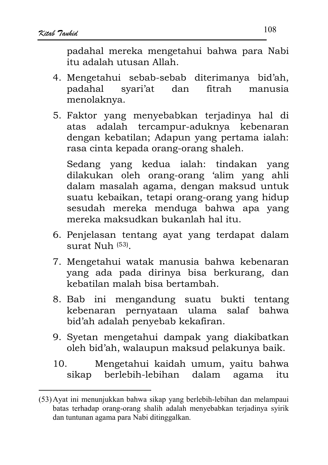padahal mereka mengetahui bahwa para Nabi itu adalah utusan Allah.

- 4. Mengetahui sebab-sebab diterimanya bid'ah, svari'at dan padahal fitrah manusia menolaknya.
- 5. Faktor vang menyebabkan teriadinya hal di atas adalah tercampur-aduknya kebenaran dengan kebatilan; Adapun yang pertama ialah: rasa cinta kepada orang-orang shaleh.

Sedang yang kedua ialah: tindakan yang dilakukan oleh orang-orang 'alim yang ahli dalam masalah agama, dengan maksud untuk suatu kebaikan, tetapi orang-orang yang hidup sesudah mereka menduga bahwa apa yang mereka maksudkan bukanlah hal itu.

- 6. Penjelasan tentang ayat yang terdapat dalam surat Nuh (53)
- 7. Mengetahui watak manusia bahwa kebenaran yang ada pada dirinya bisa berkurang, dan kebatilan malah bisa bertambah.
- 8. Bab ini mengandung suatu bukti tentang kebenaran pernyataan ulama salaf bahwa bid'ah adalah penyebab kekafiran.
- 9. Syetan mengetahui dampak yang diakibatkan oleh bid'ah, walaupun maksud pelakunya baik.
- Mengetahui kaidah umum, yaitu bahwa  $10<sub>1</sub>$ dalam agama sikap berlebih-lebihan itu

<sup>(53)</sup> Ayat ini menunjukkan bahwa sikap yang berlebih-lebihan dan melampaui batas terhadap orang-orang shalih adalah menyebabkan terjadinya syirik dan tuntunan agama para Nabi ditinggalkan.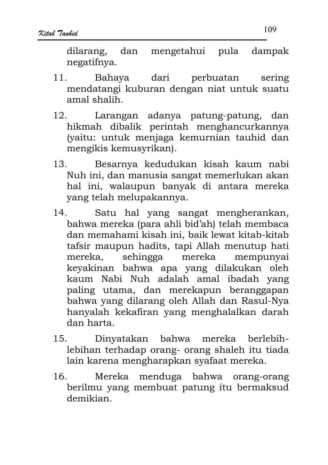dilarang. dan mengetahui pula dampak negatifnya.

- Bahava perbuatan  $11<sub>1</sub>$ dari sering mendatangi kuburan dengan niat untuk suatu amal shalih.
- Larangan adanya patung-patung, dan  $12<sub>1</sub>$ hikmah dibalik perintah menghancurkannya (yaitu: untuk menjaga kemurnian tauhid dan mengikis kemusyrikan).
- Besarnya kedudukan kisah kaum nabi  $13.$ Nuh ini, dan manusia sangat memerlukan akan hal ini, walaupun banyak di antara mereka vang telah melupakannya.
- Satu hal yang sangat mengherankan,  $14.$ bahwa mereka (para ahli bid'ah) telah membaca dan memahami kisah ini, baik lewat kitab-kitab tafsir maupun hadits, tapi Allah menutup hati sehingga mereka mereka. mempunyai keyakinan bahwa apa yang dilakukan oleh kaum Nabi Nuh adalah amal ibadah yang paling utama, dan merekapun beranggapan bahwa yang dilarang oleh Allah dan Rasul-Nya hanyalah kekafiran yang menghalalkan darah dan harta.
- Dinyatakan bahwa mereka 15. berlebihlebihan terhadap orang- orang shaleh itu tiada lain karena mengharapkan syafaat mereka.
- 16. Mereka menduga bahwa orang-orang berilmu yang membuat patung itu bermaksud demikian.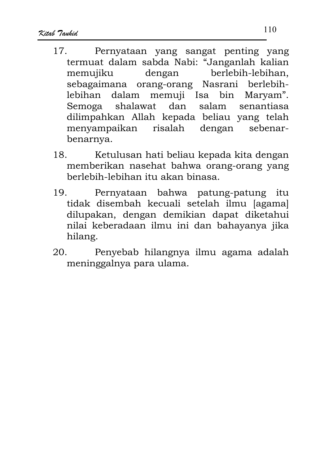- Pernyataan yang sangat penting yang  $17$ termuat dalam sabda Nabi: "Janganlah kalian memujiku dengan berlebih-lebihan, sebagaimana orang-orang Nasrani berlebihlebihan dalam memuji Isa bin Maryam". Semoga shalawat dan salam senantiasa dilimpahkan Allah kepada beliau yang telah menyampaikan risalah dengan sebenarbenarnya.
- Ketulusan hati beliau kepada kita dengan 18. memberikan nasehat bahwa orang-orang yang berlebih-lebihan itu akan binasa.
- $19<sub>1</sub>$ Pernyataan bahwa patung-patung itu tidak disembah kecuali setelah ilmu [agama] dilupakan, dengan demikian dapat diketahui nilai keberadaan ilmu ini dan bahayanya jika hilang.
- 20. Penyebab hilangnya ilmu agama adalah meninggalnya para ulama.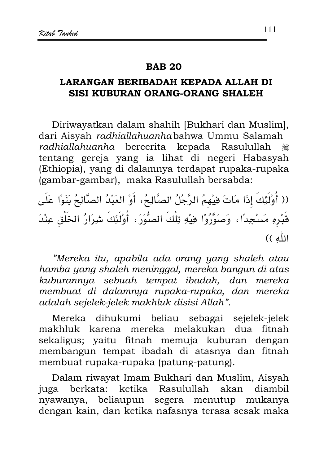#### **RAR 20**

### LARANGAN BERIBADAH KEPADA ALLAH DI SISI KUBURAN ORANG-ORANG SHALEH

Diriwayatkan dalam shahih [Bukhari dan Muslim], dari Aisyah radhiallahuanhabahwa Ummu Salamah radhiallahuanha bercerita kepada Rasulullah ٩ tentang gereja yang ia lihat di negeri Habasyah (Ethiopia), yang di dalamnya terdapat rupaka-rupaka (gambar-gambar), maka Rasulullah bersabda:

(( أُوْلَٰئِكَ إِذَا مَاتَ هِيْهِمُ الرَّجُلُ الصَّالِحُ، أَوْ العَبْدُ الصَّالِحُ بَنَوْا عَلَى قَبْرِهِ مَسْجِدًا ، وَصَوَّرُوْا هِيْهِ تِلْكَ الصُّوَرَ ، أُوْلَٰئِكَ شِرَارُ الخَلْقِ عِنْدَ اللَّهِ ))

"Mereka itu, apabila ada orang yang shaleh atau hamba yang shaleh meninggal, mereka bangun di atas kuburannya sebuah tempat ibadah, dan mereka membuat di dalamnya rupaka-rupaka, dan mereka adalah sejelek-jelek makhluk disisi Allah".

Mereka dihukumi beliau sebagai sejelek-jelek makhluk karena mereka melakukan dua fitnah sekaligus; yaitu fitnah memuja kuburan dengan membangun tempat ibadah di atasnya dan fitnah membuat rupaka-rupaka (patung-patung).

Dalam riwayat Imam Bukhari dan Muslim, Aisyah juga berkata: ketika Rasulullah akan diambil nyawanya, beliaupun segera menutup mukanya dengan kain, dan ketika nafasnya terasa sesak maka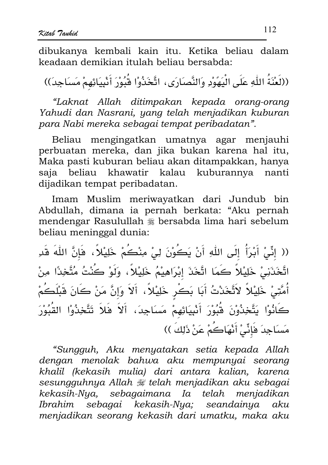dibukanya kembali kain itu. Ketika beliau dalam keadaan demikian itulah beliau bersabda:

((لَعْنَةُ اللَّهِ عَلَى الْيَهَوْدِ وَالنَّصَارَى، اتَّخَذُوْا قُبُوْرَ أَنْبِيَائِهِمْ مَسَاجِدَ))

"Laknat Allah ditimpakan kepada orang-orang Yahudi dan Nasrani, yang telah menjadikan kuburan para Nabi mereka sebagai tempat peribadatan".

Beliau mengingatkan umatnya agar menjauhi perbuatan mereka, dan jika bukan karena hal itu, Maka pasti kuburan beliau akan ditampakkan, hanya saja beliau khawatir kalau kuburannya nanti dijadikan tempat peribadatan.

Imam Muslim meriwayatkan dari Jundub bin Abdullah, dimana ia pernah berkata: "Aku pernah mendengar Rasulullah # bersabda lima hari sebelum beliau meninggal dunia:

(( إِنِّي أَبْرَأُ إِلَى اللَّهِ أَنْ يَكُوْنَ لِي مِنْكُمْ خَلِيْلاً ، فَإِنَّ اللَّهَ قَدِ اتَّخَذَنِي خَلِيْلاً كَمَا اتَّخَذَ إِبْرَاهِيْمُ خَلِيْلاً، وَلَوْ كُنْتُ مُتَّخِذًا مِنْ أُمَّتِيْ خَلِيْلاً لاَتَّخَذْتُ أَبَا بَكْرٍ خَلِيْلاً، أَلاَ وَإِنَّ مَنْ كَانَ قَبْلَكُمْ كَانُوْا يَتَّخِذُوْنَ قُبُوْرَ أَنْبِيَائِهِمْ مَسَاجِدَ، أَلاَ فَلاَ تَتَّخِذُوْا القُبُوْرَ مَسَاجِدَ فَإِنِّيْ أَنْهَاكُمْ عَنْ ذَلِكَ ))

"Sungguh, Aku menyatakan setia kepada Allah dengan menolak bahwa aku mempunyai seorang khalil (kekasih mulia) dari antara kalian, karena sesungguhnya Allah # telah menjadikan aku sebagai kekasih-Nya, sebagaimana Ia telah menjadikan Ibrahim sebagai kekasih-Nya; seandainya aku menjadikan seorang kekasih dari umatku, maka aku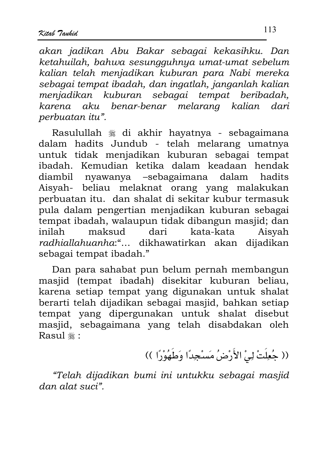akan jadikan Abu Bakar sebagai kekasihku. Dan ketahuilah, bahwa sesungguhnya umat-umat sebelum kalian telah menjadikan kuburan para Nabi mereka sebagai tempat ibadah, dan ingatlah, janganlah kalian menjadikan kuburan sebagai tempat beribadah. karena aku benar-benar melarana kalian dari perbuatan itu".

Rasulullah ﷺ di akhir hayatnya - sebagaimana dalam hadits Jundub - telah melarang umatnya untuk tidak menjadikan kuburan sebagai tempat ibadah. Kemudian ketika dalam keadaan hendak diambil nyawanya -sebagaimana dalam hadits Aisyah- beliau melaknat orang yang malakukan perbuatan itu. dan shalat di sekitar kubur termasuk pula dalam pengertian menjadikan kuburan sebagai tempat ibadah, walaupun tidak dibangun masjid; dan inilah maksud dari kata-kata Aisvah radhiallahuanha:"... dikhawatirkan akan dijadikan sebagai tempat ibadah."

Dan para sahabat pun belum pernah membangun masjid (tempat ibadah) disekitar kuburan beliau, karena setiap tempat yang digunakan untuk shalat berarti telah dijadikan sebagai masjid, bahkan setiap tempat yang dipergunakan untuk shalat disebut masjid, sebagaimana yang telah disabdakan oleh Rasul <sub>#</sub>:

(( جُعِلَتْ لِيْ الأَرْضُ مَسْجِدًا وَطَهُوْرًا ))

"Telah dijadikan bumi ini untukku sebagai masjid dan alat suci".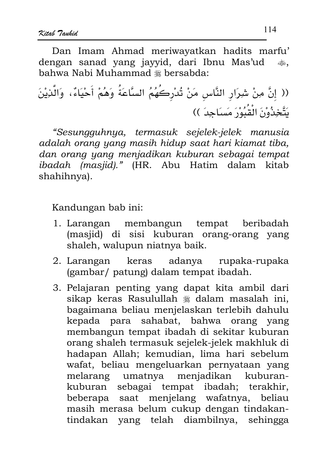Dan Imam Ahmad meriwayatkan hadits marfu' dengan sanad yang jayyid, dari Ibnu Mas'ud دران.<br>منجون bahwa Nabi Muhammad \* bersabda:

(( إِنَّ مِنْ شِرَارِ النَّاسِ مَنْ تُدْرِكُهُمُ السَّاعَةُ وَهُمْ أَحْيَاءٌ، وَالَّذِيْنَ يَتَّخِذُوْنَ الْقُبُوْرَ مَسَاجِدَ ))

"Sesungguhnya, termasuk sejelek-jelek manusia adalah orang yang masih hidup saat hari kiamat tiba, dan orang yang menjadikan kuburan sebagai tempat ibadah (masjid)." (HR. Abu Hatim dalam kitab shahihnya).

Kandungan bab ini:

- 1. Larangan membangun tempat beribadah (masiid) di sisi kuburan orang-orang yang shaleh, walupun niatnya baik.
- keras adanya rupaka-rupaka 2. Larangan (gambar/ patung) dalam tempat ibadah.
- 3. Pelajaran penting yang dapat kita ambil dari sikap keras Rasulullah \* dalam masalah ini, bagaimana beliau menjelaskan terlebih dahulu kepada para sahabat, bahwa orang yang membangun tempat ibadah di sekitar kuburan orang shaleh termasuk sejelek-jelek makhluk di hadapan Allah; kemudian, lima hari sebelum wafat. beliau mengeluarkan pernyataan yang melarang umatnya menjadikan kuburankuburan sebagai tempat ibadah; terakhir, beberapa saat menjelang wafatnya, beliau masih merasa belum cukup dengan tindakantindakan yang telah diambilnya, sehingga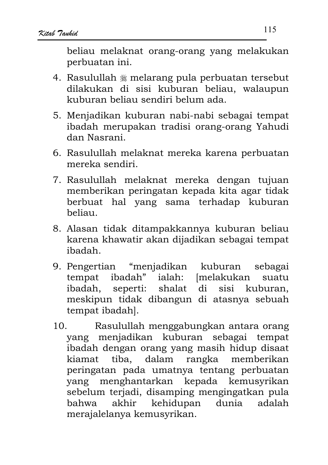beliau melaknat orang-orang yang melakukan perbuatan ini.

- 4. Rasulullah \* melarang pula perbuatan tersebut dilakukan di sisi kuburan beliau, walaupun kuburan beliau sendiri belum ada.
- 5. Menjadikan kuburan nabi-nabi sebagai tempat ibadah merupakan tradisi orang-orang Yahudi dan Nasrani
- 6. Rasulullah melaknat mereka karena perbuatan mereka sendiri.
- 7. Rasulullah melaknat mereka dengan tujuan memberikan peringatan kepada kita agar tidak berbuat hal vang sama terhadap kuburan beliau.
- 8. Alasan tidak ditampakkannya kuburan beliau karena khawatir akan dijadikan sebagai tempat ibadah.
- 9. Pengertian "menjadikan kuburan sebagai tempat ibadah" ialah: [melakukan suatu ibadah, seperti: shalat di sisi kuburan, meskipun tidak dibangun di atasnya sebuah tempat ibadahl.
- Rasulullah menggabungkan antara orang  $10.$ yang menjadikan kuburan sebagai tempat ibadah dengan orang yang masih hidup disaat kiamat tiba, dalam rangka memberikan peringatan pada umatnya tentang perbuatan yang menghantarkan kepada kemusyrikan sebelum terjadi, disamping mengingatkan pula akhir kehidupan dunia adalah bahwa merajalelanya kemusyrikan.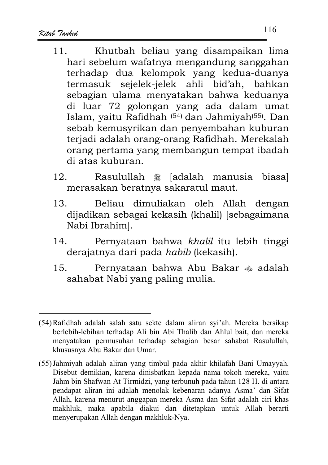- Khutbah beliau yang disampaikan lima  $11$ hari sebelum wafatnya mengandung sanggahan terhadap dua kelompok yang kedua-duanya termasuk sejelek-jelek ahli bid'ah, bahkan sebagian ulama menyatakan bahwa keduanya di luar 72 golongan yang ada dalam umat Islam, vaitu Rafidhah<sup>(54)</sup> dan Jahmiyah<sup>(55)</sup>. Dan sebab kemusyrikan dan penyembahan kuburan terjadi adalah orang-orang Rafidhah. Merekalah orang pertama yang membangun tempat ibadah di atas kuburan.
- Rasulullah # [adalah manusia biasa]  $12<sub>1</sub>$ merasakan beratnya sakaratul maut.
- Beliau dimuliakan oleh Allah dengan 13. dijadikan sebagai kekasih (khalil) [sebagaimana Nabi Ibrahim].
- Pernyataan bahwa khalil itu lebih tinggi  $14<sub>1</sub>$ derajatnya dari pada habib (kekasih).
- $15.$ Pernyataan bahwa Abu Bakar  $\triangleq$  adalah sahabat Nabi yang paling mulia.

<sup>(54)</sup> Rafidhah adalah salah satu sekte dalam aliran syi'ah. Mereka bersikap berlebih-lebihan terhadap Ali bin Abi Thalib dan Ahlul bait, dan mereka menyatakan permusuhan terhadap sebagian besar sahabat Rasulullah, khususnya Abu Bakar dan Umar.

<sup>(55)</sup> Jahmiyah adalah aliran yang timbul pada akhir khilafah Bani Umayyah. Disebut demikian, karena dinisbatkan kepada nama tokoh mereka, yaitu Jahm bin Shafwan At Tirmidzi, yang terbunuh pada tahun 128 H. di antara pendapat aliran ini adalah menolak kebenaran adanya Asma' dan Sifat Allah, karena menurut anggapan mereka Asma dan Sifat adalah ciri khas makhluk, maka apabila diakui dan ditetapkan untuk Allah berarti menyerupakan Allah dengan makhluk-Nya.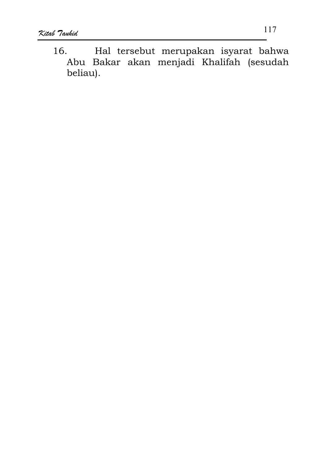16. Hal tersebut merupakan isyarat bahwa Abu Bakar akan menjadi Khalifah (sesudah beliau).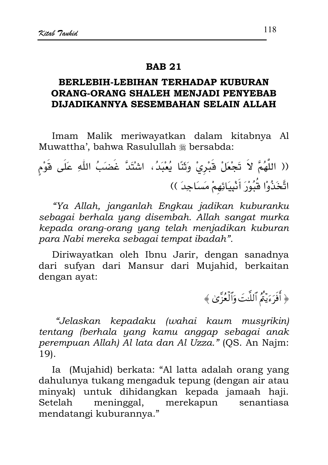#### **RAR 21**

# BERLEBIH-LEBIHAN TERHADAP KUBURAN **ORANG-ORANG SHALEH MENJADI PENYEBAB** DIJADIKANNYA SESEMBAHAN SELAIN ALLAH

Imam Malik meriwayatkan dalam kitabnya Al Muwattha', bahwa Rasulullah # bersabda:

(( اللَّهُمَّ لاَ تَجْعَلْ قَبْرِيْ وَثَنَّا يُعْبَدُ، اشْتَدَّ غَضَبُ اللَّهِ عَلَى قَوْمٍ اتَّخَذُوْا شُّبُوْرَ أَنْبِيَائِهِمْ مَسَاجِدَ ))

"Ya Allah, janganlah Engkau jadikan kuburanku sebagai berhala yang disembah. Allah sangat murka kepada orang-orang yang telah menjadikan kuburan para Nabi mereka sebagai tempat ibadah".

Diriwayatkan oleh Ibnu Jarir, dengan sanadnya dari sufyan dari Mansur dari Mujahid, berkaitan dengan ayat:

﴿ أَفَرَءَيْثُمُ ٱللَّتَ وَٱلْعُزَّىٰ ﴾

"Jelaskan kepadaku (wahai kaum musyrikin) tentang (berhala yang kamu anggap sebagai anak perempuan Allah) Al lata dan Al Uzza." (QS. An Najm:  $19$ .

Ia (Mujahid) berkata: "Al latta adalah orang yang dahulunya tukang mengaduk tepung (dengan air atau minyak) untuk dihidangkan kepada jamaah haji. Setelah meninggal, merekapun senantiasa mendatangi kuburannya."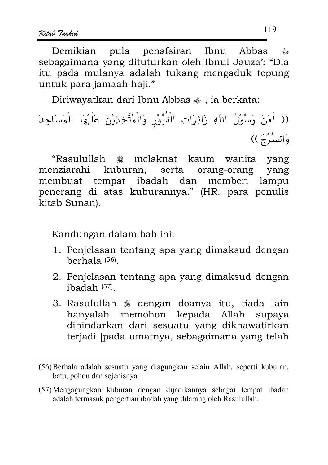Demikian pula penafsiran Ibnu Abbas تطليبه sebagaimana yang dituturkan oleh Ibnul Jauza': "Dia itu pada mulanya adalah tukang mengaduk tepung untuk para jamaah haji."

Diriwayatkan dari Ibnu Abbas  $\ddot{\bullet}$ , ia berkata:

melaknat kaum wanita yang "Rasulullah صَلَاتِهِ<br>الْمُنْتَجِبُ menziarahi kuburan. orang-orang serta yang membuat tempat ibadah dan memberi lampu penerang di atas kuburannya." (HR. para penulis kitab Sunan).

Kandungan dalam bab ini:

- 1. Penjelasan tentang apa yang dimaksud dengan berhala $(56)$ .
- 2. Penjelasan tentang apa yang dimaksud dengan  $i$ badah $(57)$ .
- 3. Rasulullah <sup>\*</sup> dengan doanya itu, tiada lain hanyalah memohon kepada Allah supava dihindarkan dari sesuatu yang dikhawatirkan terjadi [pada umatnya, sebagaimana yang telah

<sup>(56)</sup> Berhala adalah sesuatu yang diagungkan selain Allah, seperti kuburan, batu, pohon dan sejenisnya.

<sup>(57)</sup> Mengagungkan kuburan dengan dijadikannya sebagai tempat ibadah adalah termasuk pengertian ibadah yang dilarang oleh Rasulullah.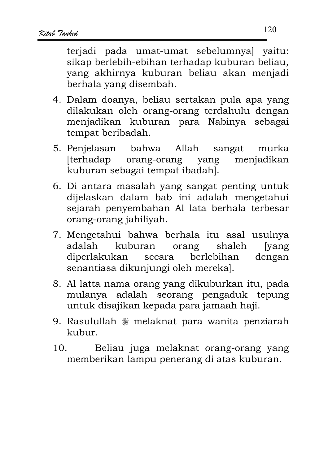teriadi pada umat-umat sebelumnyal vaitu: sikap berlebih-ebihan terhadap kuburan beliau, yang akhirnya kuburan beliau akan menjadi berhala yang disembah.

- 4. Dalam doanya, beliau sertakan pula apa yang dilakukan oleh orang-orang terdahulu dengan menjadikan kuburan para Nabinya sebagai tempat beribadah.
- 5. Penjelasan bahwa Allah sangat murka [terhadap] orang-orang yang menjadikan kuburan sebagai tempat ibadahl.
- 6. Di antara masalah yang sangat penting untuk dijelaskan dalam bab ini adalah mengetahui sejarah penyembahan Al lata berhala terbesar orang-orang jahiliyah.
- 7. Mengetahui bahwa berhala itu asal usulnya adalah kuburan orang shaleh *vang* diperlakukan berlebihan dengan secara senantiasa dikunjungi oleh mereka].
- 8. Al latta nama orang yang dikuburkan itu, pada mulanya adalah seorang pengaduk tepung untuk disajikan kepada para jamaah haji.
- 9. Rasulullah \* melaknat para wanita penziarah kubur.
- 10. Beliau juga melaknat orang-orang yang memberikan lampu penerang di atas kuburan.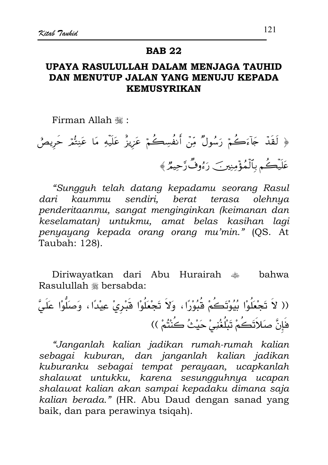#### **BAB 22**

# UPAYA RASULULLAH DALAM MENJAGA TAUHID DAN MENUTUP JALAN YANG MENUJU KEPADA **KEMUSYRIKAN**

Firman Allah .

﴿ لَقَدْ جَآءَكُمْ رَسُولٌ مِّنْ أَنفُسِكُمْ عَزِيزٌ عَلَيْهِ مَا عَنِتُمْ حَرِيصٌ عَلَيْكُم بِٱلْمُؤْمِنِينَ رَءُوفٌ رَّحِيمٌ ﴾

"Sungguh telah datang kepadamu seorang Rasul sendiri, berat terasa dari  $k$ aummu olehnya penderitaanmu, sangat menginginkan (keimanan dan keselamatan) untukmu, amat belas kasihan lagi penyayang kepada orang orang mu'min." (QS. At Taubah: 128).

hahwa Rasulullah \* bersabda:

(( لاَ تَجْعَلُوْا بُيُوْتَكُمْ قُبُوْرًا، وَلاَ تَجْعَلُوْا قَبْرِيْ عِيْدًا، وَصَلُّوْا عَلَيَّ فَإِنَّ صَلاَتَكُمْ تَبْلُغُنِيْ حَيْثُ كُنْتُمْ ))

"Janganlah kalian jadikan rumah-rumah kalian sebagai kuburan, dan janganlah kalian jadikan kuburanku sebagai tempat perayaan, ucapkanlah shalawat untukku, karena sesungguhnya ucapan shalawat kalian akan sampai kepadaku dimana saja kalian berada." (HR. Abu Daud dengan sanad yang baik, dan para perawinya tsiqah).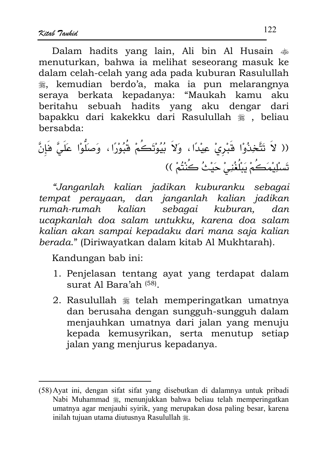Dalam hadits yang lain, Ali bin Al Husain  $\ast$ menuturkan, bahwa ia melihat seseorang masuk ke dalam celah-celah yang ada pada kuburan Rasulullah , kemudian berdo'a, maka ia pun melarangnya seraya berkata kepadanya: "Maukah kamu aku beritahu sebuah hadits vang aku dengar dari bapakku dari kakekku dari Rasulullah , beliau bersabda:

(( لاَ تَتَّخِذُوْا قَبْرِيْ عِيْدًا، وَلاَ بُيُوْتَكُمْ قُبُوْرًا، وَصَلُّوْا عَلَيَّ فَإِنَّ تَسْلِيْمَكُمْ يَبْلُغُنِيْ حَيْثُ كُنْتُمْ ))

"Janganlah kalian jadikan kuburanku sebagai tempat perayaan, dan janganlah kalian jadikan sebagai kuburan. kalian rumah-rumah  $d$ an ucapkanlah doa salam untukku, karena doa salam kalian akan sampai kepadaku dari mana saja kalian berada." (Diriwayatkan dalam kitab Al Mukhtarah).

Kandungan bab ini:

- 1. Penjelasan tentang ayat yang terdapat dalam surat Al Bara'ah (58).
- 2. Rasulullah \* telah memperingatkan umatnya dan berusaha dengan sungguh-sungguh dalam menjauhkan umatnya dari jalan yang menuju kepada kemusyrikan, serta menutup setiap jalan yang menjurus kepadanya.

<sup>(58)</sup> Ayat ini, dengan sifat sifat yang disebutkan di dalamnya untuk pribadi Nabi Muhammad . menunjukkan bahwa beliau telah memperingatkan umatnya agar menjauhi syirik, yang merupakan dosa paling besar, karena inilah tujuan utama diutusnya Rasulullah ...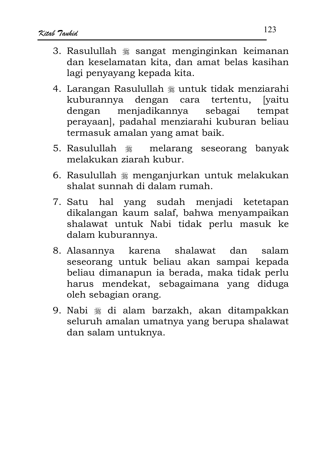- 3. Rasulullah \* sangat menginginkan keimanan dan keselamatan kita, dan amat belas kasihan lagi penyayang kepada kita.
- 4. Larangan Rasulullah \* untuk tidak menziarahi kuburannya dengan cara tertentu. *lvaitu* menjadikannya sebagai dengan tempat perayaan], padahal menziarahi kuburan beliau termasuk amalan yang amat baik.
- melarang seseorang banyak 5. Rasulullah 2 melakukan ziarah kubur.
- 6. Rasulullah \* menganjurkan untuk melakukan shalat sunnah di dalam rumah.
- 7. Satu hal yang sudah menjadi ketetapan dikalangan kaum salaf, bahwa menyampaikan shalawat untuk Nabi tidak perlu masuk ke dalam kuburannya.
- 8. Alasannya karena shalawat dan salam seseorang untuk beliau akan sampai kepada beliau dimanapun ia berada, maka tidak perlu harus mendekat, sebagaimana yang diduga oleh sebagian orang.
- 9. Nabi ﷺ di alam barzakh, akan ditampakkan seluruh amalan umatnya yang berupa shalawat dan salam untuknya.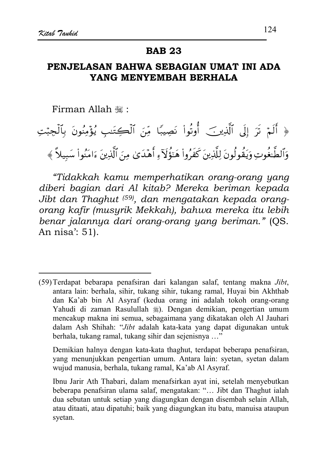#### **BAB 23**

# PENJELASAN BAHWA SEBAGIAN UMAT INI ADA YANG MENYEMBAH BERHALA

Firman Allah ,:

# ﴿ أَلَمْ تَرَ إِلَى ٱلَّذِينَ ۖ أُوتُواْ نَصِيبًا مِّنَ ٱلْكِتَنِبِ يُؤْمِنُونَ بِٱلْجِبْتِ وَٱلطَّعْوِتِ وَيَقُولُونَ لِلَّذِينَ كَفَرُواْ هَتَؤُلَآءِ أَهْدَىٰ مِنَ ٱلَّذِينَ ءَامَنُواْ سَبِيلاً ﴾

"Tidakkah kamu memperhatikan orang-orang yang diberi bagian dari Al kitab? Mereka beriman kepada Jibt dan Thaghut (59), dan mengatakan kepada orangorang kafir (musurik Mekkah), bahwa mereka itu lebih benar jalannya dari orang-orang yang beriman." (QS. An nisa': 51).

Demikian halnya dengan kata-kata thaghut, terdapat beberapa penafsiran, yang menunjukkan pengertian umum. Antara lain: syetan, syetan dalam wujud manusia, berhala, tukang ramal, Ka'ab Al Asyraf.

<sup>(59)</sup> Terdapat bebarapa penafsiran dari kalangan salaf, tentang makna *Jibt*, antara lain: berhala, sihir, tukang sihir, tukang ramal, Huyai bin Akhthab dan Ka'ab bin Al Asyraf (kedua orang ini adalah tokoh orang-orang Yahudi di zaman Rasulullah (a). Dengan demikian, pengertian umum mencakup makna ini semua, sebagaimana yang dikatakan oleh Al Jauhari dalam Ash Shihah: "Jibt adalah kata-kata yang dapat digunakan untuk berhala, tukang ramal, tukang sihir dan sejenisnya ..."

Ibnu Jarir Ath Thabari, dalam menafsirkan ayat ini, setelah menyebutkan beberapa penafsiran ulama salaf, mengatakan: "... Jibt dan Thaghut ialah dua sebutan untuk setiap yang diagungkan dengan disembah selain Allah, atau ditaati, atau dipatuhi; baik yang diagungkan itu batu, manuisa ataupun syetan.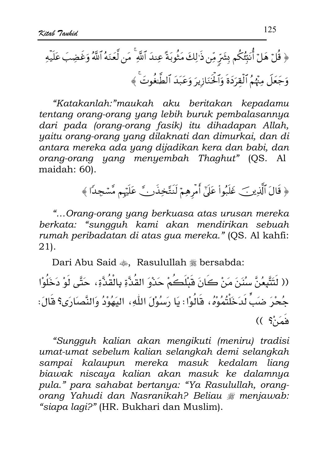"Katakanlah:"maukah aku beritakan kepadamu tentang orang-orang yang lebih buruk pembalasannya dari pada (orang-orang fasik) itu dihadapan Allah, yaitu orang-orang yang dilaknati dan dimurkai, dan di antara mereka ada yang dijadikan kera dan babi, dan orang-orang yang menyembah Thaghut" (OS. Al maidah: 60).

﴿ قَالَ ٱلَّذِينَ عَلَيْواْ عَلَىٰٓ أَمْرِهِمْ لَنَتَّخِذَنَّ عَلَيْهِم مَّسْجِدًا ﴾

"...Orang-orang yang berkuasa atas urusan mereka berkata: "sungguh kami akan mendirikan sebuah rumah peribadatan di atas gua mereka." (QS. Al kahfi:  $21$ .

Dari Abu Said ... Rasulullah # bersabda:

(( لَتَتَّبِعُنَّ سِنُنَ مَنْ كَانَ قَبْلَكُمْ حَدْوَ القُدَّةِ بِالْقُدَّةِ، حَتَّى لَوْ دَخَلُوْا جُحْرَ ضَبٍّ لَدَخَلْتُمُوْهُ، قَالُوْا: يَا رَسِبُوْلَ اللَّهِ، اليَهُوْدُ وَالنَّصَارَى؟ قَالَ:  $( ( \ \hat{S}_i)$ فَمَنْ

"Sungguh kalian akan mengikuti (meniru) tradisi umat-umat sebelum kalian selangkah demi selangkah sampai kalaupun mereka masuk kedalam liang biawak niscaya kalian akan masuk ke dalamnya pula." para sahabat bertanya: "Ya Rasulullah, orangorang Yahudi dan Nasranikah? Beliau # menjawab: "siapa lagi?" (HR. Bukhari dan Muslim).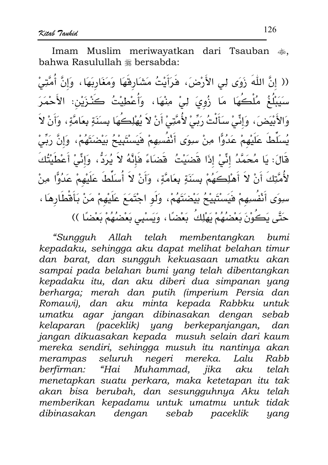Imam Muslim meriwayatkan dari Tsauban  $\clubsuit$ . bahwa Rasulullah \* bersabda:

(( إنَّ اللَّهَ زَوَى لِى الأَرْضَ، فَرَأَيْتُ مَشَارِقَهَا وَمَغَارِبَهَا، وَإِنَّ أُمَّتِىٰ سَيَبْلُغُ مُلْكُهَا مَا زُويَ لِيْ مِنْهَا، وَأُعْطِيْتُ كَنْـزَيْن: الأَحْمَرَ وَالأَبْيَضَ، وَإِنِّي سَأَلْتُ رَبِّيْ لأُمَّتِيْ أَنْ لاَ يُهْلِكُهَا بِسنَةٍ بِعَامَّةٍ، وَأَنْ لاَ يُسكِّطَ عَلَيْهِمْ عَدُوًّا مِنْ سِوَى أَنْفُسِهِمْ فَيَسْتَبِيْحُ بَيْضَنَهُمْ، وَإِنَّ رَبِّيْ قَالَ: يَا مُحَمَّدُ إِنِّيْ إِذَا قَضيَتُ ۖ قَضاءً فَإِنَّهُ لاَ يُرَدُّ، وَإِنِّي أَعْطَيْتُكَ لأُمَّتِكَ أَنْ لاَ أَهْلِكَهُمْ بِسنَةٍ بِعَامَّةٍ، وَأَنْ لاَ أُسلِّطَ عَلَيْهِمْ عَدُوًّا مِنْ سِوَى أَنْفُسِهِمْ فَيَسْتَبِيْحُ بَيْضَتَهُمْ، وَلَو اجْتَمَعَ عَلَيْهِمْ مَنْ بَأَقْطَارِهَا ، حَتَّى يَكُوْنَ بَعْضُهُمْ يَهْلِكُ بَعْضًا ، وَيَسْبِي بَعْضُهُمْ بَعْضًا ))

"Sungguh Allah telah membentangkan humi kepadaku, sehingga aku dapat melihat belahan timur dan barat, dan sungguh kekuasaan umatku akan sampai pada belahan bumi yang telah dibentangkan kepadaku itu, dan aku diberi dua simpanan yang berharga; merah dan putih (imperium Persia dan Romawi), dan aku minta kepada Rabbku untuk umatku agar jangan dibinasakan dengan sebab kelaparan (paceklik) yang berkepanjangan, dan jangan dikuasakan kepada musuh selain dari kaum mereka sendiri, sehingga musuh itu nantinya akan merampas seluruh negeri mereka. Lalu Rabb berfirman: "Hai Muhammad, jika aku telah menetapkan suatu perkara, maka ketetapan itu tak akan bisa berubah, dan sesungguhnya Aku telah memberikan kepadamu untuk umatmu untuk tidak dibinasakan dengan sebab paceklik yang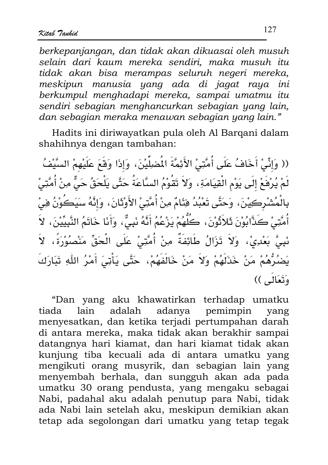berkepanjangan, dan tidak akan dikuasai oleh musuh selain dari kaum mereka sendiri, maka musuh itu tidak akan bisa merampas seluruh negeri mereka, meskipun manusia yang ada di jagat raya ini berkumpul menghadapi mereka, sampai umatmu itu sendiri sebagian menghancurkan sebagian yang lain. dan sebagian meraka menawan sebagian yang lain."

Hadits ini diriwayatkan pula oleh Al Barqani dalam shahihnya dengan tambahan:

(( وَإِنِّيْ أَخَافُ عَلَى أُمَّتِيْ الأَئِمَّةَ الْمَضِلِّيْنَ، وَإِذَا وَقَعَ عَلَيْهِمْ السَّيْفُ لَمْ يُرْفَعْ إِلَى يَوْمِ الْقِيَامَةِ ، وَلاَ تَقُوْمُ السَّاعَةُ حَتَّى يَلْحَقُ حَىٌّ مِنْ أُمَّتِىْ بِالْمُشْرِكِيْنَ، وَحَتَّى تَعْبُدُ فِئَامٌ مِنْ أُمَّتِيْ الأَوْتَانَ، وَإِنَّهُ سَيَكُوْنُ فِىْ أُمَّتِيْ كَذَّابُوْنَ ثَلاَثُوْنَ، كَلُّهُمْ يَزْعُمُ أَنَّهُ نَبِيٌّ، وَأَنَا خَاتَمُ النَّبِيِّيْنَ، لاَ نَبِيَّ بَعْدِيْ، وَلاَ تَزَالُ طَائِفَةٌ مِنْ أُمَّتِيْ عَلَى الْحَقِّ مَنْصُوُرَةً، لاَ يَضْرُهُمْ مَنْ خَذَلَهُمْ وَلاَ مَنْ خَالَفَهُمْ، حَتَّى يَأْتِيَ أَمْرُ اللّٰهِ تَبَارَكَ وَتَعَالَى ))

"Dan yang aku khawatirkan terhadap umatku tiada lain adalah adanya pemimpin yang menyesatkan, dan ketika terjadi pertumpahan darah di antara mereka, maka tidak akan berakhir sampai datangnya hari kiamat, dan hari kiamat tidak akan kunjung tiba kecuali ada di antara umatku yang mengikuti orang musyrik, dan sebagian lain yang menyembah berhala, dan sungguh akan ada pada umatku 30 orang pendusta, yang mengaku sebagai Nabi, padahal aku adalah penutup para Nabi, tidak ada Nabi lain setelah aku, meskipun demikian akan tetap ada segolongan dari umatku yang tetap tegak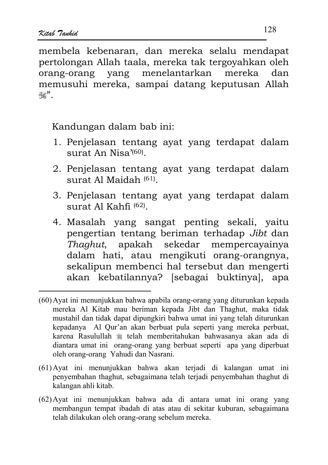membela kebenaran, dan mereka selalu mendapat pertolongan Allah taala, mereka tak tergoyahkan oleh orang-orang yang menelantarkan mereka dan memusuhi mereka, sampai datang keputusan Allah فسينالة

Kandungan dalam bab ini:

- 1. Penjelasan tentang ayat yang terdapat dalam  $s$ urat An Nisa' $(60)$
- 2. Penjelasan tentang ayat yang terdapat dalam surat Al Maidah $(61)$
- 3. Penjelasan tentang ayat yang terdapat dalam surat Al Kahfi (62).
- 4. Masalah yang sangat penting sekali, yaitu pengertian tentang beriman terhadap Jibt dan Thaghut, apakah sekedar mempercayainya dalam hati, atau mengikuti orang-orangnya, sekalipun membenci hal tersebut dan mengerti akan kebatilannya? [sebagai buktinya], apa

- (61) Ayat ini menunjukkan bahwa akan terjadi di kalangan umat ini penyembahan thaghut, sebagaimana telah terjadi penyembahan thaghut di kalangan ahli kitab.
- (62) Ayat ini menunjukkan bahwa ada di antara umat ini orang yang membangun tempat ibadah di atas atau di sekitar kuburan, sebagaimana telah dilakukan oleh orang-orang sebelum mereka.

<sup>(60)</sup> Ayat ini menunjukkan bahwa apabila orang-orang yang diturunkan kepada mereka Al Kitab mau beriman kepada Jibt dan Thaghut, maka tidak mustahil dan tidak dapat dipungkiri bahwa umat ini yang telah diturunkan kepadanya Al Qur'an akan berbuat pula seperti yang mereka perbuat, karena Rasulullah ﷺ telah memberitahukan bahwasanya akan ada di diantara umat ini orang-orang yang berbuat seperti apa yang diperbuat oleh orang-orang Yahudi dan Nasrani.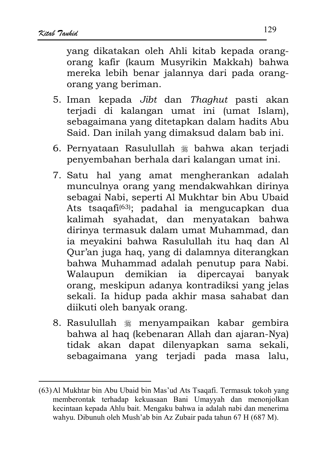vang dikatakan oleh Ahli kitab kepada orangorang kafir (kaum Musyrikin Makkah) bahwa mereka lebih benar jalannya dari pada orangorang yang beriman.

- 5. Iman kepada Jibt dan Thaghut pasti akan terjadi di kalangan umat ini (umat Islam), sebagaimana yang ditetapkan dalam hadits Abu Said. Dan inilah yang dimaksud dalam bab ini.
- 6. Pernyataan Rasulullah \* bahwa akan terjadi penyembahan berhala dari kalangan umat ini.
- 7. Satu hal yang amat mengherankan adalah munculnya orang yang mendakwahkan dirinya sebagai Nabi, seperti Al Mukhtar bin Abu Ubaid Ats tsagafi<sup>(63)</sup>; padahal ia mengucapkan dua kalimah syahadat, dan menyatakan bahwa dirinya termasuk dalam umat Muhammad, dan ia meyakini bahwa Rasulullah itu haq dan Al Qur'an juga haq, yang di dalamnya diterangkan bahwa Muhammad adalah penutup para Nabi. Walaupun demikian ia dipercayai banyak orang, meskipun adanya kontradiksi yang jelas sekali. Ia hidup pada akhir masa sahabat dan diikuti oleh banyak orang.
- 8. Rasulullah \* menyampaikan kabar gembira bahwa al haq (kebenaran Allah dan ajaran-Nya) tidak akan dapat dilenyapkan sama sekali, sebagaimana yang terjadi pada masa lalu,

<sup>(63)</sup> Al Mukhtar bin Abu Ubaid bin Mas'ud Ats Tsaqafi. Termasuk tokoh yang memberontak terhadap kekuasaan Bani Umayyah dan menonjolkan kecintaan kepada Ahlu bait. Mengaku bahwa ia adalah nabi dan menerima wahyu. Dibunuh oleh Mush'ab bin Az Zubair pada tahun 67 H (687 M).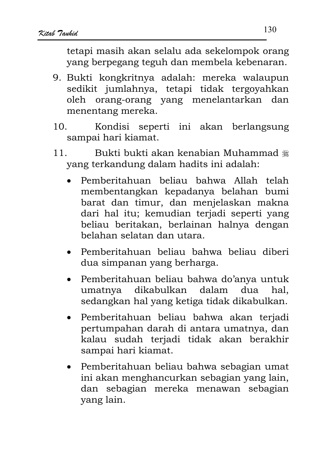tetapi masih akan selalu ada sekelompok orang yang berpegang teguh dan membela kebenaran.

- 9. Bukti kongkritnya adalah: mereka walaupun sedikit jumlahnya, tetapi tidak tergoyahkan oleh orang-orang yang menelantarkan dan menentang mereka.
- $10<sub>1</sub>$ Kondisi seperti ini akan berlangsung sampai hari kiamat.
- Bukti bukti akan kenabian Muhammad ﷺ  $11$ yang terkandung dalam hadits ini adalah:
	- Pemberitahuan beliau bahwa Allah telah membentangkan kepadanya belahan bumi barat dan timur, dan menjelaskan makna dari hal itu; kemudian terjadi seperti yang beliau beritakan, berlainan halnya dengan helahan selatan dan utara.
	- Pemberitahuan beliau bahwa beliau diberi dua simpanan yang berharga.
	- Pemberitahuan beliau bahwa do'anya untuk umatnya dikabulkan dalam dua hal. sedangkan hal yang ketiga tidak dikabulkan.
	- Pemberitahuan beliau bahwa akan terjadi pertumpahan darah di antara umatnya, dan kalau sudah terjadi tidak akan berakhir sampai hari kiamat.
	- Pemberitahuan beliau bahwa sebagian umat ini akan menghancurkan sebagian yang lain, dan sebagian mereka menawan sebagian yang lain.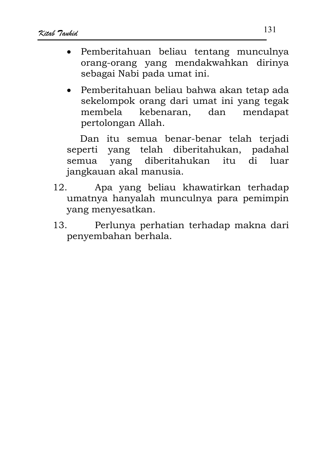- Pemberitahuan beliau tentang munculnya orang-orang yang mendakwahkan dirinya sebagai Nabi pada umat ini.
- Pemberitahuan beliau bahwa akan tetap ada sekelompok orang dari umat ini yang tegak kebenaran. mendapat membela dan pertolongan Allah.

Dan itu semua benar-benar telah terjadi seperti yang telah diberitahukan, padahal yang diberitahukan itu di luar semua jangkauan akal manusia.

- $12<sub>1</sub>$ Apa yang beliau khawatirkan terhadap umatnya hanyalah munculnya para pemimpin yang menyesatkan.
- 13. Perlunya perhatian terhadap makna dari penyembahan berhala.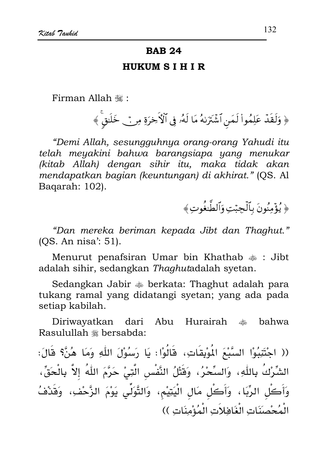#### **BAB 24**

#### **HUKUM SIHIR**

Firman Allah .:

﴿ وَلَقَدْ عَلِمُواْ لَمَنِ ٱشۡنَرَٰنِهُ مَا لَهُۥ فِي ٱلۡأَخِرَةِ مِنۡ خَلَنقٌ ﴾

"Demi Allah, sesungguhnya orang-orang Yahudi itu telah meyakini bahwa barangsiapa yang menukar (kitab Allah) dengan sihir itu, maka tidak akan mendapatkan bagian (keuntungan) di akhirat." (QS. Al Bagarah: 102).

﴿ يُؤْمِنُونَ بِٱلْجِيْتِ وَٱلطَّبْغُوتِ ﴾

"Dan mereka beriman kepada Jibt dan Thaghut." (OS. An nisa': 51).

Menurut penafsiran Umar bin Khathab  $\ddot{\hspace{1.1cm}}$  : Jibt adalah sihir, sedangkan Thaghutadalah syetan.

Sedangkan Jabir  $\triangleq$  berkata: Thaghut adalah para tukang ramal yang didatangi syetan; yang ada pada setiap kabilah.

Hurairah <sub>\*</sub> bahwa Diriwayatkan dari Abu Rasulullah \* bersabda:

(( اجْتَنِبُوْا السَّبْعَ الْمُوْبِقَاتِ، قَالُوْا: يَا رَسُوْلَ اللَّهِ وَمَا هُنَّ؟ قَالَ: الشِّرْكُ بِاللّٰهِ، وَالسِّحْرُ، وَقَتْلُ النَّفْسِ الَّتِيْ حَرَّمَ اللّٰهُ إلاَّ بِالْحَقِّ، وَأَكُل الرِّيَا، وَأَكُل مَال الْيَتِيْم، وَالتَّوَلِّي يَوْمَ الزَّحْفِ، وَقَدْفُ الْمُحْصَنَاتِ الْغَافِلاَتِ الْمُؤْمِنَاتِ ))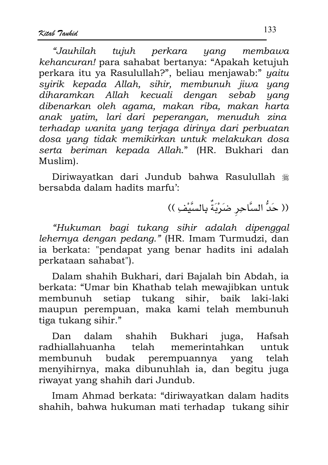"Jauhilah tujuh perkara yang membawa kehancuran! para sahabat bertanya: "Apakah ketujuh perkara itu ya Rasulullah?", beliau menjawab:" yaitu syirik kepada Allah, sihir, membunuh jiwa yang diharamkan Allah kecuali dengan sebab yang dibenarkan oleh agama, makan riba, makan harta anak yatim, lari dari peperangan, menuduh zina terhadap wanita yang terjaga dirinya dari perbuatan dosa yang tidak memikirkan untuk melakukan dosa serta beriman kepada Allah." (HR. Bukhari dan Muslim).

Diriwayatkan dari Jundub bahwa Rasulullah ﷺ bersabda dalam hadits marfu':

(( حَدُّ السَّاحِرِ ضَرْبَةٌ بِالسَّيْفِ ))

"Hukuman bagi tukang sihir adalah dipenggal lehernya dengan pedang." (HR. Imam Turmudzi, dan ia berkata: "pendapat yang benar hadits ini adalah perkataan sahabat").

Dalam shahih Bukhari, dari Bajalah bin Abdah, ia berkata: "Umar bin Khathab telah mewajibkan untuk membunuh setiap tukang sihir, baik laki-laki maupun perempuan, maka kami telah membunuh tiga tukang sihir."

shahih Bukhari juga, Dan dalam Hafsah radhiallahuanha telah memerintahkan untuk membunuh budak perempuannya yang telah menyihirnya, maka dibunuhlah ia, dan begitu juga riwayat yang shahih dari Jundub.

Imam Ahmad berkata: "diriwayatkan dalam hadits shahih, bahwa hukuman mati terhadap tukang sihir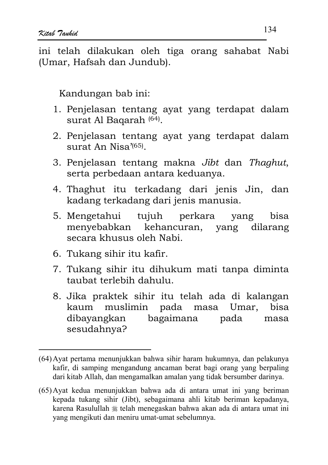ini telah dilakukan oleh tiga orang sahabat Nabi (Umar, Hafsah dan Jundub).

Kandungan bab ini:

- 1. Penjelasan tentang ayat yang terdapat dalam surat Al Bagarah<sup>(64)</sup>.
- 2. Penjelasan tentang ayat yang terdapat dalam surat An  $Nisa^{\prime(65)}$ .
- 3. Penjelasan tentang makna Jibt dan Thaghut, serta perbedaan antara keduanya.
- 4. Thaghut itu terkadang dari jenis Jin, dan kadang terkadang dari jenis manusia.
- 5. Mengetahui tujuh perkara yang hisa menyebabkan kehancuran, yang dilarang secara khusus oleh Nabi.
- 6. Tukang sihir itu kafir.
- 7. Tukang sihir itu dihukum mati tanpa diminta taubat terlebih dahulu.
- 8. Jika praktek sihir itu telah ada di kalangan kaum muslimin pada masa Umar, bisa bagaimana dibayangkan pada masa sesudahnya?

<sup>(64)</sup> Ayat pertama menunjukkan bahwa sihir haram hukumnya, dan pelakunya kafir, di samping mengandung ancaman berat bagi orang yang berpaling dari kitab Allah, dan mengamalkan amalan yang tidak bersumber darinya.

<sup>(65)</sup> Ayat kedua menunjukkan bahwa ada di antara umat ini yang beriman kepada tukang sihir (Jibt), sebagaimana ahli kitab beriman kepadanya, karena Rasulullah  $\frac{1}{26}$  telah menegaskan bahwa akan ada di antara umat ini yang mengikuti dan meniru umat-umat sebelumnya.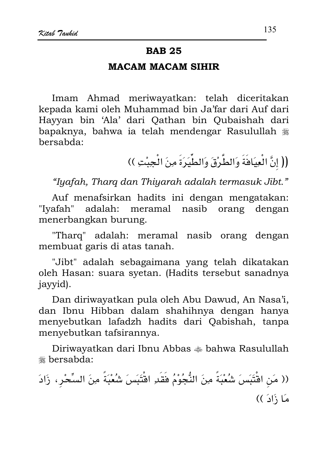#### **BAB 25**

#### **MACAM MACAM SIHIR**

Imam Ahmad meriwayatkan: telah diceritakan kepada kami oleh Muhammad bin Ja'far dari Auf dari Havyan bin 'Ala' dari Oathan bin Oubaishah dari bapaknya, bahwa ia telah mendengar Rasulullah bersabda:

(( إنَّ الْعِيَاهَةَ وَالطَّرْقَ وَالطِّيَرَةَ مِنَ الْجِبْتِ ))

"Iyafah, Tharq dan Thiyarah adalah termasuk Jibt."

Auf menafsirkan hadits ini dengan mengatakan: "Iyafah" adalah: meramal nasib orang dengan menerbangkan burung.

"Tharq" adalah: meramal nasib orang dengan membuat garis di atas tanah.

"Jibt" adalah sebagaimana yang telah dikatakan oleh Hasan: suara syetan. (Hadits tersebut sanadnya jayyid).

Dan diriwayatkan pula oleh Abu Dawud, An Nasa'i, dan Ibnu Hibban dalam shahihnya dengan hanya menyebutkan lafadzh hadits dari Qabishah, tanpa menyebutkan tafsirannya.

Diriwayatkan dari Ibnu Abbas  $\triangleq$  bahwa Rasulullah **\*\*** bersabda:

(( مَن اقْتَبَسَ شُعْبَةً مِنَ النُّجُوْمُ فَقَدِ اقْتَبَسَ شُعْبَةً مِنَ السِّحْرِ، زَادَ مَا ذَادَ ))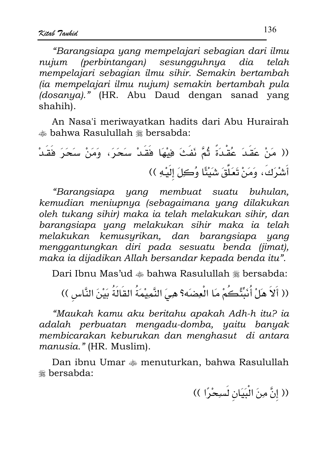"Baranasiapa yana mempelajari sebagian dari ilmu  $(perbintangan)$  sesungguhnya dia nuium telah mempelajari sebagian ilmu sihir. Semakin bertambah (ia mempelajari ilmu nujum) semakin bertambah pula (dosanya)." (HR. Abu Daud dengan sanad yang shahih).

An Nasa'i meriwayatkan hadits dari Abu Hurairah is bahwa Rasulullah <sub>\*</sub> bersabda:

"Barangsiapa yang membuat suatu buhulan, kemudian meniupnya (sebagaimana yang dilakukan oleh tukang sihir) maka ia telah melakukan sihir, dan barangsiapa yang melakukan sihir maka ia telah melakukan kemusyrikan, dan barangsiapa yang menggantungkan diri pada sesuatu benda (jimat), maka ia dijadikan Allah bersandar kepada benda itu".

Dari Ibnu Mas'ud  $\triangleq$  bahwa Rasulullah  $\triangleq$  bersabda:

(( أَلاَ هَلْ أُنَبِّئُكُمْ مَا الْعِضَه؟ هِيَ النَّمِيْمَةُ القَالَةُ بَيْنَ النَّاسِ ))

"Maukah kamu aku beritahu apakah Adh-h itu? ia adalah perbuatan mengadu-domba, yaitu banyak membicarakan keburukan dan menghasut di antara manusia." (HR. Muslim).

Dan ibnu Umar  $\triangleq$  menuturkan, bahwa Rasulullah **\*** bersabda:

(( إنَّ مِنَ الْبَيَانِ لَسِحْرًا ))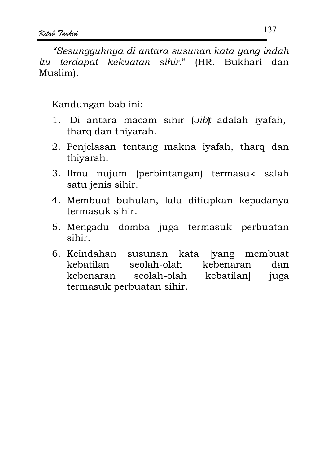"Sesungguhnya di antara susunan kata yang indah itu terdapat kekuatan sihir." (HR. Bukhari dan Muslim).

Kandungan bab ini:

- 1. Di antara macam sihir (Jib) adalah iyafah, tharq dan thiyarah.
- 2. Penjelasan tentang makna iyafah, tharq dan thivarah.
- 3. Ilmu nujum (perbintangan) termasuk salah satu jenis sihir.
- 4. Membuat buhulan, lalu ditiupkan kepadanya termasuk sihir.
- 5. Mengadu domba juga termasuk perbuatan sihir.
- 6. Keindahan susunan kata [vang membuat kebatilan seolah-olah kebenaran dan seolah-olah kebatilanl kebenaran iuga termasuk perbuatan sihir.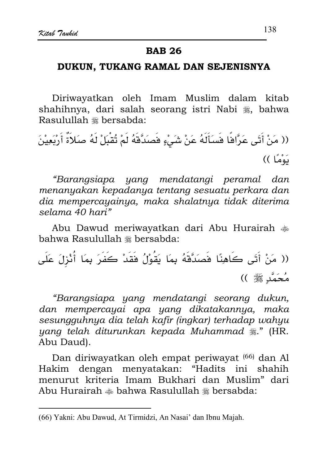#### **BAB 26**

#### DUKUN, TUKANG RAMAL DAN SEJENISNYA

Diriwayatkan oleh Imam Muslim dalam kitab shahihnya, dari salah seorang istri Nabi , bahwa Rasulullah \* bersabda:

(( مَنْ أَتَى عَرَّافًا فَسَأَلَهُ عَنْ شَيْءٍ فَصَدَّقَهُ لَمْ تُقْبَلْ لَهُ صَلاَةٌ أَرْبَعِيْنَ نَوْمًا ))

"Barangsiapa yang mendatangi peramal dan menanyakan kepadanya tentang sesuatu perkara dan dia mempercayainya, maka shalatnya tidak diterima selama 40 hari"

Abu Dawud meriwayatkan dari Abu Hurairah  $\frac{1}{200}$ bahwa Rasulullah # bersabda:

(( مَنْ أَتَى كَاهِنًا فَصَدَّقَهُ بِمَا يَقُوْلُ فَقَدْ كَفَرَ بِمَا أُنْزِلَ عَلَى مُحَمَّد ﷺ ))

"Barangsiapa yang mendatangi seorang dukun, dan mempercayai apa yang dikatakannya, maka sesungguhnya dia telah kafir (ingkar) terhadap wahyu yang telah diturunkan kepada Muhammad \*." (HR. Abu Daud).

Dan diriwayatkan oleh empat periwayat (66) dan Al Hakim dengan menyatakan: "Hadits ini shahih menurut kriteria Imam Bukhari dan Muslim" dari Abu Hurairah  $\triangleq$  bahwa Rasulullah  $\triangleq$  bersabda:

<sup>(66)</sup> Yakni: Abu Dawud, At Tirmidzi, An Nasai' dan Ibnu Majah.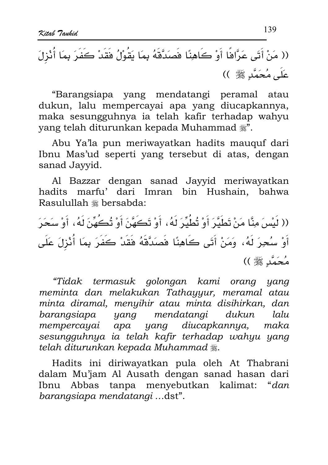"Barangsiapa yang mendatangi peramal atau dukun, lalu mempercayai apa yang diucapkannya, maka sesungguhnya ia telah kafir terhadap wahyu vang telah diturunkan kepada Muhammad ...

Abu Ya'la pun meriwayatkan hadits mauquf dari Ibnu Mas'ud seperti yang tersebut di atas, dengan sanad Jayyid.

Al Bazzar dengan sanad Jayyid meriwayatkan hadits marfu' dari Imran bin Hushain, bahwa Rasulullah \* bersabda:

(( لَيْسَ مِنَّا مَنْ تَطَيَّرَ أَوْ تُطُيِّرَ لَهُ، أَوْ تَكَهَّنَ أَوْ تُكَهِّنَ لَهُ، أَوْ سَحَرَ أَوْ سُحِرَ لَهُ، وَمَنْ أَتَى كَاهِنًا فَصَدَّقَهُ فَقَدْ كَفَرَ بِمَا أُنْزِلَ عَلَى مُحَمَّدٍ ﷺ ))

"Tidak termasuk golongan kami orang yang meminta dan melakukan Tathayyur, meramal atau minta diramal, menyihir atau minta disihirkan, dan barangsiapa yang mendatangi dukun lalu mempercayai apa yang diucapkannya, maka sesungguhnya ia telah kafir terhadap wahyu yang telah diturunkan kepada Muhammad ﷺ.

Hadits ini diriwayatkan pula oleh At Thabrani dalam Mu'jam Al Ausath dengan sanad hasan dari Ibnu Abbas tanpa menyebutkan kalimat: "dan barangsiapa mendatangi ...dst".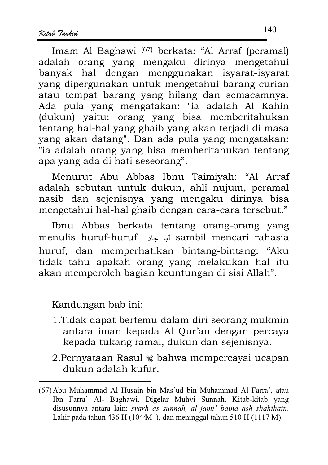Imam Al Baghawi (67) berkata: "Al Arraf (peramal) adalah orang yang mengaku dirinya mengetahui banyak hal dengan menggunakan isyarat-isyarat yang dipergunakan untuk mengetahui barang curian atau tempat barang yang hilang dan semacamnya. Ada pula yang mengatakan: "ia adalah Al Kahin (dukun) yaitu: orang yang bisa memberitahukan tentang hal-hal yang ghaib yang akan terjadi di masa yang akan datang". Dan ada pula yang mengatakan: "ia adalah orang yang bisa memberitahukan tentang apa yang ada di hati seseorang".

Menurut Abu Abbas Ibnu Taimiyah: "Al Arraf adalah sebutan untuk dukun, ahli nujum, peramal nasib dan sejenisnya yang mengaku dirinya bisa mengetahui hal-hal ghaib dengan cara-cara tersebut."

Ibnu Abbas berkata tentang orang-orang yang menulis huruf-huruf أما حاد sambil mencari rahasia huruf, dan memperhatikan bintang-bintang: "Aku tidak tahu apakah orang yang melakukan hal itu akan memperoleh bagian keuntungan di sisi Allah".

Kandungan bab ini:

- 1. Tidak dapat bertemu dalam diri seorang mukmin antara iman kepada Al Qur'an dengan percaya kepada tukang ramal, dukun dan sejenisnya.
- 2. Pernyataan Rasul \* bahwa mempercayai ucapan dukun adalah kufur

<sup>(67)</sup> Abu Muhammad Al Husain bin Mas'ud bin Muhammad Al Farra', atau Ibn Farra' Al- Baghawi. Digelar Muhyi Sunnah. Kitab-kitab yang disusunnya antara lain: syarh as sunnah, al jami' baina ash shahihain. Lahir pada tahun 436 H (1044M), dan meninggal tahun 510 H (1117 M).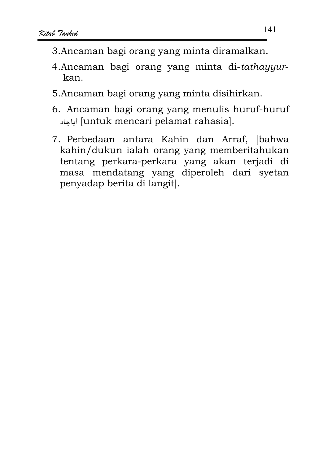- 3. Ancaman bagi orang yang minta diramalkan.
- 4. Ancaman bagi orang yang minta di-tathayyurkan.
- 5.Ancaman bagi orang yang minta disihirkan.
- 6. Ancaman bagi orang yang menulis huruf-huruf luntuk mencari pelamat rahasial.
- 7. Perbedaan antara Kahin dan Arraf, [bahwa kahin/dukun ialah orang yang memberitahukan tentang perkara-perkara yang akan terjadi di masa mendatang yang diperoleh dari syetan penyadap berita di langit.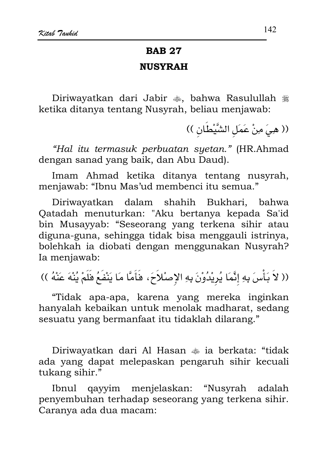# **BAB 27 NIISYRAH**

Diriwayatkan dari Jabir , bahwa Rasulullah , ketika ditanya tentang Nusyrah, beliau menjawab:

(( هِيَ مِنْ عَمَلِ الشَّيْطَانِ ))

"Hal itu termasuk perbuatan syetan." (HR.Ahmad dengan sanad yang baik, dan Abu Daud).

Imam Ahmad ketika ditanya tentang nusyrah, menjawab: "Ibnu Mas'ud membenci itu semua."

Diriwayatkan dalam shahih Bukhari, bahwa Qatadah menuturkan: "Aku bertanya kepada Sa'id bin Musayyab: "Seseorang yang terkena sihir atau diguna-guna, sehingga tidak bisa menggauli istrinya, bolehkah ia diobati dengan menggunakan Nusyrah? Ia menjawab:

(( لاَ بَأْسَ بِهِ إِنَّمَا يُرِيْدُوْنَ بِهِ الإِصْلاَحَ، فَأَمَّا مَا يَنْفَعُ فَلَمْ يُنْهَ عَنْهُ ))

"Tidak apa-apa, karena yang mereka inginkan hanyalah kebaikan untuk menolak madharat, sedang sesuatu yang bermanfaat itu tidaklah dilarang."

Diriwayatkan dari Al Hasan  $\ast$  ia berkata: "tidak ada yang dapat melepaskan pengaruh sihir kecuali tukang sihir."

qayyim menjelaskan: "Nusyrah Ibnul adalah penyembuhan terhadap seseorang yang terkena sihir. Caranya ada dua macam: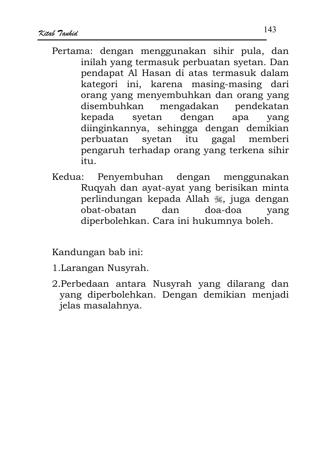- Pertama: dengan menggunakan sihir pula, dan inilah yang termasuk perbuatan syetan. Dan pendapat Al Hasan di atas termasuk dalam kategori ini, karena masing-masing dari orang yang menyembuhkan dan orang yang disembuhkan mengadakan pendekatan kepada dengan svetan apa yang diinginkannya, sehingga dengan demikian itu perbuatan syetan gagal memberi pengaruh terhadap orang yang terkena sihir  $itii$
- Kedua: Penyembuhan dengan menggunakan Ruqyah dan ayat-ayat yang berisikan minta perlindungan kepada Allah , juga dengan dan doa-doa obat-obatan yang diperbolehkan. Cara ini hukumnya boleh.

Kandungan bab ini:

- 1. Larangan Nusyrah.
- 2.Perbedaan antara Nusyrah yang dilarang dan yang diperbolehkan. Dengan demikian menjadi jelas masalahnya.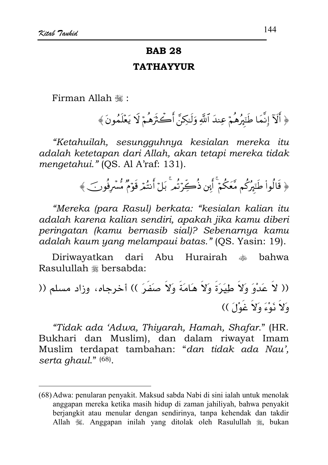# **BAB 28**

#### **TATHAYYUR**

Firman Allah .:

﴿ أَلَآ إِنَّمَا طَنَهُرُهُمْ عِندَ ٱللَّهِ وَلَـٰكِنَّ أَكۡـَٰثَرُهُمۡ لَا يَعۡلَمُونَ ﴾

"Ketahuilah, sesungguhnya kesialan mereka itu adalah ketetapan dari Allah, akan tetapi mereka tidak mengetahui." (OS. Al A'raf: 131).

﴿ قَالُواْ طَنَبِرُكُم مَّعَكُمْ ۚ أَبِن ذُكِّرَتُم ۚ بَلۡ أَنتُمۡ قَوۡمٌ مُّسۡرِفُونَ ﴾

"Mereka (para Rasul) berkata: "kesialan kalian itu adalah karena kalian sendiri, apakah jika kamu diberi peringatan (kamu bernasib sial)? Sebenarnya kamu adalah kaum yang melampaui batas." (QS. Yasin: 19).

Diriwayatkan dari Abu Hurairah رىلەر<br>مۆھمە bahwa Rasulullah \* bersabda:

(( لاَ عَدْوَ وَلاَ طِيَرَةَ وَلاَ هَامَةَ وَلاَ صَفَرَ )) أخرجاه، وزاد مسلم (( وَلاَ نَوْءَ وَلاَ غَوْلَ))

"Tidak ada 'Adwa, Thiyarah, Hamah, Shafar," (HR. Bukhari dan Muslim), dan dalam riwayat Imam Muslim terdapat tambahan: "dan tidak ada Nau', serta ghaul." (68).

<sup>(68)</sup> Adwa: penularan penyakit. Maksud sabda Nabi di sini ialah untuk menolak anggapan mereka ketika masih hidup di zaman jahiliyah, bahwa penyakit berjangkit atau menular dengan sendirinya, tanpa kehendak dan takdir Allah 3%. Anggapan inilah yang ditolak oleh Rasulullah 3%, bukan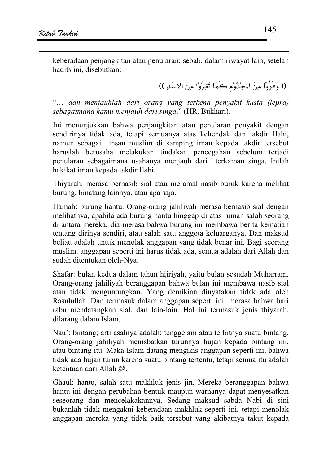keberadaan penjangkitan atau penularan; sebab, dalam riwayat lain, setelah hadits ini. disebutkan:

(( وَفَرُّوْا مِنَ الْمَجْذُوْمِ كَمَا تَفِرَّوْا مِنَ الأَسَدِ ))

"... dan menjauhlah dari orang yang terkena penyakit kusta (lepra) sebagaimana kamu menjauh dari singa." (HR. Bukhari).

Ini menunjukkan bahwa penjangkitan atau penularan penyakit dengan sendirinya tidak ada, tetapi semuanya atas kehendak dan takdir Ilahi, namun sebagai insan muslim di samping iman kepada takdir tersebut haruslah berusaha melakukan tindakan pencegahan sebelum terjadi penularan sebagaimana usahanya menjauh dari terkaman singa. Inilah hakikat iman kepada takdir Ilahi.

Thiyarah: merasa bernasib sial atau meramal nasib buruk karena melihat burung, binatang lainnya, atau apa saja.

Hamah: burung hantu. Orang-orang jahiliyah merasa bernasib sial dengan melihatnya, apabila ada burung hantu hinggap di atas rumah salah seorang di antara mereka, dia merasa bahwa burung ini membawa berita kematian tentang dirinya sendiri, atau salah satu anggota keluarganya. Dan maksud beliau adalah untuk menolak anggapan yang tidak benar ini. Bagi seorang muslim, anggapan seperti ini harus tidak ada, semua adalah dari Allah dan sudah ditentukan oleh-Nya.

Shafar: bulan kedua dalam tahun hijriyah, yaitu bulan sesudah Muharram. Orang-orang jahiliyah beranggapan bahwa bulan ini membawa nasib sial atau tidak menguntungkan. Yang demikian dinyatakan tidak ada oleh Rasulullah. Dan termasuk dalam anggapan seperti ini: merasa bahwa hari rabu mendatangkan sial, dan lain-lain. Hal ini termasuk jenis thiyarah, dilarang dalam Islam.

Nau': bintang; arti asalnya adalah: tenggelam atau terbitnya suatu bintang. Orang-orang jahiliyah menisbatkan turunnya hujan kepada bintang ini, atau bintang itu. Maka Islam datang mengikis anggapan seperti ini, bahwa tidak ada hujan turun karena suatu bintang tertentu, tetapi semua itu adalah ketentuan dari Allah \$

Ghaul: hantu, salah satu makhluk jenis jin. Mereka beranggapan bahwa hantu ini dengan perubahan bentuk maupun warnanya dapat menyesatkan seseorang dan mencelakakannya. Sedang maksud sabda Nabi di sini bukanlah tidak mengakui keberadaan makhluk seperti ini, tetapi menolak anggapan mereka yang tidak baik tersebut yang akibatnya takut kepada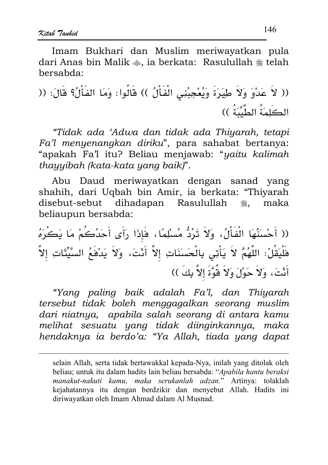Imam Bukhari dan Muslim meriwayatkan pula dari Anas bin Malik  $\bullet$ , ia berkata: Rasulullah  $\ast$  telah hersabda:

"Tidak ada 'Adwa dan tidak ada Thiyarah, tetapi Fa'l menyenangkan diriku", para sahabat bertanya: "apakah Fa'l itu? Beliau menjawab: "yaitu kalimah thayyibah (kata-kata yang baik)".

Abu Daud meriwayatkan dengan sanad yang shahih, dari Uqbah bin Amir, ia berkata: "Thiyarah disebut-sebut dihadapan Rasulullah maka ڪالاته<br>ويڪ beliaupun bersabda:

(( أَحْسَنُهَا الْفَأْلُ، وَلاَ تَرُدُّ مُسْلِمًا، فَإِذَا رَأَى أَحَدُكُمْ مَا يَكْرَهُ فَلْيَقُلْ: اللَّهُمَّ لاَ يَأْتِي بِالْحَسَنَاتِ إلاَّ أَنْتَ، وَلاَ يَدْفَعُ السَّيِّئَاتِ إلاَّ أَنْتَ، وَلاَ حَوْلَ وَلاَ قُوَّةَ إلاَّ بِكَ ))

"Yang paling baik adalah Fa'l, dan Thiyarah tersebut tidak boleh menggagalkan seorang muslim dari niatnya, apabila salah seorang di antara kamu melihat sesuatu yang tidak diinginkannya, maka hendaknya ia berdo'a: "Ya Allah, tiada yang dapat

selain Allah, serta tidak bertawakkal kepada-Nya, inilah yang ditolak oleh beliau; untuk itu dalam hadits lain beliau bersabda: "Apabila hantu beraksi manakut-nakuti kamu, maka serukanlah adzan." Artinya: tolaklah kejahatannya itu dengan berdzikir dan menyebut Allah. Hadits ini diriwayatkan oleh Imam Ahmad dalam Al Musnad.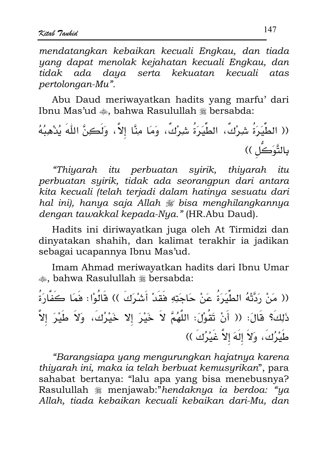mendatanakan kebaikan kecuali Enakau, dan tiada yang dapat menolak kejahatan kecuali Engkau, dan tidak ada daya serta kekuatan kecuali atas pertolongan-Mu".

Abu Daud meriwayatkan hadits yang marfu' dari Ibnu Mas'ud  $\clubsuit$ . bahwa Rasulullah  $\divideontimes$  bersabda:

"Thiyarah itu perbuatan syirik, thiyarah itu perbuatan syirik, tidak ada seorangpun dari antara kita kecuali (telah terjadi dalam hatinya sesuatu dari hal ini), hanya saja Allah  $\mathcal F$  bisa menghilangkannya dengan tawakkal kepada-Nya." (HR.Abu Daud).

Hadits ini diriwayatkan juga oleh At Tirmidzi dan dinyatakan shahih, dan kalimat terakhir ia jadikan sebagai ucapannya Ibnu Mas'ud.

Imam Ahmad meriwayatkan hadits dari Ibnu Umar ... bahwa Rasulullah # bersabda:

(( مَنْ رَدَّتْهُ الطِّيَرَةُ عَنْ حَاجَتِهِ فَقَدْ أَشْرَكَ )) قَالُوْا: فَمَا كَفَّارَةُ ذَلِكَ؟ قَالَ: (( أَنْ تَقُوْلَ: اللَّهُمَّ لاَ خَيْرَ إلا خَيْرُكَ، وَلاَ طَيْرَ إِلاَّ طَيْرُكَ، وَلاَ إِلَهَ إِلاَّ غَيْرُكَ ))

"Barangsiapa yang mengurungkan hajatnya karena thiyarah ini, maka ia telah berbuat kemusyrikan", para sahabat bertanya: "lalu apa yang bisa menebusnya? Rasulullah *\** menjawab:"hendaknya ia berdoa: "ya Allah, tiada kebaikan kecuali kebaikan dari-Mu, dan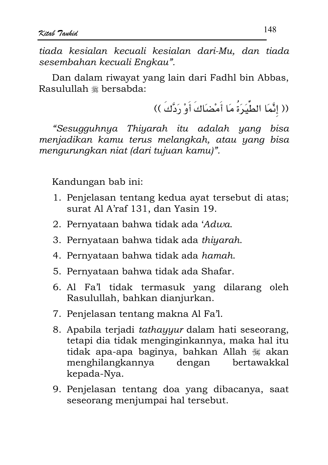tiada kesialan kecuali kesialan dari-Mu, dan tiada sesembahan kecuali Engkau".

Dan dalam riwayat yang lain dari Fadhl bin Abbas, Rasulullah \* bersabda:

(( إِنَّمَا الطِّيَرَةُ مَا أَمْضَاكَ أَوْ رَدَّكَ ))

"Sesugguhnya Thiyarah itu adalah yang bisa menjadikan kamu terus melangkah, atau yang bisa mengurungkan niat (dari tujuan kamu)".

- 1. Penjelasan tentang kedua ayat tersebut di atas; surat Al A'raf 131, dan Yasin 19.
- 2. Pernyataan bahwa tidak ada 'Adwa.
- 3. Pernyataan bahwa tidak ada thiyarah.
- 4. Pernyataan bahwa tidak ada hamah.
- 5. Pernyataan bahwa tidak ada Shafar.
- 6. Al Fa'l tidak termasuk yang dilarang oleh Rasulullah, bahkan dianjurkan.
- 7. Penjelasan tentang makna Al Fa'l.
- 8. Apabila terjadi tathayyur dalam hati seseorang, tetapi dia tidak menginginkannya, maka hal itu tidak apa-apa baginya, bahkan Allah ﷺ akan menghilangkannya dengan bertawakkal kepada-Nya.
- 9. Penjelasan tentang doa yang dibacanya, saat seseorang menjumpai hal tersebut.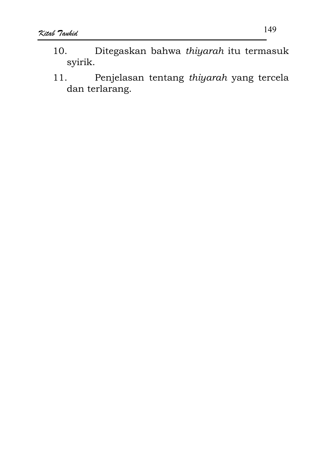- Ditegaskan bahwa thiyarah itu termasuk 10. syirik.
- Penjelasan tentang thiyarah yang tercela  $11.$ dan terlarang.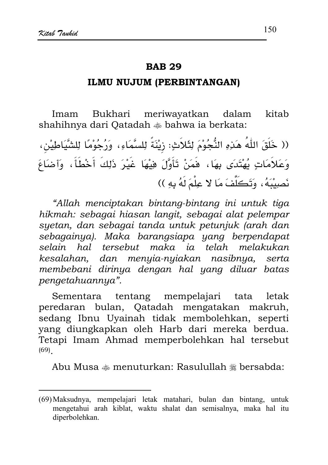#### ILMU NUJUM (PERBINTANGAN)

Imam Bukhari meriwayatkan dalam kitab shahihnya dari Oatadah  $*$  bahwa ia berkata:

(( خَلَقَ اللَّهُ هَذِهِ النُّجُوْمَ لِثَلاَثٍ: زِيْنَةً لِلسَّمَاءِ، وَرُجُوْمًا لِلشَّيَاطِيْن، وَعَلاَمَاتٍ يُهْتَدَى بِهَا، فَمَنْ تَأَوَّلَ فِيْهَا غَيْرَ ذَلِكَ أَخْطَأَ، وَأضَاعَ نَصِيبَهُ، وَتَكَلَّفَ مَا لا عِلْمَ لَهُ بِهِ ))

"Allah menciptakan bintang-bintang ini untuk tiga hikmah: sebagai hiasan langit, sebagai alat pelempar syetan, dan sebagai tanda untuk petunjuk (arah dan sebagainya). Maka barangsiapa yang berpendapat selain hal tersebut maka ja telah melakukan kesalahan, dan menyia-nyiakan nasibnya, serta membebani dirinya dengan hal yang diluar batas pengetahuannya".

tentang mempelajari Sementara tata letak peredaran bulan, Qatadah mengatakan makruh, sedang Ibnu Uyainah tidak membolehkan, seperti yang diungkapkan oleh Harb dari mereka berdua. Tetapi Imam Ahmad memperbolehkan hal tersebut  $(69)$ 

Abu Musa  $\clubsuit$  menuturkan: Rasulullah  $\divideontimes$  bersabda:

<sup>(69)</sup> Maksudnya, mempelajari letak matahari, bulan dan bintang, untuk mengetahui arah kiblat, waktu shalat dan semisalnya, maka hal itu diperbolehkan.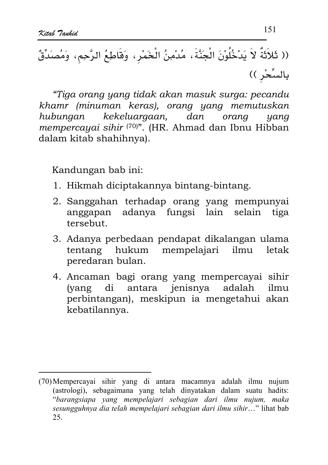"Tiga orang yang tidak akan masuk surga: pecandu khamr (minuman keras), orang yang memutuskan hubungan kekeluargaan,  $d$ an orang yang mempercayai sihir (70)". (HR. Ahmad dan Ibnu Hibban dalam kitab shahihnya).

- 1. Hikmah diciptakannya bintang-bintang.
- 2. Sanggahan terhadap orang yang mempunyai anggapan adanya fungsi lain selain tiga tersebut.
- 3. Adanya perbedaan pendapat dikalangan ulama tentang hukum mempelajari ilmu letak peredaran bulan.
- 4. Ancaman bagi orang yang mempercayai sihir antara jenisnya adalah *(yang* di ilmu perbintangan), meskipun ia mengetahui akan kebatilannya.

<sup>(70)</sup> Mempercayai sihir yang di antara macamnya adalah ilmu nujum (astrologi), sebagaimana yang telah dinyatakan dalam suatu hadits: "barangsiapa yang mempelajari sebagian dari ilmu nujum, maka sesungguhnya dia telah mempelajari sebagian dari ilmu sihir..." lihat bab 25.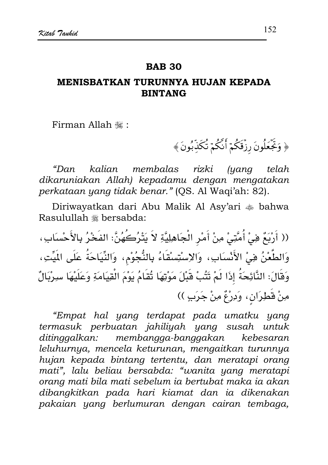#### **BAR 30**

## MENISRATKAN TURUNNYA HUJIAN KEPADA **BINTANG**

Firman Allah .

﴿ وَتَجَعَلُونَ رِزْقَكُمْ أَنَّكُمْ تُكَذِّبُونَ﴾

kalian membalas rizki *(yang* "Dan telah dikaruniakan Allah) kepadamu dengan mengatakan perkataan yang tidak benar." (OS. Al Wagi'ah: 82).

Diriwayatkan dari Abu Malik Al Asy'ari ��� bahwa Rasulullah \* bersabda:

(( أَرْبَعٌ فِيْ أُمَّتِيْ مِنْ أَمْرِ الْجَاهِلِيَّةِ لاَ يَتْرُكَهُنَّ: الفَخْرُ بِالأَحْسَابِ، وَالطَّعْنُ هِيْ الأَنْسَابِ، وَالإسْتِسْقَاءُ بِالنُّجُوْمِ، وَالنِّيَاحَةُ عَلَى الْمَيِّتِ، وَهَالَ: النَّائِحَةُ إِذَا لَمْ تَتُبْ قَبْلَ مَوْتِهَا تُقَامُ يَوْمَ الْقِيَامَةِ وَعَلَيْهَا سِرْيَالٌ مِنْ قَطِرَانِ، وَدِرْعٌ مِنْ جَرَبِ ))

"Empat hal yang terdapat pada umatku yang termasuk perbuatan jahiliyah yang susah untuk ditingaalkan: membangga-banggakan kebesaran leluhurnya, mencela keturunan, mengaitkan turunnya hujan kepada bintang tertentu, dan meratapi orang mati", lalu beliau bersabda: "wanita yang meratapi orang mati bila mati sebelum ia bertubat maka ia akan dibangkitkan pada hari kiamat dan ia dikenakan pakaian yang berlumuran dengan cairan tembaga,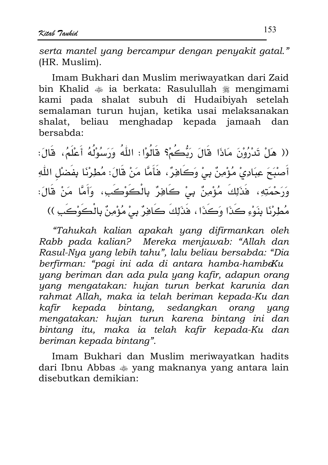serta mantel yang bercampur dengan penyakit gatal." (HR. Muslim).

Imam Bukhari dan Muslim meriwayatkan dari Zaid bin Khalid  $\triangleq$  ia berkata: Rasulullah  $\triangleq$  mengimami kami pada shalat subuh di Hudaibiyah setelah semalaman turun hujan, ketika usai melaksanakan shalat, beliau menghadap kepada jamaah dan bersabda:

(( هَلْ تَدْرُوْنَ مَاذَا قَالَ رَبُّكُمْ؟ قَالُوْا: اللّهُ وَرَسُوْلُهُ أَعْلَمُ، قَالَ: أَصْبُحَ عِبَادِيْ مُؤْمِنٌ بِيْ وَكَافِرٌ ، فَأَمَّا مَنْ قَالَ: مُطِرْنَا بِفَضْلِ اللّهِ وَرَحْمَتِهِ، فَذَلِكَ مُؤْمِنٌ بِيْ كَافِرٌ بِالْكَوْكَبِ، وَأَمَّا مَنْ قَالَ: مُطِرْنَا بِنَوْءِ كَذَا وَكَذَا ، فَذَلِكَ كَافِرٌ بِيْ مُؤْمِنٌ بِالْكَوْكَبِ ))

"Tahukah kalian apakah yang difirmankan oleh Rabb pada kalian? Mereka menjawab: "Allah dan Rasul-Nya yang lebih tahu", lalu beliau bersabda: "Dia berfirman: "pagi ini ada di antara hamba-hambeKu yang beriman dan ada pula yang kafir, adapun orang yang mengatakan: hujan turun berkat karunia dan rahmat Allah, maka ia telah beriman kepada-Ku dan kafir kepada bintang, sedangkan orang yang mengatakan: hujan turun karena bintang ini dan bintang itu, maka ia telah kafir kepada-Ku dan beriman kepada bintang".

Imam Bukhari dan Muslim meriwayatkan hadits dari Ibnu Abbas  $\triangleq$  yang maknanya yang antara lain disebutkan demikian: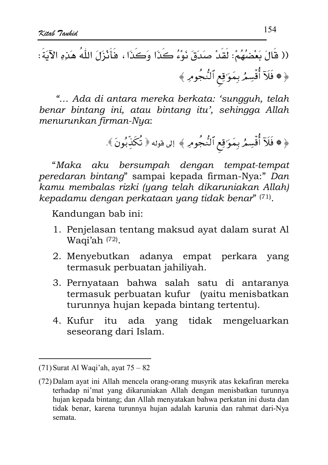"... Ada di antara mereka berkata: 'sungguh, telah benar bintang ini, atau bintang itu', sehingga Allah menurunkan firman-Nya:

$$
\ast \text{ div } \mathcal{E}
$$

"Maka aku bersumpah dengan tempat-tempat peredaran bintang" sampai kepada firman-Nya:" Dan kamu membalas rizki (yang telah dikaruniakan Allah) kepadamu dengan perkataan yang tidak benar" (71).

- 1. Penjelasan tentang maksud ayat dalam surat Al Waqi'ah (72).
- 2. Menyebutkan adanya empat perkara yang termasuk perbuatan jahiliyah.
- 3. Pernyataan bahwa salah satu di antaranya termasuk perbuatan kufur (yaitu menisbatkan turunnya hujan kepada bintang tertentu).
- 4. Kufur itu ada yang tidak mengeluarkan seseorang dari Islam.

 $(71)$  Surat Al Waqi'ah, ayat  $75 - 82$ 

<sup>(72)</sup> Dalam ayat ini Allah mencela orang-orang musyrik atas kekafiran mereka terhadap ni'mat yang dikaruniakan Allah dengan menisbatkan turunnya hujan kepada bintang; dan Allah menyatakan bahwa perkatan ini dusta dan tidak benar, karena turunnya hujan adalah karunia dan rahmat dari-Nya semata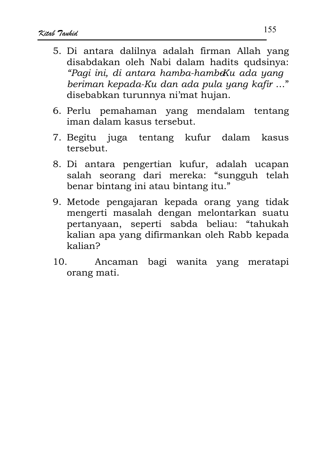- 5. Di antara dalilnya adalah firman Allah yang disabdakan oleh Nabi dalam hadits qudsinya: "Pagi ini, di antara hamba-hambeKu ada yang beriman kepada-Ku dan ada pula yang kafir ..." disebabkan turunnya ni'mat hujan.
- 6. Perlu pemahaman yang mendalam tentang iman dalam kasus tersebut.
- 7. Begitu juga tentang kufur dalam kasus tersebut.
- 8. Di antara pengertian kufur, adalah ucapan salah seorang dari mereka: "sungguh telah benar bintang ini atau bintang itu."
- 9. Metode pengajaran kepada orang yang tidak mengerti masalah dengan melontarkan suatu pertanyaan, seperti sabda beliau: "tahukah kalian apa yang difirmankan oleh Rabb kepada kalian?
- Ancaman bagi wanita yang meratapi  $10<sub>1</sub>$ orang mati.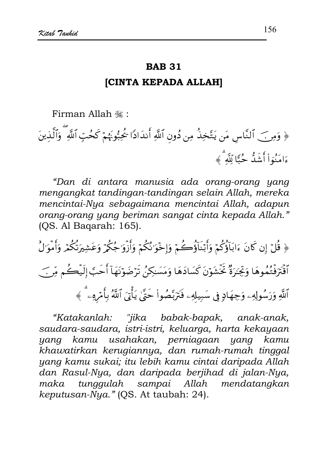#### **ICINTA KEPADA ALLAHI**

Firman Allah , "

﴿ وَمِنَ ٱلنَّاسِ مَن يَتَّخِذُ مِن دُونِ ٱللَّهِ أَندَادًا كُجُبُونَهُمْ كَحُبِّ ٱللَّهِ ۗ وَٱلَّذينَ ءَامَنُوٓاْ أَشَدُّ حُبًّا لِّلَّهُ ﴾

"Dan di antara manusia ada orang-orang yang mengangkat tandingan-tandingan selain Allah, mereka mencintai-Nya sebagaimana mencintai Allah, adapun orang-orang yang beriman sangat cinta kepada Allah." (QS. Al Baqarah: 165).

﴿ قُلْ إِن كَانَ ءَابَاَؤُكُمْ وَأَبْنَاَؤُكُمْ وَإِخْوَانُكُمْ وَأَزْوَاجُكُمْ وَعَشِيرَتُكُمْ وَأَمْوَالُ ٱقۡتَرۡفَتُمُوهَا وَنِجۡدَرُّهُ خَٓشَوۡنَ كَسَادَهَا وَمَسَلِكِنُ تَرۡضَوۡنَهَآ أَحَبَّ إِلَيۡكُم مِّن ۖ ٱللَّهِ وَرَسُولِهِۦ وَجِهَادٍ فِي سَبِيلهِۦ فَتَرَبَّصُواْ حَتَّىٰ يَأۡنَىَ ٱللَّهُ بِأَمۡرِهِۦ ۗ ﴾

"Katakanlah: "jika babak-bapak, anak-anak, saudara-saudara, istri-istri, keluarga, harta kekayaan yang kamu usahakan, perniagaan yang kamu khawatirkan kerugiannya, dan rumah-rumah tinggal yang kamu sukai; itu lebih kamu cintai daripada Allah dan Rasul-Nya, dan daripada berjihad di jalan-Nya, maka tunggulah sampai Allah mendatangkan keputusan-Nya." (OS. At taubah: 24).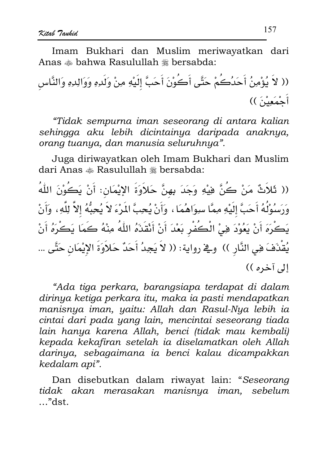Imam Bukhari dan Muslim meriwayatkan dari Anas  $\triangleq$  bahwa Rasulullah  $\triangleq$  bersabda:

(( لاَ يُؤْمِنُ أَحَدُكُمْ حَتَّى أَكُوْنَ أَحَبَّ إلَيْهِ مِنْ وَلَدِهِ وَوَالِدِهِ وَالنَّاس أَحْمَعِيْنَ ))

"Tidak sempurna iman seseorang di antara kalian sehingga aku lebih dicintainya daripada anaknya, orang tuanya, dan manusia seluruhnya".

Juga diriwayatkan oleh Imam Bukhari dan Muslim dari Anas \* Rasulullah \* bersabda:

(( ثَلاَثٌ مَنْ كُنَّ فِيْهِ وَجَدَ بِهِنَّ حَلاَوَةَ الإِيْمَانِ: أَنْ يَكُوْنَ اللّٰهُ وَرَسُوْلُهُ أَحَبَّ إِلَيْهِ مِمَّا سِوَاهُمَا ، وَأَنْ يُحِبَّ الْمَرْءَ لاَ يُحِبُّهُ إلاَّ لِلَّهِ ، وَأَنْ يَكْرَهَ أَنْ يَعُوْدَ فِيْ الْكَفْرِ بَعْدَ أَنْ أَنْقَذَهُ اللَّهُ مِنْهُ كَمَا يَكْرَهُ أَنْ يُقْدَفَ فِي النَّارِ )) وِيخ رواية: (( لاَ يَجِدُ أَحَدٌ حَلاَوَةَ الإِيْمَانِ حَتَّى ... الي آخره ))

"Ada tiga perkara, barangsiapa terdapat di dalam dirinya ketiga perkara itu, maka ia pasti mendapatkan manisnya iman, yaitu: Allah dan Rasul-Nya lebih ia cintai dari pada yang lain, mencintai seseorang tiada lain hanya karena Allah, benci (tidak mau kembali) kepada kekafiran setelah ia diselamatkan oleh Allah darinya, sebagaimana ia benci kalau dicampakkan kedalam api".

Dan disebutkan dalam riwayat lain: "Seseorang tidak akan merasakan manisnya iman, sebelum  $r$ dst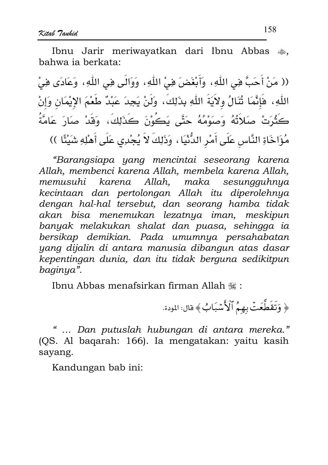Ibnu Jarir meriwayatkan dari Ibnu Abbas ... hahwa ia berkata:

(( مَنْ أَحَبَّ فِي اللّٰهِ، وَأَبْغَضَ فِيْ اللّٰهِ، وَوَالَى فِي اللّٰهِ، وَعَادَى فِيْ اللَّهِ، فَإِنَّمَا ثُنَالُ وِلاَيَةَ اللَّهِ بِذَلِكَ، وَلَنْ يَجِدَ عَبْدٌ طَعْمَ الإِيْمَانِ وَإِنْ كَثْرَتْ صَلاَتُهُ وَصَوْمُهُ حَتَّى يَكُوْنَ كَذَلِكَ، وَقَدْ صَارَ عَامَّةُ مُؤَاخَاةِ النَّاسِ عَلَى أَمْرِ الدُّنْيَا ، وَذَلِكَ لاَ يُجْدِى عَلَى أَهْلِهِ شَيْئًا ))

"Barangsiapa yang mencintai seseorang karena Allah, membenci karena Allah, membela karena Allah, memusuhi karena Allah, maka sesungguhnya kecintaan dan pertolongan Allah itu diperolehnya dengan hal-hal tersebut, dan seorang hamba tidak akan bisa menemukan lezatnya iman, meskipun banyak melakukan shalat dan puasa, sehingga ia bersikap demikian. Pada umumnya persahabatan yang dijalin di antara manusia dibangun atas dasar kepentingan dunia, dan itu tidak berguna sedikitpun baginya".

Ibnu Abbas menafsirkan firman Allah ,

﴿ وَتَقَطَّعَتۡ بِهِمُ ٱلۡأَسۡبَابُ﴾ قال: المودة.

... Dan putuslah hubungan di antara mereka." (OS. Al bagarah: 166). Ia mengatakan: vaitu kasih sayang.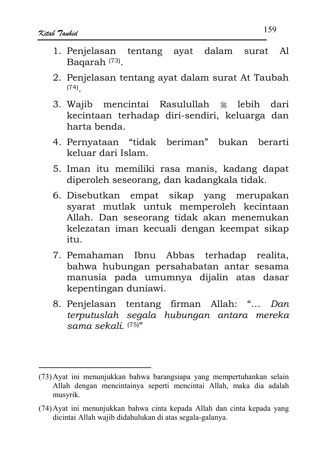- 1. Penielasan tentang avat dalam surat Al Bagarah<sup>(73)</sup>.
- 2. Penjelasan tentang ayat dalam surat At Taubah  $(74)$
- 3. Wajib mencintai Rasulullah ﷺ lebih dari kecintaan terhadap diri-sendiri, keluarga dan harta benda.
- 4. Pernyataan "tidak beriman" bukan berarti keluar dari Islam
- 5. Iman itu memiliki rasa manis, kadang dapat diperoleh seseorang, dan kadangkala tidak.
- 6. Disebutkan empat sikap yang merupakan svarat mutlak untuk memperoleh kecintaan Allah. Dan seseorang tidak akan menemukan kelezatan iman kecuali dengan keempat sikap  $itii$
- 7. Pemahaman Ibnu Abbas terhadap realita, bahwa hubungan persahabatan antar sesama manusia pada umumnya dijalin atas dasar kepentingan duniawi.
- 8. Penjelasan tentang firman Allah: "... Dan terputuslah segala hubungan antara mereka sama sekali.  $(75)$ "

<sup>(73)</sup> Ayat ini menunjukkan bahwa barangsiapa yang mempertuhankan selain Allah dengan mencintainya seperti mencintai Allah, maka dia adalah musyrik.

<sup>(74)</sup> Ayat ini menunjukkan bahwa cinta kepada Allah dan cinta kepada yang dicintai Allah wajib didahulukan di atas segala-galanya.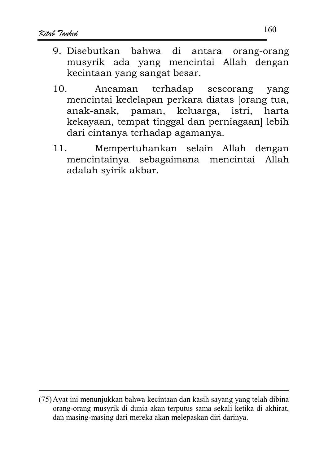- 9 Disebutkan bahwa di antara orang-orang musvrik ada vang mencintai Allah dengan kecintaan yang sangat besar.
- terhadap  $10.$ Ancaman seseorang yang mencintai kedelapan perkara diatas Jorang tua, anak-anak, paman, keluarga, istri, harta kekavaan, tempat tinggal dan perniagaan] lebih dari cintanya terhadap agamanya.
- Mempertuhankan selain Allah dengan  $11.$ mencintainya sebagaimana mencintai Allah adalah syirik akbar.

<sup>(75)</sup> Ayat ini menunjukkan bahwa kecintaan dan kasih sayang yang telah dibina orang-orang musyrik di dunia akan terputus sama sekali ketika di akhirat, dan masing-masing dari mereka akan melepaskan diri darinya.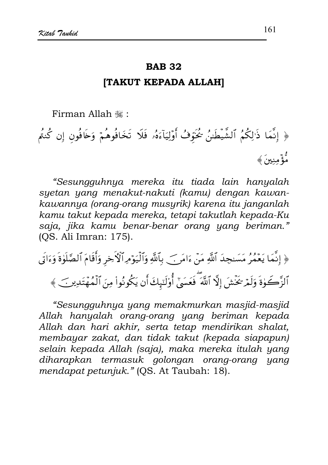#### **ITAKUT KEPADA ALLAHI**

Firman Allah , "

﴿ إِنَّمَا ذَٰزِلَكُمُ ٱلشَّيطَىٰنُ خُنَوْفُ أَوۡلِيَآءَهُۥ فَلَا تَخَافُوهُمۡ وَخَافُون إِن كُنتُم رُّءً منينَ ﴾

"Sesungguhnya mereka itu tiada lain hanyalah syetan yang menakut-nakuti (kamu) dengan kawankawannya (orang-orang musyrik) karena itu janganlah kamu takut kepada mereka, tetapi takutlah kepada-Ku saja, jika kamu benar-benar orang yang beriman." (OS. Ali Imran: 175).

﴿ إِنَّمَا يَعْمُرُ مَسَنجِدَ ٱللَّهِ مَنْ ءَامَرٍ} بِٱللَّهِ وَٱلْيَوْمِرِٱلْأَخِرِ وَأَقَامَ ٱلصَّلَوٰةَ وَءَاتَى ٱلزَّكَوٰةَ وَلَمْ تَخۡشَ إِلَّا ٱللَّهَ ۖ فَعَسَىٰٓ أُوْلَنَبِكَ أَن يَكُونُواْ مِنَ ٱلۡمُهۡتَدِينَ ﴾

"Sesungguhnya yang memakmurkan masjid-masjid Allah hanyalah orang-orang yang beriman kepada Allah dan hari akhir, serta tetap mendirikan shalat, membayar zakat, dan tidak takut (kepada siapapun) selain kepada Allah (saja), maka mereka itulah yang diharapkan termasuk golongan orang-orang yang mendapat petunjuk." (QS. At Taubah: 18).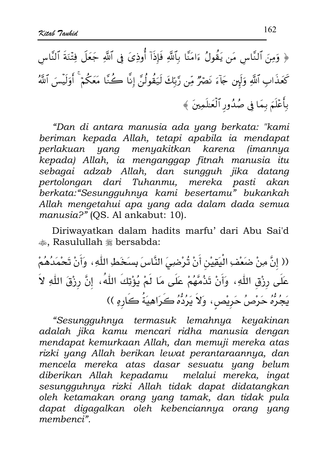﴿ وَمِنَ ٱلنَّاسِ مَن يَقُولُ ءَامَنَّا بِٱللَّهِ فَإِذَآ أُوذِىَ فِى ٱللَّهِ جَعَلَ فِتْنَةَ ٱلنَّاس كَعَذَابِ ٱللَّهِ وَلَبِن جَآءَ نَصۡرٌ مِّن رَّبِّكَ لَيَقُولُنَّ إِنَّا كُنَّا مَعَكُمۡ ۚ أَوَلَيۡسَ ٱللَّهُ بأَعْلَمَ بِمَا فِي صُدُورِ ٱلْعَلَمِينَ ﴾

"Dan di antara manusia ada yang berkata: "kami beriman kepada Allah, tetapi apabila ia mendapat yang menyakitkan karena (imannya perlakuan kepada) Allah, ia menganggap fitnah manusia itu sebagai adzab Allah, dan sungguh jika datang pertolongan dari Tuhanmu, mereka pasti akan berkata: "Sesungguhnya kami besertamu" bukankah Allah mengetahui apa yang ada dalam dada semua manusia?" (OS. Al ankabut: 10).

Diriwayatkan dalam hadits marfu' dari Abu Sai'd ... Rasulullah # bersabda:

(( إنَّ مِنْ ضَعْفِ الْيَقِيْنِ أَنْ تُرْضِىَ النَّاسَ بِسَخَطِ اللّٰهِ ، وَأَنْ تَحْمَدُهُمْ عَلَى رِزْق اللّهِ، وَأَنْ تَذُمَّهُمْ عَلَى مَا لَمْ يُؤْتِكَ اللّهُ، إنَّ رِزْقَ اللّهِ لاَ يَجُرُّهُ حَرْصُ حَرِيْصٍ، وَلاَ يَرُدُّهُ كَرَاهِيَةُ كَارِهِ ))

"Sesungguhnya termasuk lemahnya keyakinan adalah jika kamu mencari ridha manusia dengan mendapat kemurkaan Allah, dan memuji mereka atas rizki yang Allah berikan lewat perantaraannya, dan mencela mereka atas dasar sesuatu yang belum diberikan Allah kepadamu melalui mereka, ingat sesungguhnya rizki Allah tidak dapat didatangkan oleh ketamakan orang yang tamak, dan tidak pula dapat digagalkan oleh kebenciannya orang yang membenci"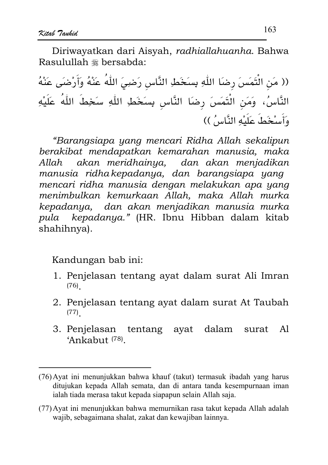Diriwayatkan dari Aisyah, radhiallahuanha, Bahwa Rasulullah \* bersabda:

(( مَن الْتَمَسَ رضَا اللَّهِ بِسَخَطِ النَّاسِ رَضِيَ اللَّهُ عَنْهُ وَأَرْضَى عَنْهُ النَّاسُ، وَمَنِ الْتَمَسَ رضاَ النَّاسِ بِسَخَطِ اللَّهِ سَخِطَ اللَّهُ عَلَيْهِ وَأَسْخَطُ عَلَيْهِ النَّاسُ ))

"Barangsiapa yang mencari Ridha Allah sekalipun berakibat mendapatkan kemarahan manusia, maka akan meridhainya, dan akan menjadikan Allah manusia ridha kepadanya, dan barangsiapa yang mencari ridha manusia dengan melakukan apa yang menimbulkan kemurkaan Allah, maka Allah murka kepadanya, dan akan menjadikan manusia murka pula kepadanya." (HR. Ibnu Hibban dalam kitab shahihnya).

- 1. Penjelasan tentang ayat dalam surat Ali Imran  $(76)$
- 2. Penjelasan tentang ayat dalam surat At Taubah  $(77)$
- 3. Penjelasan tentang ayat dalam surat Al 'Ankabut<sup>(78)</sup>.

<sup>(76)</sup> Ayat ini menunjukkan bahwa khauf (takut) termasuk ibadah yang harus ditujukan kepada Allah semata, dan di antara tanda kesempurnaan iman ialah tiada merasa takut kepada siapapun selain Allah saja.

<sup>(77)</sup> Ayat ini menunjukkan bahwa memurnikan rasa takut kepada Allah adalah wajib, sebagaimana shalat, zakat dan kewajiban lainnya.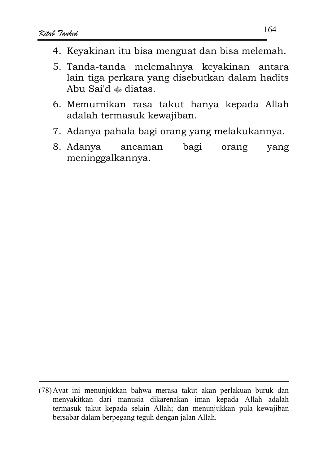- 4. Kevakinan itu bisa menguat dan bisa melemah.
- 5. Tanda-tanda melemahnya keyakinan antara lain tiga perkara yang disebutkan dalam hadits Abu Sai'd & diatas.
- 6. Memurnikan rasa takut hanya kepada Allah adalah termasuk kewajiban.
- 7. Adanya pahala bagi orang yang melakukannya.
- 8. Adanya bagi ancaman orang yang meninggalkannya.

<sup>(78)</sup> Ayat ini menunjukkan bahwa merasa takut akan perlakuan buruk dan menyakitkan dari manusia dikarenakan iman kepada Allah adalah termasuk takut kepada selain Allah; dan menunjukkan pula kewajiban bersabar dalam berpegang teguh dengan jalan Allah.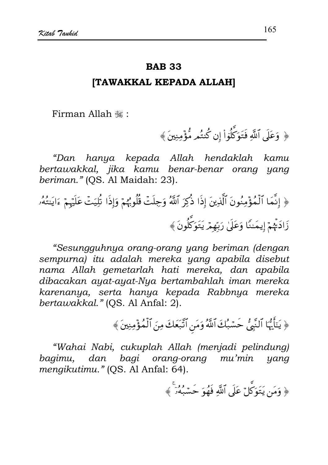#### **BAB 33**

#### **ITAWAKKAL KEPADA ALLAHI**

Firman Allah .:

﴿ وَعَلَى ٱللَّهِ فَتَوَكَّلُوٓا۟ إِن كُنتُم مُّؤۡمِنِينَ﴾

"Dan hanya kepada Allah hendaklah kamu bertawakkal, jika kamu benar-benar orang yang beriman." (OS. Al Maidah: 23).

﴿ إِنَّمَا ٱلْمُؤْمِنُونَ ٱلَّذِينَ إِذَا ذُكِرَ ٱللَّهُ وَجِلَتۡ قُلُوبُهُمۡ وَإِذَا تُلِيَتۡ عَلَيۡهِمۡ ءَايَنتُهُۥ زَادَتْهُمْ إِيمَنْنَا وَعَلَىٰ رَبّهمْ يَتَوَكَّلُونَ ﴾

"Sesungguhnya orang-orang yang beriman (dengan sempurna) itu adalah mereka yang apabila disebut nama Allah gemetarlah hati mereka, dan apabila dibacakan ayat-ayat-Nya bertambahlah iman mereka karenanya, serta hanya kepada Rabbnya mereka bertawakkal." (OS. Al Anfal: 2).

﴿ يَتَأَيُّهَا ٱلنَّبِيُّ حَسَّبُكَ ٱللَّهُ وَمَنِ ٱتَّبَعَكَ مِنَ ٱلْمُؤْمِنِينَ ﴾

"Wahai Nabi, cukuplah Allah (menjadi pelindung) bagimu, dan bagi orang-orang mu'min yang mengikutimu." (OS. Al Anfal: 64).

﴿ وَمَن يَتَوَكَّلْ عَلَى ٱللَّهَ فَهُوَ حَسْبُهُرَ ﴾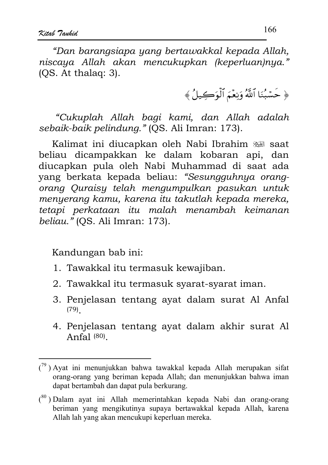"Dan barangsiapa yang bertawakkal kepada Allah, niscaya Allah akan mencukupkan (keperluan)nya."  $(OS. At thalaq: 3).$ 

﴿ حَسْبُنَا ٱللَّهُ وَنِعْمَ ٱلْوَكِيلُ﴾

"Cukuplah Allah bagi kami, dan Allah adalah sebaik-baik pelindung." (OS. Ali Imran: 173).

Kalimat ini diucapkan oleh Nabi Ibrahim ﷺ saat beliau dicampakkan ke dalam kobaran api, dan diucapkan pula oleh Nabi Muhammad di saat ada vang berkata kepada beliau: "Sesungguhnya orangorang Quraisy telah mengumpulkan pasukan untuk menyerang kamu, karena itu takutlah kepada mereka, tetapi perkataan itu malah menambah keimanan beliau." (QS. Ali Imran: 173).

- 1. Tawakkal itu termasuk kewajiban.
- 2. Tawakkal itu termasuk syarat-syarat iman.
- 3. Penjelasan tentang ayat dalam surat Al Anfal  $(79)$
- 4. Penjelasan tentang ayat dalam akhir surat Al Anfal $(80)$

 $\binom{79}{7}$ ) Avat ini menunjukkan bahwa tawakkal kepada Allah merupakan sifat orang-orang yang beriman kepada Allah; dan menunjukkan bahwa iman dapat bertambah dan dapat pula berkurang.

<sup>(80)</sup> Dalam ayat ini Allah memerintahkan kepada Nabi dan orang-orang beriman yang mengikutinya supaya bertawakkal kepada Allah, karena Allah lah yang akan mencukupi keperluan mereka.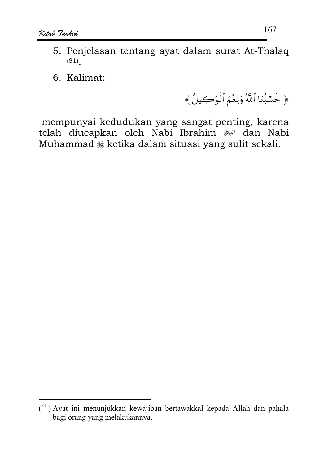- 5. Penjelasan tentang ayat dalam surat At-Thalaq  $(81)$
- 6. Kalimat:

﴿ حَسْبُنَا ٱللَّهُ وَنِعْمَ ٱلْوَكِيلُ﴾

mempunyai kedudukan yang sangat penting, karena telah diucapkan oleh Nabi Ibrahim sal dan Nabi Muhammad § ketika dalam situasi yang sulit sekali.

 $(81)$  Ayat ini menunjukkan kewajiban bertawakkal kepada Allah dan pahala bagi orang yang melakukannya.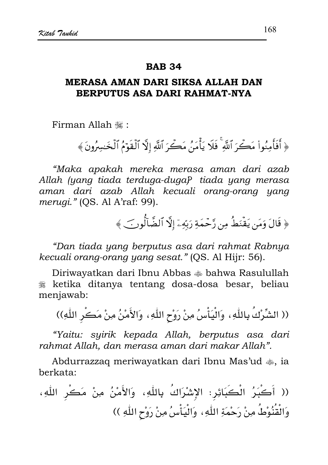### MERASA AMAN DARI SIKSA ALLAH DAN BERPUTUS ASA DARI RAHMAT-NYA

Firman Allah .

﴿ أَفَأُمِنُواْ مَكِّرَ ٱللَّهِ ۚ فَلَا يَأْمَنُ مَكِّرَ ٱللَّهِ إِلَّا ٱلْقَوْمُ ٱلْخَسِرُونَ ﴾

"Maka apakah mereka merasa aman dari azab Allah (yang tiada terduga-duga) tiada yang merasa aman dari azab Allah kecuali orang-orang yang merugi." (QS. Al A'raf: 99).

﴿ قَالَ وَمَن يَقْنَطُ مِن رَّحْمَةِ رَبِّهِۦٓ إِلَّا ٱلضَّالُّونَ ﴾

"Dan tiada yang berputus asa dari rahmat Rabnya kecuali orang-orang yang sesat." (QS. Al Hijr: 56).

Diriwayatkan dari Ibnu Abbas <a></a> bahwa Rasulullah & ketika ditanya tentang dosa-dosa besar, beliau menjawab:

(( الشِّرْكُ بِاللّٰهِ، ۖ وَالْيَأْسُ مِنْ رَوْحِ اللّٰهِ، ۖ وَالأَمْنُ مِنْ مَكْرِ اللّٰهِ))

"Yaitu: syirik kepada Allah, berputus asa dari rahmat Allah, dan merasa aman dari makar Allah".

Abdurrazzag meriwayatkan dari Ibnu Mas'ud  $\clubsuit$ , ia herkata:

(( أَكْبَرُ الْكَبَائِرِ: الإشْرَاكُ بِاللَّهِ، وَالأَمْنُ مِنْ مَكْرِ اللَّهِ، وَالْقُنُوْطُ مِنْ رَحْمَةِ اللّهِ، وَالْيَأْسُ مِنْ رَوْحِ اللّهِ ))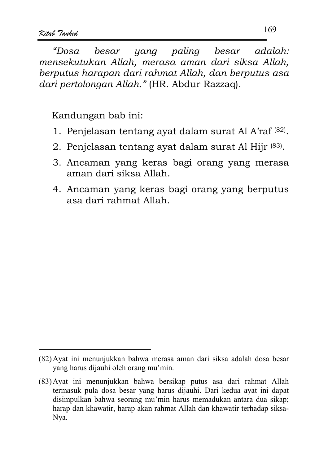yana palina besar "Dosa  $h$ esar  $adalah$ mensekutukan Allah, merasa aman dari siksa Allah, berputus harapan dari rahmat Allah, dan berputus asa dari pertolongan Allah." (HR. Abdur Razzaq).

- 1. Penjelasan tentang avat dalam surat Al A'raf (82).
- 2. Penjelasan tentang ayat dalam surat Al Hijr (83).
- 3. Ancaman yang keras bagi orang yang merasa aman dari siksa Allah.
- 4. Ancaman yang keras bagi orang yang berputus asa dari rahmat Allah.

<sup>(82)</sup> Ayat ini menunjukkan bahwa merasa aman dari siksa adalah dosa besar vang harus dijauhi oleh orang mu'min.

<sup>(83)</sup> Ayat ini menunjukkan bahwa bersikap putus asa dari rahmat Allah termasuk pula dosa besar yang harus dijauhi. Dari kedua ayat ini dapat disimpulkan bahwa seorang mu'min harus memadukan antara dua sikap; harap dan khawatir, harap akan rahmat Allah dan khawatir terhadap siksa-Nya.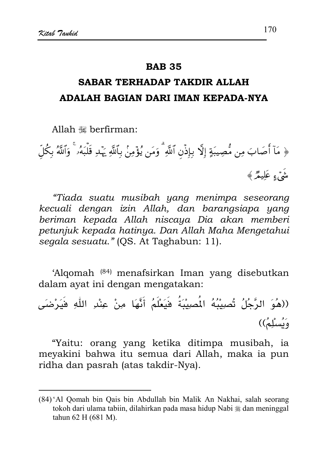# SARAR TERHADAP TAKDIR ALLAH ADALAH BAGIAN DARI IMAN KEPADA-NYA

Allah <a>k</a> herfirman

﴿ مَآ أَصَابَ مِن مُّصِيبَةٍ إِلَّا بِإِذۡن ٱللَّهِ ۗ وَمَن يُؤۡمِنۢ بِٱللَّهِ يَهۡدِ قَلۡبَهُۥ ۚ وَٱللَّهُ بكُلّ شَيْءِ عَلَيْمٌرٌ ﴾

"Tiada suatu musibah yang menimpa seseorang kecuali dengan izin Allah, dan barangsiapa yang beriman kepada Allah niscaya Dia akan memberi petunjuk kepada hatinya. Dan Allah Maha Mengetahui segala sesuatu." (QS. At Taghabun: 11).

'Algomah (84) menafsirkan Iman yang disebutkan dalam ayat ini dengan mengatakan:

((هُوَ الرَّجُلُ تُصِيبُهُ الْمَصِيْبَةُ فَيَعْلَمُ أَنَّهَا مِنْ عِنْدِ اللَّهِ فَيَرْضَى دَنُسلُهُ))

"Yaitu: orang yang ketika ditimpa musibah, ia meyakini bahwa itu semua dari Allah, maka ia pun ridha dan pasrah (atas takdir-Nya).

<sup>(84) &#</sup>x27;Al Qomah bin Qais bin Abdullah bin Malik An Nakhai, salah seorang tokoh dari ulama tabiin, dilahirkan pada masa hidup Nabi \* dan meninggal tahun 62 H (681 M).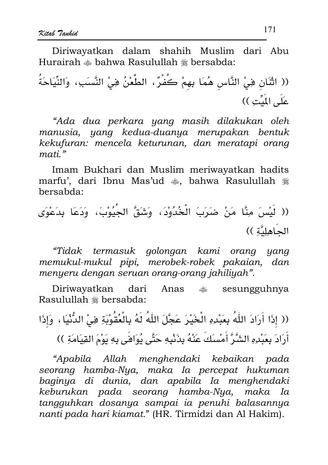Diriwayatkan dalam shahih Muslim dari Abu Hurairah  $\clubsuit$  bahwa Rasulullah  $\divideontimes$  bersabda:

(( اثْنَان فِيْ النَّاس هُمَا بِهِمْ كَفْرٌ، الطَّعْنُ فِيْ النَّسَبَءِ، وَالنِّيَاحَةُ عَلَى اللِّبِّتِ ))

"Ada dua perkara yang masih dilakukan oleh manusia, yang kedua-duanya merupakan bentuk kekufuran: mencela keturunan, dan meratapi orang mati<sup>"</sup>

Imam Bukhari dan Muslim meriwayatkan hadits marfu', dari Ibnu Mas'ud . bahwa Rasulullah . bersabda:

"Tidak termasuk golongan kami orang yang memukul-mukul pipi, merobek-robek pakaian, dan menyeru dengan seruan orang-orang jahiliyah".

Diriwayatkan dari Anas  $\frac{1}{20}$  sesungguhnya Rasulullah \* bersabda:

(( إِذَا أَرَادَ اللَّهُ بِعَبْدِهِ الْخَيْرَ عَجَّلَ اللَّهُ لَهُ بِالْعُقُوْبَةِ فِيْ الدُّنْيَا ، وَإِذَا أَرَادَ بِعَبْدِهِ الشَّرَّ أَمْسَكَ عَنْهُ بِذَنْبِهِ حَتَّى يُوَاهَى بِهِ يَوْمَ القِيَامَةِ ))

"Apabila Allah menghendaki kebaikan pada seorang hamba-Nya, maka Ia percepat hukuman baginya di dunia, dan apabila Ia menghendaki keburukan pada seorang hamba-Nya, maka Ia tangguhkan dosanya sampai ia penuhi balasannya nanti pada hari kiamat." (HR. Tirmidzi dan Al Hakim).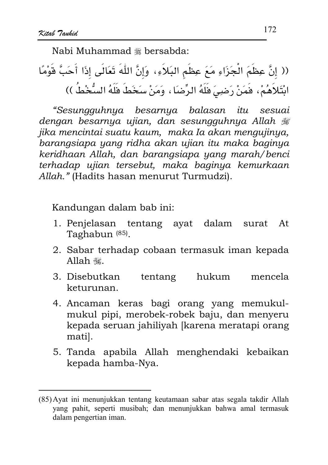Nabi Muhammad # bersabda:

(( إنَّ عِظَمَ الْجَزَاءِ مَعَ عِظَمِ البَلاَءِ، وَإِنَّ اللَّهَ تَعَالَى إِذَا أَحَبَّ قَوْمًا ابْتَلاَهُمْ، فَمَنْ رَضِيَ فَلَهُ الرِّضَا ، وَمَنْ سَخَطَ فَلَهُ السُّخْطُ ))

"Sesungguhnya besarnya balasan itu sesuai dengan besarnya ujian, dan sesungguhnya Allah # jika mencintai suatu kaum, maka Ia akan mengujinya, barangsiapa yang ridha akan ujian itu maka baginya keridhaan Allah, dan barangsiapa yang marah/benci terhadap ujian tersebut, maka baginya kemurkaan Allah." (Hadits hasan menurut Turmudzi).

Kandungan dalam bab ini:

- 1. Penjelasan tentang ayat dalam surat At Taghabun<sup>(85)</sup>.
- 2. Sabar terhadap cobaan termasuk iman kepada Allah  $\ddot{\mathbf{u}}$ .
- tentang hukum 3. Disebutkan mencela keturunan.
- 4. Ancaman keras bagi orang yang memukulmukul pipi, merobek-robek baju, dan menyeru kepada seruan jahiliyah [karena meratapi orang mati.
- 5. Tanda apabila Allah menghendaki kebaikan kepada hamba-Nya.

<sup>(85)</sup> Ayat ini menunjukkan tentang keutamaan sabar atas segala takdir Allah yang pahit, seperti musibah; dan menunjukkan bahwa amal termasuk dalam pengertian iman.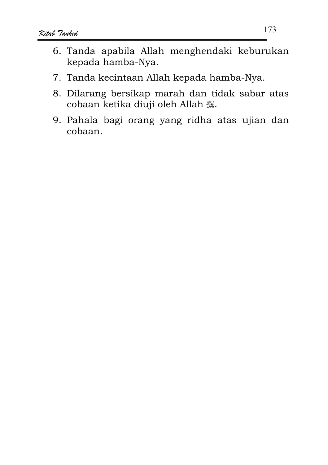- 6. Tanda apabila Allah menghendaki keburukan kepada hamba-Nya.
- 7. Tanda kecintaan Allah kepada hamba-Nya.
- 8. Dilarang bersikap marah dan tidak sabar atas cobaan ketika diuji oleh Allah ...
- 9. Pahala bagi orang yang ridha atas ujian dan cobaan.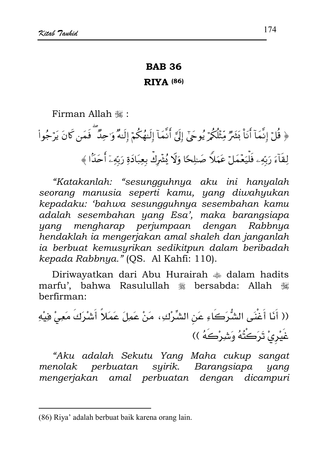#### **BAB 36**

#### **RIVA (86)**

Firman Allah ,:

﴿ قُلْ إِنَّمَآ أَنَاْ بَشَرٌ مِّثْلُكُمْ يُوحَىٰٓ إِلَىَّ أَنَّمَآ إِلَيْهُكُمۡ إِلَيْهُ وَٰحِلٌ فَمَن كَانَ يَرْجُواْ لِقَآءَ رَبّهِۦ فَلْيَعۡمَلۡ عَمَلاً صَلِحًا وَلَا يُشۡرِكۡ بِعِبَادَةِ رَبّهِۦٓ أَحَدًا ﴾

"Katakanlah: "sesungguhnya aku ini hanyalah seorang manusia seperti kamu, yang diwahyukan kepadaku: 'bahwa sesungguhnya sesembahan kamu adalah sesembahan yang Esa', maka barangsiapa yang mengharap perjumpaan dengan Rabbnya hendaklah ia mengerjakan amal shaleh dan janganlah ia berbuat kemusyrikan sedikitpun dalam beribadah kepada Rabbnya." (QS. Al Kahfi: 110).

Diriwayatkan dari Abu Hurairah  $\triangleq$  dalam hadits marfu', bahwa Rasulullah # bersabda: Allah # berfirman:

(( أَنَا أَغْنَى الشُّرَكَاءِ عَنِ الشِّرْكِ، مَنْ عَمِلَ عَمَلاً أَشْرَكَ مَعِيْ فِيْهِ غَيْرِيْ تَرَكُتُهُ وَشِرْكَهُ ))

"Aku adalah Sekutu Yang Maha cukup sangat menolak perbuatan syirik. Barangsiapa yang mengerjakan amal perbuatan dengan dicampuri

<sup>(86)</sup> Riya' adalah berbuat baik karena orang lain.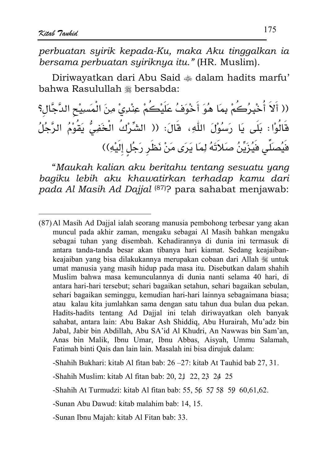perbuatan suirik kepada-Ku, maka Aku tinggalkan ia bersama perbuatan syiriknya itu." (HR. Muslim).

Diriwayatkan dari Abu Said  $\triangleq$  dalam hadits marfu' hahwa Rasulullah # bersabda:

(( أَلاَ أَخْبِرُكُمْ بِمَا هُوَ أَخْوَفُ عَلَيْكُمْ عِنْدِيْ مِنَ الْمَسِيْحِ الدَّجَّالِ؟ قَالُوْا؛ بَلَى يَا رَسُوْلَ اللّٰهِ، قَالَ؛ (( الشِّرْكُ الْخَفِيُّ يَقُوْمُ الرَّجُلُ فَيُصلِّي فَيُزَيِّنُ صَلاَتَهُ لِمَا يَرَى مَنْ نَظَر رَجُل إلَيْهِ))

"Maukah kalian aku beritahu tentang sesuatu yang bagiku lebih aku khawatirkan terhadap kamu dari pada Al Masih Ad Dajjal (87)? para sahabat menjawab:

-Shahih Bukhari: kitab Al fitan bab: 26 - 27: kitab At Tauhid bab 27, 31.

<sup>(87)</sup> Al Masih Ad Dajjal ialah seorang manusia pembohong terbesar yang akan muncul pada akhir zaman, mengaku sebagai Al Masih bahkan mengaku sebagai tuhan yang disembah. Kehadirannya di dunia ini termasuk di antara tanda-tanda besar akan tibanya hari kiamat. Sedang keajaibankeajaiban yang bisa dilakukannya merupakan cobaan dari Allah  $\mathcal{L}$  untuk umat manusia yang masih hidup pada masa itu. Disebutkan dalam shahih Muslim bahwa masa kemunculannya di dunia nanti selama 40 hari, di antara hari-hari tersebut; sehari bagaikan setahun, sehari bagaikan sebulan, sehari bagaikan seminggu, kemudian hari-hari lainnya sebagaimana biasa; atau kalau kita jumlahkan sama dengan satu tahun dua bulan dua pekan. Hadits-hadits tentang Ad Dajjal ini telah diriwayatkan oleh banyak sahabat, antara lain: Abu Bakar Ash Shiddig, Abu Hurairah, Mu'adz bin Jabal, Jabir bin Abdillah, Abu SA'id Al Khudri, An Nawwas bin Sam'an, Anas bin Malik, Ibnu Umar, Ibnu Abbas, Aisyah, Ummu Salamah, Fatimah binti Qais dan lain lain. Masalah ini bisa dirujuk dalam:

<sup>-</sup>Shahih Muslim: kitab Al fitan bab: 20, 21, 22, 23, 24, 25

<sup>-</sup>Shahih At Turmudzi: kitab Al fitan bab: 55, 56 57 58 59 60, 61, 62.

<sup>-</sup>Sunan Abu Dawud: kitab malahim bab: 14, 15.

<sup>-</sup>Sunan Ibnu Majah: kitab Al Fitan bab: 33.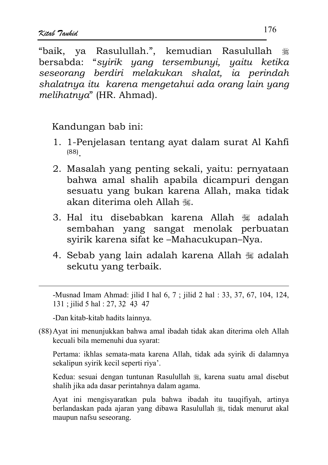"baik, ya Rasulullah.", kemudian Rasulullah \* bersabda: "syirik yang tersembunyi, yaitu ketika seseorana berdiri melakukan shalat, ia perindah shalatnya itu karena mengetahui ada orang lain yang melihatnya" (HR. Ahmad).

Kandungan bab ini:

- 1. 1-Penjelasan tentang ayat dalam surat Al Kahfi  $(88)$
- 2. Masalah yang penting sekali, yaitu: pernyataan bahwa amal shalih apabila dicampuri dengan sesuatu yang bukan karena Allah, maka tidak akan diterima oleh Allah ...
- 3. Hal itu disebabkan karena Allah ﷺ adalah sembahan yang sangat menolak perbuatan syirik karena sifat ke-Mahacukupan-Nya.
- 4. Sebab yang lain adalah karena Allah  $\frac{1}{200}$  adalah sekutu yang terbaik.

-Musnad Imam Ahmad: jilid I hal 6, 7; jilid 2 hal : 33, 37, 67, 104, 124, 131; jilid 5 hal: 27, 32 43 47

-Dan kitab-kitab hadits lainnya.

(88) Ayat ini menunjukkan bahwa amal ibadah tidak akan diterima oleh Allah kecuali bila memenuhi dua syarat:

Pertama: ikhlas semata-mata karena Allah, tidak ada syirik di dalamnya sekalipun syirik kecil seperti riya'.

Kedua: sesuai dengan tuntunan Rasulullah , karena suatu amal disebut shalih jika ada dasar perintahnya dalam agama.

Ayat ini mengisyaratkan pula bahwa ibadah itu tauqifiyah, artinya berlandaskan pada ajaran yang dibawa Rasulullah , tidak menurut akal maupun nafsu seseorang.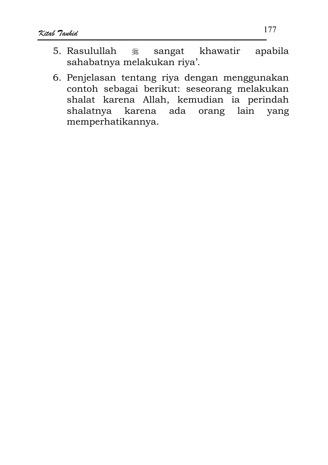- 5. Rasulullah khawatir apabila صَلاله<br>کلیک sangat sahabatnya melakukan riya'.
- 6. Penjelasan tentang riya dengan menggunakan contoh sebagai berikut: seseorang melakukan shalat karena Allah, kemudian ia perindah shalatnya karena ada orang lain yang memperhatikannya.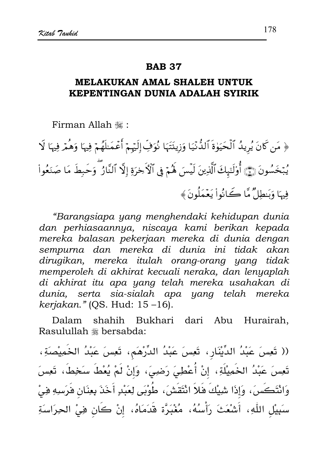## MELAKUKAN AMAL SHALEH UNTUK KEPENTINGAN DUNIA ADALAH SYIRIK

Firman Allah .

﴿ مَن كَانَ يُرِيدُ ٱلْحَيَوٰةَ ٱلدُّنْيَا وَزِينَتَهَا نُوَفِّ إِلَيْهِمْ أَعْمَـٰلَهُمْ فِيهَا وَهُمْ فِيهَا لَا يُبْخَسُونَ ۞ أُوْلَتِهِكَ ٱلَّذِينَ لَيْسَ لَهُمْ فِي ٱلْأَخِرَةِ إِلَّا ٱلنَّارُ ۖ وَحَبِطَ مَا صَنَعُواْ فِيهَا وَبَنطِلٌ مَّا كَانُواْ يَعْمَلُونَ ﴾

"Barangsiapa yang menghendaki kehidupan dunia dan perhiasaannya, niscaya kami berikan kepada mereka balasan pekerjaan mereka di dunia dengan sempurna dan mereka di dunia ini tidak akan dirugikan, mereka itulah orang-orang yang tidak memperoleh di akhirat kecuali neraka, dan lenyaplah di akhirat itu apa yang telah mereka usahakan di dunia, serta sia-sialah apa yang telah mereka kerjakan." (QS. Hud: 15-16).

shahih Bukhari dari Abu Hurairah, Dalam Rasulullah \* bersabda:

(( تَعِسَ عَبْدُ الدِّيْنَارِ، تَعِسَ عَبْدُ الدِّرْهَمِ، تَعِسَ عَبْدُ الخَمِيْصَةِ، تَعِسَ عَبْدُ الخَمِيلَةِ، إنْ أُعْطِيَ رَضِيَ، وَإنْ لَمْ يُعْطَ سَخِطَ، تَعِسَ وَانْتَكَسَ، وَإِذَا شِيْكَ فَلاَ انْتَقَشْ، طُوْبَى لِعَبْدٍ أَخَذَ بِعِنَانِ فَرَسِهِ فِيْ سبَيِيْلِ اللَّهِ، أَشْعَتْ رَأْسُهُ، مُغْبَرَّة قَدَمَاهُ، إنْ كَانٍ فِيْ الحِرَاسَةِ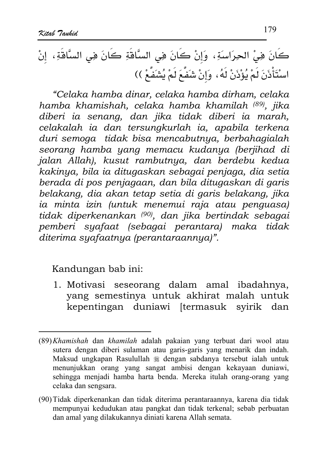"Celaka hamba dinar, celaka hamba dirham, celaka hamba khamishah, celaka hamba khamilah (89), jika diberi ia senang, dan jika tidak diberi ia marah, celakalah ia dan tersungkurlah ia, apabila terkena duri semoga tidak bisa mencabutnya, berbahagialah seorang hamba yang memacu kudanya (berjihad di jalan Allah), kusut rambutnya, dan berdebu kedua kakinya, bila ia ditugaskan sebagai penjaga, dia setia berada di pos penjagaan, dan bila ditugaskan di garis belakang, dia akan tetap setia di garis belakang, jika ia minta izin (untuk menemui raja atau penguasa) tidak diperkenankan (90), dan jika bertindak sebagai pemberi syafaat (sebagai perantara) maka tidak diterima syafaatnya (perantaraannya)".

Kandungan bab ini:

1. Motivasi seseorang dalam amal ibadahnya, yang semestinya untuk akhirat malah untuk kepentingan duniawi [termasuk syirik dan

<sup>(89)</sup> Khamishah dan khamilah adalah pakaian yang terbuat dari wool atau sutera dengan diberi sulaman atau garis-garis yang menarik dan indah. Maksud ungkapan Rasulullah \* dengan sabdanya tersebut ialah untuk menunjukkan orang yang sangat ambisi dengan kekayaan duniawi, sehingga menjadi hamba harta benda. Mereka itulah orang-orang yang celaka dan sengsara.

<sup>(90)</sup> Tidak diperkenankan dan tidak diterima perantaraannya, karena dia tidak mempunyai kedudukan atau pangkat dan tidak terkenal; sebab perbuatan dan amal yang dilakukannya diniati karena Allah semata.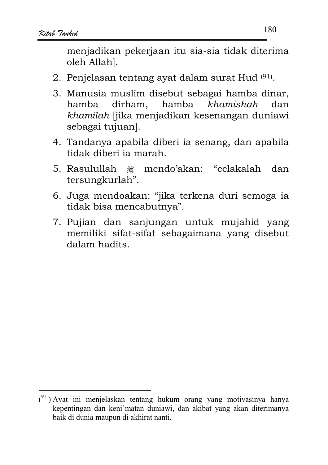menjadikan pekerjaan itu sia-sia tidak diterima oleh Allah].

- 2. Penjelasan tentang avat dalam surat Hud<sup>(91)</sup>.
- 3. Manusia muslim disebut sebagai hamba dinar, hamba dirham, hamba khamishah dan khamilah liika menjadikan kesenangan duniawi sebagai tujuan.
- 4. Tandanya apabila diberi ia senang, dan apabila tidak diberi ia marah.
- mendo'akan: "celakalah dan 5. Rasulullah - <sub>继</sub> tersungkurlah".
- 6. Juga mendoakan: "jika terkena duri semoga ia tidak bisa mencabutnya".
- 7. Pujian dan sanjungan untuk mujahid yang memiliki sifat-sifat sebagaimana yang disebut dalam hadits.

 $(91)$  Ayat ini menjelaskan tentang hukum orang yang motivasinya hanya kepentingan dan keni'matan duniawi, dan akibat yang akan diterimanya baik di dunia maupun di akhirat nanti.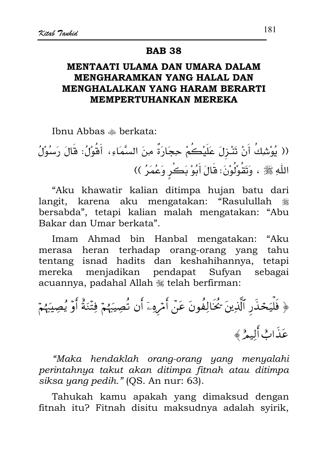#### **BAB 38**

## MENTAATI ULAMA DAN UMARA DALAM MENGHARAMKAN YANG HALAL DAN MENGHALALKAN YANG HARAM BERARTI **MEMPERTUHANKAN MEREKA**

Ibnu Abbas & berkata:

(( يُوْشِكُ أَنْ تَنْزِلَ عَلَيْكُمْ حِجَارَةٌ مِنَ السَّمَاءِ، أَقُوْلُ: قَالَ رَسُوُلُ اللَّهِ ﷺ ، وَتَقُوْلُوْنَ: قَالَ أَبُوْ بَكْرٍ وَعُمَرُ ))

"Aku khawatir kalian ditimpa hujan batu dari langit, karena aku mengatakan: "Rasulullah ٩ bersabda", tetapi kalian malah mengatakan: "Abu Bakar dan Umar berkata".

Imam Ahmad bin Hanbal mengatakan: "Aku merasa heran terhadap orang-orang yang tahu tentang isnad hadits dan keshahihannya, tetapi mereka menjadikan pendapat Sufyan sebagai acuannya, padahal Allah , telah berfirman:

"Maka hendaklah orang-orang yang menyalahi perintahnya takut akan ditimpa fitnah atau ditimpa siksa yang pedih." (QS. An nur: 63).

Tahukah kamu apakah yang dimaksud dengan fitnah itu? Fitnah disitu maksudnya adalah syirik,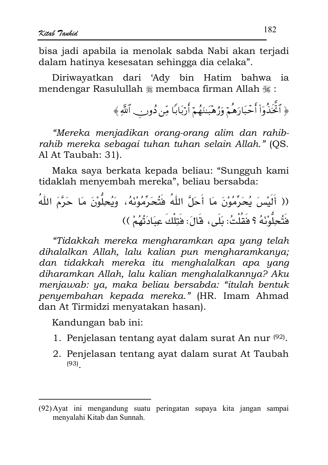bisa jadi apabila ja menolak sabda Nabi akan terjadi dalam hatinya kesesatan sehingga dia celaka".

Diriwayatkan dari 'Ady bin Hatim bahwa ia mendengar Rasulullah ﷺ membaca firman Allah ﷺ:

﴿ ٱتَّخَذُوٓاْ أَحۡبَارَهُمۡ وَرُهۡبَنَهُمۡ أَرۡبَابًا مِّن دُونِ ۗ ٱللَّهِ ﴾

"Mereka menjadikan orang-orang alim dan rahibrahib mereka sebagai tuhan tuhan selain Allah." (OS. Al At Taubah: 31).

Maka saya berkata kepada beliau: "Sungguh kami tidaklah menvembah mereka", beliau bersabda:

(( أَلَيُسَ يُحَرِّمُوُنَ مَا أَحَلَّ اللَّهُ فَتُحَرِّمُوُنَهُ، وَيُحِلُّوُنَ مَا حَرَّمَ اللَّهُ
$$
\frac{1}{2} \frac{1}{2} \frac{1}{2} \frac{1}{2} \frac{1}{2} \frac{1}{2} \frac{1}{2} \frac{1}{2} \frac{1}{2} \frac{1}{2} \frac{1}{2} \frac{1}{2} \frac{1}{2} \frac{1}{2} \frac{1}{2} \frac{1}{2} \frac{1}{2} \frac{1}{2} \frac{1}{2} \frac{1}{2} \frac{1}{2} \frac{1}{2} \frac{1}{2} \frac{1}{2} \frac{1}{2} \frac{1}{2} \frac{1}{2} \frac{1}{2} \frac{1}{2} \frac{1}{2} \frac{1}{2} \frac{1}{2} \frac{1}{2} \frac{1}{2} \frac{1}{2} \frac{1}{2} \frac{1}{2} \frac{1}{2} \frac{1}{2} \frac{1}{2} \frac{1}{2} \frac{1}{2} \frac{1}{2} \frac{1}{2} \frac{1}{2} \frac{1}{2} \frac{1}{2} \frac{1}{2} \frac{1}{2} \frac{1}{2} \frac{1}{2} \frac{1}{2} \frac{1}{2} \frac{1}{2} \frac{1}{2} \frac{1}{2} \frac{1}{2} \frac{1}{2} \frac{1}{2} \frac{1}{2} \frac{1}{2} \frac{1}{2} \frac{1}{2} \frac{1}{2} \frac{1}{2} \frac{1}{2} \frac{1}{2} \frac{1}{2} \frac{1}{2} \frac{1}{2} \frac{1}{2} \frac{1}{2} \frac{1}{2} \frac{1}{2} \frac{1}{2} \frac{1}{2} \frac{1}{2} \frac{1}{2} \frac{1}{2} \frac{1}{2} \frac{1}{2} \frac{1}{2} \frac{1}{2} \frac{1}{2} \frac{1}{2} \frac{1}{2} \frac{1}{2} \frac{1}{2} \frac{1}{2} \frac{1}{2} \frac{1}{2} \frac{1}{2} \frac{1}{2} \frac{1}{2} \frac{1}{2} \frac{1}{2} \frac{
$$

"Tidakkah mereka mengharamkan apa yang telah dihalalkan Allah, lalu kalian pun mengharamkanya; dan tidakkah mereka itu menghalalkan apa yang diharamkan Allah, lalu kalian menghalalkannya? Aku menjawab: ya, maka beliau bersabda: "itulah bentuk penyembahan kepada mereka." (HR. Imam Ahmad dan At Tirmidzi menyatakan hasan).

- 1. Penjelasan tentang ayat dalam surat An nur (92).
- 2. Penjelasan tentang ayat dalam surat At Taubah  $(93)$

<sup>(92)</sup> Ayat ini mengandung suatu peringatan supaya kita jangan sampai menyalahi Kitab dan Sunnah.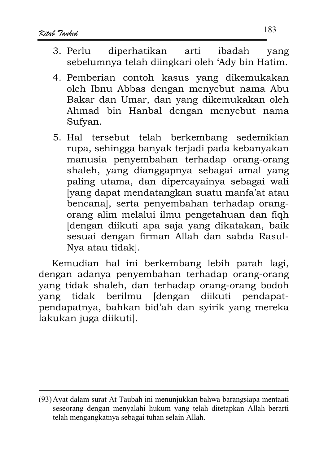- arti ibadah diperhatikan  $3$  Perlu vang sebelumnya telah diingkari oleh 'Ady bin Hatim.
- 4. Pemberian contoh kasus yang dikemukakan oleh Ibnu Abbas dengan menyebut nama Abu Bakar dan Umar, dan yang dikemukakan oleh Ahmad bin Hanbal dengan menyebut nama Sufyan.
- 5. Hal tersebut telah berkembang sedemikian rupa, sehingga banyak terjadi pada kebanyakan manusia penyembahan terhadap orang-orang shaleh, yang dianggapnya sebagai amal yang paling utama, dan dipercavainya sebagai wali [vang dapat mendatangkan suatu manfa'at atau bencana], serta penyembahan terhadap orangorang alim melalui ilmu pengetahuan dan figh dengan diikuti apa saja yang dikatakan, baik sesuai dengan firman Allah dan sabda Rasul-Nya atau tidak].

Kemudian hal ini berkembang lebih parah lagi, dengan adanya penyembahan terhadap orang-orang yang tidak shaleh, dan terhadap orang-orang bodoh tidak berilmu [dengan diikuti pendapatvang pendapatnya, bahkan bid'ah dan syirik yang mereka lakukan juga diikuti].

<sup>(93)</sup> Ayat dalam surat At Taubah ini menunjukkan bahwa barangsiapa mentaati seseorang dengan menyalahi hukum yang telah ditetapkan Allah berarti telah mengangkatnya sebagai tuhan selain Allah.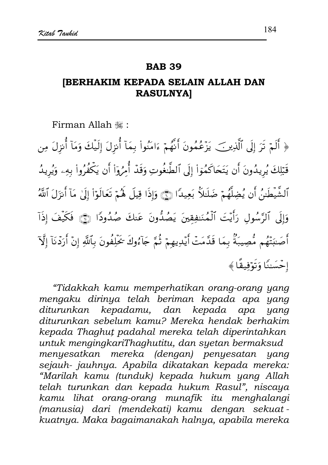#### **BAB 39**

# **IBERHAKIM KEPADA SELAIN ALLAH DAN RASULNYA]**

Firman Allah ...

﴿ أَلَمْ تَرَ إِلَى ٱلَّذِينَ ۖ يَزْعُمُونَ أَنَّهُمْ ءَامَنُواْ بِمَآ أُنزِلَ إِلَيۡكَ وَمَآ أُنزِلَ مِن قَبْلِكَ يُرِيدُونَ أَن يَتَحَاكَمُوٓاْ إِلَى ٱلطَّنغُوتِ وَقَدْ أُمِرُوٓاْ أَن يَكۡفُرُواْ بِهِۦ وَيُرِيدُ ٱلشَّيطَينُ أَن يُضِلَّهُمْ ضَلَللَّا بَعِيدًا ۞ وَإِذَا قِيلَ لَهُمْ تَعَالَوْاْ إِلَىٰ مَآ أَنزَلَ ٱللَّهُ وَإِلَى ٱلرَّسُولِ رَأَيْتَ ٱلْمُنَـٰفِقِينَ يَصُدُّونَ عَنكَ صُدُودًا ۞ فَكَيْفَ إذَآ أَصَبَنَّهُم مُصِيبَةٌ بِمَا قَدَّمَتْ أَيْدِيهِمْ ثُمَّ جَآءُوكَ يُحَلِّفُونَ بِٱللَّهِ إِنْ أَرَدْنَآ إِلَّآ إِحْسَنَا وَتَوْفِيقًا ﴾

"Tidakkah kamu memperhatikan orang-orang yang mengaku dirinya telah beriman kepada apa yang diturunkan kepadamu, dan kepada apa yang diturunkan sebelum kamu? Mereka hendak berhakim kepada Thaghut padahal mereka telah diperintahkan untuk mengingkariThaghutitu, dan syetan bermaksud menyesatkan mereka (dengan) penyesatan yang sejauh- jauhnya. Apabila dikatakan kepada mereka: "Marilah kamu (tunduk) kepada hukum yang Allah telah turunkan dan kepada hukum Rasul", niscaya kamu lihat orang-orang munafik itu menghalangi (manusia) dari (mendekati) kamu dengan sekuatkuatnya. Maka bagaimanakah halnya, apabila mereka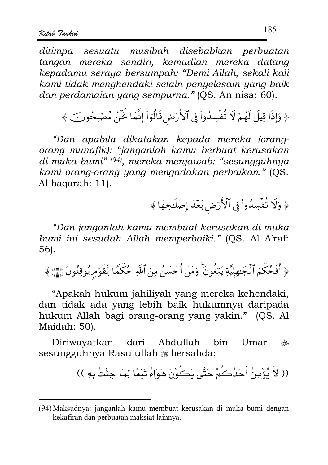ditimpa sesuatu musibah disebabkan perbuatan tangan mereka sendiri, kemudian mereka datang kepadamu seraya bersumpah: "Demi Allah, sekali kali kami tidak menghendaki selain penyelesain yang baik dan perdamaian yang sempurna." (QS. An nisa: 60).

﴿ وَإِذَا قِيلَ لَهُمْ لَا تُفْسِدُواْ فِي ٱلْأَرْضِ قَالُوَاْ إِنَّمَا خَنَّنُ مُصْلِحُونَ ﴾

"Dan apabila dikatakan kepada mereka (orangorang munafik): "janganlah kamu berbuat kerusakan di muka bumi" (94), mereka menjawab: "sesungguhnya kami orang-orang yang mengadakan perbaikan." (OS. Al bagarah: 11).

﴿ وَلَا تُفْسِدُواْ فِي ٱلْأَرْضِ بَعْدَ إِصْلَحِهَا ﴾

"Dan janganlah kamu membuat kerusakan di muka bumi ini sesudah Allah memperbaiki." (QS. Al A'raf: 56).

﴿ أَفَحُكُمَ ٱلْجَنْهِلِيَّةِ يَبْغُونَ ۚ وَمَنْ أَحْسَنُ مِنَ ٱللَّهِ حُكْمًا لِّقَوْمِ يُوقِنُونَ ۞ ﴾

"Apakah hukum jahiliyah yang mereka kehendaki, dan tidak ada yang lebih baik hukumnya daripada hukum Allah bagi orang-orang yang yakin." (QS. Al Maidah: 50).

Diriwayatkan dari Abdullah hin. Umar ريالي.<br>ريزې sesungguhnya Rasulullah # bersabda:

(( لاَ يُؤْمِنُ أَحَدُكُمْ حَتَّى يَكُوْنَ هَوَاهُ تَبَعًا لِمَا جِئْتُ بِهِ ))

<sup>(94)</sup> Maksudnya: janganlah kamu membuat kerusakan di muka bumi dengan kekafiran dan perbuatan maksiat lainnya.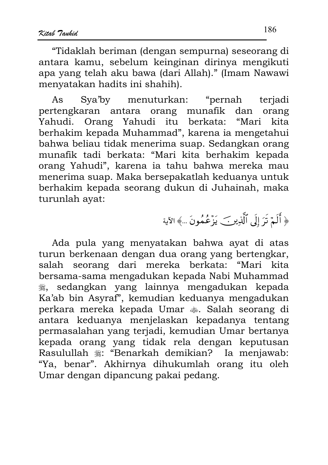"Tidaklah beriman (dengan sempurna) seseorang di antara kamu, sebelum keinginan dirinya mengikuti apa yang telah aku bawa (dari Allah)." (Imam Nawawi menyatakan hadits ini shahih).

Sya'by menuturkan: "pernah terjadi As pertengkaran antara orang munafik dan orang Yahudi. Orang Yahudi itu berkata: "Mari kita berhakim kepada Muhammad", karena ia mengetahui bahwa beliau tidak menerima suap. Sedangkan orang munafik tadi berkata: "Mari kita berhakim kepada orang Yahudi", karena ia tahu bahwa mereka mau menerima suap. Maka bersepakatlah keduanya untuk berhakim kepada seorang dukun di Juhainah, maka turunlah ayat:

﴿ أَلَمْ تَرَ إِلَى ٱلَّذِينَ يَزَعُمُونَ ...﴾ الآية

Ada pula yang menyatakan bahwa ayat di atas turun berkenaan dengan dua orang yang bertengkar, seorang dari mereka berkata: salah "Mari kita bersama-sama mengadukan kepada Nabi Muhammad sedangkan yang lainnya mengadukan kepada ڪالا Ka'ab bin Asyraf", kemudian keduanya mengadukan perkara mereka kepada Umar  $\clubsuit$ . Salah seorang di antara keduanya menjelaskan kepadanya tentang permasalahan yang terjadi, kemudian Umar bertanya kepada orang yang tidak rela dengan keputusan<br>Rasulullah ﷺ: "Benarkah demikian? Ia menjawab: "Ya, benar". Akhirnya dihukumlah orang itu oleh Umar dengan dipancung pakai pedang.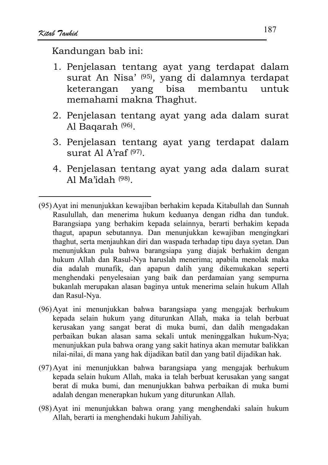- 1. Penjelasan tentang ayat yang terdapat dalam surat An Nisa' (95), yang di dalamnya terdapat bisa membantu keterangan yang untuk memahami makna Thaghut.
- 2. Penjelasan tentang ayat yang ada dalam surat Al Bagarah<sup>(96)</sup>.
- 3. Penjelasan tentang ayat yang terdapat dalam surat Al A'raf  $(97)$
- 4. Penjelasan tentang ayat yang ada dalam surat Al Ma'idah  $(98)$
- (95) Ayat ini menunjukkan kewajiban berhakim kepada Kitabullah dan Sunnah Rasulullah, dan menerima hukum keduanya dengan ridha dan tunduk. Barangsiapa yang berhakim kepada selainnya, berarti berhakim kepada thagut, apapun sebutannya. Dan menunjukkan kewajiban mengingkari thaghut, serta menjauhkan diri dan waspada terhadap tipu daya syetan. Dan menunjukkan pula bahwa barangsiapa yang diajak berhakim dengan hukum Allah dan Rasul-Nya haruslah menerima; apabila menolak maka dia adalah munafik, dan apapun dalih yang dikemukakan seperti menghendaki penyelesaian yang baik dan perdamaian yang sempurna bukanlah merupakan alasan baginya untuk menerima selain hukum Allah dan Rasul-Nya.
- (96) Ayat ini menunjukkan bahwa barangsiapa yang mengajak berhukum kepada selain hukum yang diturunkan Allah, maka ia telah berbuat kerusakan yang sangat berat di muka bumi, dan dalih mengadakan perbaikan bukan alasan sama sekali untuk meninggalkan hukum-Nya; menunjukkan pula bahwa orang yang sakit hatinya akan memutar balikkan nilai-nilai, di mana yang hak dijadikan batil dan yang batil dijadikan hak.
- (97) Ayat ini menunjukkan bahwa barangsiapa yang mengajak berhukum kepada selain hukum Allah, maka ia telah berbuat kerusakan yang sangat berat di muka bumi, dan menunjukkan bahwa perbaikan di muka bumi adalah dengan menerapkan hukum yang diturunkan Allah.
- (98) Ayat ini menunjukkan bahwa orang yang menghendaki salain hukum Allah, berarti ia menghendaki hukum Jahiliyah.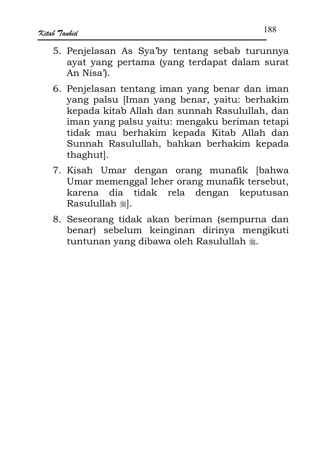- 5. Penielasan As Sva'by tentang sebab turunnya avat vang pertama (yang terdapat dalam surat An Nisa').
- 6. Penjelasan tentang iman yang benar dan iman yang palsu [Iman yang benar, yaitu: berhakim kepada kitab Allah dan sunnah Rasulullah, dan iman yang palsu yaitu: mengaku beriman tetapi tidak mau berhakim kepada Kitab Allah dan Sunnah Rasulullah, bahkan berhakim kepada thaghut].
- 7. Kisah Umar dengan orang munafik [bahwa Umar memenggal leher orang munafik tersebut, karena dia tidak rela dengan keputusan Rasulullah #1.
- 8. Seseorang tidak akan beriman (sempurna dan benar) sebelum keinginan dirinya mengikuti tuntunan yang dibawa oleh Rasulullah .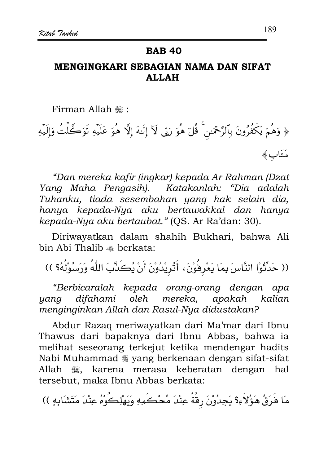### **BAB 40**

# MENGINGKARI SEBAGIAN NAMA DAN SIFAT **ALLAH**

Firman Allah ,:

﴿ وَهُمۡ يَكۡفُرُونَ بِٱلرَّحۡمَـٰن ۚ قُلۡ هُوَ رَبِّى لَآ إِلَٰهَ إِلَّا هُوَ عَلَيۡهِ تَوَكَّلۡتُ وَإِلَيۡهِ مَتَابٍ﴾

"Dan mereka kafir (ingkar) kepada Ar Rahman (Dzat Yang Maha Pengasih). Katakanlah: "Dia adalah Tuhanku, tiada sesembahan yang hak selain dia, hanya kepada-Nya aku bertawakkal dan hanya kepada-Nya aku bertaubat." (QS. Ar Ra'dan: 30).

Diriwayatkan dalam shahih Bukhari, bahwa Ali bin Abi Thalib & berkata:

(( حَدِّثُوْا النَّاسَ بِمَا يَعْرِفُوْنَ، أَثُرِيْدُوْنَ أَنْ يُكَذَّبَ اللَّهُ وَرَسُوْلُهُ؟ ))

"Berbicaralah kepada orang-orang dengan apa difahami oleh mereka, apakah kalian yang menginginkan Allah dan Rasul-Nya didustakan?

Abdur Razaq meriwayatkan dari Ma'mar dari Ibnu Thawus dari bapaknya dari Ibnu Abbas, bahwa ia melihat seseorang terkejut ketika mendengar hadits Nabi Muhammad \* yang berkenaan dengan sifat-sifat Allah , karena merasa keberatan dengan hal tersebut, maka Ibnu Abbas berkata:

مَا فَرَقُ هَؤُلاَءِ؟ يَجِدُوْنَ رقَّةً عِنْدَ مُحْكَمِهِ وَيَهْلِكُوهُ عِنْدَ مَتَشَابِهِ ))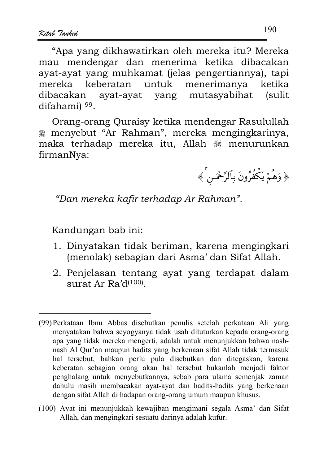"Apa yang dikhawatirkan oleh mereka itu? Mereka mau mendengar dan menerima ketika dibacakan ayat-ayat yang muhkamat (jelas pengertiannya), tapi keberatan untuk menerimanya mereka ketika dibacakan ayat-ayat yang mutasyabihat *(sulit)* difahami) 99.

Orang-orang Quraisy ketika mendengar Rasulullah g menyebut "Ar Rahman", mereka mengingkarinya, maka terhadap mereka itu, Allah # menurunkan firmanNya:



"Dan mereka kafir terhadap Ar Rahman".

Kandungan bab ini:

- 1. Dinyatakan tidak beriman, karena mengingkari (menolak) sebagian dari Asma'dan Sifat Allah.
- 2. Penjelasan tentang ayat yang terdapat dalam surat Ar  $Ra'd^{(100)}$ .

(100) Ayat ini menunjukkah kewajiban mengimani segala Asma' dan Sifat Allah, dan mengingkari sesuatu darinya adalah kufur.

<sup>(99)</sup> Perkataan Ibnu Abbas disebutkan penulis setelah perkataan Ali yang menyatakan bahwa seyogyanya tidak usah dituturkan kepada orang-orang apa yang tidak mereka mengerti, adalah untuk menunjukkan bahwa nashnash Al Qur'an maupun hadits yang berkenaan sifat Allah tidak termasuk hal tersebut, bahkan perlu pula disebutkan dan ditegaskan, karena keberatan sebagian orang akan hal tersebut bukanlah menjadi faktor penghalang untuk menyebutkannya, sebab para ulama semenjak zaman dahulu masih membacakan ayat-ayat dan hadits-hadits yang berkenaan dengan sifat Allah di hadapan orang-orang umum maupun khusus.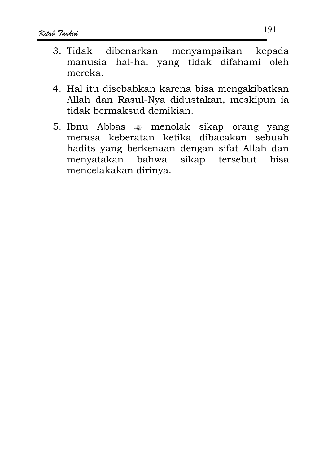- 3. Tidak dibenarkan menyampaikan kepada manusia hal-hal yang tidak difahami oleh mereka.
- 4. Hal itu disebabkan karena bisa mengakibatkan Allah dan Rasul-Nya didustakan, meskipun ia tidak bermaksud demikian.
- 5. Ibnu Abbas  $\bullet$  menolak sikap orang yang merasa keberatan ketika dibacakan sebuah hadits yang berkenaan dengan sifat Allah dan menyatakan bahwa sikap tersebut bisa mencelakakan dirinya.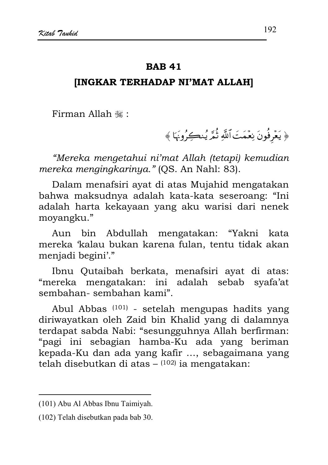## **IINGKAR TERHADAP NI'MAT ALLAHI**

Firman Allah ,:

﴿ يَعۡرِفُونَ نِعۡمَتَ ٱللَّهِ ثُمَّرَ يُنڪِرُونَهَا ﴾

"Mereka mengetahui ni'mat Allah (tetapi) kemudian mereka mengingkarinya." (OS. An Nahl: 83).

Dalam menafsiri ayat di atas Mujahid mengatakan bahwa maksudnya adalah kata-kata seseroang: "Ini adalah harta kekayaan yang aku warisi dari nenek movangku."

Aun bin Abdullah mengatakan: "Yakni kata mereka 'kalau bukan karena fulan, tentu tidak akan menjadi begini'."

Ibnu Qutaibah berkata, menafsiri ayat di atas: "mereka mengatakan: ini adalah sebab svafa'at sembahan-sembahan kami".

Abul Abbas<sup>(101)</sup> - setelah mengupas hadits yang diriwayatkan oleh Zaid bin Khalid yang di dalamnya terdapat sabda Nabi: "sesungguhnya Allah berfirman: "pagi ini sebagian hamba-Ku ada yang beriman kepada-Ku dan ada yang kafir ..., sebagaimana yang telah disebutkan di atas  $(102)$  ia mengatakan:

<sup>(101)</sup> Abu Al Abbas Ibnu Taimiyah.

<sup>(102)</sup> Telah disebutkan pada bab 30.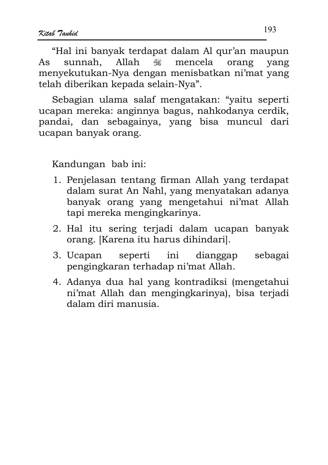"Hal ini banyak terdapat dalam Al qur'an maupun sunnah. Allah  $\frac{1}{2}$ mencela yang orang  $As$ menyekutukan-Nya dengan menisbatkan ni'mat yang telah diberikan kepada selain-Nya".

Sebagian ulama salaf mengatakan: "yaitu seperti ucapan mereka: anginnya bagus, nahkodanya cerdik, pandai, dan sebagainya, yang bisa muncul dari ucapan banyak orang.

- 1. Penjelasan tentang firman Allah yang terdapat dalam surat An Nahl, yang menyatakan adanya banyak orang yang mengetahui ni'mat Allah tapi mereka mengingkarinya.
- 2. Hal itu sering terjadi dalam ucapan banyak orang. [Karena itu harus dihindari].
- ini dianggap 3. Ucapan seperti sebagai pengingkaran terhadap ni'mat Allah.
- 4. Adanya dua hal yang kontradiksi (mengetahui ni'mat Allah dan mengingkarinya), bisa terjadi dalam diri manusia.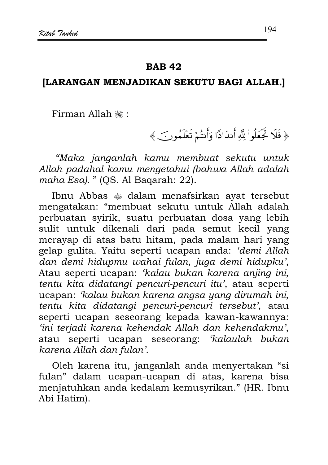## [LARANGAN MENJADIKAN SEKUTU BAGI ALLAH.]

Firman Allah ,:

﴿ فَلَا تَجَعَلُواْ لِلَّهِ أَنذَادًا وَأَنتُمْ تَعْلَمُونَ ﴾

"Maka janganlah kamu membuat sekutu untuk Allah padahal kamu mengetahui (bahwa Allah adalah maha Esa). " (QS. Al Baqarah: 22).

Ibnu Abbas  $\triangleleft$  dalam menafsirkan avat tersebut mengatakan: "membuat sekutu untuk Allah adalah perbuatan syirik, suatu perbuatan dosa yang lebih sulit untuk dikenali dari pada semut kecil yang merayap di atas batu hitam, pada malam hari yang gelap gulita. Yaitu seperti ucapan anda: 'demi Allah dan demi hidupmu wahai fulan, juga demi hidupku', Atau seperti ucapan: 'kalau bukan karena anjing ini, tentu kita didatangi pencuri-pencuri itu', atau seperti ucapan: 'kalau bukan karena angsa yang dirumah ini, tentu kita didatangi pencuri-pencuri tersebut', atau seperti ucapan seseorang kepada kawan-kawannya: 'ini terjadi karena kehendak Allah dan kehendakmu', atau seperti ucapan seseorang: 'kalaulah bukan karena Allah dan fulan'.

Oleh karena itu, janganlah anda menyertakan "si fulan" dalam ucapan-ucapan di atas, karena bisa menjatuhkan anda kedalam kemusyrikan." (HR. Ibnu Abi Hatim).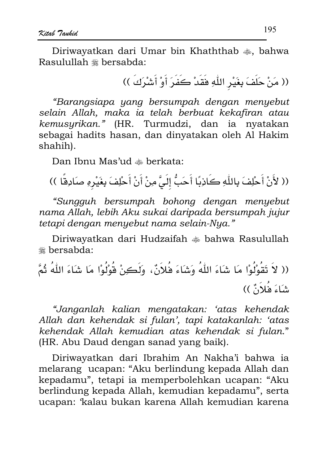Diriwayatkan dari Umar bin Khaththab ... bahwa Rasulullah \* bersabda:

(( مَنْ حَلَفَ بِغَيْرِ اللَّهِ فَقَدْ كَفَرَ أَوْ أَشْرَكَ ))

"Barangsiapa yang bersumpah dengan menyebut selain Allah, maka ia telah berbuat kekafiran atau kemusyrikan." (HR. Turmudzi, dan ia nyatakan sebagai hadits hasan, dan dinyatakan oleh Al Hakim shahih).

Dan Ibnu Mas'ud  $\triangle$  berkata:

(( لأَنْ أَحْلِفَ بِاللَّهِ كَاذِبًا أَحَبُّ إِلَىَّ مِنْ أَنْ أَحْلِفَ بِغَيْرِهِ صَادِقًا ))

"Sungguh bersumpah bohong dengan menyebut nama Allah, lebih Aku sukai daripada bersumpah jujur tetapi dengan menyebut nama selain-Nya."

Diriwayatkan dari Hudzaifah  $\triangleq$  bahwa Rasulullah **※ bersabda:** 

"Janganlah kalian mengatakan: 'atas kehendak Allah dan kehendak si fulan', tapi katakanlah: 'atas kehendak Allah kemudian atas kehendak si fulan." (HR. Abu Daud dengan sanad yang baik).

Diriwayatkan dari Ibrahim An Nakha'i bahwa ia melarang ucapan: "Aku berlindung kepada Allah dan kepadamu", tetapi ia memperbolehkan ucapan: "Aku berlindung kepada Allah, kemudian kepadamu", serta ucapan: 'kalau bukan karena Allah kemudian karena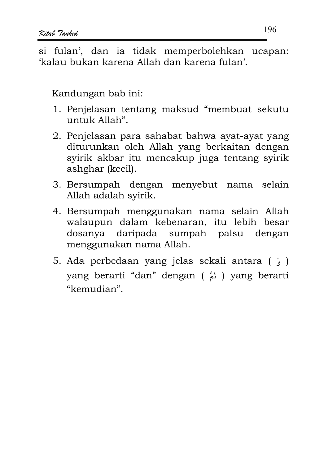si fulan', dan ia tidak memperbolehkan ucapan: 'kalau bukan karena Allah dan karena fulan'.

- 1. Penjelasan tentang maksud "membuat sekutu untuk Allah"
- 2. Penjelasan para sahabat bahwa ayat-ayat yang diturunkan oleh Allah yang berkaitan dengan syirik akbar itu mencakup juga tentang syirik ashghar (kecil).
- 3. Bersumpah dengan menyebut nama selain Allah adalah svirik.
- 4. Bersumpah menggunakan nama selain Allah walaupun dalam kebenaran, itu lebih besar dosanya daripada sumpah palsu dengan menggunakan nama Allah.
- 5. Ada perbedaan yang jelas sekali antara (; ) yang berarti "dan" dengan (  $\hat{a}$ ) yang berarti "kemudian".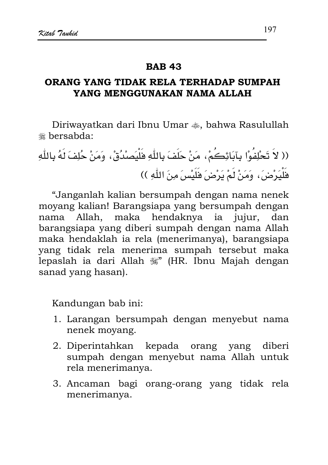## ORANG YANG TIDAK RELA TERHADAP SUMPAH YANG MENGGUNAKAN NAMA ALLAH

Diriwayatkan dari Ibnu Umar  $\ast$ , bahwa Rasulullah **\*\*** hersabda:

(( لاَ تَحْلِفُوْا بِآبَائِكُمْ، مَنْ حَلَفَ بِاللَّهِ فَلْيَصِنْدُقْ، وَمَنْ حُلِفَ لَهُ بِاللَّهِ فَلْيَرْضَ، وَمَنْ لَمْ يَرْضَ فَلَيْسَ مِنَ اللّٰهِ ))

"Janganlah kalian bersumpah dengan nama nenek moyang kalian! Barangsiapa yang bersumpah dengan Allah, maka hendaknya ia jujur, dan nama barangsiapa yang diberi sumpah dengan nama Allah maka hendaklah ia rela (menerimanya), barangsiapa yang tidak rela menerima sumpah tersebut maka lepaslah ia dari Allah #" (HR. Ibnu Majah dengan sanad yang hasan).

- 1. Larangan bersumpah dengan menyebut nama nenek moyang.
- 2. Diperintahkan kepada orang yang diberi sumpah dengan menyebut nama Allah untuk rela menerimanya.
- 3. Ancaman bagi orang-orang yang tidak rela menerimanya.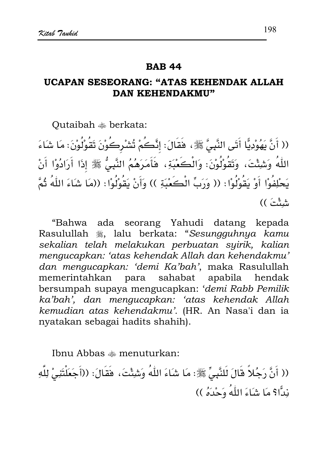## UCAPAN SESEORANG: "ATAS KEHENDAK ALLAH **DAN KEHENDAKMU"**

Outaibah  $\triangle$  berkata:

(( أَنَّ يَهُوْدِيًّا أَتَى النَّبِيَّ ﷺ، فَقَالَ: إِنَّكُمْ تُشْرِكُوْنَ تَقُوْلُوْنَ: مَا شَاءَ اللّهُ وَشِئْتَ، وَتَقُوْلُوْنَ: وَالْكَعْبَةِ، فَأَمَرَهُمُ النَّبِيُّ ﷺ إِذَا أَرَادُوْا أَنْ يَحْلِفُوْا أَوْ يَقُوْلُوْا: (( وَرَبِّ الْكَعْبَةِ )) وَأَنْ يَقُوْلُوْا: ((مَا شَاءَ اللَّهُ ثُمَّ شِئْتَ ))

"Bahwa ada seorang Yahudi datang kepada Rasulullah . lalu berkata: "Sesungguhnya kamu sekalian telah melakukan perbuatan syirik, kalian mengucapkan: 'atas kehendak Allah dan kehendakmu' dan mengucapkan: 'demi Ka'bah', maka Rasulullah memerintahkan para sahabat apabila hendak bersumpah supaya mengucapkan: 'demi Rabb Pemilik ka'bah', dan mengucapkan: 'atas kehendak Allah kemudian atas kehendakmu'. (HR. An Nasa'i dan ia nyatakan sebagai hadits shahih).

Ibnu Abbas  $\triangle$  menuturkan:

(( أَنَّ رَجُلاً قَالَ لَلنَّبِيِّ ﷺ: مَا شَاءَ اللَّهُ وَشِئْتَ، فَقَالَ: ((أَجَعَلْتَنِيْ لِلَّهِ نِدًّا؟ مَا شَاءَ اللَّهُ وَحْدَهُ ))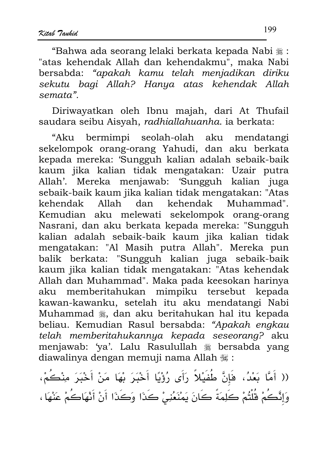"Bahwa ada seorang lelaki berkata kepada Nabi ﷺ: "atas kehendak Allah dan kehendakmu", maka Nabi bersabda: "apakah kamu telah menjadikan diriku sekutu bagi Allah? Hanya atas kehendak Allah semata".

Diriwayatkan oleh Ibnu majah, dari At Thufail saudara seibu Aisvah, radhiallahuanha, ia berkata:

"Aku bermimpi seolah-olah aku mendatangi sekelompok orang-orang Yahudi, dan aku berkata kepada mereka: 'Sungguh kalian adalah sebaik-baik kaum jika kalian tidak mengatakan: Uzair putra Allah'. Mereka menjawab: 'Sungguh kalian juga sebaik-baik kaum jika kalian tidak mengatakan: "Atas kehendak Muhammad". kehendak Allah dan Kemudian aku melewati sekelompok orang-orang Nasrani, dan aku berkata kepada mereka: "Sungguh kalian adalah sebaik-baik kaum jika kalian tidak mengatakan: "Al Masih putra Allah". Mereka pun balik berkata: "Sungguh kalian juga sebaik-baik kaum jika kalian tidak mengatakan: "Atas kehendak Allah dan Muhammad". Maka pada keesokan harinya aku memberitahukan mimpiku tersebut kepada kawan-kawanku, setelah itu aku mendatangi Nabi Muhammad , dan aku beritahukan hal itu kepada beliau. Kemudian Rasul bersabda: "Apakah engkau telah memberitahukannya kepada seseorang? aku menjawab: 'va'. Lalu Rasulullah \* bersabda yang diawalinya dengan memuji nama Allah #:

(( أَمَّا بَعْدُ، فَإِنَّ طُفَيْلاً رَأَى رُؤْيًا أَخْبَرَ بْهَا مَنْ أَخْبَرَ مِنْكُمْ، وَإِنَّكُمْ قُلْتُمْ كَلِمَةً كَانَ يَمْنَعُنِيْ كَذَا وَكَذَا أَنْ أَنْهَاكُمْ عَنْهَا ،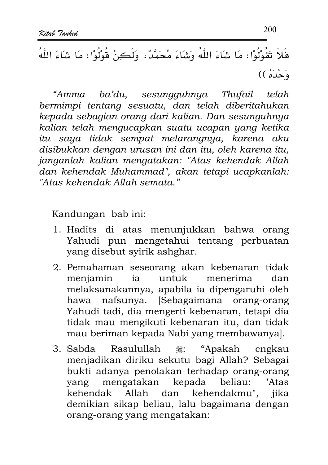"Amma ba'du, sesungguhnya Thufail telah bermimpi tentang sesuatu, dan telah diberitahukan kepada sebagian orang dari kalian. Dan sesunguhnya kalian telah mengucapkan suatu ucapan yang ketika itu saya tidak sempat melarangnya, karena aku disibukkan dengan urusan ini dan itu, oleh karena itu, janganlah kalian mengatakan: "Atas kehendak Allah dan kehendak Muhammad", akan tetapi ucapkanlah: "Atas kehendak Allah semata."

- 1. Hadits di atas menunjukkan bahwa orang Yahudi pun mengetahui tentang perbuatan yang disebut syirik ashghar.
- 2. Pemahaman seseorang akan kebenaran tidak meniamin ia untuk menerima dan melaksanakannya, apabila ia dipengaruhi oleh hawa nafsunya. [Sebagaimana orang-orang Yahudi tadi, dia mengerti kebenaran, tetapi dia tidak mau mengikuti kebenaran itu, dan tidak mau beriman kepada Nabi yang membawanya].
- Rasulullah • عَلَيْهُ "Apakah 3. Sabda engkau menjadikan diriku sekutu bagi Allah? Sebagai bukti adanya penolakan terhadap orang-orang mengatakan kepada beliau: "Atas yang kehendak Allah dan kehendakmu", jika demikian sikap beliau, lalu bagaimana dengan orang-orang yang mengatakan: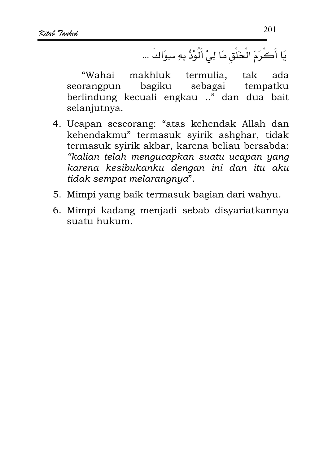يَا أَكْرَمَ الْخَلْقِ مَا لِيْ أَلُوْذُ بِهِ سِوَاكَ ...

tak "Wahai makhluk termulia. ada bagiku sebagai tempatku seorangpun berlindung kecuali engkau .." dan dua bait selanjutnya.

- 4. Ucapan seseorang: "atas kehendak Allah dan kehendakmu" termasuk syirik ashghar, tidak termasuk syirik akbar, karena beliau bersabda: "kalian telah mengucapkan suatu ucapan yang karena kesibukanku dengan ini dan itu aku tidak sempat melarangnya".
- 5. Mimpi yang baik termasuk bagian dari wahyu.
- 6. Mimpi kadang menjadi sebab disyariatkannya suatu hukum.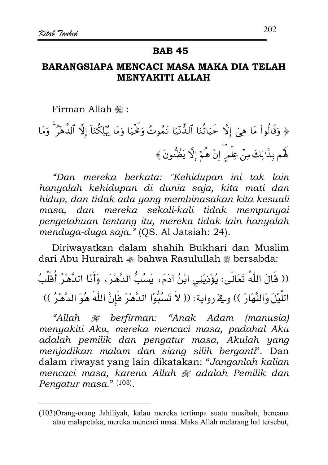## BARANGSIAPA MENCACI MASA MAKA DIA TELAH **MENYAKITI ALLAH**

Firman Allah ,:

﴿ وَقَالُواْ مَا هِيَ إِلَّا حَيَاتُنَا ٱلذُّنِّيَا نَمُوتُ وَخَيَا وَمَا يُهْلِكُنَآ إِلَّا ٱلدَّهْرَ ۚ وَمَا هُم بِذَالِكَ مِنْ عِلْمِرٍ إِنْ هُمْ إِلَّا يَظُنُّونَ ﴾

"Dan mereka berkata: "Kehidupan ini tak lain hanyalah kehidupan di dunia saja, kita mati dan hidup, dan tidak ada yang membinasakan kita kesuali masa, dan mereka sekali-kali tidak mempunyai pengetahuan tentang itu, mereka tidak lain hanyalah menduga-duga saja." (OS. Al Jatsiah: 24).

Diriwayatkan dalam shahih Bukhari dan Muslim dari Abu Hurairah  $\triangleq$  bahwa Rasulullah  $\triangleq$  bersabda:

(( قَالَ اللّٰهُ تَعَالَى: يُؤْذِيْنِى ابْنُ آدَمَ، يَسُبُّ الدَّهْرَ، وَأَنَا الدَّهْرُ أُقَلِّبُ اللَّيْلَ وَالنَّهَارَ )) وقِ رواية: (( لاَ تَسْبُوْا الدَّهْرَ فَإِنَّ اللَّهَ هُوَ الدَّهْرُ ))

"Allah # berfirman: "Anak Adam (manusia) menyakiti Aku, mereka mencaci masa, padahal Aku adalah pemilik dan pengatur masa, Akulah yang menjadikan malam dan siang silih berganti". Dan dalam riwayat yang lain dikatakan: "Janganlah kalian mencaci masa, karena Allah # adalah Pemilik dan Pengatur masa." (103).

<sup>(103)</sup> Orang-orang Jahiliyah, kalau mereka tertimpa suatu musibah, bencana atau malapetaka, mereka mencaci masa. Maka Allah melarang hal tersebut,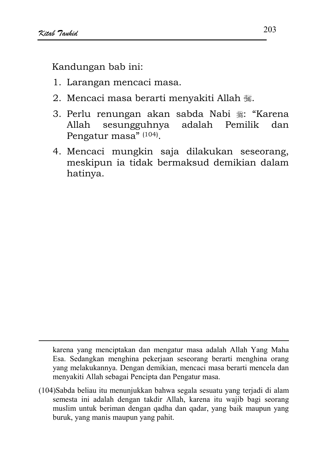Kandungan bab ini:

- 1. Larangan mencaci masa.
- 2. Mencaci masa berarti menyakiti Allah 骤.
- 3. Perlu renungan akan sabda Nabi ﷺ: "Karena sesungguhnya Allah adalah Pemilik dan Pengatur masa<sup>"</sup> (104).
- 4. Mencaci mungkin saja dilakukan seseorang, meskipun ia tidak bermaksud demikian dalam hatinya.

karena yang menciptakan dan mengatur masa adalah Allah Yang Maha Esa. Sedangkan menghina pekerjaan seseorang berarti menghina orang yang melakukannya. Dengan demikian, mencaci masa berarti mencela dan menyakiti Allah sebagai Pencipta dan Pengatur masa.

(104)Sabda beliau itu menunjukkan bahwa segala sesuatu yang terjadi di alam semesta ini adalah dengan takdir Allah, karena itu wajib bagi seorang muslim untuk beriman dengan qadha dan qadar, yang baik maupun yang buruk, yang manis maupun yang pahit.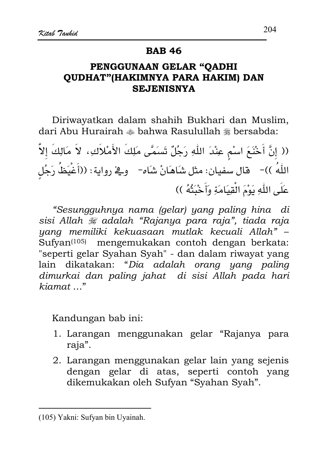### **BAB 46**

# PENGGUNAAN GELAR "OADHI **OUDHAT"(HAKIMNYA PARA HAKIM) DAN SEJENISNYA**

Diriwayatkan dalam shahih Bukhari dan Muslim, dari Abu Hurairah  $*$  bahwa Rasulullah  $*$  bersabda:

(( إِنَّ أَخْنَعَ اسْمٍ عِنْدَ اللَّهِ رَجُلٌ تَسَمَّى مَلِكَ الأَمْلاَكِ، لاَ مَالِكَ إلاَّ اللَّهُ ))- قال سفيان: مثل شَاهَانْ شَاه- وِـ2ْ رواية: ((أَغْيَظُ رَجُلٍ عَلَى اللَّهِ يَوْمَ الْقِيَامَةِ وَأَخْبَتُهُ ))

"Sesungguhnya nama (gelar) yang paling hina di sisi Allah  $\#$  adalah "Rajanya para raja", tiada raja yang memiliki kekuasaan mutlak kecuali Allah" -Sufyan<sup>(105)</sup> mengemukakan contoh dengan berkata: "seperti gelar Syahan Syah" - dan dalam riwayat yang lain dikatakan: "Dia adalah orang yang paling dimurkai dan paling jahat di sisi Allah pada hari  $kiamat \ldots$ "

- 1. Larangan menggunakan gelar "Rajanya para raja".
- 2. Larangan menggunakan gelar lain yang sejenis dengan gelar di atas, seperti contoh yang dikemukakan oleh Sufyan "Syahan Syah".

<sup>(105)</sup> Yakni: Sufyan bin Uyainah.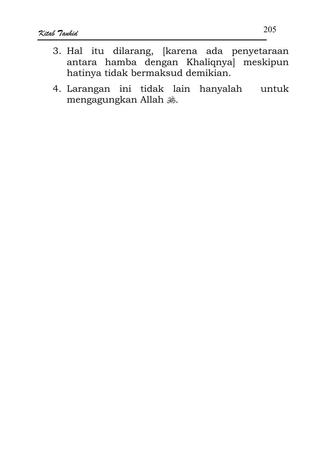- 3. Hal itu dilarang, [karena ada penyetaraan antara hamba dengan Khaliqnya meskipun hatinya tidak bermaksud demikian.
- 4. Larangan ini tidak lain hanyalah untuk mengagungkan Allah .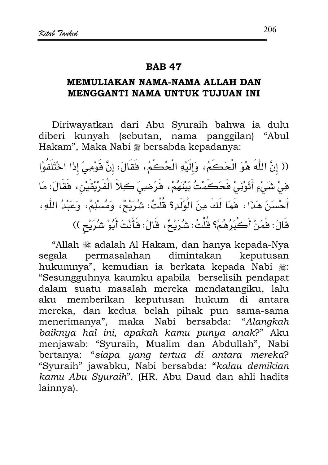## MEMULIAKAN NAMA-NAMA ALLAH DAN MENGGANTI NAMA UNTUK TUJUAN INI

Diriwayatkan dari Abu Syuraih bahwa ia dulu diberi kunyah (sebutan, nama panggilan) "Abul Hakam", Maka Nabi \* bersabda kepadanya:

(( إنَّ اللَّهَ هُوَ الْحَكَمُ، وَإِلَيْهِ الْحُكُمُ، فَقَالَ: إنَّ قَوْمِيْ إِذَا اخْتَلَفُوْا فِي شَيْءٍ أَتَوْنِيْ فَحَكَمْتُ بَيْنَهُمْ، فَرَضِيَ كِلاَ الْفَرْيْقَيْنِ، فَقَالَ: مَا أَحْسَنَ هَذَا ، فَمَا لَكَ مِنَ الْوَلَدِ؟ قُلْتُ: شُرَيْحٌ، وَمُسْلِمٌ، وَعَبْدُ اللّهِ، قَالَ: فَمَنْ أَكْبَرُهُمْ؟ قُلْتُ: شُرَيْحٌ، قَالَ: فَأَنْتَ أَبُوْ شُرَيْحٍ ))

"Allah waadalah Al Hakam, dan hanya kepada-Nya permasalahan dimintakan keputusan segala hukumnya", kemudian ia berkata kepada Nabi .: "Sesungguhnya kaumku apabila berselisih pendapat dalam suatu masalah mereka mendatangiku, lalu aku memberikan keputusan hukum di antara mereka, dan kedua belah pihak pun sama-sama menerimanya", maka Nabi bersabda: "Alangkah baiknya hal ini, apakah kamu punya anak?" Aku menjawab: "Syuraih, Muslim dan Abdullah", Nabi bertanya: "siapa yang tertua di antara mereka? "Syuraih" jawabku, Nabi bersabda: "kalau demikian kamu Abu Syuraih". (HR. Abu Daud dan ahli hadits lainnya).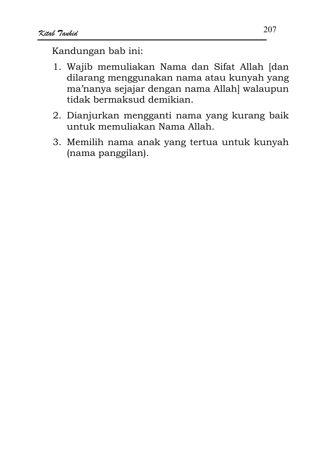- 1. Wajib memuliakan Nama dan Sifat Allah [dan dilarang menggunakan nama atau kunyah yang ma'nanya sejajar dengan nama Allah] walaupun tidak bermaksud demikian.
- 2. Dianjurkan mengganti nama yang kurang baik untuk memuliakan Nama Allah.
- 3. Memilih nama anak yang tertua untuk kunyah (nama panggilan).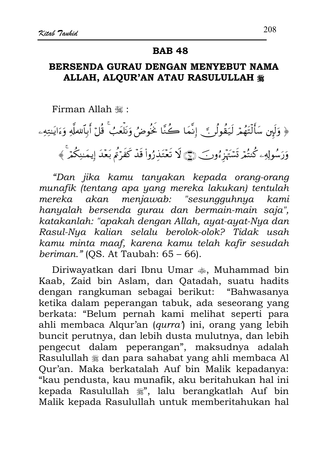# BERSENDA GURAU DENGAN MENYEBUT NAMA ALLAH, ALOUR'AN ATAU RASULULLAH #

Firman Allah ,:

﴿ وَلَهِن سَأَلْتَهُمْ لَيَقُولُنَّ إِنَّمَا كُنَّا خُنُوضُ وَنَلْعَبُ ۚ قُلْ أَبِٱللَّهِ وَءَايَـٰتِهِۦ وَرَسُولِهِۦ كُنتُمْ تَسْتَهْزِءُوبَ ١٠٠﴾ لَا تَعْتَذِرُواْ قَدْ كَفَرْتُمْ بَعْدَ إيمَـٰنِكُمْ ﴾

"Dan jika kamu tanyakan kepada orang-orang munafik (tentang apa yang mereka lakukan) tentulah mereka akan menjawab: "sesungguhnya kami hanyalah bersenda gurau dan bermain-main saja", katakanlah: "apakah dengan Allah, ayat-ayat-Nya dan Rasul-Nya kalian selalu berolok-olok? Tidak usah kamu minta maaf, karena kamu telah kafir sesudah beriman."  $OS.$  At Taubah:  $65 - 66$ ).

Diriwayatkan dari Ibnu Umar , Muhammad bin Kaab, Zaid bin Aslam, dan Qatadah, suatu hadits dengan rangkuman sebagai berikut: "Bahwasanya ketika dalam peperangan tabuk, ada seseorang yang berkata: "Belum pernah kami melihat seperti para ahli membaca Alqur'an (qurra) ini, orang yang lebih buncit perutnya, dan lebih dusta mulutnya, dan lebih pengecut dalam peperangan", maksudnya adalah Rasulullah  $*$  dan para sahabat yang ahli membaca Al Qur'an. Maka berkatalah Auf bin Malik kepadanya: "kau pendusta, kau munafik, aku beritahukan hal ini kepada Rasulullah , ", lalu berangkatlah Auf bin Malik kepada Rasulullah untuk memberitahukan hal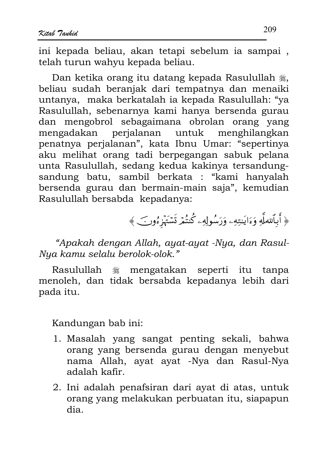ini kepada beliau, akan tetapi sebelum ia sampai. telah turun wahyu kepada beliau.

Dan ketika orang itu datang kepada Rasulullah . beliau sudah beranjak dari tempatnya dan menaiki untanya, maka berkatalah ia kepada Rasulullah: "ya Rasulullah, sebenarnya kami hanya bersenda gurau dan mengobrol sebagaimana obrolan orang yang mengadakan perjalanan untuk menghilangkan penatnya perjalanan", kata Ibnu Umar: "sepertinya aku melihat orang tadi berpegangan sabuk pelana unta Rasulullah, sedang kedua kakinya tersandungsandung batu, sambil berkata : "kami hanyalah bersenda gurau dan bermain-main saja", kemudian Rasulullah bersabda kepadanya:

﴿ أَبِٱللْعَلَّهِ وَءَايَنِتِهِۦ وَرَسُولِهِۦ كُنتُمْ تَسۡتَهۡزِءُونَ ﴾

"Apakah dengan Allah, ayat-ayat -Nya, dan Rasul-Nya kamu selalu berolok-olok."

Rasulullah <sup>5</sup> mengatakan seperti itu tanpa menoleh, dan tidak bersabda kepadanya lebih dari pada itu.

- 1. Masalah yang sangat penting sekali, bahwa orang yang bersenda gurau dengan menyebut nama Allah, ayat ayat -Nya dan Rasul-Nya adalah kafir.
- 2. Ini adalah penafsiran dari ayat di atas, untuk orang yang melakukan perbuatan itu, siapapun dia.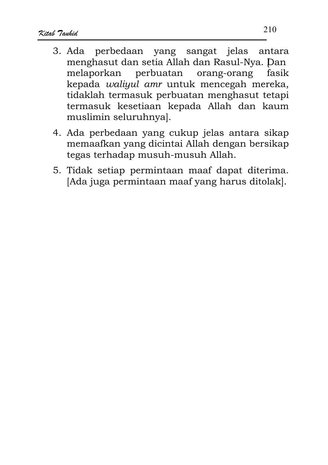- 3. Ada perbedaan vang sangat jelas antara menghasut dan setia Allah dan Rasul-Nya. Dan melaporkan perbuatan orang-orang fasik kepada waliyul amr untuk mencegah mereka, tidaklah termasuk perbuatan menghasut tetapi termasuk kesetiaan kepada Allah dan kaum muslimin seluruhnya].
- 4. Ada perbedaan yang cukup jelas antara sikap memaafkan yang dicintai Allah dengan bersikap tegas terhadap musuh-musuh Allah.
- 5. Tidak setiap permintaan maaf dapat diterima. [Ada juga permintaan maaf yang harus ditolak].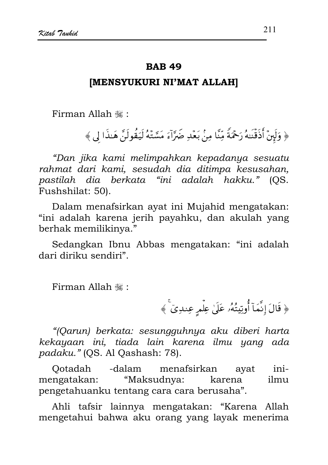### **IMENSYUKURI NI'MAT ALLAH]**

Firman Allah , "

﴿ وَلَهِنْ أَذَقَّنِهُ رَحْمَةً مِّنَّا مِنْ بَعْدِ ضَرَّآءَ مَسَّتْهُ لَيَقُولَنَّ هَـٰذَا لِي ﴾

"Dan jika kami melimpahkan kepadanya sesuatu rahmat dari kami, sesudah dia ditimpa kesusahan, pastilah dia berkata "ini adalah hakku." (QS. Fushshilat: 50).

Dalam menafsirkan avat ini Mujahid mengatakan: "ini adalah karena jerih payahku, dan akulah yang berhak memilikinya."

Sedangkan Ibnu Abbas mengatakan: "ini adalah dari diriku sendiri".

Firman Allah .:

﴿ قَالَ إِنَّمَآ أُوتِيتُهُۥ عَلَىٰ عِلْمٍ عِندِيٓ ﴾

"(Qarun) berkata: sesungguhnya aku diberi harta kekayaan ini, tiada lain karena ilmu yang ada padaku." (QS. Al Qashash: 78).

Ootadah -dalam menafsirkan ayat  $i$ ni-"Maksudnya: mengatakan: karena ilmu pengetahuanku tentang cara cara berusaha".

Ahli tafsir lainnya mengatakan: "Karena Allah mengetahui bahwa aku orang yang layak menerima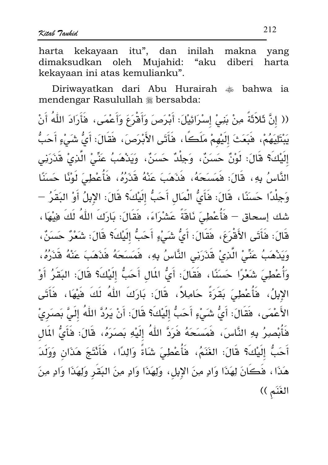harta kekayaan itu", dan inilah makna vang dimaksudkan oleh Mujahid: "aku diberi harta kekayaan ini atas kemulianku".

Diriwayatkan dari Abu Hurairah  $*$  bahwa ia mendengar Rasulullah # bersabda:

(( إِنَّ ثَلاَثَةً مِنْ بَنِيْ إِسْرَائِيْلَ: أَبْرَصَ وَأَقْرَعَ وَأَعْمَى، فَأَرَادَ اللَّهُ أَنْ يَبْتَلِيَهُمْ، فَبَعَثَ إلَيْهِمْ مَلَكًا، فَأَتَى الأَبْرَصَ، فَقَالَ: أَيُّ شَيْءٍ أَحَبُّ إِلَيْكَ؟ قَالَ: لَوْنٌ حَسَنٌ، وَجِلْدٌ حَسَنٌ، وَيَدْهَبُ عَنِّيْ الَّذِيْ قَذَرَنِي النَّاسُ بِهِ، قَالَ: فَمَسَحَهُ، فَذَهَبَ عَنْهُ قَذَرُهُ، فَأَعْطِيَ لَوْنًا حَسَنًا وَجِلْدًا حَسَنًا، قَالَ: فَأَيُّ الْمَالِ أَحَبُّ إِلَيْكَ؟ قَالَ: الإِبِلُ أَوْ البَقَرُ — شك إسحاق – فَأُعْطِيَ نَاقَةً عَشْرَاءَ، فَقَالَ: بَارَكَ اللَّهُ لَكَ فِيْهَا، قَالَ: فَأَتَى الأَقْرَعَ، فَقَالَ: أَىُّ شَيْءٍ أَحَبُّ إِلَيْكَ؟ قَالَ: شَعْرٌ حَسَنٌ، وَيَدْهَبُ عَنِّيْ الَّذِيْ قَذَرَنِي النَّاسُ بِهِ، فَمَسَحَهُ فَذَهَبَ عَنْهُ قَذَرُهُ، وَأُعْطِيَ شَعْرًا حَسَنًا، فَقَالَ: أَيُّ المَالِ أَحَبُّ إِلَيْكَ؟ قَالَ: البَقَرُ أَوْ الإِبِلُ، فَأَعْطِيَ بَقَرَةً حَامِلاً، قَالَ: بَارَكَ اللهُ لَكَ فَيْهَا، فَأَتَى الأَعْمَى، فَقَالَ: أَيُّ شَيْءٍ أَحَبُّ إِلَيْكَ؟ قَالَ: أَنْ يَرُدَّ اللَّهُ إِلَيَّ بَصَرِيْ فَأَبْصِرُ بِهِ النَّاسَ، فَمَسَحَهُ فَرَدَّ اللّهُ إِلَيْهِ بَصَرَهُ، قَالَ: فَأَىُّ المَال أَحَبُّ إِلَيْكَ؟ قَالَ: الغَنَمُ، فَأَعْطِيَ شَاةً وَالِدًا، فَأَنْتَجَ هَذَانٍ وَوَلَدَ هَذَا ، هَكَانَ لِهَذَا وَادٍ مِنَ الإِبِلِ، وَلِهَذَا وَادٍ مِنَ البَصِّرِ وَلِهَذَا وَادٍ مِنَ الغَنَمِ ))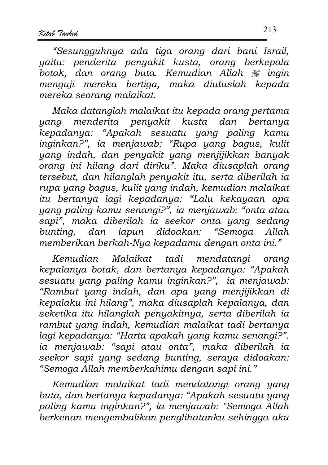"Sesungguhnya ada tiga orang dari bani Israil, yaitu: penderita penyakit kusta, orang berkepala botak, dan orang buta. Kemudian Allah  $\frac{1}{2}$ ingin menguji mereka bertiga, maka diutuslah kepada mereka seorang malaikat.

Maka datanglah malaikat itu kepada orang pertama yang menderita penyakit kusta dan bertanya kepadanya: "Apakah sesuatu yang paling kamu inginkan?", ia menjawab: "Rupa yang bagus, kulit yang indah, dan penyakit yang menjijikkan banyak orang ini hilang dari diriku". Maka diusaplah orang tersebut, dan hilanglah penyakit itu, serta diberilah ia rupa yang bagus, kulit yang indah, kemudian malaikat itu bertanya lagi kepadanya: "Lalu kekayaan apa yang paling kamu senangi?", ia menjawab: "onta atau sapi", maka diberilah ia seekor onta yang sedang bunting, dan iapun didoakan: "Semoga  $Allah$ memberikan berkah-Nya kepadamu dengan onta ini."

Malaikat tadi mendatangi orang Kemudian kepalanya botak, dan bertanya kepadanya: "Apakah sesuatu yang paling kamu inginkan?", ia menjawab: "Rambut yang indah, dan apa yang menjijikkan di kepalaku ini hilang", maka diusaplah kepalanya, dan seketika itu hilanglah penyakitnya, serta diberilah ia rambut yang indah, kemudian malaikat tadi bertanya lagi kepadanya: "Harta apakah yang kamu senangi?". ia menjawab: "sapi atau onta", maka diberilah ia seekor sapi yang sedang bunting, seraya didoakan: "Semoga Allah memberkahimu dengan sapi ini."

Kemudian malaikat tadi mendatangi orang yang buta, dan bertanya kepadanya: "Apakah sesuatu yang paling kamu inginkan?", ia menjawab: "Semoga Allah berkenan mengembalikan penglihatanku sehingga aku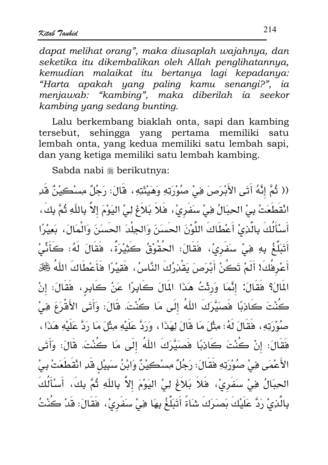dapat melihat orang", maka diusaplah wajahnya, dan seketika itu dikembalikan oleh Allah penglihatannya, kemudian malaikat itu bertanya lagi kepadanya: "Harta apakah yang paling kamu senangi?", ia menjawab: "kambing", maka diberilah ia seekor kambina yang sedang bunting.

Lalu berkembang biaklah onta, sapi dan kambing tersebut, sehingga yang pertama memiliki satu lembah onta, yang kedua memiliki satu lembah sapi, dan yang ketiga memiliki satu lembah kambing.

Sabda nabi \* berikutnya:

(( ثُمَّ إِنَّهُ أَتَى الأَبْرَصَ فِيْ صُوْرَتِهِ وَهَيْئَتِهِ ، قَالَ: رَجُلٌ مِسْكِيْنٌ قَدِ انْقَطَعَتْ بِيْ الحِبَالُ فِيْ سَفَرِيْ، فَلاَ بَلاَغَ لِيْ اليَوْمَ إلاَّ بِاللَّهِ ثُمَّ بِكَ، أَسْأَلُكَ بِالَّذِيْ أَعْطَاكَ اللَّوْنَ الحَسَنَ وَالجِلْدَ الحَسَنَ وَالْمَالَ، بَعِيْرًا أَتَبَلَّغُ بِهِ فِيْ سَفَرِيْ، فَقَالَ: الحُقُوْقُ كَثِيْرَةٌ، فَقَالَ لَهُ: كَأَنِّيْ أَعْرِفُكَ! أَلَمْ تَكُنْ أَبْرَصَ يَقْدِرُكَ النَّاسُ، فَقِيْرًا فَأَعْطَاكَ اللَّهُ ݣَيَّلْ المَالَ؟ فَقَالَ: إِنَّمَا وَرِثْتُ هَذَا المَالَ كَابِرًا عَنْ كَابِرٍ، فَقَالَ: إنْ كُنْتَ كَاذِبًا فَصَيَّرَكَ اللّهُ إِلَى مَا كُنْتَ. قَالَ: وَأَتَى الأَقْرَعَ فِيْ صُوْرَتِهِ، فَقَالَ لَهُ: مِثْلَ مَا قَالَ لِهَذَا ، وَرَدَّ عَلَيْهِ مِثْلَ مَا رَدَّ عَلَيْهِ هَذَا ، فَقَالَ: إنْ كُنْتَ كَاذِبًا فَصَيَّرَكَ اللّهُ إلَى مَا كُنْتَ. قَالَ: وَأَتَى الأَعْمَى فِيْ صُوْرَتِهِ فَقَالَ: رَجُلٌ مِسْكِيْنٌ وَابْنُ سَبِيْلِ قَدِ انْقَطَعَتْ بِيْ الحِبَالُ فِيْ سَفَرِيْ، فَلاَ بَلاَغَ لِيْ اليَوْمَ إلاَّ بِاللَّهِ ثُمَّ بِكَ، أَسْأَلُكَ بِالَّذِيْ رَدَّ عَلَيْكَ بَصَرَكَ شَاةً أَتَبَلَّغُ بِهَا هِيْ سَفَرِيْ، فَقَالَ: قَدْ كُنْتُ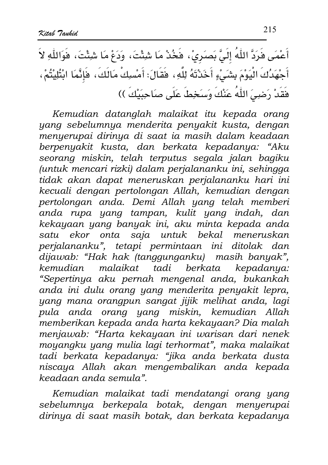أَعْمَى هَرَدَّ اللَّهُ إِلَيَّ بَصَرِيْ، هَخُدْ مَا شِئْتَ، وَدَعْ مَا شِئْتَ، هَوَاللَّهِ لاَ أَجْهَدُكَ الْيَوْمَ بِشَىْءٍ أَخَذْتَهُ لِلَّهِ، فَقَالَ: أَمْسِكْ مَالَكَ، فَإِنَّمَا ابْتُلِيْتُمْ، فَقَدْ رَضِيَ اللَّهُ عَنْكَ وَسَخِطَ عَلَى صَاحِبَيْكَ ))

Kemudian datanglah malaikat itu kepada orang yang sebelumnya menderita penyakit kusta, dengan <u>menyerupai dirinya di saat ia masih dalam keadaan</u> berpenyakit kusta, dan berkata kepadanya: "Aku seorang miskin, telah terputus segala jalan bagiku (untuk mencari rizki) dalam perjalananku ini, sehingga <u>.</u><br>tidak akan dapat meneruskan perjalananku hari ini kecuali dengan pertolongan Allah, kemudian dengan pertolongan anda. Demi Allah yang telah memberi anda rupa yang tampan, kulit yang indah, dan kekayaan yang banyak ini, aku minta kepada anda satu ekor onta saja untuk bekal meneruskan perjalananku", tetapi permintaan ini ditolak dan dijawab: "Hak hak (tanggunganku) masih banyak", kemudian malaikat tadi berkata kepadanya: "Sepertinya aku pernah mengenal anda, bukankah anda ini dulu orang yang menderita penyakit lepra, yang mana orangpun sangat jijik melihat anda, lagi pula anda orang yang miskin, kemudian Allah memberikan kepada anda harta kekayaan? Dia malah menjawab: "Harta kekayaan ini warisan dari nenek moyangku yang mulia lagi terhormat", maka malaikat tadi berkata kepadanya: "jika anda berkata dusta niscaya Allah akan mengembalikan anda kepada keadaan anda semula".

Kemudian malaikat tadi mendatangi orang yang sebelumnya berkepala botak, dengan menyerupai dirinya di saat masih botak, dan berkata kepadanya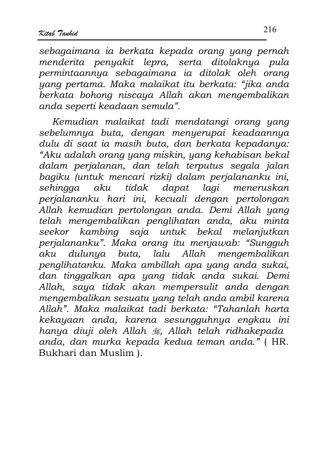sebagaimana ia berkata kepada orang yang pernah menderita penyakit lepra, serta ditolaknya pula permintaannya sebagaimana ia ditolak oleh orang yang pertama. Maka malaikat itu berkata: "jika anda berkata bohong niscaya Allah akan mengembalikan anda seperti keadaan semula".

Kemudian malaikat tadi mendatangi orang yang sebelumnya buta, dengan menyerupai keadaannya dulu di saat ia masih buta, dan berkata kepadanya: "Aku adalah orang yang miskin, yang kehabisan bekal dalam perjalanan, dan telah terputus segala jalan bagiku (untuk mencari rizki) dalam perjalananku ini. sehingga tidak dapat lagi meneruskan aku perjalananku hari ini, kecuali dengan pertolongan Allah kemudian pertolongan anda. Demi Allah yang telah mengembalikan penglihatan anda, aku minta seekor kambing saja untuk bekal melanjutkan perjalananku". Maka orang itu menjawab: "Sungguh aku dulunya buta, lalu Allah mengembalikan penglihatanku. Maka ambillah apa yang anda sukai, dan tinggalkan apa yang tidak anda sukai. Demi Allah, saya tidak akan mempersulit anda dengan mengembalikan sesuatu yang telah anda ambil karena Allah". Maka malaikat tadi berkata: "Tahanlah harta kekayaan anda, karena sesungguhnya engkau ini hanya diuji oleh Allah , Allah telah ridhakepada anda, dan murka kepada kedua teman anda." (HR. Bukhari dan Muslim).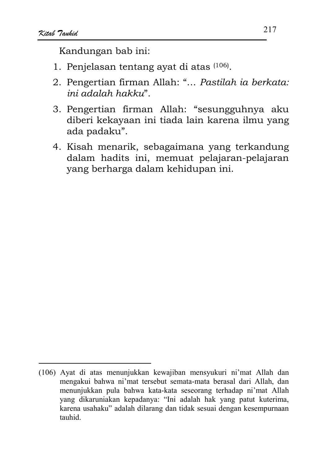- 1. Penjelasan tentang ayat di atas (106).
- 2. Pengertian firman Allah: "... Pastilah ia berkata: ini adalah hakku".
- 3. Pengertian firman Allah: "sesungguhnya aku diberi kekayaan ini tiada lain karena ilmu yang ada padaku".
- 4. Kisah menarik, sebagaimana yang terkandung dalam hadits ini, memuat pelajaran-pelajaran yang berharga dalam kehidupan ini.

<sup>(106)</sup> Ayat di atas menunjukkan kewajiban mensyukuri ni'mat Allah dan mengakui bahwa ni'mat tersebut semata-mata berasal dari Allah, dan menunjukkan pula bahwa kata-kata seseorang terhadap ni'mat Allah yang dikaruniakan kepadanya: "Ini adalah hak yang patut kuterima, karena usahaku" adalah dilarang dan tidak sesuai dengan kesempurnaan tauhid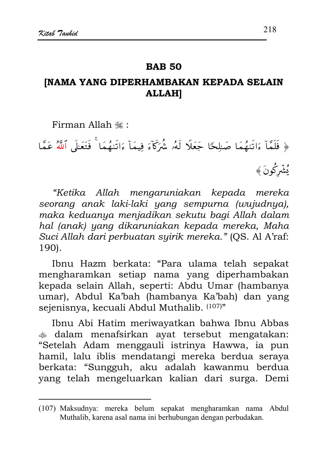#### **RAR 50**

# **[NAMA YANG DIPERHAMBAKAN KEPADA SELAIN ALLAH]**

Firman Allah .

﴿ فَلَمَّآ ءَاتَنِهُمَا صَبِلِحًا جَعَلَا لَهُۥ شُرَكّآءَ فِيمَآ ءَاتَنِهُمَا ۚ فَتَعَلَّى ٱللَّهُ عَمَّا يُشَرِكُونَ ﴾

"Ketika Allah mengaruniakan kepada mereka seorang anak laki-laki yang sempurna (wujudnya), maka keduanya menjadikan sekutu bagi Allah dalam hal (anak) yang dikaruniakan kepada mereka, Maha Suci Allah dari perbuatan syirik mereka." (QS. Al A'raf: 190).

Ibnu Hazm berkata: "Para ulama telah sepakat mengharamkan setiap nama yang diperhambakan kepada selain Allah, seperti: Abdu Umar (hambanya umar), Abdul Ka'bah (hambanya Ka'bah) dan yang sejenisnya, kecuali Abdul Muthalib. (107)"

Ibnu Abi Hatim meriwayatkan bahwa Ibnu Abbas dalam menafsirkan ayat tersebut mengatakan: "Setelah Adam menggauli istrinya Hawwa, ia pun hamil, lalu iblis mendatangi mereka berdua seraya berkata: "Sungguh, aku adalah kawanmu berdua yang telah mengeluarkan kalian dari surga. Demi

<sup>(107)</sup> Maksudnya: mereka belum sepakat mengharamkan nama Abdul Muthalib, karena asal nama ini berhubungan dengan perbudakan.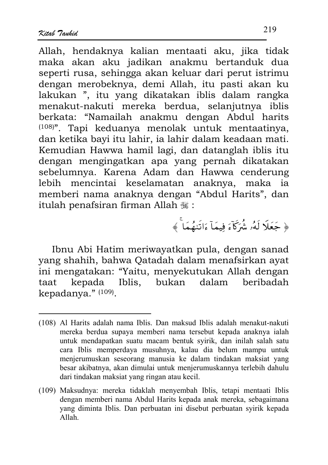Allah, hendaknya kalian mentaati aku, jika tidak maka akan aku jadikan anakmu bertanduk dua seperti rusa, sehingga akan keluar dari perut istrimu dengan merobeknya, demi Allah, itu pasti akan ku lakukan ", itu yang dikatakan iblis dalam rangka menakut-nakuti mereka berdua, selanjutnya iblis berkata: "Namailah anakmu dengan Abdul harits <sup>(108)</sup>". Tapi keduanya menolak untuk mentaatinya, dan ketika bayi itu lahir, ia lahir dalam keadaan mati. Kemudian Hawwa hamil lagi, dan datanglah iblis itu dengan mengingatkan apa yang pernah dikatakan sebelumnya. Karena Adam dan Hawwa cenderung lebih mencintai keselamatan anaknya, maka iя memberi nama anaknya dengan "Abdul Harits", dan itulah penafsiran firman Allah #:

﴿ جَعَلَا لَهُۥ شُرَكَآءَ فِيمَاۤ ءَاتَنهُمَا ۗ ﴾

Ibnu Abi Hatim meriwayatkan pula, dengan sanad yang shahih, bahwa Qatadah dalam menafsirkan ayat ini mengatakan: "Yaitu, menyekutukan Allah dengan kepada Iblis, bukan dalam beribadah taat kepadanya." $(109)$ .

<sup>(108)</sup> Al Harits adalah nama Iblis. Dan maksud Iblis adalah menakut-nakuti mereka berdua supaya memberi nama tersebut kepada anaknya ialah untuk mendapatkan suatu macam bentuk syirik, dan inilah salah satu cara Iblis memperdaya musuhnya, kalau dia belum mampu untuk menjerumuskan seseorang manusia ke dalam tindakan maksiat yang besar akibatnya, akan dimulai untuk menjerumuskannya terlebih dahulu dari tindakan maksiat yang ringan atau kecil.

<sup>(109)</sup> Maksudnya: mereka tidaklah menyembah Iblis, tetapi mentaati Iblis dengan memberi nama Abdul Harits kepada anak mereka, sebagaimana yang diminta Iblis. Dan perbuatan ini disebut perbuatan syirik kepada  $Allah$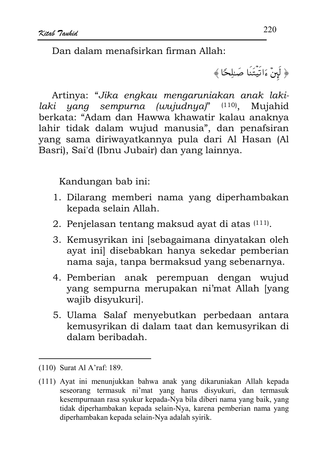Dan dalam menafsirkan firman Allah<sup>.</sup>

﴿ لَبِنۡ ءَاتَيۡتَنَا صَٰلِحًا ﴾

Artinya: "Jika engkau mengaruniakan anak lakilaki yang sempurna (wujudnya)" (110), Mujahid berkata: "Adam dan Hawwa khawatir kalau anaknya lahir tidak dalam wujud manusia", dan penafsiran yang sama diriwayatkannya pula dari Al Hasan (Al Basri), Sai'd (Ibnu Jubair) dan yang lainnya.

- 1. Dilarang memberi nama yang diperhambakan kepada selain Allah.
- 2. Penjelasan tentang maksud ayat di atas (111).
- 3. Kemusyrikan ini [sebagaimana dinyatakan oleh ayat inil disebabkan hanya sekedar pemberian nama saja, tanpa bermaksud yang sebenarnya.
- 4. Pemberian anak perempuan dengan wujud yang sempurna merupakan ni'mat Allah [yang wajib disyukuri].
- 5. Ulama Salaf menyebutkan perbedaan antara kemusyrikan di dalam taat dan kemusyrikan di dalam beribadah.

<sup>(110)</sup> Surat Al A'raf: 189.

<sup>(111)</sup> Ayat ini menunjukkan bahwa anak yang dikaruniakan Allah kepada seseorang termasuk ni'mat yang harus disyukuri, dan termasuk kesempurnaan rasa syukur kepada-Nya bila diberi nama yang baik, yang tidak diperhambakan kepada selain-Nya, karena pemberian nama yang diperhambakan kepada selain-Nya adalah syirik.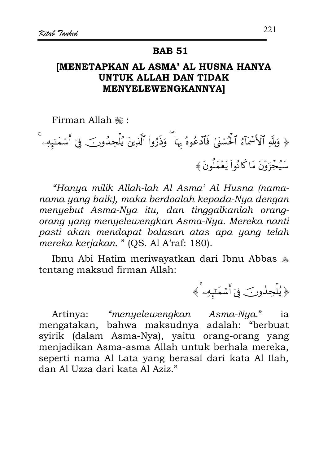### **IMENETAPKAN AL ASMA' AL HUSNA HANYA UNTUK ALLAH DAN TIDAK MENYELEWENGKANNYA]**

Firman Allah .

﴿ وَلِلَّهِ ٱلْأَسْمَآءُ ٱلْحُسۡمَٰىٰ فَٱدۡعُوهُ بِهَا ۖ وَذَرُواْ ٱلَّذِينَ يُٰلۡحِدُونَ ۖ فِىٓ أَسۡمَـٰٓبِهِۦ سَيُجْزَوْنَ مَا كَانُواْ يَعْمَلُونَ﴾

"Hanya milik Allah-lah Al Asma' Al Husna (namanama yang baik), maka berdoalah kepada-Nya dengan menyebut Asma-Nya itu, dan tinggalkanlah orangorang yang menyelewengkan Asma-Nya. Mereka nanti pasti akan mendapat balasan atas apa yang telah mereka kerjakan. " (QS. Al A'raf: 180).

Ibnu Abi Hatim meriwayatkan dari Ibnu Abbas \* tentang maksud firman Allah:

﴿ يُلۡحِدُونَ فِيٓ أَسۡمَنۡهِهِۦ ﴾

"menyelewengkan Asma-Nya." Artinya: ia mengatakan, bahwa maksudnya adalah: "berbuat syirik (dalam Asma-Nya), yaitu orang-orang yang menjadikan Asma-asma Allah untuk berhala mereka, seperti nama Al Lata yang berasal dari kata Al Ilah, dan Al Uzza dari kata Al Aziz."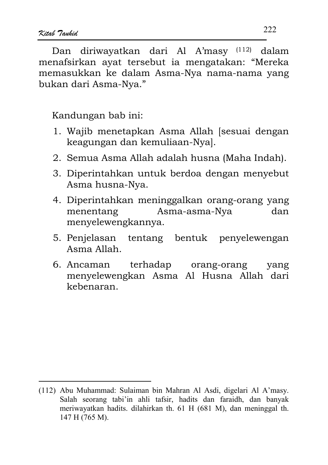Dan diriwayatkan dari Al A'masy (112) dalam menafsirkan ayat tersebut ia mengatakan: "Mereka memasukkan ke dalam Asma-Nya nama-nama yang bukan dari Asma-Nya."

- 1. Wajib menetapkan Asma Allah [sesuai dengan keagungan dan kemuliaan-Nyal.
- 2. Semua Asma Allah adalah husna (Maha Indah).
- 3. Diperintahkan untuk berdoa dengan menyebut Asma husna-Nya.
- 4. Diperintahkan meninggalkan orang-orang yang Asma-asma-Nya menentang dan menyelewengkannya.
- 5. Penjelasan tentang bentuk penyelewengan Asma Allah.
- terhadap 6. Ancaman orang-orang yang menyelewengkan Asma Al Husna Allah dari kebenaran.

<sup>(112)</sup> Abu Muhammad: Sulaiman bin Mahran Al Asdi, digelari Al A'masy. Salah seorang tabi'in ahli tafsir, hadits dan faraidh, dan banyak meriwayatkan hadits. dilahirkan th. 61 H (681 M), dan meninggal th. 147 H (765 M).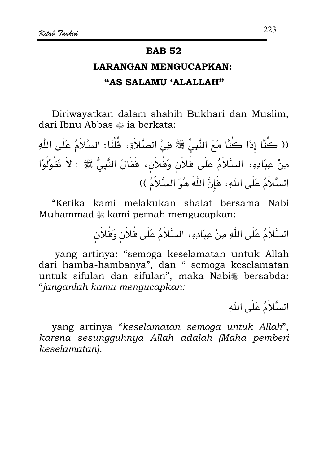# **LARANGAN MENGUCAPKAN:** "AS SALAMU 'ALALLAH"

Diriwayatkan dalam shahih Bukhari dan Muslim, dari Ibnu Abbas a ia berkata:

(( كُنَّا إِذَا كَنَّا مَعَ النَّبِيِّ ﷺ فِيْ الصَّلاَةِ، قُلْنَا: السَّلاَمُ عَلَى اللّهِ مِنْ عِبَادِهِ، السَّلاَمُ عَلَى فُلاَنٍ وَفُلاَنٍ، فَقَالَ النَّبِيُّ ﷺ : لاَ تَقُوْلُوْا السَّلاَمُ عَلَى اللَّهِ، هَإِنَّ اللَّهَ هُوَ السَّلاَمُ ))

"Ketika kami melakukan shalat bersama Nabi Muhammad \* kami pernah mengucapkan:

السَّلاَمُ عَلَى اللَّهِ مِنْ عِبَادِهِ، السَّلاَمُ عَلَى فُلاَن وَفُلاَن

yang artinya: "semoga keselamatan untuk Allah dari hamba-hambanya", dan " semoga keselamatan untuk sifulan dan sifulan", maka Nabi# bersabda: "janganlah kamu mengucapkan:

السَّلاَمُ عَلَى اللَّهِ

yang artinya "keselamatan semoga untuk Allah", karena sesungguhnya Allah adalah (Maha pemberi keselamatan).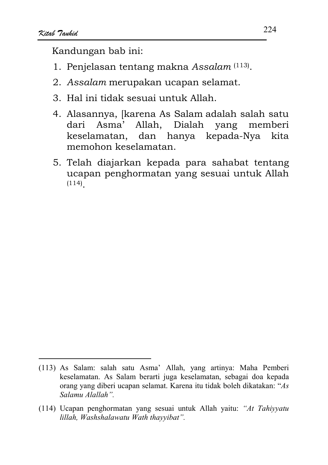- 1. Penjelasan tentang makna Assalam (113).
- 2. Assalam merupakan ucapan selamat.
- 3. Hal ini tidak sesuai untuk Allah.
- 4. Alasannya, [karena As Salam adalah salah satu dari Asma' Allah. Dialah yang memberi keselamatan, dan hanya kepada-Nya kita memohon keselamatan.
- 5. Telah diajarkan kepada para sahabat tentang ucapan penghormatan yang sesuai untuk Allah  $(114)$

<sup>(113)</sup> As Salam: salah satu Asma' Allah, yang artinya: Maha Pemberi keselamatan. As Salam berarti juga keselamatan, sebagai doa kepada orang yang diberi ucapan selamat. Karena itu tidak boleh dikatakan: "As Salamu Alallah".

<sup>(114)</sup> Ucapan penghormatan yang sesuai untuk Allah yaitu: "At Tahiyyatu lillah, Washshalawatu Wath thayyibat".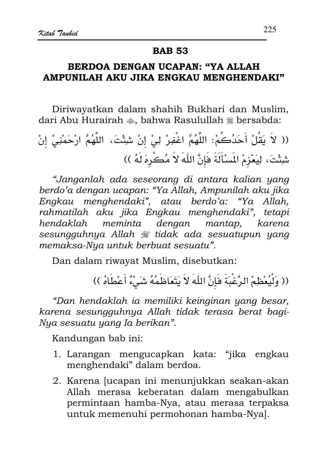### BERDOA DENGAN UCAPAN: "YA ALLAH AMPUNILAH AKU JIKA ENGKAU MENGHENDAKI"

Diriwayatkan dalam shahih Bukhari dan Muslim, dari Abu Hurairah  $\clubsuit$ . bahwa Rasulullah  $\divideontimes$  bersabda:

(( لاَ يَقُلٌ أَحَدُڪُمٰٰ٠ الَّهُمَّ اغُفرُ لِيٰ إِنٌ شِئُتَ، اللَّهُمَّ ارُحَمُنِيٰ إِنُ
$$
\frac{1}{2} \int_{\mathbb{R}} \frac{1}{2} \left( \frac{d}{d\theta} \right)^2 \left( \frac{d}{d\theta} \right)^2
$$

"Janganlah ada seseorang di antara kalian yang berdo'a dengan ucapan: "Ya Allah, Ampunilah aku jika Engkau menghendaki", atau berdo'a: "Ya Allah, rahmatilah aku jika Engkau menghendaki", tetapi meminta dengan mantap, hendaklah karena sesungguhnya Allah # tidak ada sesuatupun yang memaksa-Nya untuk berbuat sesuatu".

Dan dalam riwayat Muslim, disebutkan:

(( وَلْيُعْظِمْ الرَّغْبَةَ هَإِنَّ اللَّهَ لاَ يَتَعَاظَمُهُ شَيْءٌ أَعْطَاهُ ))

"Dan hendaklah ia memiliki keinginan yang besar, karena sesungguhnya Allah tidak terasa berat bagi-Nya sesuatu yang Ia berikan".

- 1. Larangan mengucapkan kata: "jika engkau menghendaki" dalam berdoa.
- 2. Karena Jucapan ini menunjukkan seakan-akan Allah merasa keberatan dalam mengabulkan permintaan hamba-Nya, atau merasa terpaksa untuk memenuhi permohonan hamba-Nya].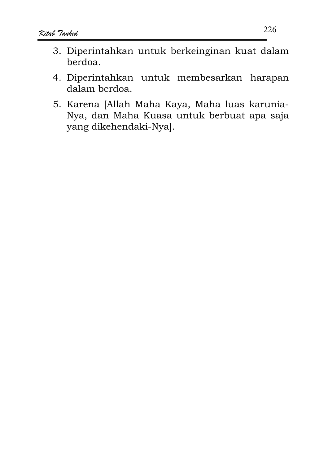- 3. Diperintahkan untuk berkeinginan kuat dalam berdoa.
- 4. Diperintahkan untuk membesarkan harapan dalam berdoa.
- 5. Karena [Allah Maha Kaya, Maha luas karunia-Nya, dan Maha Kuasa untuk berbuat apa saja yang dikehendaki-Nya].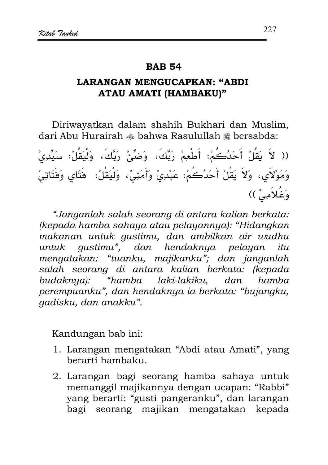#### **RAR 54**

### **LARANGAN MENGUCAPKAN: "ABDI ATAU AMATI (HAMBAKU)"**

Diriwayatkan dalam shahih Bukhari dan Muslim, dari Abu Hurairah  $\triangleq$  bahwa Rasulullah  $\triangleq$  bersabda:

(( لاَ يَقُلْ أَحَدُكُمْ: أَطْعِمْ رَبَّكَ، وَضِّئْ رَبَّكَ، وَلْيَقُلْ: سَيِّدِيْ وَمَوْلاَى، وَلاَ يَقُلْ أَحَدُكُمْ: عَبْدِىْ وَأَمَتِىْ، وَلْيَقُلْ: ۖ فَتَاى وَفَتَاتِيْ وَغُلاَمِيْ ))

"Janganlah salah seorang di antara kalian berkata: (kepada hamba sahaya atau pelayannya): "Hidangkan makanan untuk gustimu, dan ambilkan air wudhu untuk qustimu", dan hendaknya pelayan itu mengatakan: "tuanku, majikanku"; dan janganlah salah seorang di antara kalian berkata: (kepada budaknya): "hamba laki-lakiku. dan hamha perempuanku", dan hendaknya ia berkata: "bujangku, gadisku, dan anakku".

- 1. Larangan mengatakan "Abdi atau Amati", yang berarti hambaku.
- 2. Larangan bagi seorang hamba sahaya untuk memanggil majikannya dengan ucapan: "Rabbi" yang berarti: "gusti pangeranku", dan larangan bagi seorang majikan mengatakan kepada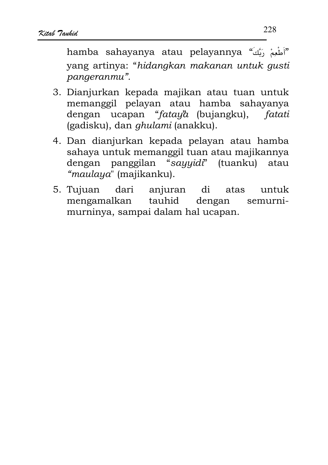hamba sahayanya atau pelayannya "أَطْعِمْ رَبَّكَ" yang artinya: "hidangkan makanan untuk qusti pangeranmu".

- 3. Dianjurkan kepada majikan atau tuan untuk memanggil pelayan atau hamba sahayanya dengan ucapan "*fataya* (bujangku), fatati (gadisku), dan *ghulami* (anakku).
- 4. Dan dianjurkan kepada pelayan atau hamba sahaya untuk memanggil tuan atau majikannya panggilan "sayyidi" (tuanku) atau dengan "maulaya" (majikanku).
- 5. Tujuan dari anjuran  $di$ atas untuk mengamalkan tauhid dengan semurnimurninya, sampai dalam hal ucapan.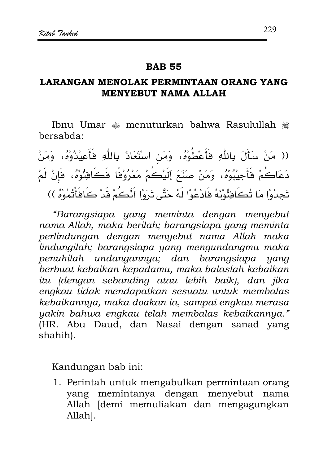#### **RAR 55**

### LARANGAN MENOLAK PERMINTAAN ORANG YANG **MENYEBUT NAMA ALLAH**

Ibnu Umar  $\triangleq$  menuturkan bahwa Rasulullah  $\triangleq$ hersabda:

(( مَنْ سَأَلَ بِاللَّهِ فَأَعْطُوْهُ، وَمَن اسْتَعَاذَ بِاللَّهِ فَأَعِيْذُوْهُ، وَمَنْ دَعَاكُمْ فَأَجِيبُوْهُ، وَمَنْ صَنَعَ إِلَيْكُمْ مَعْرُوْفًا فَكَافِئُوْهُ، فَإِنْ لَمْ تَجِدُوْا مَا تُكَافِئُونَهُ فَادْعُوْا لَهُ حَتَّى تَرَوْا أَنَّكُمْ قَدْ كَافَأْتُمُوْهُ ))

"Barangsiapa yang meminta dengan menyebut nama Allah, maka berilah; barangsiapa yang meminta perlindungan dengan menyebut nama Allah maka lindungilah; barangsiapa yang mengundangmu maka penuhilah undangannya; dan barangsiapa yang berbuat kebaikan kepadamu, maka balaslah kebaikan itu (dengan sebanding atau lebih baik), dan jika engkau tidak mendapatkan sesuatu untuk membalas kebaikannya, maka doakan ia, sampai engkau merasa yakin bahwa engkau telah membalas kebaikannya." (HR. Abu Daud, dan Nasai dengan sanad yang shahih).

Kandungan bab ini:

1. Perintah untuk mengabulkan permintaan orang yang memintanya dengan menyebut nama Allah [demi memuliakan dan mengagungkan Allahl.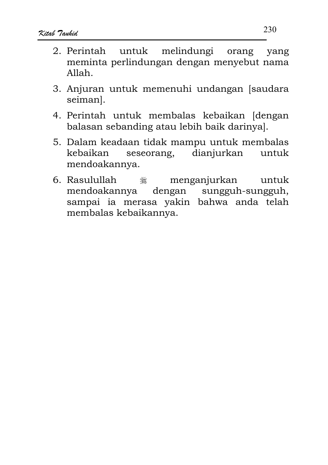- 2. Perintah untuk melindungi orang vang meminta perlindungan dengan menyebut nama Allah.
- 3. Anjuran untuk memenuhi undangan [saudara seiman].
- 4. Perintah untuk membalas kebaikan [dengan balasan sebanding atau lebih baik darinyal.
- 5. Dalam keadaan tidak mampu untuk membalas seseorang, dianjurkan untuk kebaikan mendoakannya.
- 6. Rasulullah menganjurkan صَلَاتُهُ<br>عِلَيْهِ untuk mendoakannya dengan sungguh-sungguh, sampai ia merasa yakin bahwa anda telah membalas kebaikannya.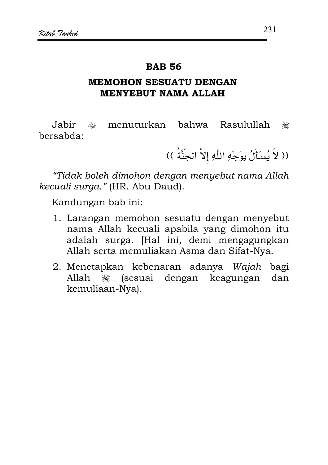#### **RAR 56**

### **MEMOHON SESUATU DENGAN MENYEBUT NAMA ALLAH**

Jahir s menuturkan hahwa Rasulullah ٩ bersabda:

(( لاَ يُسْأَلُ بِوَجْهِ اللَّهِ إلاَّ الجِنَّةُ ))

"Tidak boleh dimohon dengan menyebut nama Allah kecuali surga." (HR. Abu Daud).

- 1. Larangan memohon sesuatu dengan menyebut nama Allah kecuali apabila yang dimohon itu adalah surga. [Hal ini, demi mengagungkan Allah serta memuliakan Asma dan Sifat-Nya.
- 2. Menetapkan kebenaran adanya Wajah bagi Allah ﷺ (sesuai dengan keagungan dan kemuliaan-Nya).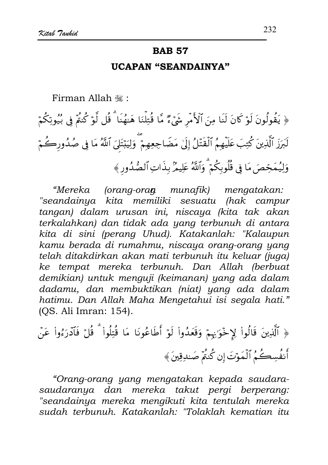#### **UCAPAN "SEANDAINYA"**

Firman Allah ,:

﴿ يَقُولُونَ لَوْ كَانَ لَنَا مِنَ ٱلْأَمْرِ شَيْءٌ مَّا قُتِلْنَا هَـٰهُنَا ۗ قُل لَّوْ كُنمَّ فِي بُيُوتِكُمْ لَبَرَزَ ٱلَّذِينَ كُتِبَ عَلَيْهِمُ ٱلۡقَتَلُ إِلَىٰ مَضَاجِعِهِم ۗ وَلِيَبۡتَلَىٰ ٱللَّهُ مَا فِي صُدُورِكُمۡ وَلِيُمَحِّصَ مَا فِي قُلُوبِكُمْ ۗ وَٱللَّهُ عَلِيمٌ بِذَاتِ ٱلصُّدُورِ ﴾

"Mereka (orang-ora**n** munafik) mengatakan: "seandainya kita memiliki sesuatu (hak campur tangan) dalam urusan ini, niscaya (kita tak akan terkalahkan) dan tidak ada yang terbunuh di antara kita di sini (perang Uhud). Katakanlah: "Kalaupun kamu berada di rumahmu, niscaya orang-orang yang telah ditakdirkan akan mati terbunuh itu keluar (juga) ke tempat mereka terbunuh. Dan Allah (berbuat demikian) untuk menguji (keimanan) yang ada dalam dadamu, dan membuktikan (niat) yang ada dalam hatimu. Dan Allah Maha Mengetahui isi segala hati." (OS. Ali Imran: 154).

﴿ ٱلَّذِينَ قَالُواْ لِإِخْوَانِهِمْ وَقَعَدُواْ لَوْ أَطَاعُونَا مَا قُتِلُواْ ۗ قُلْ فَٱدْرَءُواْ عَنْ أَنفُسِكُمُ ٱلۡمَوۡتَ إِن كُنمۡ صَٰلاِقِينَ﴾

"Orang-orang yang mengatakan kepada saudarasaudaranya dan mereka takut pergi berperang: "seandainya mereka mengikuti kita tentulah mereka sudah terbunuh. Katakanlah: "Tolaklah kematian itu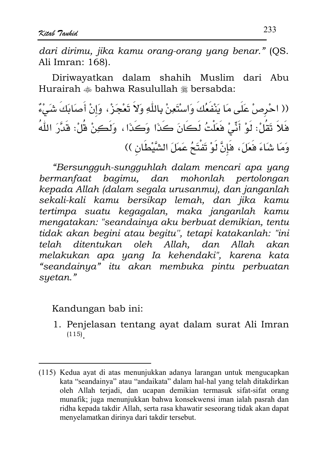dari dirimu, jika kamu orang-orang yang benar." (OS. Ali Imran: 168).

Diriwayatkan dalam shahih Muslim  $A<sub>h11</sub>$ dari Hurairah  $*$  bahwa Rasulullah  $*$  bersabda:

(( احْرِصْ عَلَى مَا يَنْفَعُكَ وَاسْتَعِنْ بِاللَّهِ وَلاَ تَعْجَزْ، وَإِنْ أَصَابَكَ شَيْءٌ فَلاَ تَقُلْ: لَوْ أَنِّىٰ فَعَلْتُ لَكَانَ كَذَا وَكَذَا، وَلَكِنْ قُلْ: قَدَّرَ اللَّهُ وَمَا شَاءَ فَعَلَ، فَإِنَّ لَوْ تَفْتَحُ عَمَلَ الشَّيْطَانِ ))

"Bersungguh-sungguhlah dalam mencari apa yang bermanfaat bagimu, dan mohonlah pertolongan kepada Allah (dalam segala urusanmu), dan janganlah sekali-kali kamu bersikap lemah, dan jika kamu tertimpa suatu kegagalan, maka janganlah kamu mengatakan: "seandainya aku berbuat demikian, tentu tidak akan begini atau begitu", tetapi katakanlah: "ini telah ditentukan oleh Allah. dan Allah akan melakukan apa yang Ia kehendaki", karena kata "seandainya" itu akan membuka pintu perbuatan syetan."

Kandungan bab ini:

1. Penjelasan tentang ayat dalam surat Ali Imran  $(115)$ 

<sup>(115)</sup> Kedua ayat di atas menunjukkan adanya larangan untuk mengucapkan kata "seandainya" atau "andaikata" dalam hal-hal yang telah ditakdirkan oleh Allah terjadi, dan ucapan demikian termasuk sifat-sifat orang munafik; juga menunjukkan bahwa konsekwensi iman ialah pasrah dan ridha kepada takdir Allah, serta rasa khawatir seseorang tidak akan dapat menyelamatkan dirinya dari takdir tersebut.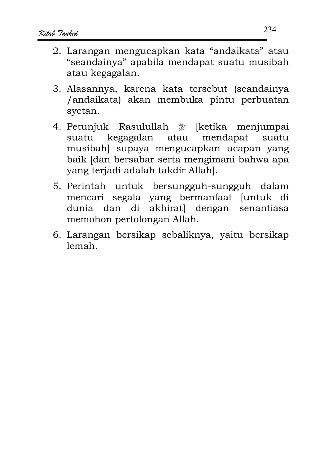- 2. Larangan mengucapkan kata "andaikata" atau "seandainya" apabila mendapat suatu musibah atau kegagalan.
- 3. Alasannya, karena kata tersebut (seandainya /andaikata) akan membuka pintu perbuatan svetan.
- 4. Petunjuk Rasulullah ٩ [ketika menjumpai kegagalan atau mendapat suatu suatu musibah] supaya mengucapkan ucapan yang baik [dan bersabar serta mengimani bahwa apa yang terjadi adalah takdir Allah].
- 5. Perintah untuk bersungguh-sungguh dalam mencari segala yang bermanfaat [untuk di  $di$ akhirat dengan senantiasa dunia dan memohon pertolongan Allah.
- 6. Larangan bersikap sebaliknya, yaitu bersikap lemah.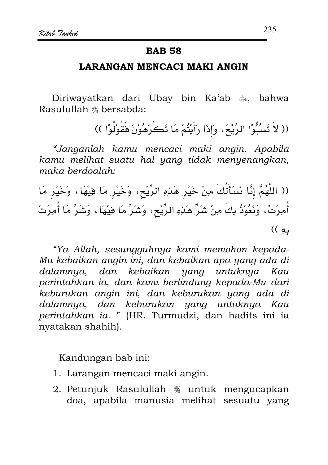#### **LARANGAN MENCACI MAKI ANGIN**

Diriwayatkan dari Ubay bin Ka'ab  $\ast$ , bahwa Rasulullah \* bersabda:

(( لاَ تَسۡبُوْا الرِّيْحَ، وَإِذَا رَأَيْتُمْ مَا تَكۡرَهُوۡنَ فَقُوۡلُوْا ))

"Janganlah kamu mencaci maki angin. Apabila kamu melihat suatu hal yang tidak menyenangkan, maka berdoalah:

(( اللَّهُمَّ إِنَّا نَسْأَلُكَ مِنْ خَيْرٍ هَذِهِ الرِّيْحِ، وَخَيْرٍ مَا فِيْهَا، وَخَيْرٍ مَا أُمِرَتْ، وَنَعُوْذُ بِكَ مِنْ شَرٍّ هَذِهِ الرِّيْحِ، وَشَرٍّ مَا فِيْهَا، وَشَرٍّ مَا أُمِرَتْ ىه ))

"Ya Allah, sesungguhnya kami memohon kepada-Mu kebaikan angin ini, dan kebaikan apa yang ada di dalamnya, dan kebaikan yana untuknya Kau perintahkan ia, dan kami berlindung kepada-Mu dari keburukan angin ini, dan keburukan yang ada di dalamnya, dan keburukan yang untuknya Kau perintahkan ia. " (HR. Turmudzi, dan hadits ini ia nyatakan shahih).

- 1. Larangan mencaci maki angin.
- 2. Petunjuk Rasulullah § untuk mengucapkan doa, apabila manusia melihat sesuatu yang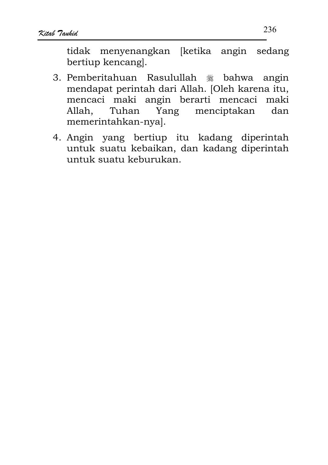tidak menyenangkan [ketika angin sedang bertiup kencangl.

- 3. Pemberitahuan Rasulullah \* bahwa angin mendapat perintah dari Allah. [Oleh karena itu, mencaci maki angin berarti mencaci maki Allah. menciptakan Tuhan Yang dan memerintahkan-nya].
- 4. Angin yang bertiup itu kadang diperintah untuk suatu kebaikan, dan kadang diperintah untuk suatu keburukan.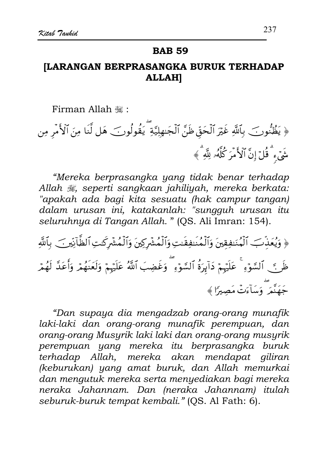# [LARANGAN BERPRASANGKA BURUK TERHADAP **ALLAHI**

Firman Allah ,:

﴿ يَظُنُّونَ ۖ بِٱللَّهِ غَيْرَ ٱلْحَقِّ ظَنَّ ٱلْجَـٰهِلِيَّةِ ۖ يَقُولُونَ ۖ هَل لَّنَا مِنَ ٱلْأَمْرِ مِن شَیۡء ۗ قُلۡ إِنَّ ٱلۡأُمۡرَ كُلَّهُۥ لِلَّهِ ۗ ﴾

"Mereka berprasangka yang tidak benar terhadap Allah , seperti sangkaan jahiliyah, mereka berkata: "apakah ada bagi kita sesuatu (hak campur tangan) dalam urusan ini, katakanlah: "sungguh urusan itu seluruhnya di Tangan Allah. " (QS. Ali Imran: 154).

﴿ وَيُعَذِّبَ ٱلْمُنَفِقِينَ وَٱلْمُنَفِقَنِتِ وَٱلْمُشْرِكِينَ وَٱلْمُشْرِكَنِ ٱلظَّانِينِ ﴾ بِٱللَّهِ ظَرٍ ﴾ ﴾ ٱلسَّوْءِ ۚ عَلَيْهِمْ دَآبِرَةُ ٱلسَّوۡءِ ۗ وَغَضِبَ ٱللَّهُ عَلَيۡهِمْ وَلَعَنۡهُمۡ وَأَعَدَّ لَهُمۡر ء<br>جَهَنَّمَر وَسَأَءَتُ مَصبرًا ﴾

"Dan supaya dia mengadzab orang-orang munafik laki-laki dan orang-orang munafik perempuan, dan orang-orang Musyrik laki laki dan orang-orang musyrik perempuan yang mereka itu berprasangka buruk terhadap Allah, mereka akan mendapat giliran (keburukan) yang amat buruk, dan Allah memurkai dan mengutuk mereka serta menyediakan bagi mereka neraka Jahannam. Dan (neraka Jahannam) itulah seburuk-buruk tempat kembali." (QS. Al Fath: 6).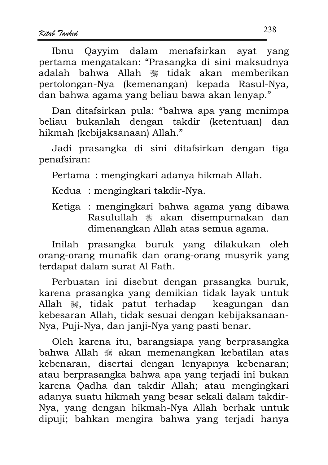Ibnu Oavvim dalam menafsirkan avat vang pertama mengatakan: "Prasangka di sini maksudnya adalah bahwa Allah  $\ddot{\mathcal{E}}$  tidak akan memberikan pertolongan-Nya (kemenangan) kepada Rasul-Nya, dan bahwa agama yang beliau bawa akan lenyap."

Dan ditafsirkan pula: "bahwa apa yang menimpa beliau bukanlah dengan takdir (ketentuan) dan hikmah (kebijaksanaan) Allah."

Jadi prasangka di sini ditafsirkan dengan tiga penafsiran:

Pertama: mengingkari adanya hikmah Allah.

Kedua : mengingkari takdir-Nya.

Ketiga : mengingkari bahwa agama yang dibawa Rasulullah ﷺ akan disempurnakan dan dimenangkan Allah atas semua agama.

Inilah prasangka buruk yang dilakukan oleh orang-orang munafik dan orang-orang musyrik yang terdapat dalam surat Al Fath.

Perbuatan ini disebut dengan prasangka buruk, karena prasangka yang demikian tidak layak untuk Allah , tidak patut terhadap keagungan dan kebesaran Allah, tidak sesuai dengan kebijaksanaan-Nya, Puji-Nya, dan janji-Nya yang pasti benar.

Oleh karena itu, barangsiapa yang berprasangka bahwa Allah 3 akan memenangkan kebatilan atas kebenaran, disertai dengan lenyapnya kebenaran; atau berprasangka bahwa apa yang terjadi ini bukan karena Qadha dan takdir Allah; atau mengingkari adanya suatu hikmah yang besar sekali dalam takdir-Nya, yang dengan hikmah-Nya Allah berhak untuk dipuji; bahkan mengira bahwa yang terjadi hanya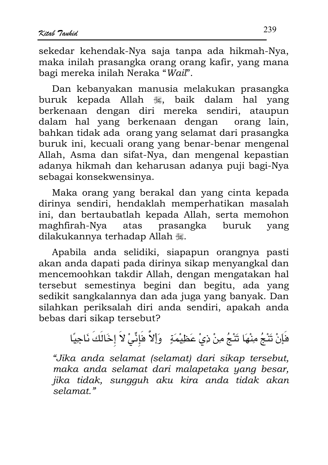sekedar kehendak-Nya saja tanpa ada hikmah-Nya. maka inilah prasangka orang orang kafir, yang mana bagi mereka inilah Neraka "Wail".

Dan kebanyakan manusia melakukan prasangka buruk kepada Allah , baik dalam hal yang berkenaan dengan diri mereka sendiri, ataupun dalam hal yang berkenaan dengan orang lain, bahkan tidak ada orang yang selamat dari prasangka buruk ini, kecuali orang yang benar-benar mengenal Allah, Asma dan sifat-Nya, dan mengenal kepastian adanya hikmah dan keharusan adanya puji bagi-Nya sebagai konsekwensinya.

Maka orang yang berakal dan yang cinta kepada dirinya sendiri, hendaklah memperhatikan masalah ini, dan bertaubatlah kepada Allah, serta memohon maghfirah-Nya atas prasangka buruk vang dilakukannya terhadap Allah ,

Apabila anda selidiki, siapapun orangnya pasti akan anda dapati pada dirinya sikap menyangkal dan mencemoohkan takdir Allah, dengan mengatakan hal tersebut semestinya begini dan begitu, ada yang sedikit sangkalannya dan ada juga yang banyak. Dan silahkan periksalah diri anda sendiri, apakah anda bebas dari sikap tersebut?

فَإِنْ تَنْجُ مِنْهَا تَنْجُ مِنْ ذِيْ عَظِيْمَةٍ ۚ وَإِلاَّ فَإِنِّي لاَ إِخَالَكَ نَاجِيًا

"Jika anda selamat (selamat) dari sikap tersebut, maka anda selamat dari malapetaka yang besar, jika tidak, sungguh aku kira anda tidak akan selamat."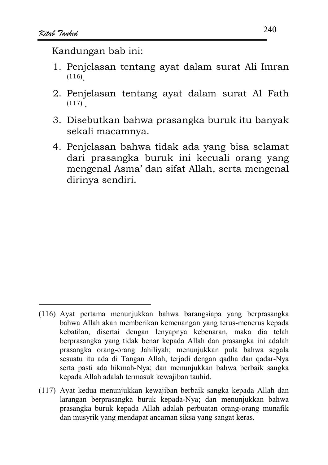- 1. Penjelasan tentang ayat dalam surat Ali Imran  $(116)$
- 2. Penjelasan tentang ayat dalam surat Al Fath  $(117)$
- 3. Disebutkan bahwa prasangka buruk itu banyak sekali macamnya.
- 4. Penjelasan bahwa tidak ada yang bisa selamat dari prasangka buruk ini kecuali orang yang mengenal Asma' dan sifat Allah, serta mengenal dirinya sendiri.

<sup>(116)</sup> Ayat pertama menunjukkan bahwa barangsiapa yang berprasangka bahwa Allah akan memberikan kemenangan yang terus-menerus kepada kebatilan, disertai dengan lenyapnya kebenaran, maka dia telah berprasangka yang tidak benar kepada Allah dan prasangka ini adalah prasangka orang-orang Jahiliyah; menunjukkan pula bahwa segala sesuatu itu ada di Tangan Allah, terjadi dengan qadha dan qadar-Nya serta pasti ada hikmah-Nya; dan menunjukkan bahwa berbaik sangka kepada Allah adalah termasuk kewajiban tauhid.

<sup>(117)</sup> Ayat kedua menunjukkan kewajiban berbaik sangka kepada Allah dan larangan berprasangka buruk kepada-Nya; dan menunjukkan bahwa prasangka buruk kepada Allah adalah perbuatan orang-orang munafik dan musyrik yang mendapat ancaman siksa yang sangat keras.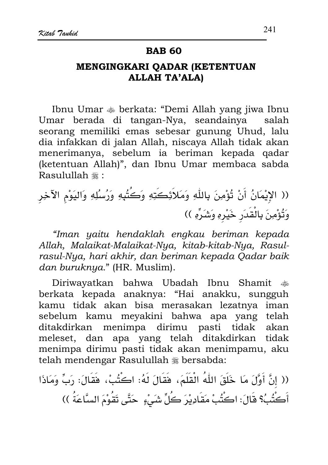# MENGINGKARI QADAR (KETENTUAN **ALLAH TA'ALA)**

Ibnu Umar  $\triangleq$  berkata: "Demi Allah yang jiwa Ibnu Umar berada di tangan-Nya, seandainya salah seorang memiliki emas sebesar gunung Uhud, lalu dia infakkan di jalan Allah, niscaya Allah tidak akan menerimanya, sebelum ia beriman kepada qadar (ketentuan Allah)", dan Ibnu Umar membaca sabda Rasulullah #:

"Iman yaitu hendaklah engkau beriman kepada Allah, Malaikat-Malaikat-Nya, kitab-kitab-Nya, Rasulrasul-Nya, hari akhir, dan beriman kepada Qadar baik dan buruknya." (HR. Muslim).

Diriwayatkan bahwa Ubadah Ibnu Shamit  $\frac{1}{2}$ berkata kepada anaknya: "Hai anakku, sungguh kamu tidak akan bisa merasakan lezatnya iman sebelum kamu meyakini bahwa apa yang telah ditakdirkan menimpa dirimu pasti tidak akan meleset, dan apa yang telah ditakdirkan tidak menimpa dirimu pasti tidak akan menimpamu, aku telah mendengar Rasulullah \* bersabda:

(( إنَّ أَوَّلَ مَا خَلَقَ اللَّهُ الْقَلَمَ، فَقَالَ لَهُ: اكْتُبْ، فَقَالَ: رَبِّ وَمَاذَا أَكْتُبُ؟ قَالَ: اكْتُبْ مَقَادِيْرَ كُلِّ شَيْءٍ ۚ حَتَّى تَقُوْمَ السَّاعَةُ ))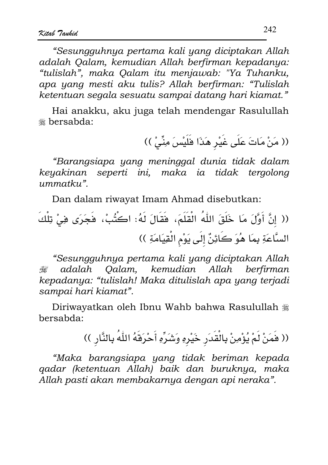"Sesungguhnya pertama kali yang diciptakan Allah adalah Oalam, kemudian Allah berfirman kepadanya: "tulislah", maka Oalam itu menjawab: "Ya Tuhanku, apa yang mesti aku tulis? Allah berfirman: "Tulislah ketentuan segala sesuatu sampai datang hari kiamat."

Hai anakku, aku juga telah mendengar Rasulullah <sup>囊</sup> bersabda:

(( مَنْ مَاتَ عَلَى غَيْرِ هَذَا فَلَيْسَ مِنِّىْ ))

"Barangsiapa yang meninggal dunia tidak dalam keyakinan seperti ini, maka ia tidak tergolong  $ummatku$ ".

Dan dalam riwayat Imam Ahmad disebutkan:

(( إنَّ أَوَّلَ مَا خَلَقَ اللَّهُ الْقَلَمَ، فَقَالَ لَهُ: اكتُبْ، فَجَرَى فِيْ تِلْكَ السَّاعَةِ بِمَا هُوَ كَائِنٌ إِلَى يَوْمِ الْقِيَامَةِ ))

"Sesungguhnya pertama kali yang diciptakan Allah adalah Oalam, kemudian Allah berfirman تنصلاته kepadanya: "tulislah! Maka ditulislah apa yang terjadi sampai hari kiamat".

Diriwayatkan oleh Ibnu Wahb bahwa Rasulullah # hersabda:

(( فَمَنْ لَمْ يُؤْمِنْ بِالْقَدَرِ خَيْرِهِ وَشَرِّهِ أَحْرَفَهُ اللَّهُ بِالنَّارِ ))

"Maka barangsiapa yang tidak beriman kepada gadar (ketentuan Allah) baik dan buruknya, maka Allah pasti akan membakarnya dengan api neraka".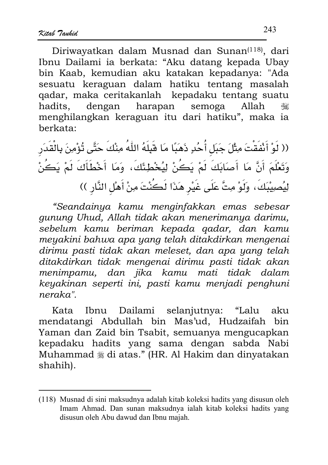Diriwayatkan dalam Musnad dan Sunan<sup>(118)</sup>, dari Ibnu Dailami ia berkata: "Aku datang kepada Ubay bin Kaab, kemudian aku katakan kepadanya: "Ada sesuatu keraguan dalam hatiku tentang masalah gadar, maka ceritakanlah kepadaku tentang suatu hadits. dengan harapan semoga Allah ٢ menghilangkan keraguan itu dari hatiku", maka ia herkata:

(( لَوْ أَنْفَقْتَ مِثْلَ جَبَل أُحُدٍ ذَهَبًا مَا قَبِلَهُ اللّٰهُ مِنْكَ حَتَّى تُؤْمِنَ بِالْقَدَر وَتَعْلَمَ أَنَّ مَا أَصَابَكَ لَمْ يَكُنْ لِيُخْطِئَكَ، وَمَا أَخْطَأَكَ لَمْ يَكُنْ لِيُصِيبْكَ، وَلَوْ مِتَّ عَلَى غَيْرِ هَذَا لَكُنْتَ مِنْ أَهْلِ النَّارِ ))

"Seandainya kamu menginfakkan emas sebesar gunung Uhud, Allah tidak akan menerimanya darimu, sebelum kamu beriman kepada gadar, dan kamu meyakini bahwa apa yang telah ditakdirkan mengenai dirimu pasti tidak akan meleset, dan apa yang telah ditakdirkan tidak mengenai dirimu pasti tidak akan menimpamu, dan jika kamu mati tidak dalam keyakinan seperti ini, pasti kamu menjadi penghuni neraka"

Kata Ibnu Dailami selanjutnya: "Lalu aku mendatangi Abdullah bin Mas'ud, Hudzaifah bin Yaman dan Zaid bin Tsabit, semuanya mengucapkan kepadaku hadits yang sama dengan sabda Nabi Muhammad § di atas." (HR. Al Hakim dan dinyatakan shahih).

<sup>(118)</sup> Musnad di sini maksudnya adalah kitab koleksi hadits yang disusun oleh Imam Ahmad. Dan sunan maksudnya ialah kitab koleksi hadits yang disusun oleh Abu dawud dan Ibnu majah.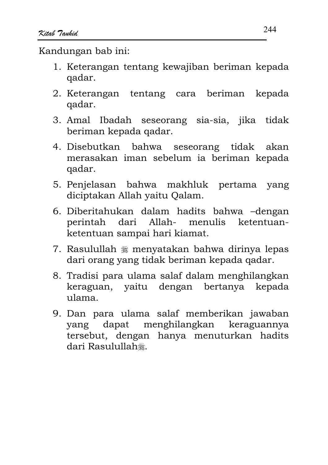- 1. Keterangan tentang kewajiban beriman kepada qadar.
- 2. Keterangan tentang cara beriman kepada qadar.
- 3. Amal Ibadah seseorang sia-sia, jika tidak beriman kepada qadar.
- 4. Disebutkan bahwa seseorang tidak akan merasakan iman sebelum ia beriman kepada qadar.
- 5. Penjelasan bahwa makhluk pertama yang diciptakan Allah yaitu Qalam.
- 6. Diberitahukan dalam hadits bahwa -dengan perintah dari Allah- menulis ketentuanketentuan sampai hari kiamat.
- 7. Rasulullah \* menyatakan bahwa dirinya lepas dari orang yang tidak beriman kepada qadar.
- 8. Tradisi para ulama salaf dalam menghilangkan keraguan, yaitu dengan bertanya kepada ulama.
- 9. Dan para ulama salaf memberikan jawaban menghilangkan keraguannya dapat yang tersebut, dengan hanya menuturkan hadits dari Rasulullah.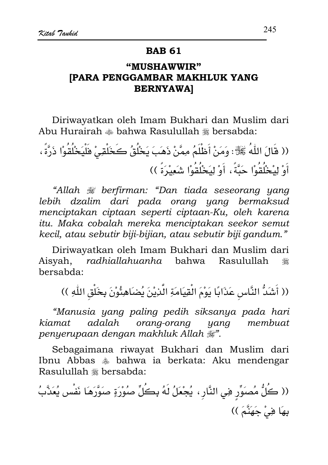#### **BAR 61**

# "MUSHAWWIR" **IPARA PENGGAMBAR MAKHLUK YANG BERNYAWAI**

Diriwayatkan oleh Imam Bukhari dan Muslim dari Abu Hurairah  $\triangleq$  bahwa Rasulullah  $\triangleq$  bersabda:

(( قَالَ اللّٰهُ ﷺ: وَمَنْ أَظْلَمُ مِمَّنْ ذَهَبَ يَخْلُقُ كَخَلْقِيْ فَلْيَخْلُقُوْا ذَرَّةً ، أَوْ لِبْخُلُقُوْا حَيَّةً ، أَوْ لِيَخْلُقُوْا شَعِبْرَةً ))

"Allah # berfirman: "Dan tiada seseorang yang lebih dzalim dari pada orang yang bermaksud menciptakan ciptaan seperti ciptaan-Ku, oleh karena itu. Maka cobalah mereka menciptakan seekor semut kecil, atau sebutir biji-bijian, atau sebutir biji gandum."

Diriwayatkan oleh Imam Bukhari dan Muslim dari Aisvah. radhiallahuanha bahwa Rasulullah 灩 bersabda:

(( أَشَدُّ النَّاسِ عَذَابًا يَوْمَ الْقِيَامَةِ الَّذِيْنَ يُضَاهِئُوْنَ بِخَلْقِ اللَّهِ ))

"Manusia yang paling pedih siksanya pada hari adalah orang-orang membuat kiamat yang penyerupaan dengan makhluk Allah ...

Sebagaimana riwayat Bukhari dan Muslim dari Ibnu Abbas  $*$  bahwa ia berkata: Aku mendengar Rasulullah # bersabda:

(( كَلُّ مُصَوِّرٍ فِي النَّارِ ، يُجْعَلُ لَهُ بِكُلِّ صُوْرَةٍ صَوَّرَهَا نَفْس يُعَذَّبُ بِهَا فِيْ جَهَنَّمَ ))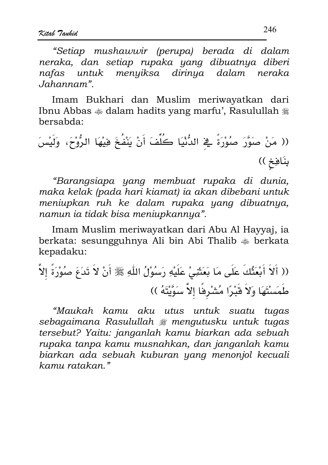"Setiap mushawwir (perupa) berada di dalam neraka, dan setiap rupaka yang dibuatnya diberi nafas untuk menyiksa dirinya dalam neraka Jahannam".

Imam Bukhari dan Muslim meriwayatkan dari Ibnu Abbas  $\triangleleft$  dalam hadits yang marfu', Rasulullah  $\triangleleft$ bersabda:

"Barangsiapa yang membuat rupaka di dunia, maka kelak (pada hari kiamat) ia akan dibebani untuk meniupkan ruh ke dalam rupaka yang dibuatnya, namun ia tidak bisa meniupkannya".

Imam Muslim meriwayatkan dari Abu Al Hayyaj, ia berkata: sesungguhnya Ali bin Abi Thalib  $\triangleq$  berkata kepadaku:

"Maukah kamu aku utus untuk suatu tugas sebagaimana Rasulullah # mengutusku untuk tugas tersebut? Yaitu: janganlah kamu biarkan ada sebuah rupaka tanpa kamu musnahkan, dan janganlah kamu biarkan ada sebuah kuburan yang menonjol kecuali kamu ratakan."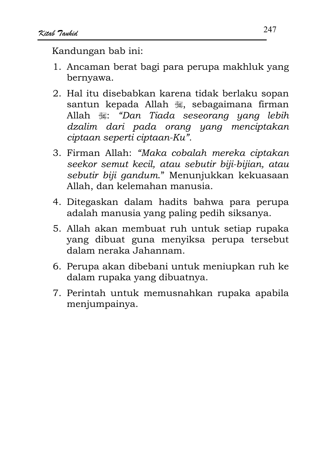- 1. Ancaman berat bagi para perupa makhluk yang bernyawa.
- 2. Hal itu disebabkan karena tidak berlaku sopan santun kepada Allah , sebagaimana firman Allah .: "Dan Tiada seseorang yang lebih dzalim dari pada orang yang menciptakan ciptaan seperti ciptaan-Ku".
- 3. Firman Allah: "Maka cobalah mereka ciptakan seekor semut kecil, atau sebutir biji-bijian, atau sebutir biji gandum." Menunjukkan kekuasaan Allah, dan kelemahan manusia.
- 4. Ditegaskan dalam hadits bahwa para perupa adalah manusia yang paling pedih siksanya.
- 5. Allah akan membuat ruh untuk setiap rupaka yang dibuat guna menyiksa perupa tersebut dalam neraka Jahannam.
- 6. Perupa akan dibebani untuk meniupkan ruh ke dalam rupaka yang dibuatnya.
- 7. Perintah untuk memusnahkan rupaka apabila menjumpainya.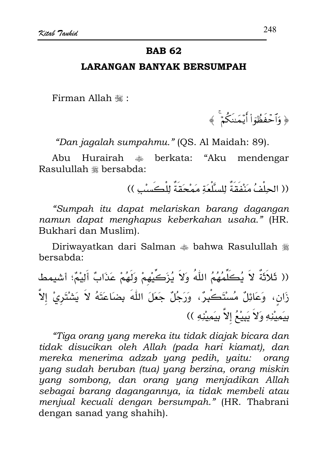Firman Allah .:

﴿ وَٱحۡفَظُٰوٓا۟ أَيۡمَـٰنَكُمۡۚ ﴾

"Dan jagalah sumpahmu." (QS. Al Maidah: 89).

Abu Hurairah \* berkata: "Aku mendengar Rasulullah \* bersabda:

(( الحِلْفُ مَنْفَقَةٌ لِلسَّلْعَةِ مَمْحَقَةٌ لِلْكَسِبِ ))

"Sumpah itu dapat melariskan barang dagangan namun dapat menghapus keberkahan usaha." (HR. Bukhari dan Muslim).

Diriwayatkan dari Salman  $*$  bahwa Rasulullah  $*$ bersabda:

(( ثَلاَثَةٌ لاَ يُكَلِّمُهُمُ اللّٰهُ وَلاَ يُزَكِّيهِمْ وَلَهُمْ عَذَابٌ أَلِيْمٌ؛ أشيمط زَان، وَعَائِلٌ مُسْتَكْبِرٌ، وَرَجُلٌ جَعَلَ اللّهَ بِضَاعَتَهُ لاَ يَشْتَرِيْ إلاَّ بِيَمِيْنِهِ وَلاَ يَبِيْعُ إِلاَّ بِيَمِيْنِهِ ))

"Tiga orang yang mereka itu tidak diajak bicara dan tidak disucikan oleh Allah (pada hari kiamat), dan mereka menerima adzab yang pedih, yaitu: orang yang sudah beruban (tua) yang berzina, orang miskin yang sombong, dan orang yang menjadikan Allah sebagai barang dagangannya, ia tidak membeli atau menjual kecuali dengan bersumpah." (HR. Thabrani dengan sanad yang shahih).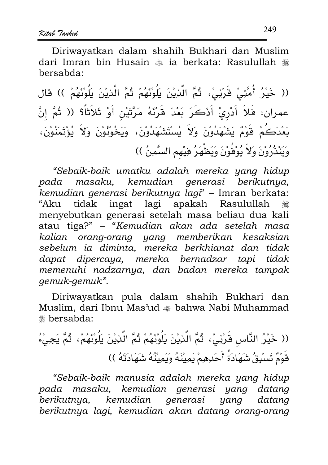Diriwayatkan dalam shahih Bukhari dan Muslim dari Imran bin Husain  $\triangleq$  ia berkata: Rasulullah  $\triangleq$ bersabda:

(( خَيْرُ أُمَّتِيْ قَرْنِيْ، ثُمَّ الَّذِيْنَ يَلُوْنَهُمْ ثُمَّ الَّذِيْنَ يَلُوْنَهُمْ )) قال عمران: فَلاَ أَدْرِيْ أَذَكَرَ بَعْدَ قَرْنَهُ مَرَّتَيْنِ أَوْ ثَلاَثاً؟ (( ثُمَّ إنَّ بَعْدَكُمْ قَوْمٌ يَشْهَدُوْنَ وَلاَ يُسْتَشْهَدُوْنَ، وَيَخُوْنُوْنَ وَلاَ يُؤْتَمَنُوْنَ، وَيَنْذُرُوْنَ وَلاَ يُوْفُوْنَ وَيَطْهَرُ فِيْهِمِ السَّمِنُ ))

"Sebaik-baik umatku adalah mereka yang hidup pada masaku, kemudian generasi berikutnya, kemudian generasi berikutnya lagi" - Imran berkata: "Aku tidak ingat lagi apakah Rasulullah ﷺ menyebutkan generasi setelah masa beliau dua kali atau tiga?" - "Kemudian akan ada setelah masa kalian orang-orang yang memberikan kesaksian sebelum ia diminta, mereka berkhianat dan tidak dapat dipercaya, mereka bernadzar tapi tidak memenuhi nadzarnya, dan badan mereka tampak gemuk-gemuk".

Diriwayatkan pula dalam shahih Bukhari dan Muslim, dari Ibnu Mas'ud  $\triangleq$  bahwa Nabi Muhammad <sub>\*\*</sub> bersabda:

(( خَيْرُ النَّاسِ قَرْنِيْ، ثُمَّ الَّنِيْنَ يَلُوْنَهُمْ ثُمَّ الَّنِيْنَ يَلُوْنَهُمْ، ثُمَّ يَجِيْءُ قَوْمٌ تَسْبِقُ شَهَادَةُ أَحَدِهِمْ يَمِينَهُ وَيَمِينُهُ شَهَادَتَهُ ))

"Sebaik-baik manusia adalah mereka yang hidup pada masaku, kemudian generasi yang datang berikutnya, kemudian generasi yang datana berikutnya lagi, kemudian akan datang orang-orang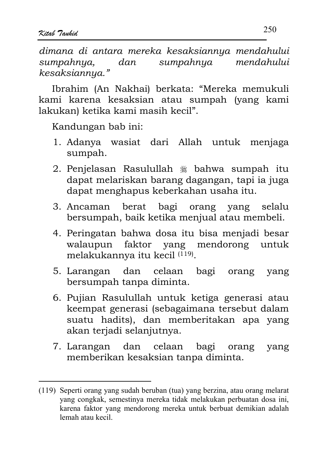dimana di antara mereka kesaksiannya mendahului sumpahnya. sumpahnya mendahului dan kesaksiannya."

Ibrahim (An Nakhai) berkata: "Mereka memukuli kami karena kesaksian atau sumpah (yang kami lakukan) ketika kami masih kecil".

- 1. Adanya wasiat dari Allah untuk menjaga sumpah.
- 2. Penjelasan Rasulullah \* bahwa sumpah itu dapat melariskan barang dagangan, tapi ia juga dapat menghapus keberkahan usaha itu.
- 3. Ancaman berat bagi orang yang selalu bersumpah, baik ketika menjual atau membeli.
- 4. Peringatan bahwa dosa itu bisa menjadi besar walaupun faktor yang mendorong untuk melakukannya itu kecil (119).
- 5. Larangan dan celaan bagi orang yang bersumpah tanpa diminta.
- 6. Pujian Rasulullah untuk ketiga generasi atau keempat generasi (sebagaimana tersebut dalam suatu hadits), dan memberitakan apa yang akan terjadi selanjutnya.
- dan celaan bagi 7. Larangan orang yang memberikan kesaksian tanpa diminta.

<sup>(119)</sup> Seperti orang yang sudah beruban (tua) yang berzina, atau orang melarat yang congkak, semestinya mereka tidak melakukan perbuatan dosa ini, karena faktor yang mendorong mereka untuk berbuat demikian adalah lemah atau kecil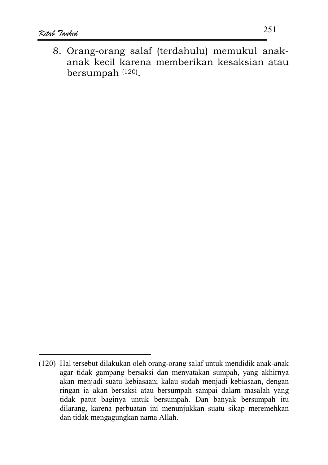8. Orang-orang salaf (terdahulu) memukul anakanak kecil karena memberikan kesaksian atau bersumpah (120).

<sup>(120)</sup> Hal tersebut dilakukan oleh orang-orang salaf untuk mendidik anak-anak agar tidak gampang bersaksi dan menyatakan sumpah, yang akhirnya akan menjadi suatu kebiasaan; kalau sudah menjadi kebiasaan, dengan ringan ia akan bersaksi atau bersumpah sampai dalam masalah yang tidak patut baginya untuk bersumpah. Dan banyak bersumpah itu dilarang, karena perbuatan ini menunjukkan suatu sikap meremehkan dan tidak mengagungkan nama Allah.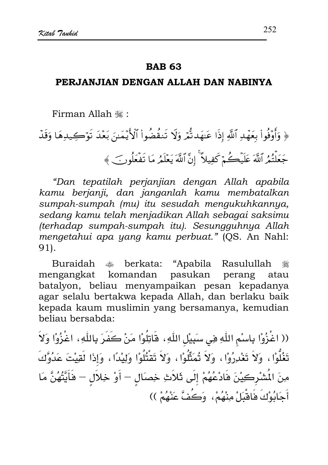#### **RAR 63**

#### PERJANJIAN DENGAN ALLAH DAN NABINYA

Firman Allah , "

﴿ وَأَوْفُواْ بِعَهْدِ ٱللَّهِ إِذَا عَنِهَدتُّمْ وَلَا تَنقُضُواْ ٱلْأَيَّمَـٰنَ بَعْدَ تَوْكِيدِهَا وَقَدّ جَعَلْتُمُ ٱللَّهَ عَلَيْكُمْ كَفِيلاً ۚ إِنَّ ٱللَّهَ يَعْلَمُ مَا تَفْعَلُونَ ﴾

"Dan tepatilah perjanjian dengan Allah apabila kamu berjanji, dan janganlah kamu membatalkan sumpah-sumpah (mu) itu sesudah mengukuhkannya, sedang kamu telah menjadikan Allah sebagai saksimu (terhadap sumpah-sumpah itu). Sesungguhnya Allah mengetahui apa yang kamu perbuat." (QS. An Nahl: 91).

Buraidah berkata: "Apabila Rasulullah ريالي.<br>منهاج ٩ komandan pasukan mengangkat perang atau batalyon, beliau menyampaikan pesan kepadanya agar selalu bertakwa kepada Allah, dan berlaku baik kepada kaum muslimin yang bersamanya, kemudian beliau bersabda:

(( اغْزُوْا بِاسْمِ اللَّهِ هِي سَبِيْلِ اللَّهِ، هَاتِلُوْا مَنْ كَفَرَ بِاللَّهِ، اغْزُوْا وَلاَ تَغُلُّوْا ، وَلاَ تَغْدِرُوْا ، وَلاَ تُمَثِّلُوْا ، وَلاَ تَقْتُلُوْا وَلِيْدًا ، وَإِذَا لَقِيْتَ عَدُوَّكَ مِنَ الْمُشْرِكِيْنَ فَادْعُهُمْ إِلَى ثَلاَثِ خِصَالِ – أَوْ خِلاَلِ – فَأَيَّتُهُنَّ مَا أَجَابُوْكَ فَاقْبَلْ مِنْهُمْ، وَكُفَّ عَنْهُمْ ))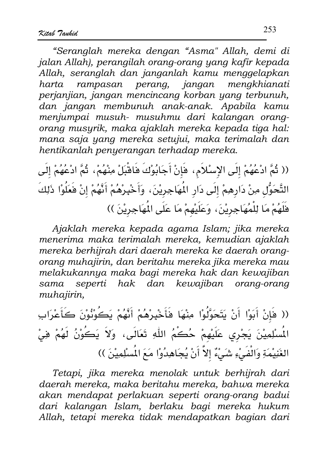"Seranglah mereka dengan "Asma" Allah, demi di jalan Allah), perangilah orang-orang yang kafir kepada Allah, seranglah dan janganlah kamu menggelapkan rampasan perang, jangan mengkhianati harta perjanjian, jangan mencincang korban yang terbunuh, dan jangan membunuh anak-anak. Apabila kamu menjumpai musuh- musuhmu dari kalangan orangorang musyrik, maka ajaklah mereka kepada tiga hal: mana saja yang mereka setujui, maka terimalah dan hentikanlah penyerangan terhadap mereka.

(( ثُمَّ ادْعُهُمْ إِلَى الإِسْلاَمِ، فَإِنْ أَجَابُوْكَ فَاقْبَلْ مِنْهُمْ، ثُمَّ ادْعُهُمْ إِلَى التَّحَوُّلِ مِنْ دَارِهِمْ إِلَى دَارِ الْمُهَاجِرِيْنَ، وَأَخْبِرْهُمْ أَنَّهُمْ إِنْ فَعَلُوْا ذَلِكَ فَلَهُمْ مَا لِلْمُهَاجِرِيْنَ، وَعَلَيْهِمْ مَا عَلَى الْمَهَاجِرِيْنَ ))

Ajaklah mereka kepada agama Islam; jika mereka menerima maka terimalah mereka, kemudian ajaklah mereka berhijrah dari daerah mereka ke daerah orangorang muhajirin, dan beritahu mereka jika mereka mau melakukannya maka bagi mereka hak dan kewajiban seperti hak dan kewajiban orang-orang sama muhajirin,

(( فَإِنْ أَبَوْا أَنْ يَتَحَوَّلُواْ مِنْهَا فَأَخْبِرْهُمْ أَنَّهُمْ يَكُوْنُوْنَ كَأَعْرَابِ الْمُسْلِمِيْنَ يَجْرِي عَلَيْهِمْ حُكُمُ اللّهِ تَعَالَى، وَلاَ يَكُوْنُ لَهُمْ فِيْ الغَنِيْمَةِ وَالْفَيْءِ شَيْءٌ إِلاَّ أَنْ يُجَاهِدُوْا مَعَ الْمُسْلِمِيْنَ ))

Tetapi, jika mereka menolak untuk berhijrah dari daerah mereka, maka beritahu mereka, bahwa mereka akan mendapat perlakuan seperti orang-orang badui dari kalangan Islam, berlaku bagi mereka hukum Allah, tetapi mereka tidak mendapatkan bagian dari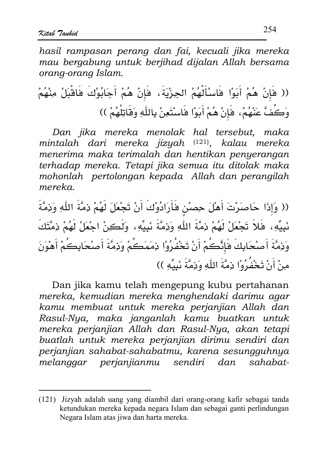hasil rampasan perang dan fai, kecuali jika mereka mau bergabung untuk berjihad dijalan Allah bersama orang-orang Islam.

Dan jika mereka menolak hal tersebut, maka mintalah dari mereka jizyah (121), kalau mereka menerima maka terimalah dan hentikan penyerangan terhadap mereka. Tetapi jika semua itu ditolak maka mohonlah pertolongan kepada Allah dan perangilah mereka.

(( وَإِذَا حَاصَرْتَ أَهْلَ حِصنْنِ فَأَرَادُوْكَ أَنْ تَجْعَلَ لَهُمْ ذِمَّةَ اللَّهِ وَذِمَّةَ نَبِيِّهِ، فَلاَ تَجْعَلْ لَهُمْ ذِمَّةَ اللّهِ وَذِمَّةَ نَبِيِّهِ، ۖ وَلَكِنْ اجْعَلْ لَهُمْ ذِمَّتَكَ وَذِمَّةَ أَصْحَابِكَ فَإِنَّكُمْ أَنْ تَخْفُرُوْا ذِمَمَكُمْ وَذِمَّةَ أَصْحَابِكُمْ أَهْوَنَ منْ أَنْ تَخْفُرُوْا دَمَّةَ اللَّه وَدَمَّةَ نَبِيِّهِ ))

Dan jika kamu telah mengepung kubu pertahanan mereka, kemudian mereka menghendaki darimu agar kamu membuat untuk mereka perjanjian Allah dan Rasul-Nya, maka janganlah kamu buatkan untuk mereka perjanjian Allah dan Rasul-Nya, akan tetapi buatlah untuk mereka perjanjian dirimu sendiri dan perjanjian sahabat-sahabatmu, karena sesungguhnya melanggar perjanjianmu sendiri dan sahabat-

<sup>(121)</sup> Jizyah adalah uang yang diambil dari orang-orang kafir sebagai tanda ketundukan mereka kepada negara Islam dan sebagai ganti perlindungan Negara Islam atas jiwa dan harta mereka.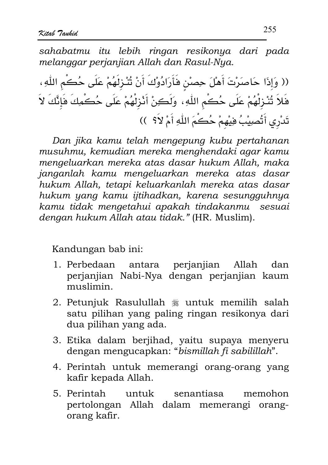sahabatmu itu lebih ringan resikonya dari pada melanggar perjanjian Allah dan Rasul-Nya.

(( وَإِذَا حَاصَرْتَ أَهْلَ حِصْنِ فَأَرَادُوْكَ أَنْ تُتْزِلَهُمْ عَلَى حُكْمِ اللّهِ، فَلاَ تُنْزِلْهُمْ عَلَى حُكُمِ اللّهِ، وَلَكِنْ أَنْزِلْهُمْ عَلَى حُكْمِكَ فَإِنَّكَ لاَ تَدْرِي أَتُصِيْبُ فِيْهِمْ حُكُمَ اللَّهِ أَمْ لاَ؟ ))

Dan jika kamu telah mengepung kubu pertahanan musuhmu, kemudian mereka menghendaki agar kamu mengeluarkan mereka atas dasar hukum Allah, maka janganlah kamu mengeluarkan mereka atas dasar hukum Allah, tetapi keluarkanlah mereka atas dasar hukum yang kamu ijtihadkan, karena sesungguhnya kamu tidak mengetahui apakah tindakanmu sesuai denaan hukum Allah atau tidak." (HR. Muslim).

Kandungan bab ini:

- 1. Perbedaan antara perjanjian Allah dan perjanjian Nabi-Nya dengan perjanjian kaum muslimin.
- 2. Petunjuk Rasulullah # untuk memilih salah satu pilihan yang paling ringan resikonya dari dua pilihan yang ada.
- 3. Etika dalam berjihad, yaitu supaya menyeru dengan mengucapkan: "bismillah fi sabilillah".
- 4. Perintah untuk memerangi orang-orang yang kafir kepada Allah.
- 5. Perintah untuk senantiasa memohon pertolongan Allah dalam memerangi orangorang kafir.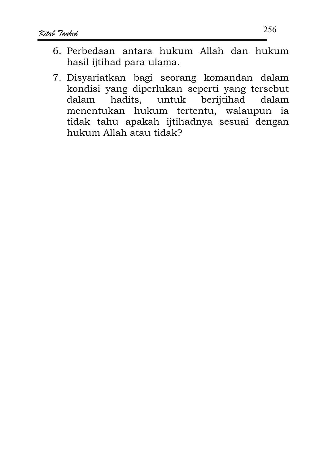- 6. Perbedaan antara hukum Allah dan hukum hasil ijtihad para ulama.
- 7. Disyariatkan bagi seorang komandan dalam kondisi yang diperlukan seperti yang tersebut hadits, untuk berijtihad dalam dalam menentukan hukum tertentu, walaupun ia tidak tahu apakah ijtihadnya sesuai dengan hukum Allah atau tidak?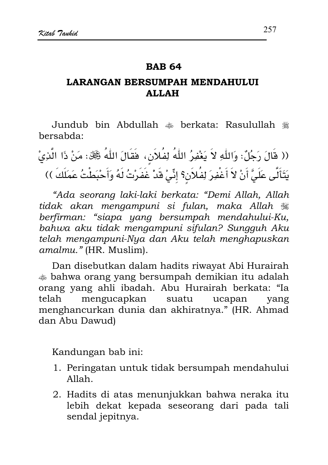#### **RAR 64**

## **LARANGAN BERSUMPAH MENDAHULUI ALLAH**

Jundub bin Abdullah  $\triangleq$  berkata: Rasulullah  $\triangleq$ bersabda:

(( قَالَ رَجُلٌ: وَاللَّهِ لاَ يَغْفِرُ اللَّهُ لِفُلاَنٍ، فَقَالَ اللَّهُ ﷺ: مَنْ ذَا الَّذِيْ يَتَأَلَّى عَلَىَّ أَنْ لاَ أَغْفِرَ لِفُلاَن؟ إنِّىٰ قَدْ غَفَرْتُ لَهُ وَأَحْبَطْتُ عَمَلَكَ ))

"Ada seorang laki-laki berkata: "Demi Allah, Allah tidak akan mengampuni si fulan, maka Allah  $\frac{1}{26}$ berfirman: "siapa yang bersumpah mendahului-Ku, bahwa aku tidak mengampuni sifulan? Sungguh Aku telah mengampuni-Nya dan Aku telah menghapuskan amalmu." (HR. Muslim).

Dan disebutkan dalam hadits riwayat Abi Hurairah bahwa orang yang bersumpah demikian itu adalah orang yang ahli ibadah. Abu Hurairah berkata: "Ia telah mengucapkan suatu ucapan vang menghancurkan dunia dan akhiratnya." (HR, Ahmad dan Abu Dawud)

Kandungan bab ini:

- 1. Peringatan untuk tidak bersumpah mendahului  $Allah$ .
- 2. Hadits di atas menunjukkan bahwa neraka itu lebih dekat kepada seseorang dari pada tali sendal jepitnya.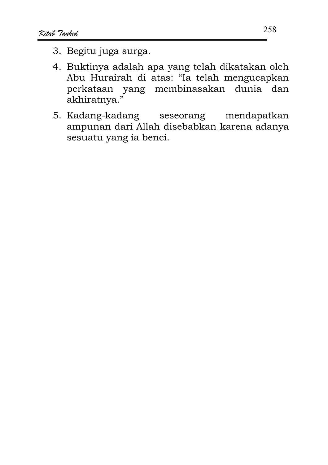- 3. Begitu juga surga.
- 4. Buktinya adalah apa yang telah dikatakan oleh Abu Hurairah di atas: "Ia telah mengucapkan perkataan yang membinasakan dunia dan akhiratnya."
- 5. Kadang-kadang mendapatkan seseorang ampunan dari Allah disebabkan karena adanya sesuatu yang ia benci.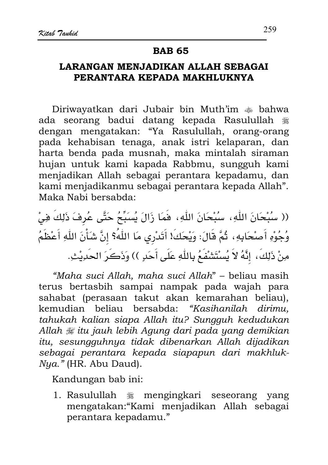## **BAB 65**

# LARANGAN MENJADIKAN ALLAH SEBAGAI PERANTARA KEPADA MAKHLUKNYA

Diriwayatkan dari Jubair bin Muth'im  $\triangleq$  bahwa ada seorang badui datang kepada Rasulullah يتلانه dengan mengatakan: "Ya Rasulullah, orang-orang pada kehabisan tenaga, anak istri kelaparan, dan harta benda pada musnah, maka mintalah siraman hujan untuk kami kapada Rabbmu, sungguh kami menjadikan Allah sebagai perantara kepadamu, dan kami menjadikanmu sebagai perantara kepada Allah". Maka Nabi bersabda:

(( سُبْحَانَ اللّٰهِ، سُبْحَانَ اللّٰهِ، فَمَا زَالَ يُسبِّحُ حَتَّى عُرِفَ ذَلِكَ فِيْ وُجُوْهِ أَصْحَابِهِ، ثُمَّ قَالَ: وَيْحَكَلا أَتَدْرِي مَا اللَّهُ؟ إنَّ شَأْنَ اللَّهِ أَعْظَمُ مِنْ ذَلِكَ، إِنَّهُ لاَ يُسْتَشْفَعُ بِاللَّهِ عَلَى أَحَدٍ )) وَذَكَرَ الحَدِيْثِ.

"Maha suci Allah, maha suci Allah" - beliau masih terus bertasbih sampai nampak pada wajah para sahabat (perasaan takut akan kemarahan beliau), kemudian beliau bersabda: "Kasihanilah dirimu, tahukah kalian siapa Allah itu? Sungguh kedudukan Allah  $\mathcal G$  itu jauh lebih Agung dari pada yang demikian itu, sesungguhnya tidak dibenarkan Allah dijadikan sebagai perantara kepada siapapun dari makhluk-Nya." (HR. Abu Daud).

Kandungan bab ini:

1. Rasulullah \* mengingkari seseorang yang mengatakan:"Kami menjadikan Allah sebagai perantara kepadamu."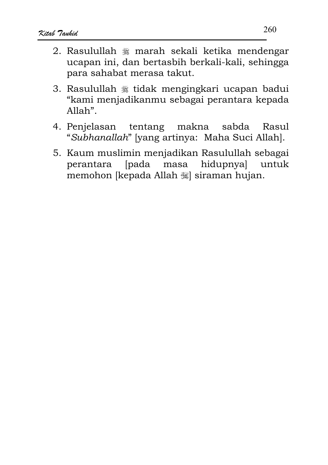- 2. Rasulullah \* marah sekali ketika mendengar ucapan ini, dan bertasbih berkali-kali, sehingga para sahabat merasa takut.
- 3. Rasulullah \* tidak mengingkari ucapan badui "kami menjadikanmu sebagai perantara kepada Allah".
- 4. Penjelasan tentang sabda makna Rasul "Subhanallah" [yang artinya: Maha Suci Allah].
- 5. Kaum muslimin menjadikan Rasulullah sebagai [pada masa hidupnyal untuk perantara memohon [kepada Allah 33] siraman hujan.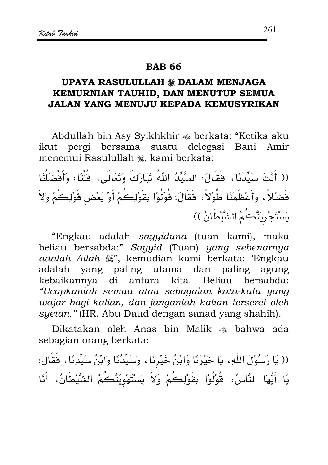#### **RAR 66**

# UPAYA RASULULLAH \* DALAM MENJAGA KEMURNIAN TAUHID, DAN MENUTUP SEMUA JALAN YANG MENUJU KEPADA KEMUSYRIKAN

Abdullah bin Asy Syikhkhir  $\triangleq$  berkata: "Ketika aku ikut pergi bersama suatu delegasi Bani Amir menemui Rasulullah , kami berkata:

(( أَنْتَ سَيِّدُنَا، فَقَـالَ: السَّيِّدُ اللّٰهُ تَبَارَكَ وَتَعَالَى، قُلْنَا: وَأَفْضَلُنَا فَضْلاً، وَأَعْظَمُنَا طُوْلاً، فَقَالَ: قُوْلُوْا بِقَوْلِكُمْ أَوْ بَعْض قَوْلِكُمْ وَلاَ يَسْتَجْرِيَنَّكُمْ الشَّيْطَانُ ))

"Engkau adalah sayyiduna (tuan kami), maka beliau bersabda:" Sayyid (Tuan) yang sebenarnya adalah Allah (\*\*, kemudian kami berkata: 'Engkau adalah yang paling utama dan paling agung kebaikannya di antara kita. Beliau bersabda: "Ucapkanlah semua atau sebagaian kata-kata yang wajar bagi kalian, dan janganlah kalian terseret oleh syetan." (HR. Abu Daud dengan sanad yang shahih).

Dikatakan oleh Anas bin Malik  $\ast$  bahwa ada sebagian orang berkata:

(( يَا رَسُوْلَ اللَّهِ، يَا خَيْرَنَا وَابْنُ خَيْرِنَا، وَسَيِّدُنَا وَابْنُ سَيِّدِنَا، فَقَالَ: يَا أَيُّهَا النَّاسُ، قُوْلُوْا بِقَوْلِكُمْ وَلاَ يَسْتَهْوِيَنَّكُمْ الشَّيْطَانُ، أَنَا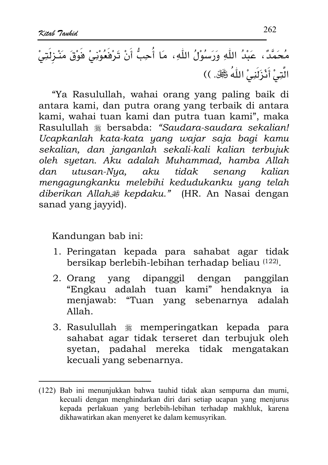"Ya Rasulullah, wahai orang yang paling baik di antara kami, dan putra orang yang terbaik di antara kami, wahai tuan kami dan putra tuan kami", maka Rasulullah \* bersabda: "Saudara-saudara sekalian! Ucapkanlah kata-kata yang wajar saja bagi kamu sekalian, dan janganlah sekali-kali kalian terbujuk oleh syetan. Aku adalah Muhammad, hamba Allah utusan-Nya, aku tidak senang kalian dan mengagungkanku melebihi kedudukanku yang telah diberikan Allah # kepdaku." (HR. An Nasai dengan sanad yang jayyid).

Kandungan bab ini:

- 1. Peringatan kepada para sahabat agar tidak bersikap berlebih-lebihan terhadap beliau (122).
- 2. Orang yang dipanggil dengan panggilan "Engkau adalah tuan kami" hendaknya ia menjawab: "Tuan yang sebenarnya adalah  $Allah$
- 3. Rasulullah \* memperingatkan kepada para sahabat agar tidak terseret dan terbujuk oleh syetan, padahal mereka tidak mengatakan kecuali yang sebenarnya.

<sup>(122)</sup> Bab ini menunjukkan bahwa tauhid tidak akan sempurna dan murni, kecuali dengan menghindarkan diri dari setiap ucapan yang menjurus kepada perlakuan yang berlebih-lebihan terhadap makhluk, karena dikhawatirkan akan menyeret ke dalam kemusyrikan.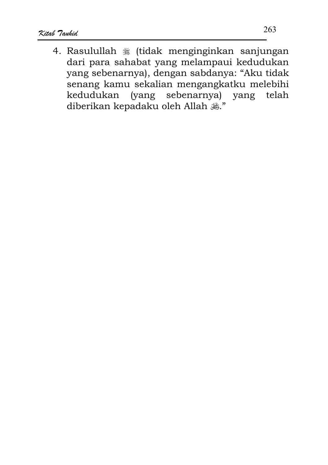4. Rasulullah ﷺ (tidak menginginkan sanjungan dari para sahabat yang melampaui kedudukan yang sebenarnya), dengan sabdanya: "Aku tidak senang kamu sekalian mengangkatku melebihi sebenarnya) yang kedudukan *(yang* telah diberikan kepadaku oleh Allah  $\ddot{\mathcal{L}}$ ."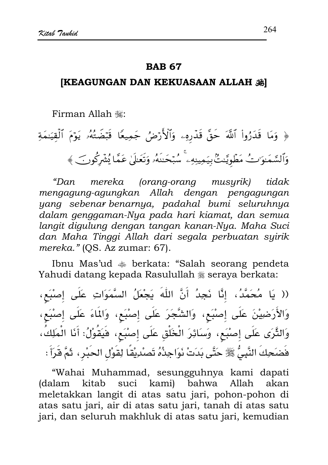#### **RAR 67**

## [KEAGUNGAN DAN KEKUASAAN ALLAH 36]

Firman Allah 灩:

# ﴿ وَمَا قَدَرُواْ ٱللَّهَ حَقَّ قَدْرِهِۦ وَٱلْأَرْضُ جَمِيعًا قَبْضَتُهُۥ يَوْمَ ٱلْقِيَٰمَةِ وَٱلسَّمَـٰوَ'تُ مَطُويَّـٰتُّ بِيَمِينِهِۦ ۚ سُبۡحَـٰنَهُۥ وَتَعَـٰلَىٰ عَمَّا يُشۡرِكُونَ ﴾

mereka (orang-orang musyrik) "Dan tidak mengagung-agungkan Allah dengan pengagungan yang sebenar benarnya, padahal bumi seluruhnya dalam genggaman-Nya pada hari kiamat, dan semua langit digulung dengan tangan kanan-Nya. Maha Suci dan Maha Tinggi Allah dari segala perbuatan syirik mereka." (QS. Az zumar: 67).

Ibnu Mas'ud  $\triangleq$  berkata: "Salah seorang pendeta Yahudi datang kepada Rasulullah \* seraya berkata:

(( يَا مُحَمَّدُ، إِذَّا نَجِدُ أَنَّ اللَّهَ يَجْعَلُ السَّمَوَاتِ عَلَى إصْبَعٍ، وَالأَرَضِيْنَ عَلَى إِصْبَعِ، وَالشَّجَرَ عَلَى إِصْبَعِ، وَالمَاءَ عَلَى إِصْبَعِ، وَالثَّرَى عَلَى إصْبَع، وَسَائِرَ الْخَلْق عَلَى إصْبَع، فَيَقُوْلُ: أَنَا الْمَلِكُ، فَضَحِكَ النَّبِيُّ ﷺ حَتَّى بَدَتْ نَوَاجِذُهُ تَصلْرِيْقًا لِقَوْلِ الحَبْرِ ، ثَمَّ قَرَأَ :

"Wahai Muhammad, sesungguhnya kami dapati (dalam kitab suci kami) bahwa Allah akan meletakkan langit di atas satu jari, pohon-pohon di atas satu jari, air di atas satu jari, tanah di atas satu jari, dan seluruh makhluk di atas satu jari, kemudian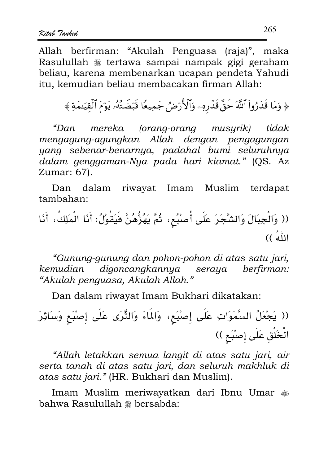Allah berfirman: "Akulah Penguasa (raja)", maka Rasulullah ﷺ tertawa sampai nampak gigi geraham beliau, karena membenarkan ucapan pendeta Yahudi itu, kemudian beliau membacakan firman Allah:

﴿ وَمَا قَدَرُواْ ٱللَّهَ حَقَّ قَدْرِهِۦ وَٱلْأَرْضُ جَمِيعًا قَبْضَتُهُۥ يَوْمَ ٱلْقِيَـٰمَةِ ﴾

mereka (orang-orang musurik) "Dan tidak mengagung-agungkan Allah dengan pengagungan yang sebenar-benarnya, padahal bumi seluruhnya dalam genggaman-Nya pada hari kiamat." (QS. Az Zumar: 67).

Dan dalam riwayat Imam Muslim terdapat  $tambahan:$ 

"Gunung-gunung dan pohon-pohon di atas satu jari, digoncangkannya kemudian seraya berfirman: "Akulah penguasa, Akulah Allah."

Dan dalam riwayat Imam Bukhari dikatakan:

"Allah letakkan semua langit di atas satu jari, air serta tanah di atas satu jari, dan seluruh makhluk di atas satu jari." (HR. Bukhari dan Muslim).

Imam Muslim meriwayatkan dari Ibnu Umar  $\clubsuit$ bahwa Rasulullah \* bersabda: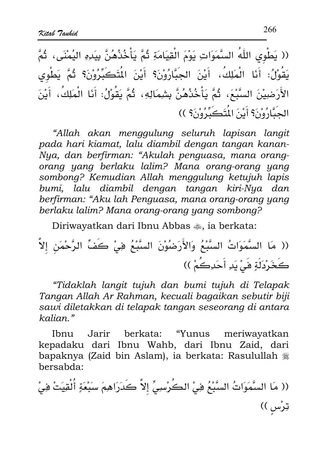(( يَطْوِى اللّهُ السَّمَوَاتِ يَوْمَ الْقِيَامَةِ ثُمَّ يَأْخُذُهُنَّ بِيَدِهِ اليُمْنَى، ثُمَّ يَقُوْلُ: أَنَا الْمَلِكُ، أَيْنَ الجَبَّارُوْنَ؟ أَيْنَ الْمُتَكَبِّرُوْنَ؟ ثُمَّ يَطْوِي الأَرَضِيْنَ السَّبْعَ، ثُمَّ يَأْخُذُهُنَّ بِشِمَالِهِ، ثُمَّ يَقُوْلُ: أَنَا الْمَلِكُ، أَيْنَ الجِبَّارُوْنَ؟ أَيْنَ الْمُتَكَبِّرُوْنَ؟ ))

"Allah akan menggulung seluruh lapisan langit pada hari kiamat, lalu diambil dengan tangan kanan-Nua, dan berfirman: "Akulah penguasa, mana orangorang yang berlaku lalim? Mana orang-orang yang sombong? Kemudian Allah menggulung ketujuh lapis bumi, lalu diambil dengan tangan kiri-Nya dan berfirman: "Aku lah Penguasa, mana orang-orang yang berlaku lalim? Mana orang-orang yang sombong?

Diriwayatkan dari Ibnu Abbas  $\clubsuit$ , ia berkata:

(( مَا السَّمَوَاتُ السَّبْعُ وَالأَرَضُوْنَ السَّبْعُ فِي كَفِّ الرَّحْمَنِ إلاَّ كَخَرْدَلَةٍ فَىٰ يَدِ أَحَدِكُمْ ))

"Tidaklah langit tujuh dan bumi tujuh di Telapak Tangan Allah Ar Rahman, kecuali bagaikan sebutir biji sawi diletakkan di telapak tangan seseorang di antara kalian."

Jarir herkata: "Yunus Ibnu meriwayatkan kepadaku dari Ibnu Wahb, dari Ibnu Zaid, dari bapaknya (Zaid bin Aslam), ia berkata: Rasulullah \* bersabda:

(( مَا السَّمَوَاتُ السَّبْعُ فِيْ الكُرْسِيِّ إِلاَّ كَدَرَاهِمَ سَبْعَةٍ أَلْقِيَتْ فِيْ ټرْس ))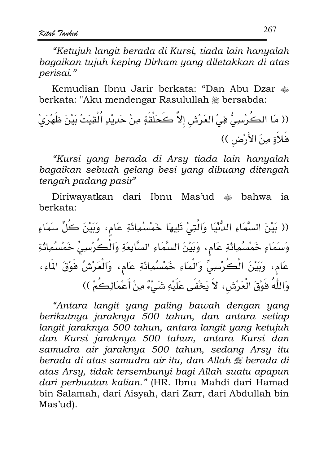"Ketujuh langit berada di Kursi, tiada lain hanyalah bagaikan tujuh keping Dirham yang diletakkan di atas perisai."

Kemudian Ibnu Jarir berkata: "Dan Abu Dzar  $\clubsuit$ berkata: "Aku mendengar Rasulullah # bersabda:

"Kursi yang berada di Arsy tiada lain hanyalah bagaikan sebuah gelang besi yang dibuang ditengah tengah padang pasir"

Diriwayatkan dari Ibnu Mas'ud  $\ast$  bahwa ia berkata:

(( بَيْنَ السَّمَاءِ الدُّنْيَا وَالَّتِيْ تَلِيهَا خَمْسُمِائَةِ عَامٍ، وَبَيْنَ كُلِّ سَمَاءٍ وَسَمَاءٍ خَمْسُمِائَةِ عَامٍ، وَبَيْنَ السَّمَاءِ السَّابِعَةِ وَالْكُرْسِيِّ خَمْسُمِائَةِ عَام، وَبَيْنَ الْكُرْسِيِّ وَالْمَاءِ خَمْسُمِائَةِ عَامٍ، وَالْعَرْشُ فَوْقَ المَاءِ، وَاللَّهُ فَوْقَ الْعَرْشِ، لاَ يَخْفَى عَلَيْهِ شَيْءٌ مِنْ أَعْمَالِكُمْ ))

"Antara langit yang paling bawah dengan yang berikutnya jaraknya 500 tahun, dan antara setiap langit jaraknya 500 tahun, antara langit yang ketujuh dan Kursi jaraknya 500 tahun, antara Kursi dan samudra air jaraknya 500 tahun, sedang Arsy itu berada di atas samudra air itu, dan Allah  $\mathcal G$  berada di atas Arsy, tidak tersembunyi bagi Allah suatu apapun dari perbuatan kalian." (HR. Ibnu Mahdi dari Hamad bin Salamah, dari Aisyah, dari Zarr, dari Abdullah bin Mas'ud).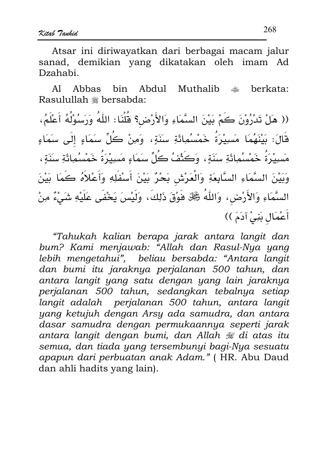Atsar ini diriwayatkan dari berbagai macam jalur sanad, demikian yang dikatakan oleh imam Ad Dzahabi.

A1 **Abbas** hin. Abdul **Muthalib**  $\bullet$ berkata: Rasulullah \* bersabda:

(( هَلْ تَدْرُوْنَ كَمْ بَيْنَ السَّمَاءِ وَالأَرْضِ؟ قُلْنَا: اللَّهُ وَرَسُوْلُهُ أَعْلَمُ، قَالَ: بَيْنَهُمَا مَسِيْرَةُ خَمْسُمِائَةِ سَنَةٍ، وَمِنْ كُلِّ سَمَاءٍ إِلَى سَمَاءٍ مَسِيْرَةُ خَمْسُمُوائَةِ سَنَةٍ، وَكَثْفُ كُلِّ سَمَاءٍ مَسِيْرَةُ خَمْسُمُوائَةِ سَنَةٍ، وَبَيْنَ السَّمَاءِ السَّابِعَةِ وَالْعَرْشِ بَحْرٌ بَيْنَ أَسْفَلِهِ وَأَعْلاَهُ كَمَا بَيْنَ السَّمَاءِ وَالأَرْضِ، وَاللَّهُ ﷺ فَوْقَ ذَلِكَ، وَلَيْسَ يَخْفَى عَلَيْهِ شَيْءٌ مِنْ أَعْمَالِ بَنِيْ آدَمَ ))

"Tahukah kalian berapa jarak antara langit dan bum? Kami menjawab: "Allah dan Rasul-Nya yang lebih mengetahui", beliau bersabda: "Antara langit dan bumi itu jaraknya perjalanan 500 tahun, dan antara langit yang satu dengan yang lain jaraknya perjalanan 500 tahun, sedangkan tebalnya setiap langit adalah perjalanan 500 tahun, antara langit yang ketujuh dengan Arsy ada samudra, dan antara dasar samudra dengan permukaannya seperti jarak antara langit dengan bumi, dan Allah # di atas itu semua, dan tiada yang tersembunyi bagi-Nya sesuatu apapun dari perbuatan anak Adam." (HR. Abu Daud dan ahli hadits vang lain).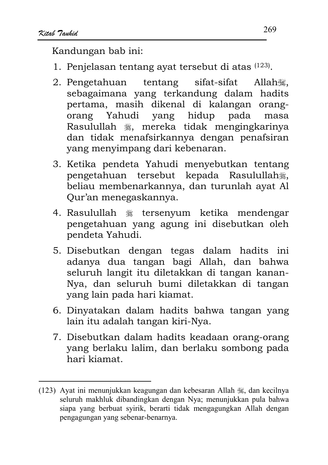Kandungan bab ini:

- 1. Penjelasan tentang ayat tersebut di atas (123).
- 2. Pengetahuan tentang sifat-sifat Allah. sebagaimana yang terkandung dalam hadits pertama, masih dikenal di kalangan orang-Yahudi yang hidup pada orang masa Rasulullah . mereka tidak mengingkarinya dan tidak menafsirkannya dengan penafsiran yang menyimpang dari kebenaran.
- 3. Ketika pendeta Yahudi menyebutkan tentang pengetahuan tersebut kepada Rasulullah. beliau membenarkannya, dan turunlah ayat Al Our'an menegaskannya.
- 4. Rasulullah § tersenyum ketika mendengar pengetahuan yang agung ini disebutkan oleh pendeta Yahudi.
- 5. Disebutkan dengan tegas dalam hadits ini adanya dua tangan bagi Allah, dan bahwa seluruh langit itu diletakkan di tangan kanan-Nya, dan seluruh bumi diletakkan di tangan yang lain pada hari kiamat.
- 6. Dinyatakan dalam hadits bahwa tangan yang lain itu adalah tangan kiri-Nya.
- 7. Disebutkan dalam hadits keadaan orang-orang yang berlaku lalim, dan berlaku sombong pada hari kiamat.

<sup>(123)</sup> Ayat ini menunjukkan keagungan dan kebesaran Allah  $\frac{36}{100}$ , dan kecilnya seluruh makhluk dibandingkan dengan Nya; menunjukkan pula bahwa siapa yang berbuat syirik, berarti tidak mengagungkan Allah dengan pengagungan yang sebenar-benarnya.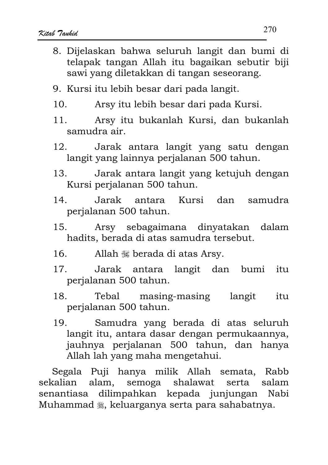- 8. Dijelaskan bahwa seluruh langit dan bumi di telapak tangan Allah itu bagaikan sebutir biji sawi yang diletakkan di tangan seseorang.
- 9. Kursi itu lebih besar dari pada langit.
- $10.$ Arsy itu lebih besar dari pada Kursi.
- $11$ Arsy itu bukanlah Kursi, dan bukanlah samudra air.
- $12<sub>1</sub>$ Jarak antara langit yang satu dengan langit yang lainnya perjalanan 500 tahun.
- Jarak antara langit yang ketujuh dengan  $13.$ Kursi perjalanan 500 tahun.
- $14.$ Jarak antara Kursi dan samudra perjalanan 500 tahun.
- $15.$ Arsy sebagaimana dinyatakan dalam hadits, berada di atas samudra tersebut.
- $16.$ Allah  $\mathcal{H}$  berada di atas Arsy.
- $17<sub>2</sub>$ Jarak antara langit dan bumi  $itii$ perialanan 500 tahun.
- 18. masing-masing Tebal langit itu perjalanan 500 tahun.
- $19<sub>1</sub>$ Samudra yang berada di atas seluruh langit itu, antara dasar dengan permukaannya, jauhnya perjalanan 500 tahun, dan hanya Allah lah yang maha mengetahui.

Segala Puji hanya milik Allah semata, Rabb alam, semoga shalawat sekalian serta salam senantiasa dilimpahkan kepada junjungan Nabi Muhammad , keluarganya serta para sahabatnya.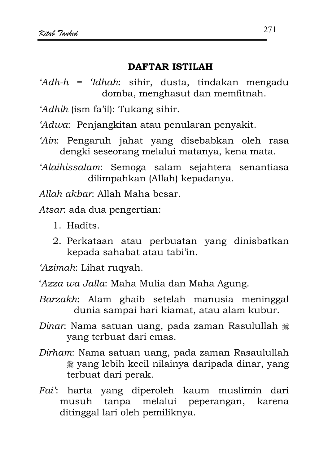## **DAFTAR ISTILAH**

- 'Adh-h = 'Idhah: sihir, dusta, tindakan mengadu domba, menghasut dan memfitnah.
- 'Adhih (ism fa'il): Tukang sihir.

'Adwa: Penjangkitan atau penularan penyakit.

'Ain: Pengaruh jahat yang disebabkan oleh rasa dengki seseorang melalui matanya, kena mata.

'Alaihissalam: Semoga salam sejahtera senantiasa dilimpahkan (Allah) kepadanya.

Allah akhar. Allah Maha besar.

Atsar: ada dua pengertian:

- 1. Hadits.
- 2. Perkataan atau perbuatan yang dinisbatkan kepada sahabat atau tabi'in.

'Azimah: Lihat rugyah.

'Azza wa Jalla: Maha Mulia dan Maha Agung.

- Barzakh: Alam ghaib setelah manusia meninggal dunia sampai hari kiamat, atau alam kubur.
- Dinar. Nama satuan uang, pada zaman Rasulullah \* yang terbuat dari emas.
- Dirham: Nama satuan uang, pada zaman Rasaulullah yang lebih kecil nilainya daripada dinar, yang terbuat dari perak.
- Fai': harta yang diperoleh kaum muslimin dari musuh tanpa melalui peperangan, karena ditinggal lari oleh pemiliknya.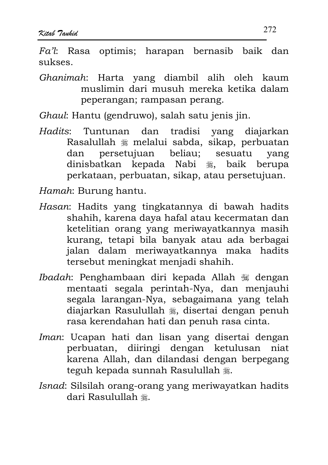$Fa'l$ : Rasa optimis: harapan bernasib baik dan sukses

Ghanimah: Harta yang diambil alih oleh kaum muslimin dari musuh mereka ketika dalam peperangan; rampasan perang.

Ghaul: Hantu (gendruwo), salah satu jenis jin.

- Tuntunan dan tradisi yang diajarkan Hadits: Rasalullah *\** melalui sabda, sikap, perbuatan persetujuan beliau: sesuatu dan vang dinisbatkan kepada Nabi , baik berupa perkataan, perbuatan, sikap, atau persetujuan.
- Hamah: Burung hantu.
- Hasan: Hadits yang tingkatannya di bawah hadits shahih, karena daya hafal atau kecermatan dan ketelitian orang yang meriwayatkannya masih kurang, tetapi bila banyak atau ada berbagai jalan dalam meriwayatkannya maka hadits tersebut meningkat menjadi shahih.
- Ibadah: Penghambaan diri kepada Allah  $\mathcal{F}$  dengan mentaati segala perintah-Nya, dan menjauhi segala larangan-Nya, sebagaimana yang telah diajarkan Rasulullah , disertai dengan penuh rasa kerendahan hati dan penuh rasa cinta.
- Iman: Ucapan hati dan lisan yang disertai dengan perbuatan, diiringi dengan ketulusan niat karena Allah, dan dilandasi dengan berpegang teguh kepada sunnah Rasulullah .
- Isnad: Silsilah orang-orang yang meriwayatkan hadits dari Rasulullah 囊.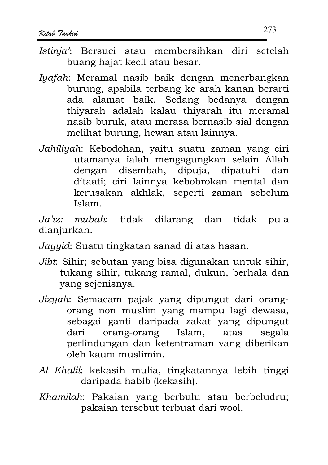- Istinia': Bersuci atau membersihkan diri setelah buang hajat kecil atau besar.
- Iyafah: Meramal nasib baik dengan menerbangkan burung, apabila terbang ke arah kanan berarti ada alamat baik. Sedang bedanya dengan thivarah adalah kalau thivarah itu meramal nasib buruk, atau merasa bernasib sial dengan melihat burung, hewan atau lainnya.
- Jahiliyah: Kebodohan, yaitu suatu zaman yang ciri utamanya ialah mengagungkan selain Allah dengan disembah, dipuja, dipatuhi dan ditaati; ciri lainnya kebobrokan mental dan kerusakan akhlak, seperti zaman sebelum Islam.

mubah: tidak dilarang dan tidak pula  $Ja'iz$ : dianjurkan.

- Jayyid: Suatu tingkatan sanad di atas hasan.
- Jibt: Sihir; sebutan yang bisa digunakan untuk sihir, tukang sihir, tukang ramal, dukun, berhala dan vang sejenisnya.
- Jizyah: Semacam pajak yang dipungut dari orangorang non muslim yang mampu lagi dewasa, sebagai ganti daripada zakat yang dipungut orang-orang Islam, atas segala dari perlindungan dan ketentraman yang diberikan oleh kaum muslimin.
- Al Khalil: kekasih mulia, tingkatannya lebih tinggi daripada habib (kekasih).
- Khamilah: Pakaian yang berbulu atau berbeludru; pakaian tersebut terbuat dari wool.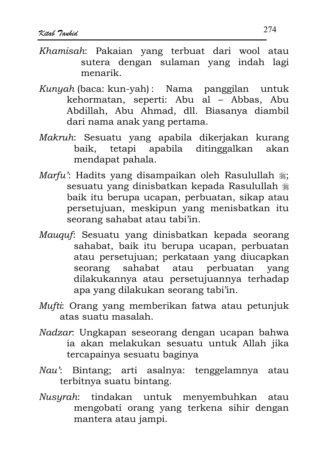- Khamisah: Pakaian yang terbuat dari wool atau sutera dengan sulaman yang indah lagi menarik.
- Kunyah (baca: kun-yah): Nama panggilan untuk kehormatan, seperti: Abu al - Abbas, Abu Abdillah, Abu Ahmad, dll. Biasanya diambil dari nama anak yang pertama.
- Makruh: Sesuatu yang apabila dikerjakan kurang baik, tetapi apabila ditinggalkan akan mendapat pahala.
- Marfu': Hadits yang disampaikan oleh Rasulullah .: sesuatu yang dinisbatkan kepada Rasulullah # baik itu berupa ucapan, perbuatan, sikap atau persetujuan, meskipun yang menisbatkan itu seorang sahabat atau tabi'in.
- Mauquf: Sesuatu yang dinisbatkan kepada seorang sahabat, baik itu berupa ucapan, perbuatan atau persetujuan; perkataan yang diucapkan seorang sahabat atau perbuatan yang dilakukannya atau persetujuannya terhadap apa yang dilakukan seorang tabi'in.
- Mufti: Orang yang memberikan fatwa atau petunjuk atas suatu masalah.
- Nadzar. Ungkapan seseorang dengan ucapan bahwa ia akan melakukan sesuatu untuk Allah jika tercapainya sesuatu baginya
- Nau': Bintang; arti asalnya: tenggelamnya atau terbitnya suatu bintang.
- Nusyrah: tindakan untuk menyembuhkan atau mengobati orang yang terkena sihir dengan mantera atau jampi.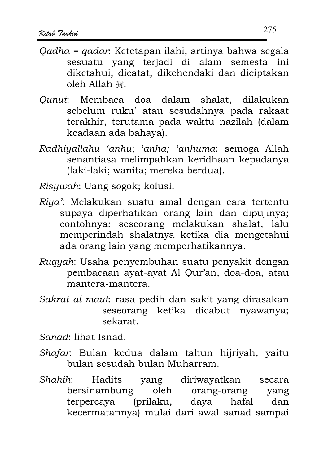- Oadha = gadar. Ketetapan ilahi, artinya bahwa segala sesuatu yang terjadi di alam semesta ini diketahui, dicatat, dikehendaki dan diciptakan oleh Allah #
- Ounut: Membaca doa dalam shalat, dilakukan sebelum ruku' atau sesudahnya pada rakaat terakhir, terutama pada waktu nazilah (dalam keadaan ada bahaya).
- Radhiyallahu 'anhu; 'anha; 'anhuma: semoga Allah senantiasa melimpahkan keridhaan kepadanya (laki-laki: wanita; mereka berdua).
- Risuwah: Uang sogok; kolusi.
- Riya': Melakukan suatu amal dengan cara tertentu supaya diperhatikan orang lain dan dipujinya; contohnya: seseorang melakukan shalat, lalu memperindah shalatnya ketika dia mengetahui ada orang lain yang memperhatikannya.
- Ruguah: Usaha penyembuhan suatu penyakit dengan pembacaan ayat-ayat Al Qur'an, doa-doa, atau mantera-mantera.
- Sakrat al maut: rasa pedih dan sakit yang dirasakan seseorang ketika dicabut nyawanya; sekarat.

Sanad: lihat Isnad.

- Shafar: Bulan kedua dalam tahun hijriyah, yaitu bulan sesudah bulan Muharram.
- yang diriwayatkan Shahih: Hadits secara bersinambung oleh orang-orang yang (prilaku, daya hafal terpercaya dan kecermatannya) mulai dari awal sanad sampai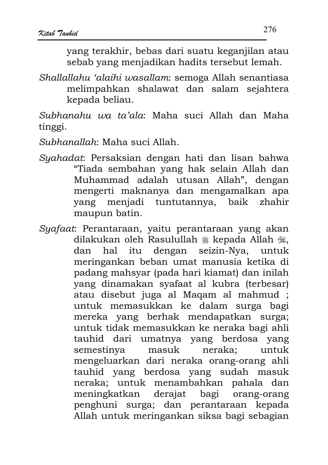vang terakhir, bebas dari suatu keganjilan atau sebab yang menjadikan hadits tersebut lemah.

Shallallahu 'alaihi wasallam: semoga Allah senantiasa melimpahkan shalawat dan salam sejahtera kepada beliau.

Subhanahu wa ta'ala: Maha suci Allah dan Maha tinggi.

Subhanallah: Maha suci Allah.

- Syahadat: Persaksian dengan hati dan lisan bahwa "Tiada sembahan yang hak selain Allah dan Muhammad adalah utusan Allah", dengan mengerti maknanya dan mengamalkan apa yang menjadi tuntutannya, baik zhahir maupun batin.
- Syafaat: Perantaraan, yaitu perantaraan yang akan dilakukan oleh Rasulullah \* kepada Allah \* dengan seizin-Nya, itu dan hal untuk meringankan beban umat manusia ketika di padang mahsyar (pada hari kiamat) dan inilah yang dinamakan syafaat al kubra (terbesar) atau disebut juga al Maqam al mahmud; untuk memasukkan ke dalam surga bagi mereka yang berhak mendapatkan surga; untuk tidak memasukkan ke neraka bagi ahli tauhid dari umatnya yang berdosa yang neraka: semestinya masuk untuk mengeluarkan dari neraka orang-orang ahli tauhid yang berdosa yang sudah masuk neraka; untuk menambahkan pahala dan meningkatkan bagi orang-orang derajat penghuni surga; dan perantaraan kepada Allah untuk meringankan siksa bagi sebagian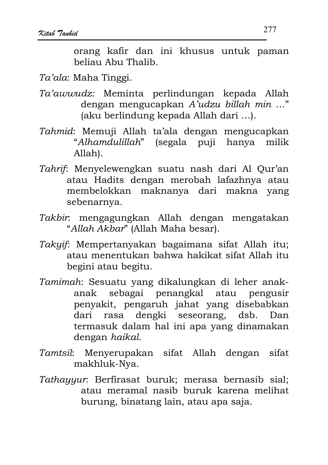orang kafir dan ini khusus untuk paman beliau Abu Thalib

# Ta'ala: Maha Tinggi.

- Ta'awwudz: Meminta perlindungan kepada Allah dengan mengucapkan A'udzu billah min ..." (aku berlindung kepada Allah dari ...).
- Tahmid: Memuji Allah ta'ala dengan mengucapkan "Alhamdulillah" (segala puji hanya milik Allah).
- Tahrif: Menyelewengkan suatu nash dari Al Qur'an atau Hadits dengan merobah lafazhnya atau membelokkan maknanya dari makna yang sebenarnya.
- Takbir: mengagungkan Allah dengan mengatakan "Allah Akbar" (Allah Maha besar).
- Takyif: Mempertanyakan bagaimana sifat Allah itu; atau menentukan bahwa hakikat sifat Allah itu begini atau begitu.
- Tamimah: Sesuatu yang dikalungkan di leher anakanak sebagai penangkal atau pengusir penyakit, pengaruh jahat yang disebabkan dari rasa dengki seseorang, dsb. Dan termasuk dalam hal ini apa yang dinamakan dengan haikal.
- Tamtsil: Menyerupakan sifat Allah dengan sifat makhluk-Nya.
- Tathayyur. Berfirasat buruk; merasa bernasib sial; atau meramal nasib buruk karena melihat burung, binatang lain, atau apa saja.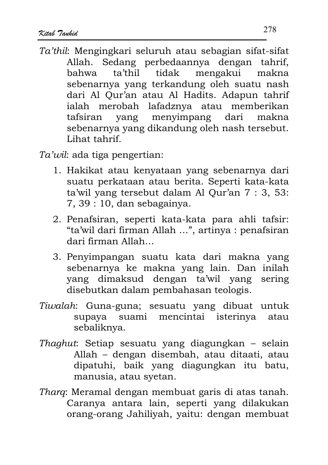Ta'thil: Mengingkari seluruh atau sebagian sifat-sifat Allah. Sedang perbedaannya dengan tahrif, mengakui makna ta'thil tidak hahwa sebenarnya yang terkandung oleh suatu nash dari Al Qur'an atau Al Hadits. Adapun tahrif ialah merobah lafadznya atau memberikan tafsiran yang menyimpang dari makna sebenarnya yang dikandung oleh nash tersebut. Lihat tahrif

Ta'wil: ada tiga pengertian:

- 1. Hakikat atau kenyataan yang sebenarnya dari suatu perkataan atau berita. Seperti kata-kata ta'wil yang tersebut dalam Al Our'an 7: 3, 53:  $7, 39: 10,$  dan sebagainya.
- 2. Penafsiran, seperti kata-kata para ahli tafsir: "ta'wil dari firman Allah ...", artinya : penafsiran dari firman Allah
- 3. Penyimpangan suatu kata dari makna yang sebenarnya ke makna yang lain. Dan inilah vang dimaksud dengan ta'wil yang sering disebutkan dalam pembahasan teologis.
- Tiwalah: Guna-guna; sesuatu yang dibuat untuk supaya suami mencintai isterinya atau sebaliknya.
- Thaghut: Setiap sesuatu yang diagungkan selain Allah - dengan disembah, atau ditaati, atau dipatuhi, baik yang diagungkan itu batu, manusia, atau syetan.
- Tharg: Meramal dengan membuat garis di atas tanah. Caranya antara lain, seperti yang dilakukan orang-orang Jahiliyah, yaitu: dengan membuat